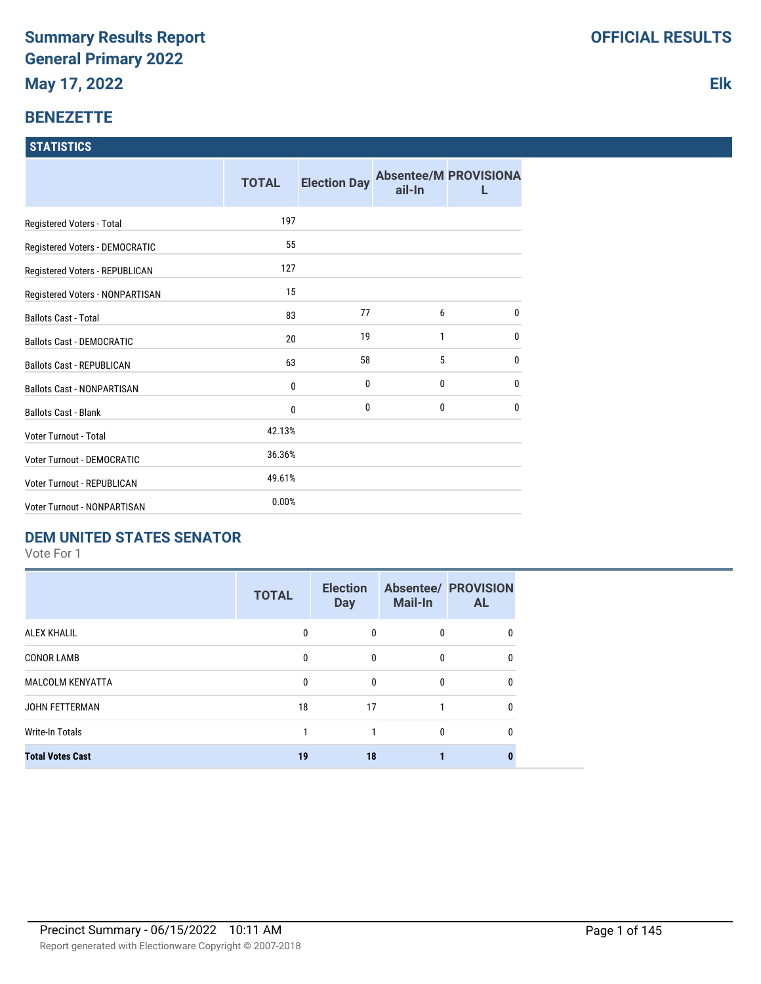# **BENEZETTE**

#### **STATISTICS**

|                                   | <b>TOTAL</b> | <b>Election Day</b> | ail-In | <b>Absentee/M PROVISIONA</b> |
|-----------------------------------|--------------|---------------------|--------|------------------------------|
| Registered Voters - Total         | 197          |                     |        |                              |
| Registered Voters - DEMOCRATIC    | 55           |                     |        |                              |
| Registered Voters - REPUBLICAN    | 127          |                     |        |                              |
| Registered Voters - NONPARTISAN   | 15           |                     |        |                              |
| <b>Ballots Cast - Total</b>       | 83           | 77                  | 6      | $\mathbf{0}$                 |
| <b>Ballots Cast - DEMOCRATIC</b>  | 20           | 19                  | 1      | $\mathbf{0}$                 |
| <b>Ballots Cast - REPUBLICAN</b>  | 63           | 58                  | 5      | $\mathbf{0}$                 |
| <b>Ballots Cast - NONPARTISAN</b> | 0            | 0                   | 0      | $\mathbf 0$                  |
| <b>Ballots Cast - Blank</b>       | 0            | 0                   | 0      | $\mathbf{0}$                 |
| Voter Turnout - Total             | 42.13%       |                     |        |                              |
| <b>Voter Turnout - DEMOCRATIC</b> | 36.36%       |                     |        |                              |
| Voter Turnout - REPUBLICAN        | 49.61%       |                     |        |                              |
| Voter Turnout - NONPARTISAN       | 0.00%        |                     |        |                              |

# **DEM UNITED STATES SENATOR**

Vote For 1

|                         | <b>TOTAL</b> | <b>Election</b><br><b>Day</b> | <b>Mail-In</b> | <b>Absentee/ PROVISION</b><br><b>AL</b> |
|-------------------------|--------------|-------------------------------|----------------|-----------------------------------------|
| <b>ALEX KHALIL</b>      | 0            | $\mathbf{0}$                  | $\mathbf{0}$   | 0                                       |
| <b>CONOR LAMB</b>       | 0            | $\mathbf{0}$                  | $\mathbf{0}$   | 0                                       |
| <b>MALCOLM KENYATTA</b> | 0            | $\mathbf{0}$                  | $\Omega$       | 0                                       |
| JOHN FETTERMAN          | 18           | 17                            |                | 0                                       |
| <b>Write-In Totals</b>  |              |                               | $\Omega$       | 0                                       |
| <b>Total Votes Cast</b> | 19           | 18                            |                |                                         |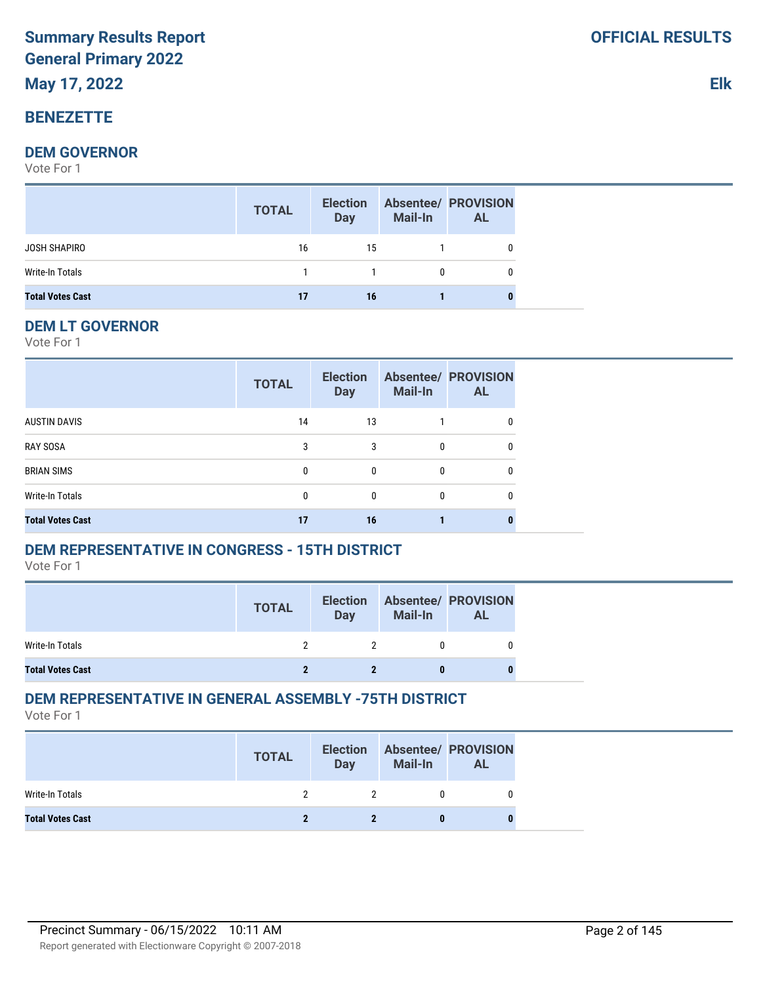# **BENEZETTE**

## **DEM GOVERNOR**

Vote For 1

|                         | <b>TOTAL</b> | <b>Election</b><br><b>Day</b> | <b>Mail-In</b> | <b>Absentee/ PROVISION</b><br><b>AL</b> |
|-------------------------|--------------|-------------------------------|----------------|-----------------------------------------|
| JOSH SHAPIRO            | 16           | 15                            |                | $\Omega$                                |
| Write-In Totals         |              |                               | $\mathbf{0}$   |                                         |
| <b>Total Votes Cast</b> | 17           | 16                            |                |                                         |

# **DEM LT GOVERNOR**

Vote For 1

|                         | <b>TOTAL</b> | <b>Election</b><br><b>Day</b> | <b>Mail-In</b> | <b>Absentee/ PROVISION</b><br><b>AL</b> |
|-------------------------|--------------|-------------------------------|----------------|-----------------------------------------|
| <b>AUSTIN DAVIS</b>     | 14           | 13                            |                | 0                                       |
| <b>RAY SOSA</b>         | 3            | 3                             | 0              | 0                                       |
| <b>BRIAN SIMS</b>       | 0            | 0                             | 0              | 0                                       |
| Write-In Totals         | 0            | 0                             | 0              | 0                                       |
| <b>Total Votes Cast</b> | 17           | 16                            |                |                                         |

# **DEM REPRESENTATIVE IN CONGRESS - 15TH DISTRICT**

Vote For 1

|                         | <b>TOTAL</b> | <b>Election</b><br>Day | <b>Mail-In</b> | <b>Absentee/ PROVISION</b><br><b>AL</b> |
|-------------------------|--------------|------------------------|----------------|-----------------------------------------|
| Write-In Totals         |              |                        |                |                                         |
| <b>Total Votes Cast</b> |              |                        |                |                                         |

# **DEM REPRESENTATIVE IN GENERAL ASSEMBLY -75TH DISTRICT**

Vote For 1

|                         | <b>TOTAL</b> | <b>Election</b><br><b>Day</b> | <b>Mail-In</b> | <b>Absentee/ PROVISION</b><br><b>AL</b> |
|-------------------------|--------------|-------------------------------|----------------|-----------------------------------------|
| Write-In Totals         |              | $\mathcal{P}$                 |                |                                         |
| <b>Total Votes Cast</b> |              |                               |                |                                         |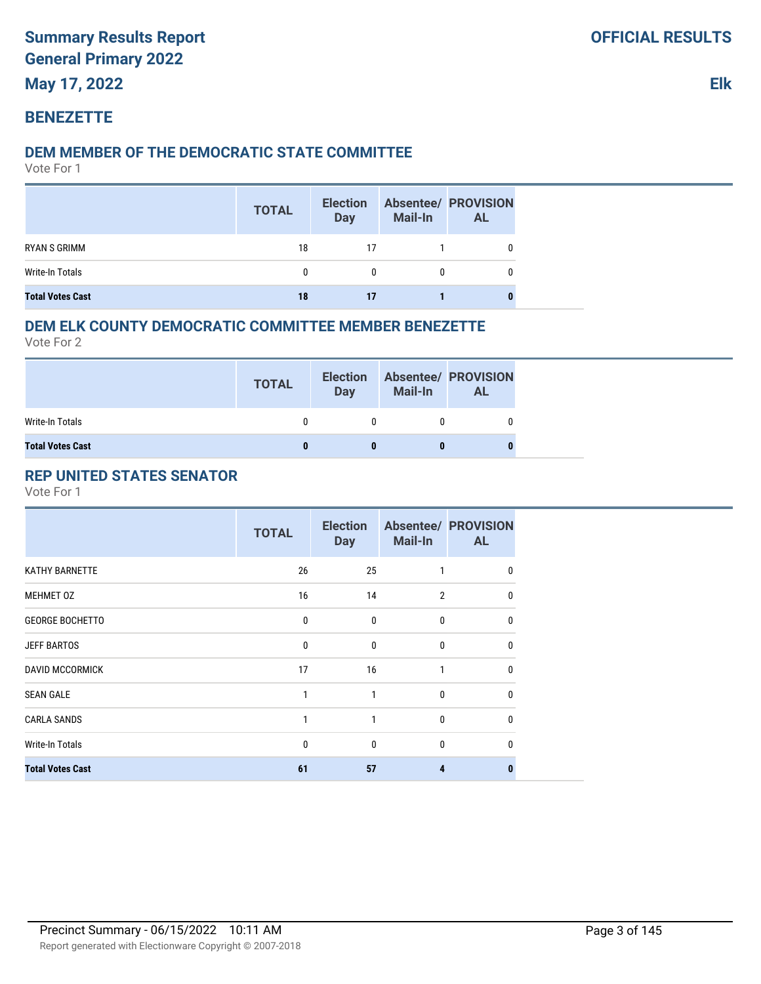# **BENEZETTE**

# **DEM MEMBER OF THE DEMOCRATIC STATE COMMITTEE**

Vote For 1

|                         | <b>TOTAL</b> | <b>Election</b><br><b>Day</b> | <b>Mail-In</b> | <b>Absentee/ PROVISION</b><br><b>AL</b> |
|-------------------------|--------------|-------------------------------|----------------|-----------------------------------------|
| RYAN S GRIMM            | 18           | 17                            |                |                                         |
| Write-In Totals         | 0            | 0                             | 0              |                                         |
| <b>Total Votes Cast</b> | 18           | 17                            |                |                                         |

## **DEM ELK COUNTY DEMOCRATIC COMMITTEE MEMBER BENEZETTE**

Vote For 2

|                         | <b>TOTAL</b> | <b>Election</b><br>Day | <b>Mail-In</b> | <b>Absentee/ PROVISION</b><br><b>AL</b> |
|-------------------------|--------------|------------------------|----------------|-----------------------------------------|
| Write-In Totals         |              |                        |                |                                         |
| <b>Total Votes Cast</b> | 0            |                        |                |                                         |

# **REP UNITED STATES SENATOR**

|                         | <b>TOTAL</b> | <b>Election</b><br><b>Day</b> | <b>Mail-In</b> | <b>Absentee/ PROVISION</b><br><b>AL</b> |
|-------------------------|--------------|-------------------------------|----------------|-----------------------------------------|
| <b>KATHY BARNETTE</b>   | 26           | 25                            |                | 0                                       |
| MEHMET 0Z               | 16           | 14                            | $\overline{2}$ | $\mathbf{0}$                            |
| <b>GEORGE BOCHETTO</b>  | $\mathbf{0}$ | $\mathbf{0}$                  | $\mathbf{0}$   | $\mathbf{0}$                            |
| <b>JEFF BARTOS</b>      | $\mathbf{0}$ | $\mathbf{0}$                  | $\mathbf{0}$   | $\mathbf{0}$                            |
| <b>DAVID MCCORMICK</b>  | 17           | 16                            | 1              | 0                                       |
| <b>SEAN GALE</b>        |              | 1                             | $\mathbf{0}$   | 0                                       |
| <b>CARLA SANDS</b>      |              | 1                             | $\mathbf{0}$   | $\mathbf{0}$                            |
| <b>Write-In Totals</b>  | 0            | 0                             | $\mathbf{0}$   | $\mathbf{0}$                            |
| <b>Total Votes Cast</b> | 61           | 57                            | 4              | n                                       |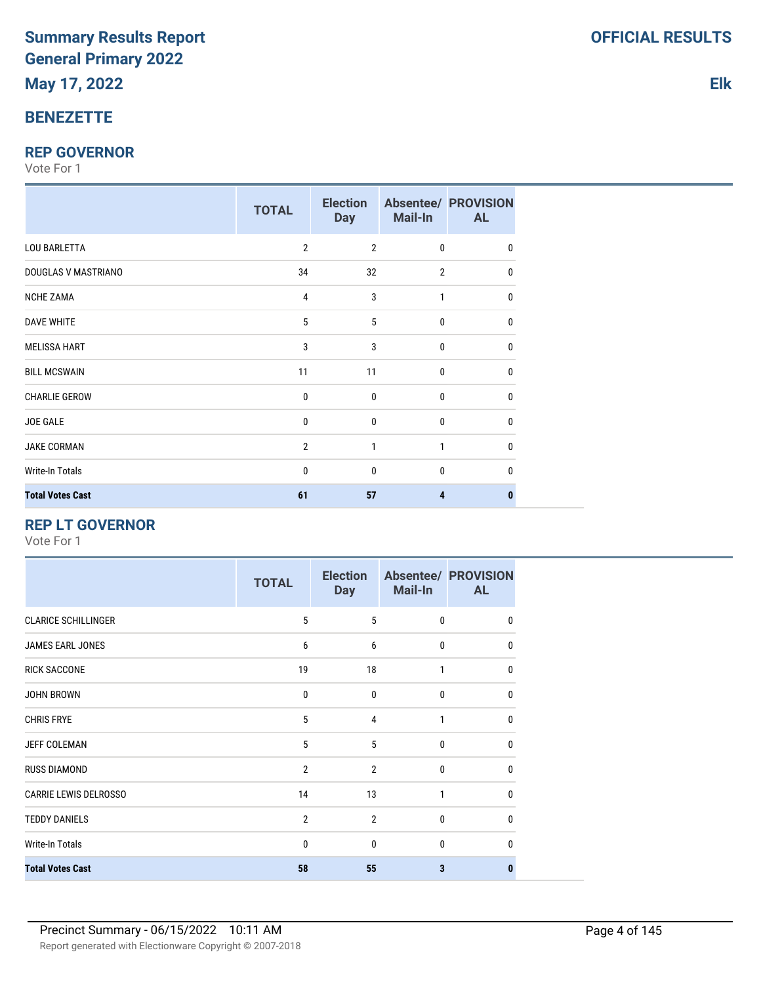# **BENEZETTE**

#### **REP GOVERNOR**

Vote For 1

|                         | <b>TOTAL</b>   | <b>Election</b><br><b>Day</b> | Mail-In        | <b>Absentee/ PROVISION</b><br><b>AL</b> |
|-------------------------|----------------|-------------------------------|----------------|-----------------------------------------|
| <b>LOU BARLETTA</b>     | $\overline{2}$ | $\overline{2}$                | 0              | 0                                       |
| DOUGLAS V MASTRIANO     | 34             | 32                            | $\overline{2}$ | $\mathbf{0}$                            |
| <b>NCHE ZAMA</b>        | $\overline{4}$ | 3                             | $\mathbf{1}$   | $\mathbf{0}$                            |
| <b>DAVE WHITE</b>       | 5              | 5                             | 0              | 0                                       |
| <b>MELISSA HART</b>     | 3              | 3                             | $\mathbf{0}$   | 0                                       |
| <b>BILL MCSWAIN</b>     | 11             | 11                            | $\mathbf{0}$   | 0                                       |
| <b>CHARLIE GEROW</b>    | $\mathbf{0}$   | $\mathbf{0}$                  | $\mathbf{0}$   | $\Omega$                                |
| JOE GALE                | $\mathbf{0}$   | $\mathbf{0}$                  | $\mathbf{0}$   | $\Omega$                                |
| <b>JAKE CORMAN</b>      | $\overline{2}$ | 1                             | $\mathbf{1}$   | $\Omega$                                |
| Write-In Totals         | $\mathbf{0}$   | $\mathbf{0}$                  | $\mathbf{0}$   | $\Omega$                                |
| <b>Total Votes Cast</b> | 61             | 57                            | 4              | n                                       |

## **REP LT GOVERNOR**

Vote For 1

|                              | <b>TOTAL</b>   | <b>Election</b><br><b>Day</b> | Mail-In      | <b>Absentee/ PROVISION</b><br><b>AL</b> |
|------------------------------|----------------|-------------------------------|--------------|-----------------------------------------|
| <b>CLARICE SCHILLINGER</b>   | 5              | 5                             | $\mathbf 0$  | 0                                       |
| JAMES EARL JONES             | 6              | 6                             | $\mathbf 0$  | <sup>0</sup>                            |
| <b>RICK SACCONE</b>          | 19             | 18                            | 1            | 0                                       |
| <b>JOHN BROWN</b>            | $\mathbf{0}$   | $\Omega$                      | $\mathbf{0}$ | U                                       |
| <b>CHRIS FRYE</b>            | 5              | 4                             | 1            | n                                       |
| JEFF COLEMAN                 | 5              | 5                             | $\mathbf{0}$ | <sup>0</sup>                            |
| <b>RUSS DIAMOND</b>          | $\overline{2}$ | $\overline{2}$                | $\mathbf{0}$ | <sup>0</sup>                            |
| <b>CARRIE LEWIS DELROSSO</b> | 14             | 13                            | 1            | <sup>0</sup>                            |
| <b>TEDDY DANIELS</b>         | $\overline{2}$ | $\overline{2}$                | $\mathbf 0$  | $\Omega$                                |
| <b>Write-In Totals</b>       | $\mathbf{0}$   | $\mathbf{0}$                  | $\mathbf{0}$ | <sup>0</sup>                            |
| <b>Total Votes Cast</b>      | 58             | 55                            | 3            | n                                       |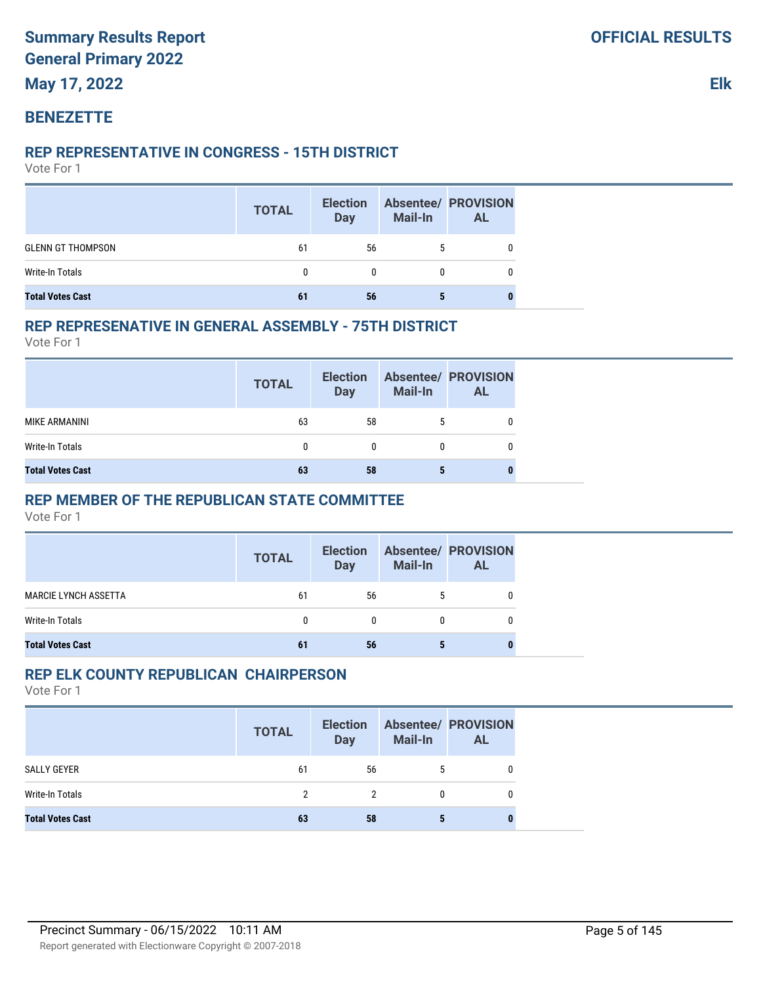# **BENEZETTE**

#### **REP REPRESENTATIVE IN CONGRESS - 15TH DISTRICT**

Vote For 1

|                          | <b>TOTAL</b> | <b>Election</b><br><b>Day</b> | <b>Mail-In</b> | <b>Absentee/ PROVISION</b><br><b>AL</b> |
|--------------------------|--------------|-------------------------------|----------------|-----------------------------------------|
| <b>GLENN GT THOMPSON</b> | 61           | 56                            | 5              |                                         |
| Write-In Totals          |              | 0                             | 0              |                                         |
| <b>Total Votes Cast</b>  | 61           | 56                            | 5              |                                         |

#### **REP REPRESENATIVE IN GENERAL ASSEMBLY - 75TH DISTRICT**

Vote For 1

|                         | <b>TOTAL</b> | <b>Election</b><br><b>Day</b> | Mail-In | <b>Absentee/ PROVISION</b><br><b>AL</b> |
|-------------------------|--------------|-------------------------------|---------|-----------------------------------------|
| MIKE ARMANINI           | 63           | 58                            | 5       |                                         |
| Write-In Totals         |              |                               |         |                                         |
| <b>Total Votes Cast</b> | 63           | 58                            |         |                                         |

### **REP MEMBER OF THE REPUBLICAN STATE COMMITTEE**

Vote For 1

|                             | <b>TOTAL</b> | <b>Election</b><br><b>Day</b> | <b>Mail-In</b> | <b>Absentee/ PROVISION</b><br><b>AL</b> |
|-----------------------------|--------------|-------------------------------|----------------|-----------------------------------------|
| <b>MARCIE LYNCH ASSETTA</b> | 61           | 56                            | 5              | 0                                       |
| Write-In Totals             | 0            | $\mathbf{0}$                  | 0              | 0                                       |
| <b>Total Votes Cast</b>     | 61           | 56                            | 5              | 0                                       |

## **REP ELK COUNTY REPUBLICAN CHAIRPERSON**

|                         | <b>TOTAL</b> | <b>Election</b><br><b>Day</b> | <b>Mail-In</b> | <b>Absentee/ PROVISION</b><br><b>AL</b> |
|-------------------------|--------------|-------------------------------|----------------|-----------------------------------------|
| SALLY GEYER             | 61           | 56                            | 5              |                                         |
| Write-In Totals         | 2            | $\mathcal{P}$                 | 0              | 0                                       |
| <b>Total Votes Cast</b> | 63           | 58                            |                |                                         |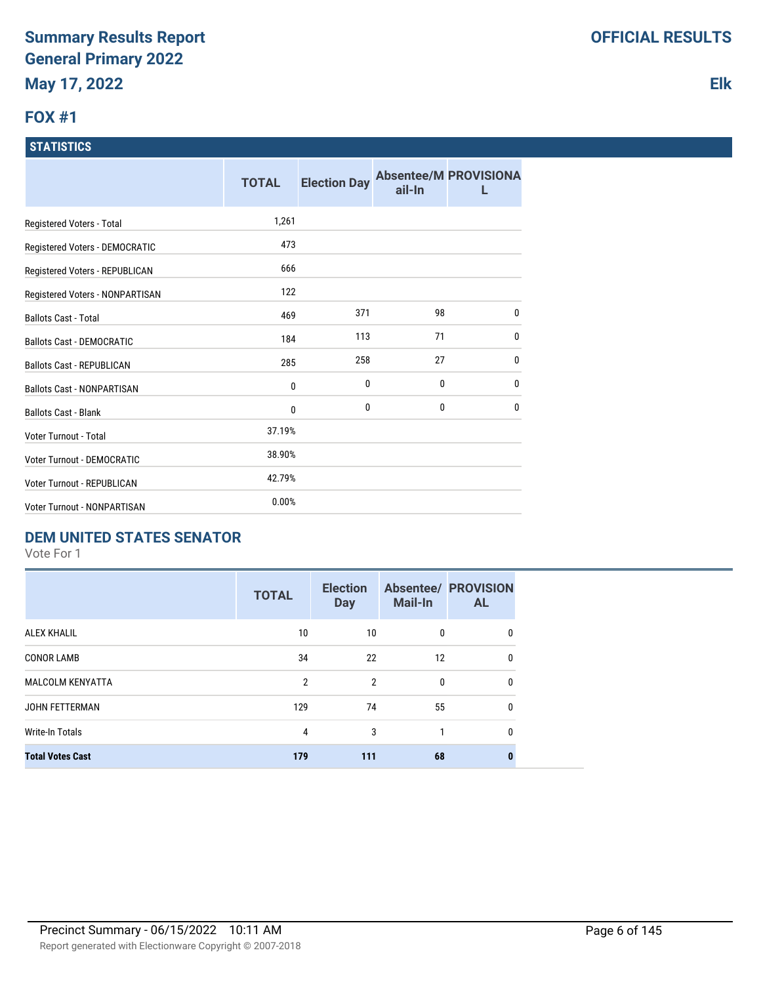# **FOX #1**

#### **STATISTICS**

|                                    | <b>TOTAL</b> | <b>Election Day</b> | ail-In | <b>Absentee/M PROVISIONA</b> |
|------------------------------------|--------------|---------------------|--------|------------------------------|
| Registered Voters - Total          | 1,261        |                     |        |                              |
| Registered Voters - DEMOCRATIC     | 473          |                     |        |                              |
| Registered Voters - REPUBLICAN     | 666          |                     |        |                              |
| Registered Voters - NONPARTISAN    | 122          |                     |        |                              |
| <b>Ballots Cast - Total</b>        | 469          | 371                 | 98     | $\mathbf{0}$                 |
| <b>Ballots Cast - DEMOCRATIC</b>   | 184          | 113                 | 71     | $\mathbf{0}$                 |
| <b>Ballots Cast - REPUBLICAN</b>   | 285          | 258                 | 27     | $\mathbf{0}$                 |
| <b>Ballots Cast - NONPARTISAN</b>  | $\mathbf 0$  | 0                   | 0      | $\mathbf{0}$                 |
| <b>Ballots Cast - Blank</b>        | 0            | $\mathbf{0}$        | 0      | $\mathbf{0}$                 |
| Voter Turnout - Total              | 37.19%       |                     |        |                              |
| Voter Turnout - DEMOCRATIC         | 38.90%       |                     |        |                              |
| Voter Turnout - REPUBLICAN         | 42.79%       |                     |        |                              |
| <b>Voter Turnout - NONPARTISAN</b> | 0.00%        |                     |        |                              |

# **DEM UNITED STATES SENATOR**

Vote For 1

|                         | <b>TOTAL</b>   | <b>Election</b><br><b>Day</b> | <b>Mail-In</b> | <b>Absentee/ PROVISION</b><br><b>AL</b> |
|-------------------------|----------------|-------------------------------|----------------|-----------------------------------------|
| <b>ALEX KHALIL</b>      | 10             | 10                            | 0              | 0                                       |
| <b>CONOR LAMB</b>       | 34             | 22                            | 12             | 0                                       |
| <b>MALCOLM KENYATTA</b> | $\mathfrak{p}$ | $\mathfrak{p}$                | $\Omega$       | 0                                       |
| <b>JOHN FETTERMAN</b>   | 129            | 74                            | 55             | 0                                       |
| Write-In Totals         | 4              | 3                             |                | 0                                       |
| <b>Total Votes Cast</b> | 179            | 111                           | 68             |                                         |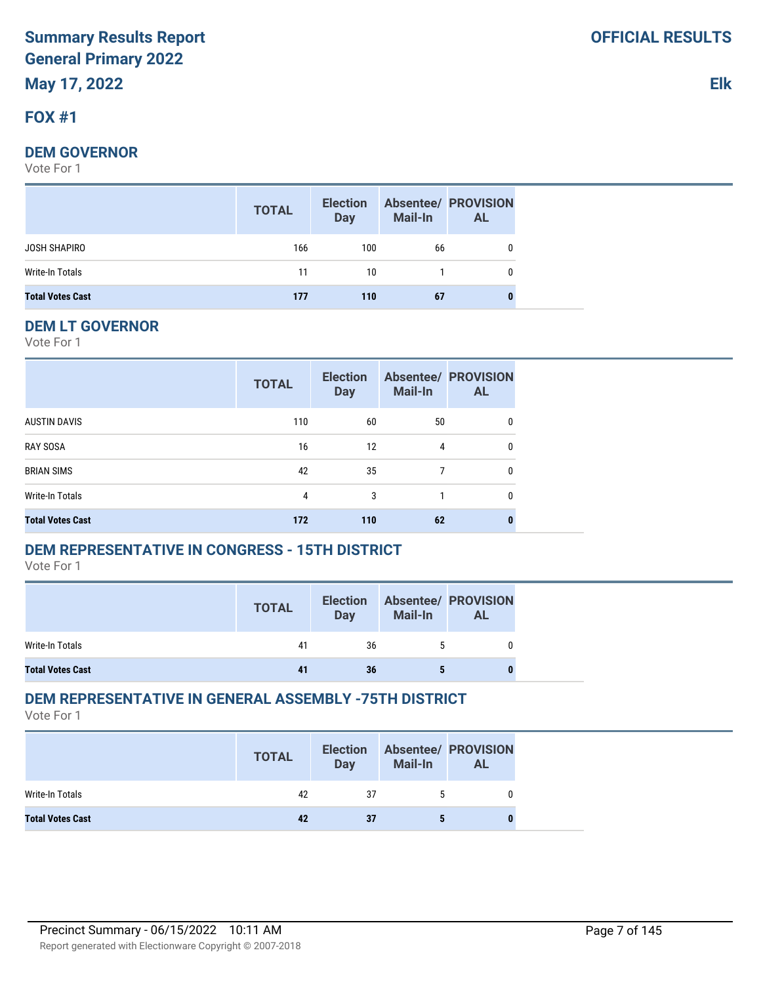# **FOX #1**

#### **DEM GOVERNOR**

Vote For 1

|                         | <b>TOTAL</b> | <b>Election</b><br>Day | <b>Mail-In</b> | <b>Absentee/ PROVISION</b><br><b>AL</b> |
|-------------------------|--------------|------------------------|----------------|-----------------------------------------|
| JOSH SHAPIRO            | 166          | 100                    | 66             | 0                                       |
| Write-In Totals         | 11           | 10                     |                | 0                                       |
| <b>Total Votes Cast</b> | 177          | 110                    | 67             | 0                                       |

# **DEM LT GOVERNOR**

Vote For 1

|                         | <b>TOTAL</b> | <b>Election</b><br><b>Day</b> | <b>Mail-In</b> | <b>Absentee/ PROVISION</b><br><b>AL</b> |
|-------------------------|--------------|-------------------------------|----------------|-----------------------------------------|
| <b>AUSTIN DAVIS</b>     | 110          | 60                            | 50             | $\Omega$                                |
| <b>RAY SOSA</b>         | 16           | 12                            | 4              | 0                                       |
| <b>BRIAN SIMS</b>       | 42           | 35                            | 7              | 0                                       |
| <b>Write-In Totals</b>  | 4            | 3                             |                | 0                                       |
| <b>Total Votes Cast</b> | 172          | 110                           | 62             |                                         |

# **DEM REPRESENTATIVE IN CONGRESS - 15TH DISTRICT**

Vote For 1

|                         | <b>TOTAL</b> | <b>Election</b><br><b>Day</b> | Mail-In | <b>Absentee/ PROVISION</b><br>AL |
|-------------------------|--------------|-------------------------------|---------|----------------------------------|
| Write-In Totals         | 41           | 36                            |         |                                  |
| <b>Total Votes Cast</b> |              | 36                            | э       |                                  |

# **DEM REPRESENTATIVE IN GENERAL ASSEMBLY -75TH DISTRICT**

|                         | <b>TOTAL</b> | <b>Election</b><br>Day | <b>Mail-In</b> | <b>Absentee/ PROVISION</b><br><b>AL</b> |
|-------------------------|--------------|------------------------|----------------|-----------------------------------------|
| Write-In Totals         | 42           | 37                     | 5              |                                         |
| <b>Total Votes Cast</b> | 42           | 37                     |                | 0                                       |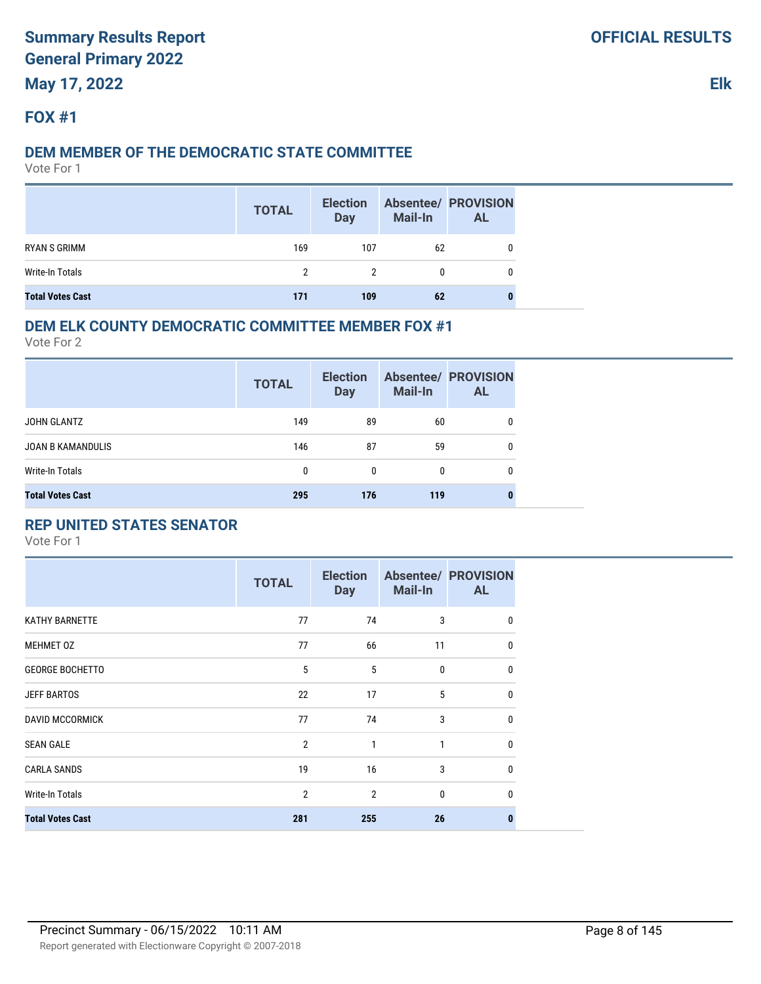# **FOX #1**

#### **DEM MEMBER OF THE DEMOCRATIC STATE COMMITTEE**

Vote For 1

|                         | <b>TOTAL</b> | <b>Election</b><br><b>Day</b> | <b>Mail-In</b> | <b>Absentee/ PROVISION</b><br><b>AL</b> |
|-------------------------|--------------|-------------------------------|----------------|-----------------------------------------|
| RYAN S GRIMM            | 169          | 107                           | 62             |                                         |
| Write-In Totals         | 2            | $\mathcal{P}$                 | 0              |                                         |
| <b>Total Votes Cast</b> | 171          | 109                           | 62             |                                         |

## **DEM ELK COUNTY DEMOCRATIC COMMITTEE MEMBER FOX #1**

Vote For 2

|                          | <b>TOTAL</b> | <b>Election</b><br><b>Day</b> | <b>Mail-In</b> | <b>Absentee/ PROVISION</b><br><b>AL</b> |
|--------------------------|--------------|-------------------------------|----------------|-----------------------------------------|
| JOHN GLANTZ              | 149          | 89                            | 60             |                                         |
| <b>JOAN B KAMANDULIS</b> | 146          | 87                            | 59             |                                         |
| Write-In Totals          | 0            | 0                             | 0              |                                         |
| <b>Total Votes Cast</b>  | 295          | 176                           | 119            |                                         |

# **REP UNITED STATES SENATOR**

|                         | <b>TOTAL</b>   | <b>Election</b><br><b>Day</b> | Mail-In | <b>Absentee/ PROVISION</b><br><b>AL</b> |
|-------------------------|----------------|-------------------------------|---------|-----------------------------------------|
| <b>KATHY BARNETTE</b>   | 77             | 74                            | 3       | $\mathbf{0}$                            |
| MEHMET 0Z               | 77             | 66                            | 11      | $\Omega$                                |
| <b>GEORGE BOCHETTO</b>  | 5              | 5                             | 0       | 0                                       |
| <b>JEFF BARTOS</b>      | 22             | 17                            | 5       | $\Omega$                                |
| <b>DAVID MCCORMICK</b>  | 77             | 74                            | 3       | 0                                       |
| <b>SEAN GALE</b>        | $\overline{2}$ | 1                             | 1       | <sup>0</sup>                            |
| <b>CARLA SANDS</b>      | 19             | 16                            | 3       | $\Omega$                                |
| <b>Write-In Totals</b>  | $\overline{2}$ | $\overline{2}$                | 0       | <sup>0</sup>                            |
| <b>Total Votes Cast</b> | 281            | 255                           | 26      |                                         |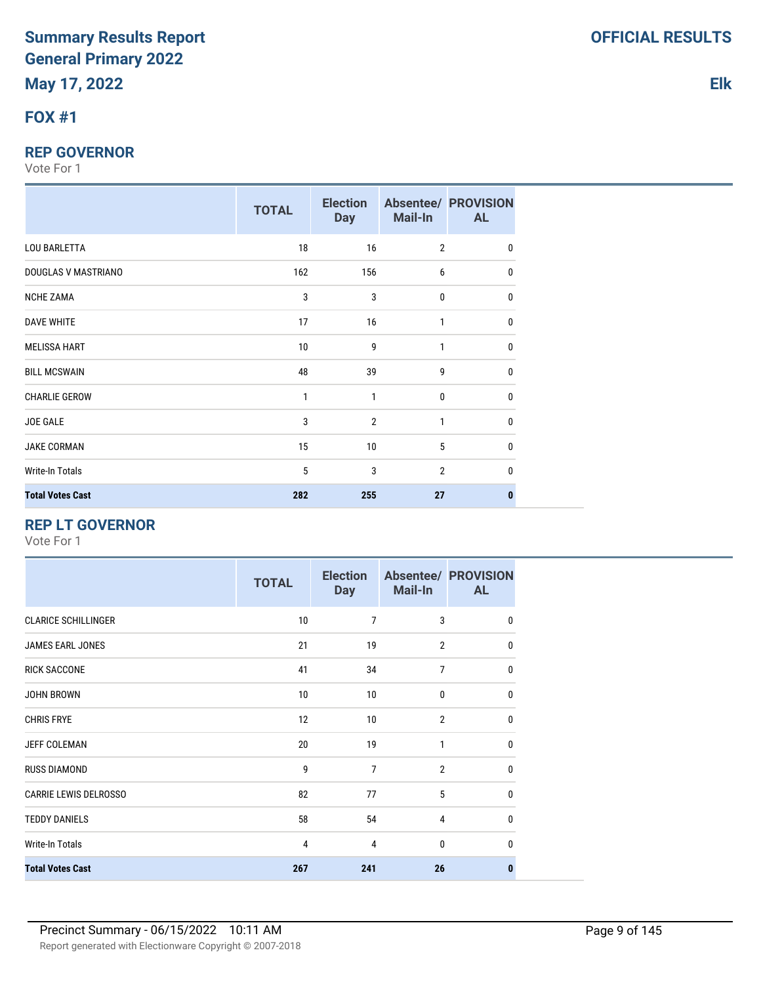# **FOX #1**

#### **REP GOVERNOR**

Vote For 1

|                         | <b>TOTAL</b> | <b>Election</b><br><b>Day</b> | Mail-In        | <b>Absentee/ PROVISION</b><br><b>AL</b> |
|-------------------------|--------------|-------------------------------|----------------|-----------------------------------------|
| <b>LOU BARLETTA</b>     | 18           | 16                            | $\overline{2}$ | 0                                       |
| DOUGLAS V MASTRIANO     | 162          | 156                           | 6              | 0                                       |
| <b>NCHE ZAMA</b>        | 3            | 3                             | 0              | 0                                       |
| <b>DAVE WHITE</b>       | 17           | 16                            | 1              | 0                                       |
| <b>MELISSA HART</b>     | 10           | 9                             | 1              | 0                                       |
| <b>BILL MCSWAIN</b>     | 48           | 39                            | 9              | 0                                       |
| <b>CHARLIE GEROW</b>    | 1            | 1                             | 0              | 0                                       |
| JOE GALE                | 3            | $\overline{2}$                | 1              | 0                                       |
| <b>JAKE CORMAN</b>      | 15           | 10                            | 5              | 0                                       |
| <b>Write-In Totals</b>  | 5            | 3                             | $\overline{2}$ | U                                       |
| <b>Total Votes Cast</b> | 282          | 255                           | 27             | 0                                       |

# **REP LT GOVERNOR**

Vote For 1

|                              | <b>TOTAL</b>   | <b>Election</b><br><b>Day</b> | Mail-In        | <b>Absentee/ PROVISION</b><br><b>AL</b> |
|------------------------------|----------------|-------------------------------|----------------|-----------------------------------------|
| <b>CLARICE SCHILLINGER</b>   | 10             | 7                             | 3              | 0                                       |
| JAMES EARL JONES             | 21             | 19                            | $\overline{2}$ | 0                                       |
| <b>RICK SACCONE</b>          | 41             | 34                            | $\overline{7}$ | $\Omega$                                |
| <b>JOHN BROWN</b>            | 10             | 10                            | $\mathbf{0}$   | 0                                       |
| <b>CHRIS FRYE</b>            | 12             | 10                            | $\overline{2}$ | $\Omega$                                |
| <b>JEFF COLEMAN</b>          | 20             | 19                            | 1              | 0                                       |
| <b>RUSS DIAMOND</b>          | 9              | 7                             | $\overline{2}$ | $\mathbf{0}$                            |
| <b>CARRIE LEWIS DELROSSO</b> | 82             | 77                            | 5              | $\mathbf{0}$                            |
| <b>TEDDY DANIELS</b>         | 58             | 54                            | 4              | $\mathbf{0}$                            |
| <b>Write-In Totals</b>       | $\overline{4}$ | $\overline{4}$                | $\mathbf{0}$   | $\mathbf{0}$                            |
| <b>Total Votes Cast</b>      | 267            | 241                           | 26             | 0                                       |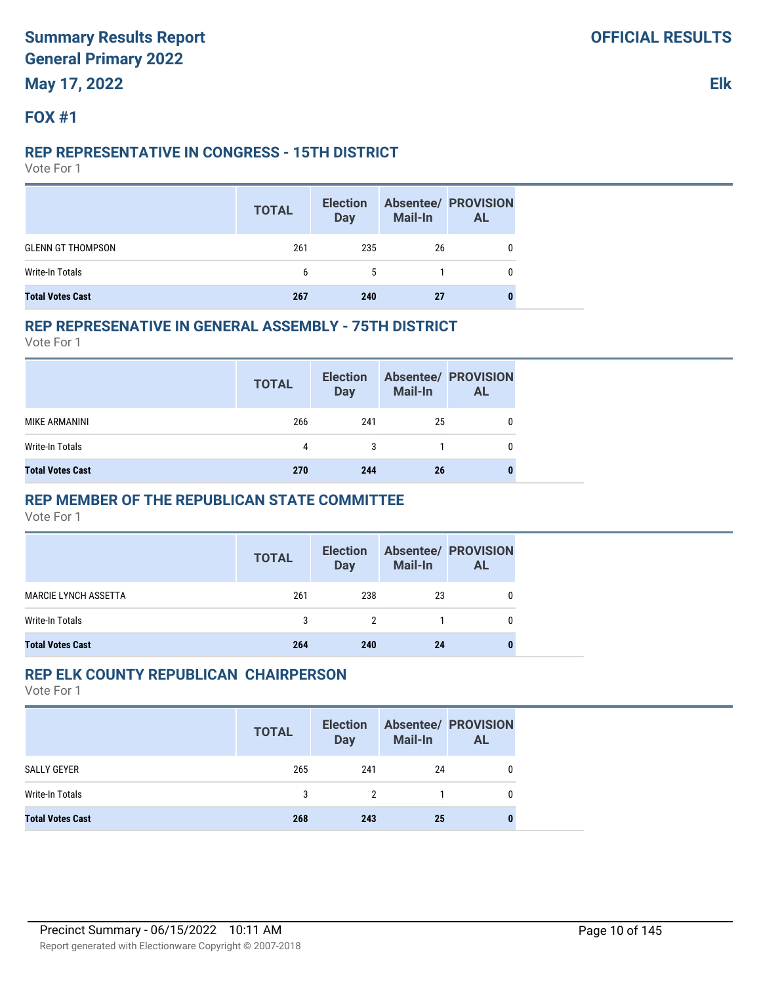# **FOX #1**

#### **REP REPRESENTATIVE IN CONGRESS - 15TH DISTRICT**

Vote For 1

|                          | <b>TOTAL</b> | <b>Election</b><br><b>Day</b> | <b>Mail-In</b> | <b>Absentee/ PROVISION</b><br><b>AL</b> |
|--------------------------|--------------|-------------------------------|----------------|-----------------------------------------|
| <b>GLENN GT THOMPSON</b> | 261          | 235                           | 26             |                                         |
| Write-In Totals          | 6            | 5                             |                |                                         |
| <b>Total Votes Cast</b>  | 267          | 240                           | 27             |                                         |

#### **REP REPRESENATIVE IN GENERAL ASSEMBLY - 75TH DISTRICT**

Vote For 1

|                         | <b>TOTAL</b> | <b>Election</b><br><b>Day</b> | Mail-In | <b>Absentee/ PROVISION</b><br><b>AL</b> |
|-------------------------|--------------|-------------------------------|---------|-----------------------------------------|
| MIKE ARMANINI           | 266          | 241                           | 25      |                                         |
| Write-In Totals         | 4            |                               |         |                                         |
| <b>Total Votes Cast</b> | 270          | 244                           | 26      |                                         |

### **REP MEMBER OF THE REPUBLICAN STATE COMMITTEE**

Vote For 1

|                             | <b>TOTAL</b> | <b>Election</b><br>Day | <b>Mail-In</b> | <b>Absentee/ PROVISION</b><br><b>AL</b> |
|-----------------------------|--------------|------------------------|----------------|-----------------------------------------|
| <b>MARCIE LYNCH ASSETTA</b> | 261          | 238                    | 23             | 0                                       |
| Write-In Totals             | 3            | 2                      |                | 0                                       |
| <b>Total Votes Cast</b>     | 264          | 240                    | 24             | 0                                       |

## **REP ELK COUNTY REPUBLICAN CHAIRPERSON**

|                         | <b>TOTAL</b> | <b>Election</b><br><b>Day</b> | <b>Mail-In</b> | <b>Absentee/ PROVISION</b><br><b>AL</b> |
|-------------------------|--------------|-------------------------------|----------------|-----------------------------------------|
| SALLY GEYER             | 265          | 241                           | 24             |                                         |
| Write-In Totals         | 3            | $\mathcal{P}$                 |                | 0                                       |
| <b>Total Votes Cast</b> | 268          | 243                           | 25             |                                         |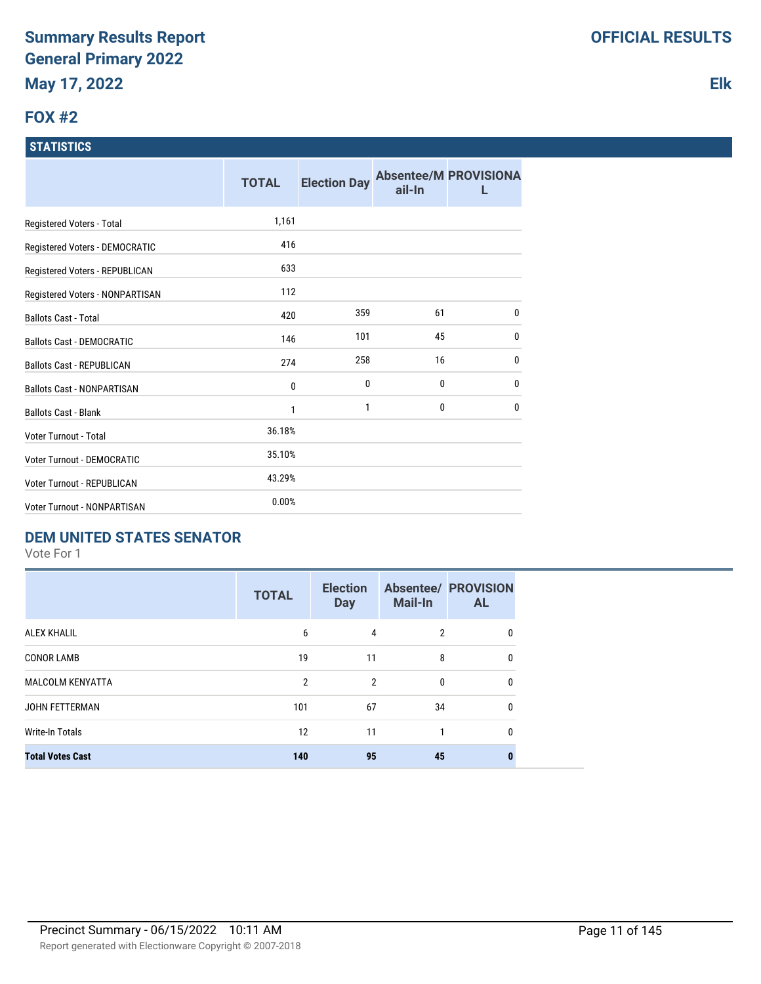# **FOX #2**

#### **STATISTICS**

|                                    | <b>TOTAL</b> | <b>Election Day</b> | ail-In       | <b>Absentee/M PROVISIONA</b> |
|------------------------------------|--------------|---------------------|--------------|------------------------------|
| Registered Voters - Total          | 1,161        |                     |              |                              |
| Registered Voters - DEMOCRATIC     | 416          |                     |              |                              |
| Registered Voters - REPUBLICAN     | 633          |                     |              |                              |
| Registered Voters - NONPARTISAN    | 112          |                     |              |                              |
| <b>Ballots Cast - Total</b>        | 420          | 359                 | 61           | $\mathbf{0}$                 |
| <b>Ballots Cast - DEMOCRATIC</b>   | 146          | 101                 | 45           | $\mathbf{0}$                 |
| <b>Ballots Cast - REPUBLICAN</b>   | 274          | 258                 | 16           | $\mathbf{0}$                 |
| <b>Ballots Cast - NONPARTISAN</b>  | 0            | 0                   | 0            | $\mathbf 0$                  |
| <b>Ballots Cast - Blank</b>        | 1            | 1                   | $\mathbf{0}$ | $\mathbf{0}$                 |
| Voter Turnout - Total              | 36.18%       |                     |              |                              |
| <b>Voter Turnout - DEMOCRATIC</b>  | 35.10%       |                     |              |                              |
| Voter Turnout - REPUBLICAN         | 43.29%       |                     |              |                              |
| <b>Voter Turnout - NONPARTISAN</b> | 0.00%        |                     |              |                              |

# **DEM UNITED STATES SENATOR**

Vote For 1

|                         | <b>TOTAL</b>   | <b>Election</b><br><b>Day</b> | <b>Mail-In</b> | <b>Absentee/ PROVISION</b><br><b>AL</b> |
|-------------------------|----------------|-------------------------------|----------------|-----------------------------------------|
| <b>ALEX KHALIL</b>      | 6              | 4                             | $\overline{2}$ | 0                                       |
| <b>CONOR LAMB</b>       | 19             | 11                            | 8              | 0                                       |
| <b>MALCOLM KENYATTA</b> | $\mathfrak{p}$ | $\mathfrak{p}$                | $\Omega$       | 0                                       |
| JOHN FETTERMAN          | 101            | 67                            | 34             | 0                                       |
| <b>Write-In Totals</b>  | 12             | 11                            |                | 0                                       |
| <b>Total Votes Cast</b> | 140            | 95                            | 45             | 0                                       |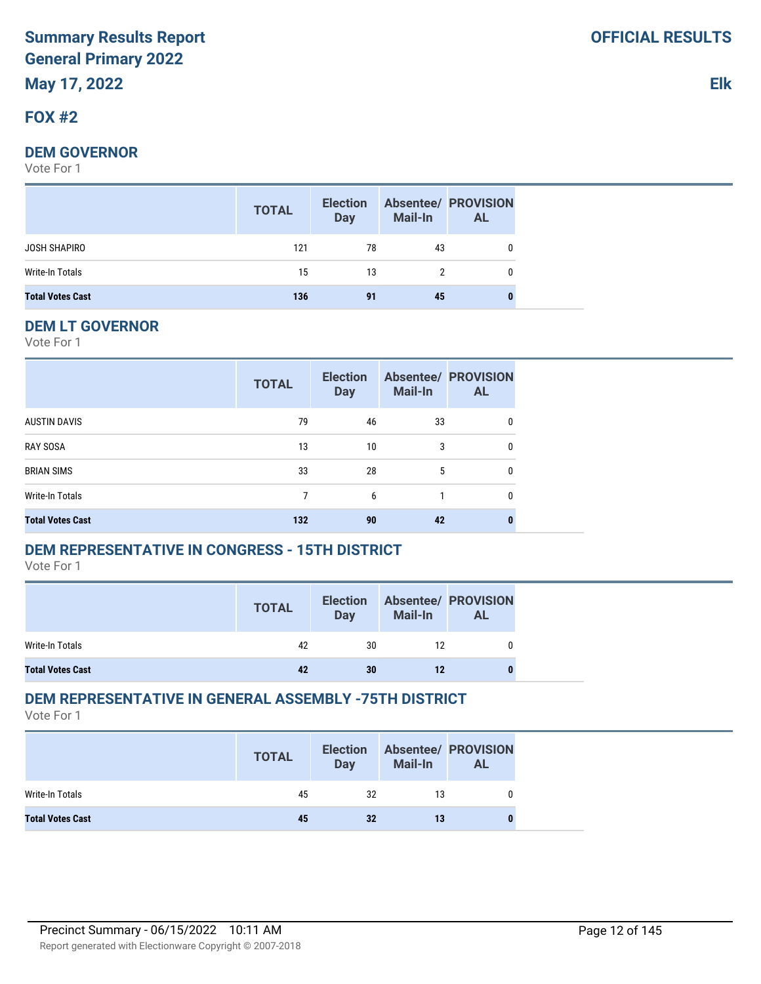# **FOX #2**

# **DEM GOVERNOR**

Vote For 1

|                         | <b>TOTAL</b> | <b>Election</b><br>Day | <b>Mail-In</b> | <b>Absentee/ PROVISION</b><br><b>AL</b> |
|-------------------------|--------------|------------------------|----------------|-----------------------------------------|
| JOSH SHAPIRO            | 121          | 78                     | 43             | $\mathbf{0}$                            |
| Write-In Totals         | 15           | 13                     |                | $\mathbf{0}$                            |
| <b>Total Votes Cast</b> | 136          | 91                     | 45             | 0                                       |

#### **DEM LT GOVERNOR**

Vote For 1

|                         | <b>TOTAL</b> | <b>Election</b><br><b>Day</b> | <b>Mail-In</b> | <b>Absentee/ PROVISION</b><br><b>AL</b> |
|-------------------------|--------------|-------------------------------|----------------|-----------------------------------------|
| <b>AUSTIN DAVIS</b>     | 79           | 46                            | 33             | 0                                       |
| <b>RAY SOSA</b>         | 13           | 10                            | 3              | 0                                       |
| <b>BRIAN SIMS</b>       | 33           | 28                            | 5              | 0                                       |
| <b>Write-In Totals</b>  | 7            | 6                             |                | 0                                       |
| <b>Total Votes Cast</b> | 132          | 90                            | 42             | 0                                       |

# **DEM REPRESENTATIVE IN CONGRESS - 15TH DISTRICT**

Vote For 1

|                         | <b>TOTAL</b> | <b>Election</b><br><b>Day</b> | <b>Mail-In</b> | <b>Absentee/ PROVISION</b><br><b>AL</b> |
|-------------------------|--------------|-------------------------------|----------------|-----------------------------------------|
| Write-In Totals         | 42           | 30                            | 12             |                                         |
| <b>Total Votes Cast</b> | 42           | 30                            | 12             |                                         |

# **DEM REPRESENTATIVE IN GENERAL ASSEMBLY -75TH DISTRICT**

|                         | <b>TOTAL</b> | <b>Election</b><br>Day | <b>Mail-In</b> | <b>Absentee/ PROVISION</b><br><b>AL</b> |
|-------------------------|--------------|------------------------|----------------|-----------------------------------------|
| Write-In Totals         | 45           | 32                     | 13             |                                         |
| <b>Total Votes Cast</b> | 45           | 32                     | 13             | 0                                       |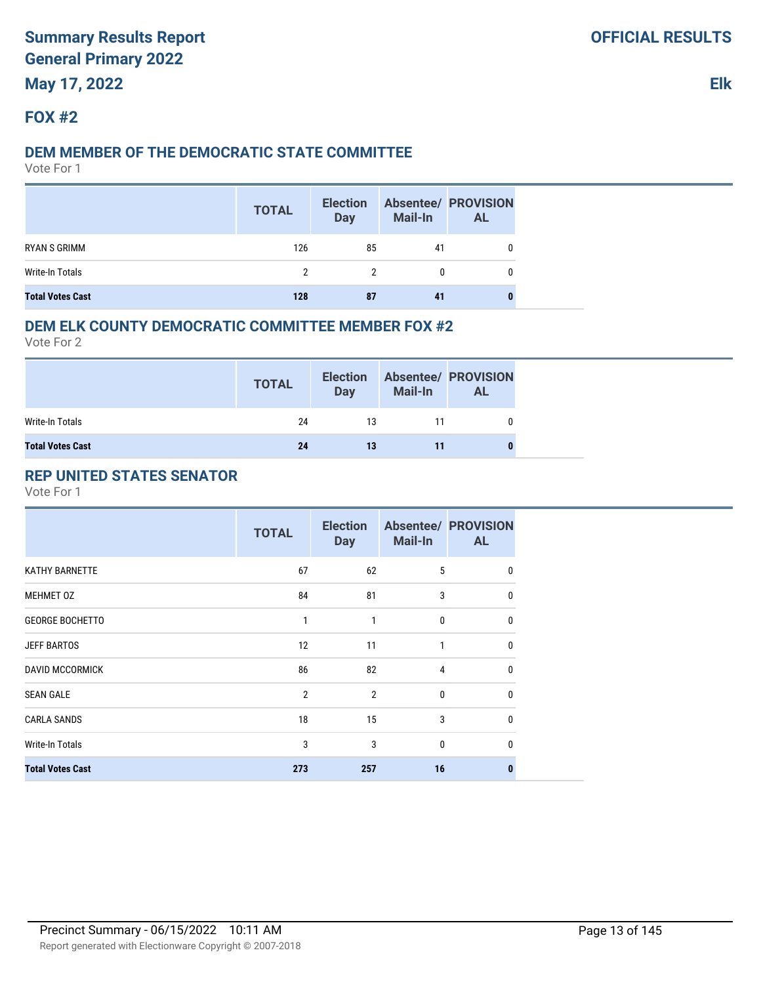# **FOX #2**

#### **DEM MEMBER OF THE DEMOCRATIC STATE COMMITTEE**

Vote For 1

|                         | <b>TOTAL</b> | <b>Election</b><br><b>Day</b> | <b>Mail-In</b> | <b>Absentee/ PROVISION</b><br><b>AL</b> |
|-------------------------|--------------|-------------------------------|----------------|-----------------------------------------|
| RYAN S GRIMM            | 126          | 85                            | 41             |                                         |
| Write-In Totals         | 2            | 2                             | 0              |                                         |
| <b>Total Votes Cast</b> | 128          | 87                            | 41             |                                         |

## **DEM ELK COUNTY DEMOCRATIC COMMITTEE MEMBER FOX #2**

Vote For 2

|                         | <b>TOTAL</b> | <b>Election</b><br>Day | <b>Mail-In</b> | <b>Absentee/ PROVISION</b><br><b>AL</b> |
|-------------------------|--------------|------------------------|----------------|-----------------------------------------|
| Write-In Totals         | 24           | 13                     | 11             |                                         |
| <b>Total Votes Cast</b> | 24           | 13                     |                | 0                                       |

## **REP UNITED STATES SENATOR**

|                         | <b>TOTAL</b>   | <b>Election</b><br><b>Day</b> | <b>Mail-In</b> | <b>Absentee/ PROVISION</b><br><b>AL</b> |
|-------------------------|----------------|-------------------------------|----------------|-----------------------------------------|
| <b>KATHY BARNETTE</b>   | 67             | 62                            | 5              | $\mathbf{0}$                            |
| MEHMET 0Z               | 84             | 81                            | 3              | $\mathbf{0}$                            |
| <b>GEORGE BOCHETTO</b>  | 1              | 1                             | $\mathbf{0}$   | $\mathbf{0}$                            |
| <b>JEFF BARTOS</b>      | 12             | 11                            | 1              | $\Omega$                                |
| <b>DAVID MCCORMICK</b>  | 86             | 82                            | 4              | 0                                       |
| <b>SEAN GALE</b>        | $\overline{2}$ | $\overline{2}$                | $\mathbf{0}$   | 0                                       |
| <b>CARLA SANDS</b>      | 18             | 15                            | 3              | $\mathbf{0}$                            |
| <b>Write-In Totals</b>  | 3              | 3                             | $\mathbf{0}$   | $\Omega$                                |
| <b>Total Votes Cast</b> | 273            | 257                           | 16             | n                                       |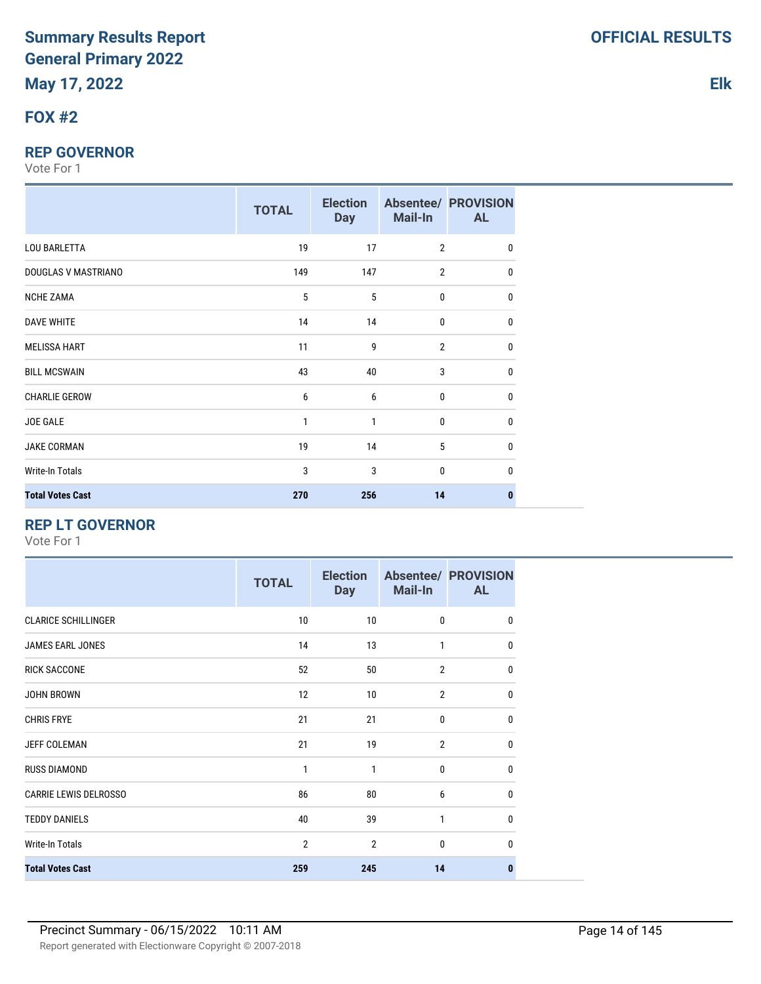# **FOX #2**

#### **REP GOVERNOR**

Vote For 1

|                         | <b>TOTAL</b> | <b>Election</b><br><b>Day</b> | Mail-In        | <b>Absentee/ PROVISION</b><br><b>AL</b> |
|-------------------------|--------------|-------------------------------|----------------|-----------------------------------------|
| <b>LOU BARLETTA</b>     | 19           | 17                            | $\overline{2}$ | 0                                       |
| DOUGLAS V MASTRIANO     | 149          | 147                           | $\overline{2}$ | 0                                       |
| <b>NCHE ZAMA</b>        | 5            | 5                             | $\mathbf 0$    | 0                                       |
| <b>DAVE WHITE</b>       | 14           | 14                            | $\mathbf 0$    | 0                                       |
| <b>MELISSA HART</b>     | 11           | 9                             | $\overline{2}$ | 0                                       |
| <b>BILL MCSWAIN</b>     | 43           | 40                            | 3              | 0                                       |
| <b>CHARLIE GEROW</b>    | 6            | 6                             | $\mathbf 0$    | 0                                       |
| JOE GALE                | 1            | 1                             | $\mathbf{0}$   | 0                                       |
| <b>JAKE CORMAN</b>      | 19           | 14                            | 5              | 0                                       |
| Write-In Totals         | 3            | 3                             | $\mathbf{0}$   | 0                                       |
| <b>Total Votes Cast</b> | 270          | 256                           | 14             | n                                       |

# **REP LT GOVERNOR**

|                              | <b>TOTAL</b>   | <b>Election</b><br><b>Day</b> | Mail-In        | <b>Absentee/ PROVISION</b><br><b>AL</b> |
|------------------------------|----------------|-------------------------------|----------------|-----------------------------------------|
| <b>CLARICE SCHILLINGER</b>   | 10             | 10                            | 0              | 0                                       |
| JAMES EARL JONES             | 14             | 13                            | 1              | 0                                       |
| <b>RICK SACCONE</b>          | 52             | 50                            | $\overline{2}$ | 0                                       |
| <b>JOHN BROWN</b>            | 12             | 10                            | $\overline{2}$ | 0                                       |
| <b>CHRIS FRYE</b>            | 21             | 21                            | $\bf{0}$       | 0                                       |
| <b>JEFF COLEMAN</b>          | 21             | 19                            | $\overline{2}$ | $\mathbf{0}$                            |
| <b>RUSS DIAMOND</b>          | 1              | 1                             | 0              | 0                                       |
| <b>CARRIE LEWIS DELROSSO</b> | 86             | 80                            | 6              | 0                                       |
| <b>TEDDY DANIELS</b>         | 40             | 39                            | 1              | 0                                       |
| <b>Write-In Totals</b>       | $\overline{2}$ | $\overline{2}$                | $\bf{0}$       | 0                                       |
| <b>Total Votes Cast</b>      | 259            | 245                           | 14             | 0                                       |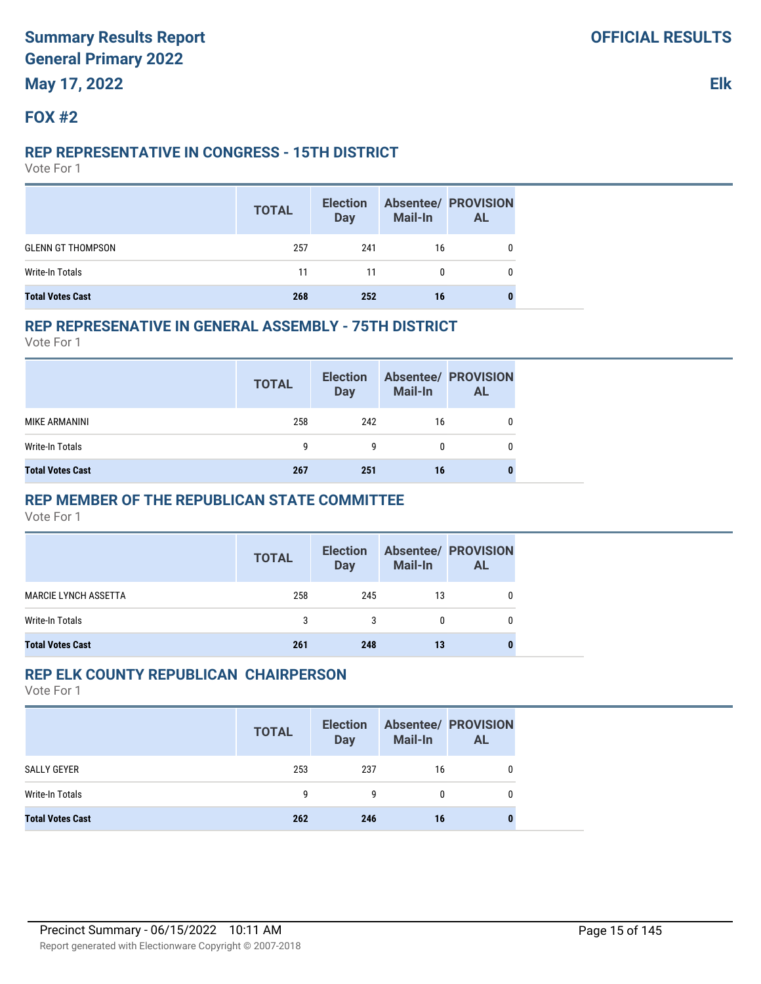# **FOX #2**

#### **REP REPRESENTATIVE IN CONGRESS - 15TH DISTRICT**

Vote For 1

|                          | <b>TOTAL</b> | <b>Election</b><br>Day | Mail-In | <b>Absentee/ PROVISION</b><br><b>AL</b> |
|--------------------------|--------------|------------------------|---------|-----------------------------------------|
| <b>GLENN GT THOMPSON</b> | 257          | 241                    | 16      |                                         |
| Write-In Totals          | 11           | 11                     | 0       |                                         |
| <b>Total Votes Cast</b>  | 268          | 252                    | 16      |                                         |

#### **REP REPRESENATIVE IN GENERAL ASSEMBLY - 75TH DISTRICT**

Vote For 1

|                         | <b>TOTAL</b> | <b>Election</b><br><b>Day</b> | <b>Mail-In</b> | <b>Absentee/ PROVISION</b><br>AL |
|-------------------------|--------------|-------------------------------|----------------|----------------------------------|
| MIKE ARMANINI           | 258          | 242                           | 16             |                                  |
| Write-In Totals         | g            | g                             | 0              |                                  |
| <b>Total Votes Cast</b> | 267          | 251                           | 16             |                                  |

### **REP MEMBER OF THE REPUBLICAN STATE COMMITTEE**

Vote For 1

|                             | <b>TOTAL</b> | <b>Election</b><br>Day | <b>Mail-In</b> | <b>Absentee/ PROVISION</b><br><b>AL</b> |
|-----------------------------|--------------|------------------------|----------------|-----------------------------------------|
| <b>MARCIE LYNCH ASSETTA</b> | 258          | 245                    | 13             | 0                                       |
| Write-In Totals             | 3            |                        | 0              | 0                                       |
| <b>Total Votes Cast</b>     | 261          | 248                    | 13             |                                         |

## **REP ELK COUNTY REPUBLICAN CHAIRPERSON**

|                         | <b>TOTAL</b> | <b>Election</b><br><b>Day</b> | <b>Mail-In</b> | <b>Absentee/ PROVISION</b><br><b>AL</b> |
|-------------------------|--------------|-------------------------------|----------------|-----------------------------------------|
| SALLY GEYER             | 253          | 237                           | 16             |                                         |
| Write-In Totals         | q            | g                             | 0              |                                         |
| <b>Total Votes Cast</b> | 262          | 246                           | 16             |                                         |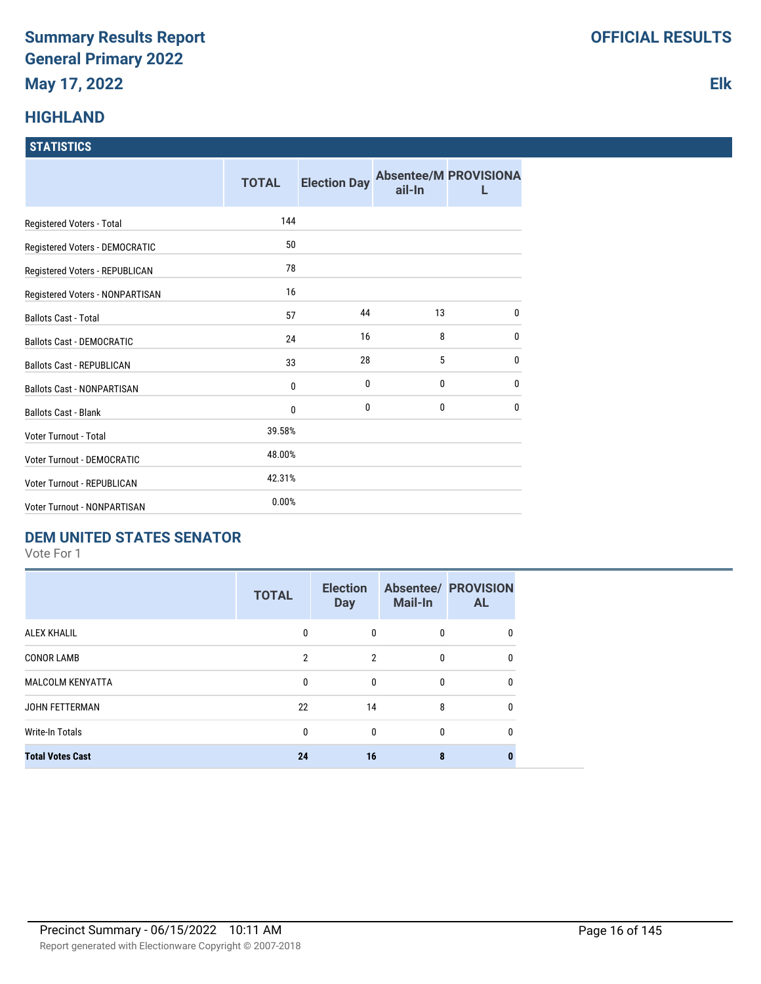# **HIGHLAND**

#### **STATISTICS**

|                                   | <b>TOTAL</b> | <b>Election Day</b> | ail-In       | <b>Absentee/M PROVISIONA</b> |
|-----------------------------------|--------------|---------------------|--------------|------------------------------|
| Registered Voters - Total         | 144          |                     |              |                              |
| Registered Voters - DEMOCRATIC    | 50           |                     |              |                              |
| Registered Voters - REPUBLICAN    | 78           |                     |              |                              |
| Registered Voters - NONPARTISAN   | 16           |                     |              |                              |
| <b>Ballots Cast - Total</b>       | 57           | 44                  | 13           | $\mathbf{0}$                 |
| <b>Ballots Cast - DEMOCRATIC</b>  | 24           | 16                  | 8            | $\mathbf{0}$                 |
| <b>Ballots Cast - REPUBLICAN</b>  | 33           | 28                  | 5            | $\mathbf{0}$                 |
| <b>Ballots Cast - NONPARTISAN</b> | $\mathbf 0$  | 0                   | 0            | $\mathbf 0$                  |
| <b>Ballots Cast - Blank</b>       | $\bf{0}$     | $\mathbf{0}$        | $\mathbf{0}$ | $\mathbf{0}$                 |
| Voter Turnout - Total             | 39.58%       |                     |              |                              |
| Voter Turnout - DEMOCRATIC        | 48.00%       |                     |              |                              |
| Voter Turnout - REPUBLICAN        | 42.31%       |                     |              |                              |
| Voter Turnout - NONPARTISAN       | 0.00%        |                     |              |                              |

# **DEM UNITED STATES SENATOR**

Vote For 1

|                         | <b>TOTAL</b>   | <b>Election</b><br><b>Day</b> | <b>Mail-In</b> | <b>Absentee/ PROVISION</b><br><b>AL</b> |
|-------------------------|----------------|-------------------------------|----------------|-----------------------------------------|
| <b>ALEX KHALIL</b>      | 0              | 0                             | 0              | 0                                       |
| <b>CONOR LAMB</b>       | $\overline{2}$ | $\overline{2}$                | $\mathbf{0}$   | 0                                       |
| <b>MALCOLM KENYATTA</b> | $\mathbf{0}$   | $\Omega$                      | $\mathbf{0}$   | 0                                       |
| JOHN FETTERMAN          | 22             | 14                            | 8              |                                         |
| Write-In Totals         | 0              | $\mathbf{0}$                  | 0              | 0                                       |
| <b>Total Votes Cast</b> | 24             | 16                            |                |                                         |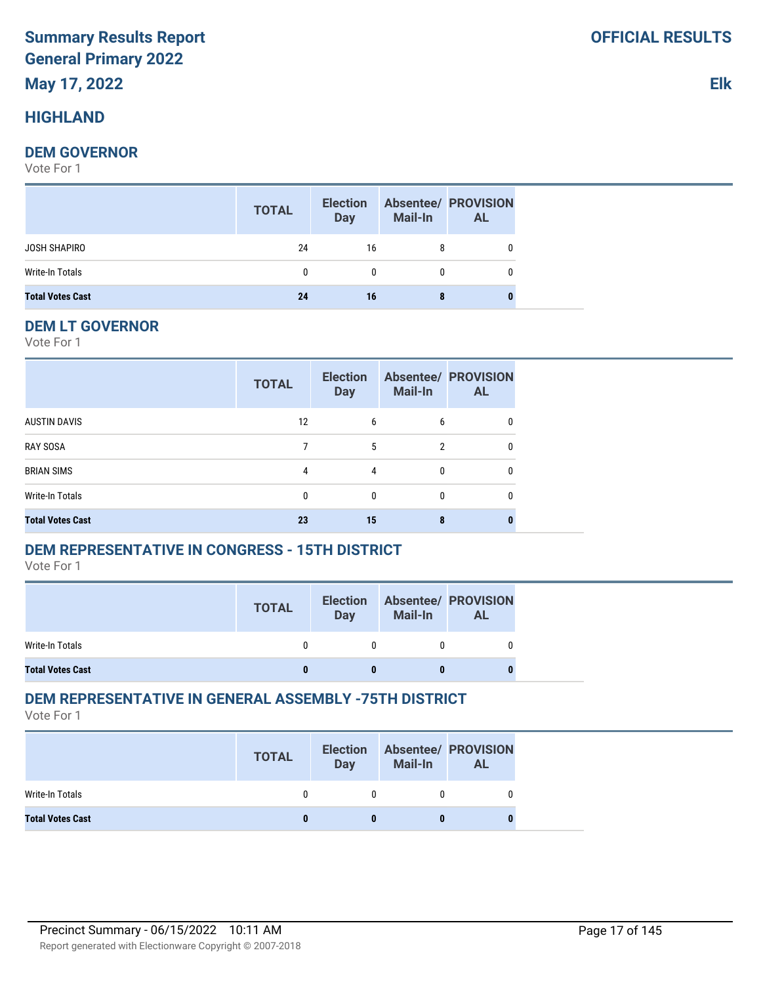# **HIGHLAND**

#### **DEM GOVERNOR**

Vote For 1

|                         | <b>TOTAL</b> | <b>Election</b><br><b>Day</b> | <b>Mail-In</b> | <b>Absentee/ PROVISION</b><br><b>AL</b> |
|-------------------------|--------------|-------------------------------|----------------|-----------------------------------------|
| <b>JOSH SHAPIRO</b>     | 24           | 16                            | 8              | 0                                       |
| Write-In Totals         | 0            | $\mathbf{0}$                  | $\mathbf 0$    | 0                                       |
| <b>Total Votes Cast</b> | 24           | 16                            | 8              | 0                                       |

#### **DEM LT GOVERNOR**

Vote For 1

|                         | <b>TOTAL</b> | <b>Election</b><br><b>Day</b> | <b>Mail-In</b> | <b>Absentee/ PROVISION</b><br><b>AL</b> |
|-------------------------|--------------|-------------------------------|----------------|-----------------------------------------|
| <b>AUSTIN DAVIS</b>     | 12           | 6                             | 6              | 0                                       |
| <b>RAY SOSA</b>         |              | 5                             | 2              | 0                                       |
| <b>BRIAN SIMS</b>       | 4            | 4                             | 0              | 0                                       |
| Write-In Totals         | 0            | 0                             | 0              | 0                                       |
| <b>Total Votes Cast</b> | 23           | 15                            |                |                                         |

# **DEM REPRESENTATIVE IN CONGRESS - 15TH DISTRICT**

Vote For 1

|                         | <b>TOTAL</b> | <b>Election</b><br><b>Day</b> | Mail-In | <b>Absentee/ PROVISION</b><br>AL |
|-------------------------|--------------|-------------------------------|---------|----------------------------------|
| Write-In Totals         |              |                               |         |                                  |
| <b>Total Votes Cast</b> |              |                               |         |                                  |

# **DEM REPRESENTATIVE IN GENERAL ASSEMBLY -75TH DISTRICT**

Vote For 1

|                         | <b>TOTAL</b> | <b>Election</b><br>Day | <b>Mail-In</b> | <b>Absentee/ PROVISION</b><br><b>AL</b> |
|-------------------------|--------------|------------------------|----------------|-----------------------------------------|
| Write-In Totals         |              |                        |                |                                         |
| <b>Total Votes Cast</b> |              |                        |                |                                         |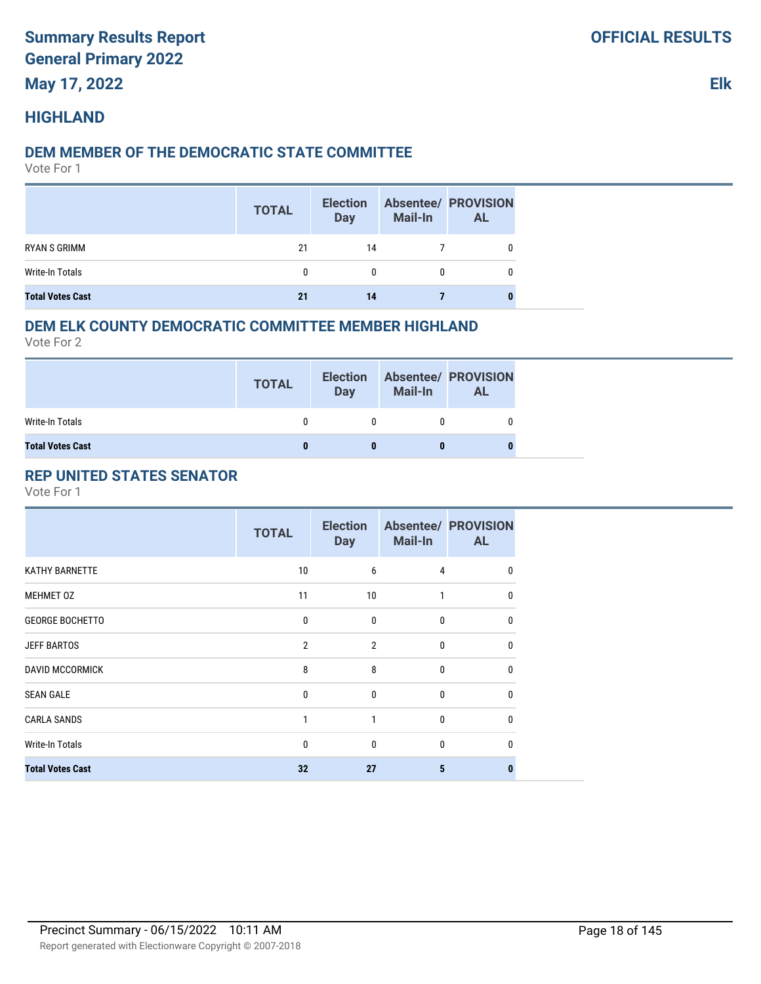# **HIGHLAND**

## **DEM MEMBER OF THE DEMOCRATIC STATE COMMITTEE**

Vote For 1

|                         | <b>TOTAL</b> | <b>Election</b><br><b>Day</b> | <b>Mail-In</b> | <b>Absentee/ PROVISION</b><br><b>AL</b> |
|-------------------------|--------------|-------------------------------|----------------|-----------------------------------------|
| RYAN S GRIMM            | 21           | 14                            |                |                                         |
| Write-In Totals         | 0            | 0                             |                |                                         |
| <b>Total Votes Cast</b> | 21           | 14                            |                |                                         |

# **DEM ELK COUNTY DEMOCRATIC COMMITTEE MEMBER HIGHLAND**

Vote For 2

|                         | <b>TOTAL</b> | <b>Election</b><br><b>Day</b> | <b>Mail-In</b> | <b>Absentee/ PROVISION</b><br><b>AL</b> |
|-------------------------|--------------|-------------------------------|----------------|-----------------------------------------|
| Write-In Totals         |              |                               |                |                                         |
| <b>Total Votes Cast</b> | 0            |                               |                | 0                                       |

# **REP UNITED STATES SENATOR**

|                         | <b>TOTAL</b>   | <b>Election</b><br><b>Day</b> | <b>Mail-In</b> | <b>Absentee/ PROVISION</b><br><b>AL</b> |
|-------------------------|----------------|-------------------------------|----------------|-----------------------------------------|
| <b>KATHY BARNETTE</b>   | 10             | 6                             | 4              | 0                                       |
| MEHMET 0Z               | 11             | 10                            | 1              | U                                       |
| <b>GEORGE BOCHETTO</b>  | 0              | 0                             | 0              | 0                                       |
| <b>JEFF BARTOS</b>      | $\overline{2}$ | $\overline{2}$                | $\mathbf{0}$   | U                                       |
| <b>DAVID MCCORMICK</b>  | 8              | 8                             | 0              | $\mathbf{0}$                            |
| <b>SEAN GALE</b>        | 0              | $\mathbf{0}$                  | 0              | U                                       |
| <b>CARLA SANDS</b>      | 1              | 1                             | 0              | 0                                       |
| <b>Write-In Totals</b>  | 0              | $\mathbf{0}$                  | 0              | <sub>0</sub>                            |
| <b>Total Votes Cast</b> | 32             | 27                            | 5              |                                         |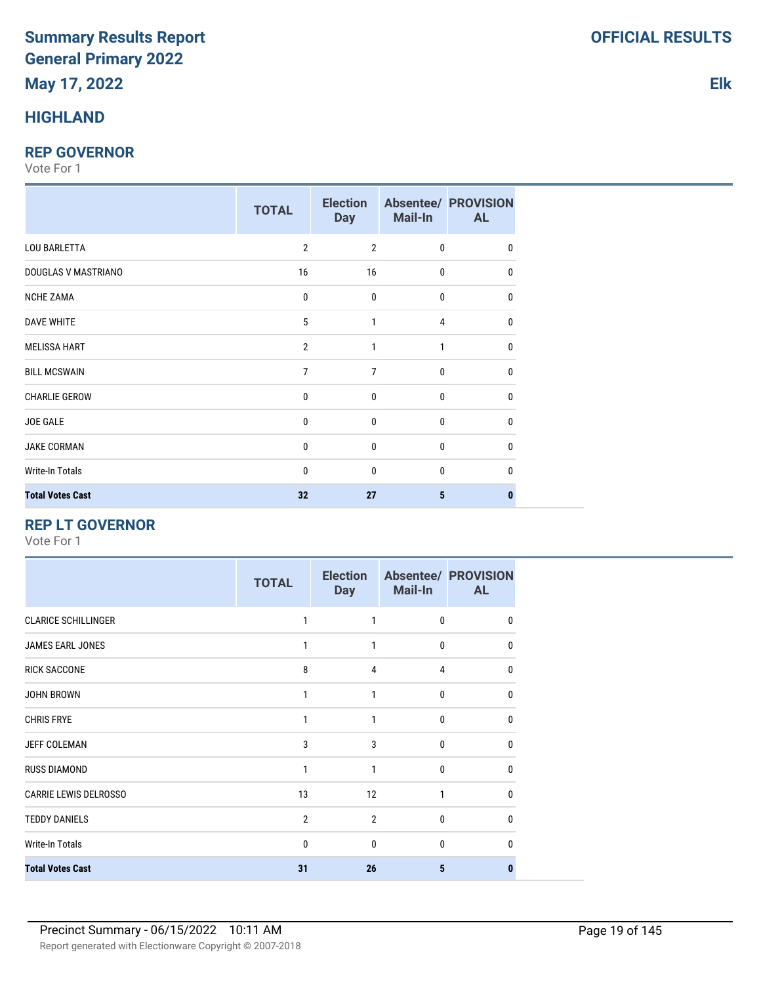# **HIGHLAND**

#### **REP GOVERNOR**

Vote For 1

|                         | <b>TOTAL</b>   | <b>Election</b><br><b>Day</b> | <b>Mail-In</b> | <b>Absentee/ PROVISION</b><br><b>AL</b> |
|-------------------------|----------------|-------------------------------|----------------|-----------------------------------------|
| <b>LOU BARLETTA</b>     | $\overline{2}$ | $\overline{2}$                | $\mathbf{0}$   | 0                                       |
| DOUGLAS V MASTRIANO     | 16             | 16                            | $\mathbf 0$    | 0                                       |
| <b>NCHE ZAMA</b>        | $\mathbf 0$    | 0                             | $\mathbf 0$    | 0                                       |
| <b>DAVE WHITE</b>       | 5              | $\mathbf{1}$                  | 4              | 0                                       |
| <b>MELISSA HART</b>     | $\overline{2}$ | $\mathbf{1}$                  | 1              | 0                                       |
| <b>BILL MCSWAIN</b>     | 7              | 7                             | $\mathbf{0}$   | 0                                       |
| <b>CHARLIE GEROW</b>    | 0              | $\Omega$                      | $\mathbf{0}$   | 0                                       |
| JOE GALE                | $\bf{0}$       | $\Omega$                      | $\Omega$       | 0                                       |
| JAKE CORMAN             | 0              | $\mathbf{0}$                  | $\Omega$       | U                                       |
| Write-In Totals         | $\mathbf{0}$   | $\mathbf{0}$                  | $\mathbf{0}$   | U                                       |
| <b>Total Votes Cast</b> | 32             | 27                            | 5              | 0                                       |

## **REP LT GOVERNOR**

|                              | <b>TOTAL</b>   | <b>Election</b><br><b>Day</b> | <b>Mail-In</b> | <b>Absentee/ PROVISION</b><br><b>AL</b> |
|------------------------------|----------------|-------------------------------|----------------|-----------------------------------------|
| <b>CLARICE SCHILLINGER</b>   | 1              | 1                             | $\mathbf 0$    | 0                                       |
| <b>JAMES EARL JONES</b>      | 1              | 1                             | $\mathbf 0$    | 0                                       |
| <b>RICK SACCONE</b>          | 8              | $\overline{4}$                | 4              | 0                                       |
| <b>JOHN BROWN</b>            | 1              | 1                             | 0              | 0                                       |
| <b>CHRIS FRYE</b>            | 1              | 1                             | 0              | $\mathbf{0}$                            |
| JEFF COLEMAN                 | 3              | 3                             | $\mathbf{0}$   | $\mathbf{0}$                            |
| <b>RUSS DIAMOND</b>          | 1              | 1                             | 0              | 0                                       |
| <b>CARRIE LEWIS DELROSSO</b> | 13             | 12                            | 1              | 0                                       |
| <b>TEDDY DANIELS</b>         | $\overline{2}$ | $\overline{2}$                | $\mathbf{0}$   | 0                                       |
| Write-In Totals              | 0              | 0                             | $\mathbf{0}$   | 0                                       |
| <b>Total Votes Cast</b>      | 31             | 26                            | 5              | n                                       |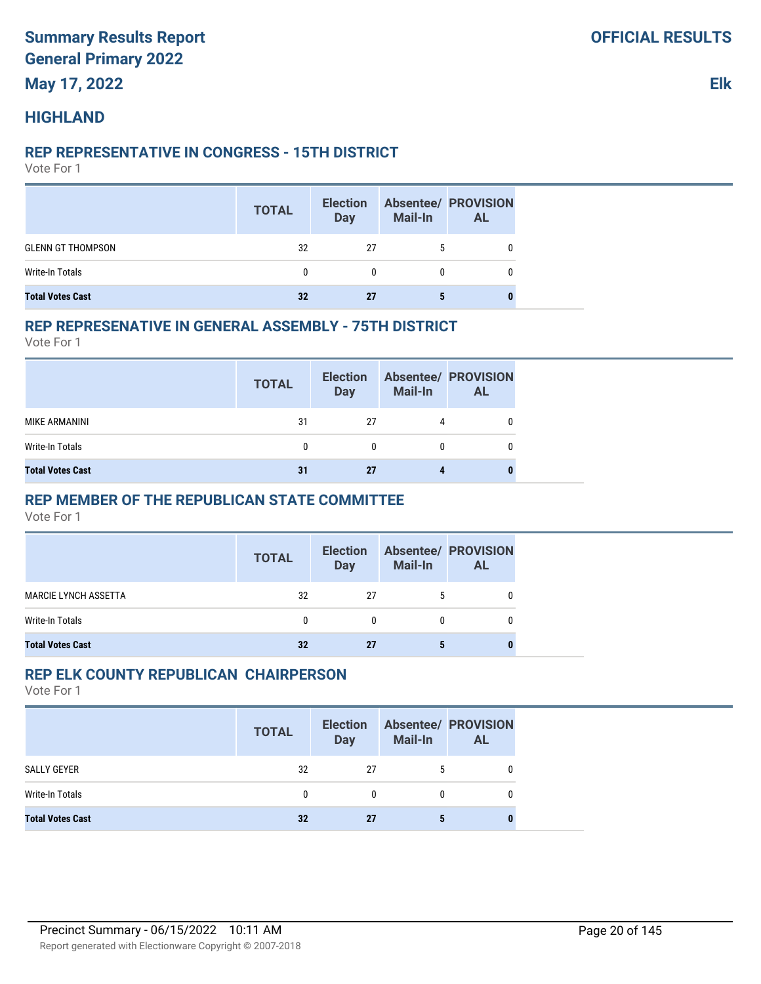# **HIGHLAND**

#### **REP REPRESENTATIVE IN CONGRESS - 15TH DISTRICT**

Vote For 1

|                          | <b>TOTAL</b> | <b>Election</b><br><b>Day</b> | <b>Mail-In</b> | <b>Absentee/ PROVISION</b><br><b>AL</b> |
|--------------------------|--------------|-------------------------------|----------------|-----------------------------------------|
| <b>GLENN GT THOMPSON</b> | 32           | 27                            | 5              |                                         |
| Write-In Totals          |              | 0                             | 0              |                                         |
| <b>Total Votes Cast</b>  | 32           | 27                            |                |                                         |

#### **REP REPRESENATIVE IN GENERAL ASSEMBLY - 75TH DISTRICT**

Vote For 1

|                         | <b>TOTAL</b> | <b>Election</b><br><b>Day</b> | <b>Mail-In</b> | <b>Absentee/ PROVISION</b><br><b>AL</b> |
|-------------------------|--------------|-------------------------------|----------------|-----------------------------------------|
| MIKE ARMANINI           | 31           | 27                            |                |                                         |
| Write-In Totals         |              |                               |                |                                         |
| <b>Total Votes Cast</b> | 31           | 27                            |                |                                         |

### **REP MEMBER OF THE REPUBLICAN STATE COMMITTEE**

Vote For 1

|                             | <b>TOTAL</b> | <b>Election</b><br><b>Day</b> | <b>Mail-In</b> | <b>Absentee/ PROVISION</b><br><b>AL</b> |
|-----------------------------|--------------|-------------------------------|----------------|-----------------------------------------|
| <b>MARCIE LYNCH ASSETTA</b> | 32           | 27                            | $\mathbf{p}$   |                                         |
| Write-In Totals             | 0            | $\mathbf{0}$                  | 0              | 0                                       |
| <b>Total Votes Cast</b>     | 32           | 27                            | 5              |                                         |

## **REP ELK COUNTY REPUBLICAN CHAIRPERSON**

|                         | <b>TOTAL</b> | <b>Election</b><br><b>Day</b> | <b>Mail-In</b> | <b>Absentee/ PROVISION</b><br><b>AL</b> |
|-------------------------|--------------|-------------------------------|----------------|-----------------------------------------|
| SALLY GEYER             | 32           | 27                            |                |                                         |
| Write-In Totals         | $\Omega$     | $\Omega$                      | 0              |                                         |
| <b>Total Votes Cast</b> | 32           | 27                            |                |                                         |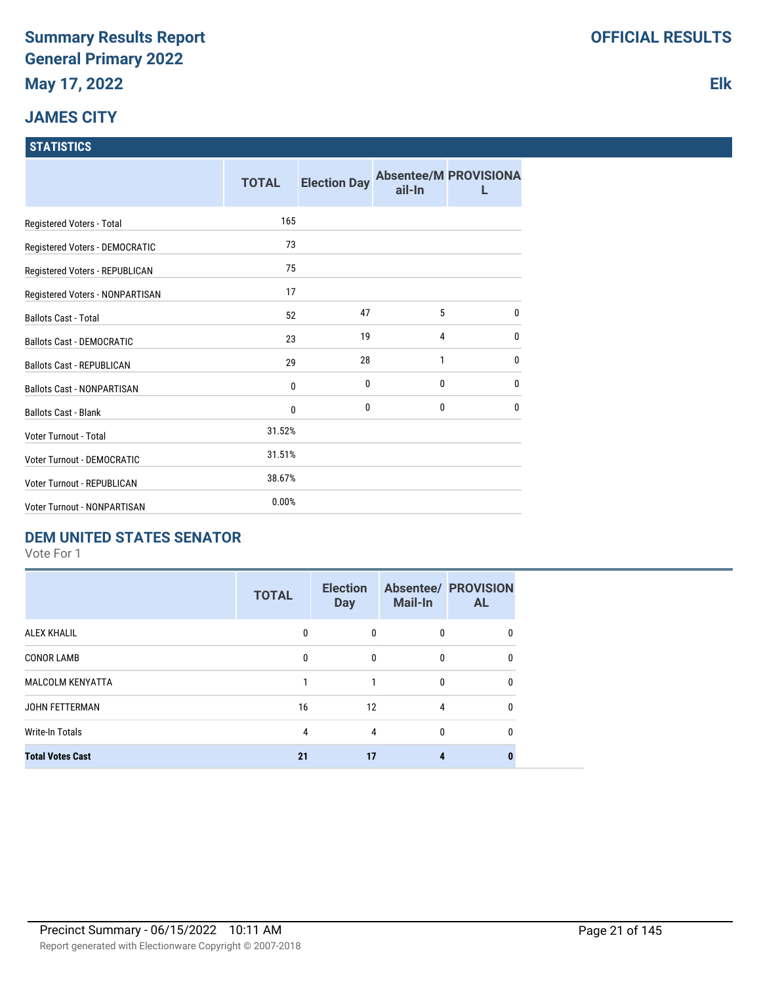# **JAMES CITY**

#### **STATISTICS**

|                                    | <b>TOTAL</b> | <b>Election Day</b> | ail-In       | <b>Absentee/M PROVISIONA</b> |
|------------------------------------|--------------|---------------------|--------------|------------------------------|
| Registered Voters - Total          | 165          |                     |              |                              |
| Registered Voters - DEMOCRATIC     | 73           |                     |              |                              |
| Registered Voters - REPUBLICAN     | 75           |                     |              |                              |
| Registered Voters - NONPARTISAN    | 17           |                     |              |                              |
| <b>Ballots Cast - Total</b>        | 52           | 47                  | 5            | $\mathbf{0}$                 |
| <b>Ballots Cast - DEMOCRATIC</b>   | 23           | 19                  | 4            | $\mathbf{0}$                 |
| <b>Ballots Cast - REPUBLICAN</b>   | 29           | 28                  | 1            | $\mathbf{0}$                 |
| <b>Ballots Cast - NONPARTISAN</b>  | $\bf{0}$     | 0                   | 0            | $\bf{0}$                     |
| <b>Ballots Cast - Blank</b>        | $\bf{0}$     | $\mathbf{0}$        | $\mathbf{0}$ | $\mathbf{0}$                 |
| Voter Turnout - Total              | 31.52%       |                     |              |                              |
| Voter Turnout - DEMOCRATIC         | 31.51%       |                     |              |                              |
| Voter Turnout - REPUBLICAN         | 38.67%       |                     |              |                              |
| <b>Voter Turnout - NONPARTISAN</b> | 0.00%        |                     |              |                              |

# **DEM UNITED STATES SENATOR**

Vote For 1

|                         | <b>TOTAL</b> | <b>Election</b><br><b>Day</b> | <b>Mail-In</b> | <b>Absentee/ PROVISION</b><br><b>AL</b> |
|-------------------------|--------------|-------------------------------|----------------|-----------------------------------------|
| <b>ALEX KHALIL</b>      | 0            | 0                             | 0              |                                         |
| <b>CONOR LAMB</b>       | 0            | $\mathbf{0}$                  | 0              |                                         |
| <b>MALCOLM KENYATTA</b> |              |                               | $\mathbf{0}$   |                                         |
| <b>JOHN FETTERMAN</b>   | 16           | 12                            | 4              |                                         |
| <b>Write-In Totals</b>  | 4            | 4                             | 0              |                                         |
| <b>Total Votes Cast</b> | 21           | 17                            | 4              |                                         |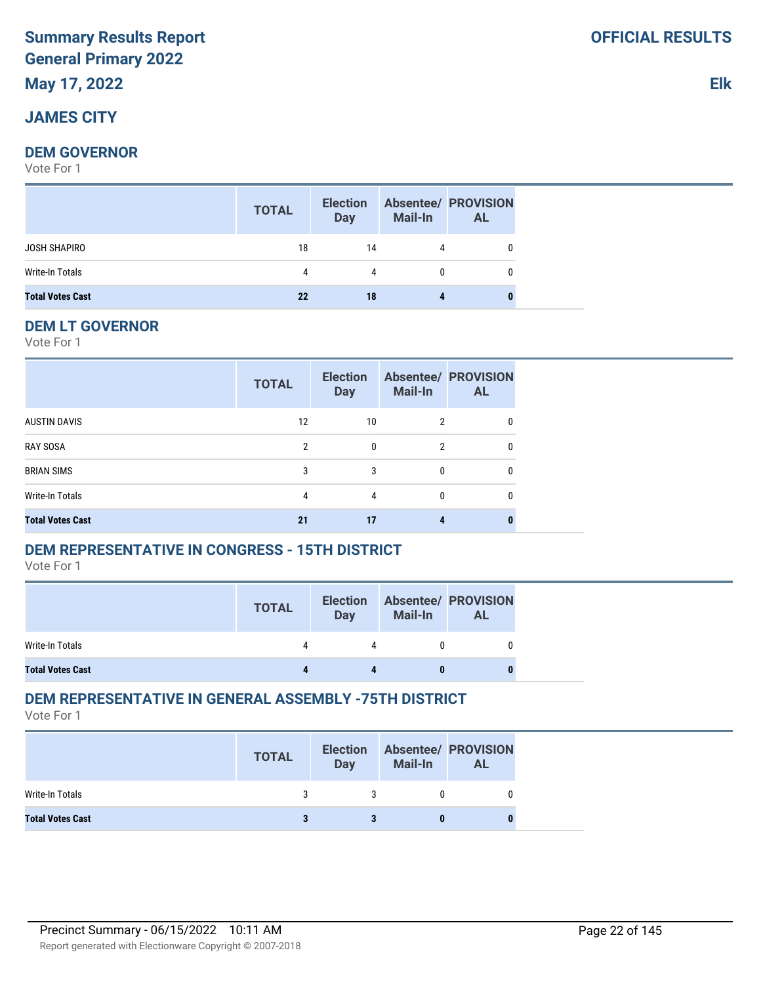# **JAMES CITY**

# **DEM GOVERNOR**

Vote For 1

|                         | <b>TOTAL</b> | <b>Election</b><br><b>Day</b> | <b>Mail-In</b> | <b>Absentee/ PROVISION</b><br><b>AL</b> |
|-------------------------|--------------|-------------------------------|----------------|-----------------------------------------|
| JOSH SHAPIRO            | 18           | 14                            | 4              | $\mathbf{0}$                            |
| Write-In Totals         |              | 4                             | 0              | 0                                       |
| <b>Total Votes Cast</b> | 22           | 18                            | 4              |                                         |

#### **DEM LT GOVERNOR**

Vote For 1

|                         | <b>TOTAL</b>   | <b>Election</b><br><b>Day</b> | <b>Mail-In</b> | <b>Absentee/ PROVISION</b><br><b>AL</b> |
|-------------------------|----------------|-------------------------------|----------------|-----------------------------------------|
| <b>AUSTIN DAVIS</b>     | 12             | 10                            | 2              | 0                                       |
| <b>RAY SOSA</b>         | $\overline{2}$ | 0                             | 2              | 0                                       |
| <b>BRIAN SIMS</b>       | 3              | 3                             | 0              | 0                                       |
| <b>Write-In Totals</b>  | 4              | 4                             | 0              | 0                                       |
| <b>Total Votes Cast</b> | 21             | 17                            |                |                                         |

# **DEM REPRESENTATIVE IN CONGRESS - 15TH DISTRICT**

Vote For 1

|                         | <b>TOTAL</b> | <b>Election</b><br>Day | Mail-In | <b>Absentee/ PROVISION</b><br>AL |
|-------------------------|--------------|------------------------|---------|----------------------------------|
| Write-In Totals         | 4            | 4                      |         |                                  |
| <b>Total Votes Cast</b> |              |                        |         |                                  |

# **DEM REPRESENTATIVE IN GENERAL ASSEMBLY -75TH DISTRICT**

Vote For 1

|                         | <b>TOTAL</b> | <b>Election</b><br><b>Day</b> | <b>Mail-In</b> | <b>Absentee/ PROVISION</b><br><b>AL</b> |
|-------------------------|--------------|-------------------------------|----------------|-----------------------------------------|
| Write-In Totals         |              |                               |                |                                         |
| <b>Total Votes Cast</b> |              |                               |                | o                                       |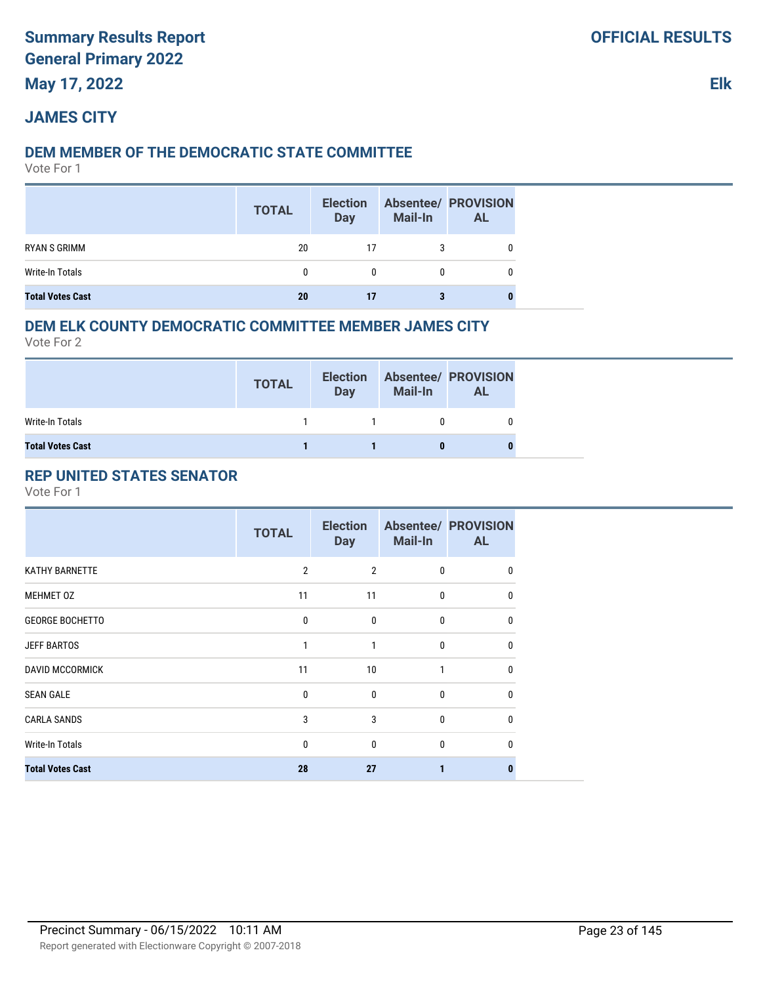# **JAMES CITY**

# **DEM MEMBER OF THE DEMOCRATIC STATE COMMITTEE**

Vote For 1

|                         | <b>TOTAL</b> | <b>Election</b><br><b>Day</b> | <b>Mail-In</b> | <b>Absentee/ PROVISION</b><br><b>AL</b> |
|-------------------------|--------------|-------------------------------|----------------|-----------------------------------------|
| RYAN S GRIMM            | 20           | 17                            |                |                                         |
| Write-In Totals         | 0            | 0                             | 0              |                                         |
| <b>Total Votes Cast</b> | 20           | 17                            |                |                                         |

#### **DEM ELK COUNTY DEMOCRATIC COMMITTEE MEMBER JAMES CITY**

Vote For 2

|                         | <b>TOTAL</b> | <b>Election</b><br>Day | <b>Mail-In</b> | <b>Absentee/ PROVISION</b><br>AL |
|-------------------------|--------------|------------------------|----------------|----------------------------------|
| Write-In Totals         |              |                        |                |                                  |
| <b>Total Votes Cast</b> |              |                        |                | 0                                |

## **REP UNITED STATES SENATOR**

|                         | <b>TOTAL</b>   | <b>Election</b><br><b>Day</b> | <b>Mail-In</b> | <b>Absentee/ PROVISION</b><br><b>AL</b> |
|-------------------------|----------------|-------------------------------|----------------|-----------------------------------------|
| <b>KATHY BARNETTE</b>   | $\overline{2}$ | $\overline{2}$                | 0              | 0                                       |
| MEHMET 0Z               | 11             | 11                            | 0              | $\mathbf{0}$                            |
| <b>GEORGE BOCHETTO</b>  | $\bf{0}$       | $\mathbf 0$                   | 0              | $\mathbf{0}$                            |
| <b>JEFF BARTOS</b>      | 1              | 1                             | 0              | $\Omega$                                |
| <b>DAVID MCCORMICK</b>  | 11             | 10                            | 1              | $\mathbf{0}$                            |
| <b>SEAN GALE</b>        | $\mathbf{0}$   | $\mathbf{0}$                  | 0              | $\Omega$                                |
| <b>CARLA SANDS</b>      | 3              | 3                             | 0              | $\mathbf{0}$                            |
| Write-In Totals         | 0              | $\mathbf 0$                   | 0              | $\mathbf{0}$                            |
| <b>Total Votes Cast</b> | 28             | 27                            |                |                                         |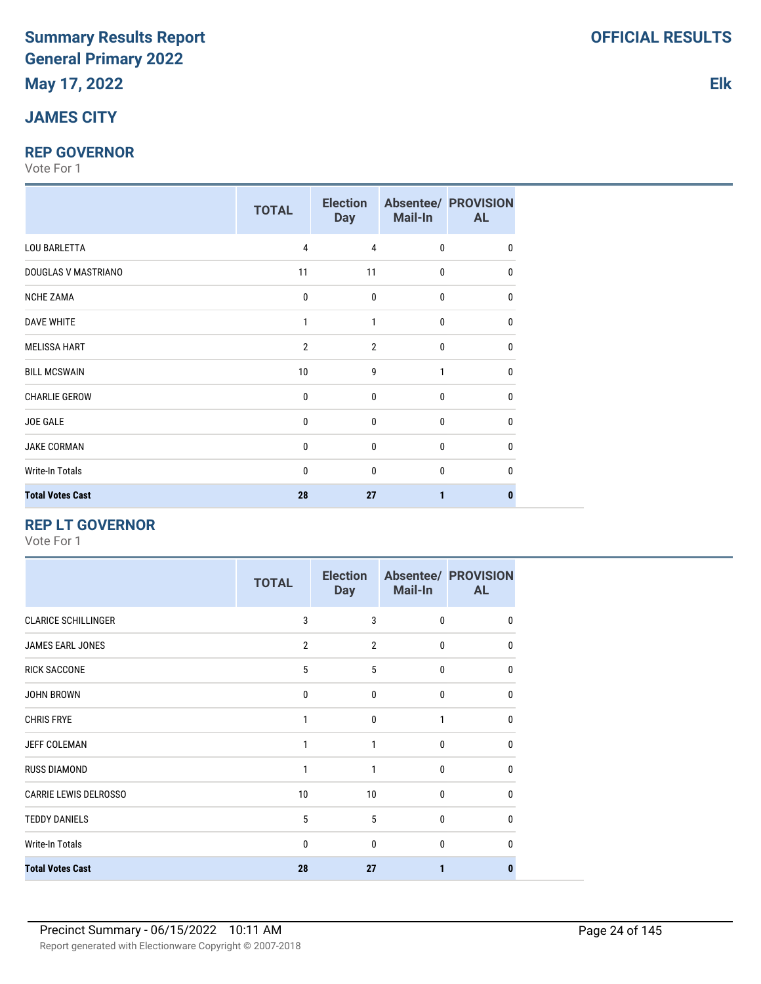# **JAMES CITY**

#### **REP GOVERNOR**

Vote For 1

|                         | <b>TOTAL</b>   | <b>Election</b><br><b>Day</b> | Mail-In      | <b>Absentee/ PROVISION</b><br><b>AL</b> |
|-------------------------|----------------|-------------------------------|--------------|-----------------------------------------|
| <b>LOU BARLETTA</b>     | 4              | 4                             | 0            | $\mathbf{0}$                            |
| DOUGLAS V MASTRIANO     | 11             | 11                            | 0            | $\mathbf{0}$                            |
| <b>NCHE ZAMA</b>        | 0              | 0                             | 0            | $\mathbf{0}$                            |
| <b>DAVE WHITE</b>       | 1              | 1                             | 0            | $\mathbf{0}$                            |
| <b>MELISSA HART</b>     | $\overline{2}$ | $\overline{2}$                | 0            | 0                                       |
| <b>BILL MCSWAIN</b>     | 10             | 9                             | 1            | 0                                       |
| <b>CHARLIE GEROW</b>    | 0              | $\mathbf{0}$                  | 0            | $\Omega$                                |
| <b>JOE GALE</b>         | 0              | $\mathbf{0}$                  | $\mathbf{0}$ | $\Omega$                                |
| <b>JAKE CORMAN</b>      | 0              | $\mathbf{0}$                  | 0            | $\mathbf{0}$                            |
| Write-In Totals         | 0              | $\mathbf{0}$                  | $\mathbf{0}$ | $\Omega$                                |
| <b>Total Votes Cast</b> | 28             | 27                            |              |                                         |

## **REP LT GOVERNOR**

Vote For 1

|                              | <b>TOTAL</b>   | <b>Election</b><br><b>Day</b> | <b>Mail-In</b> | <b>Absentee/ PROVISION</b><br><b>AL</b> |
|------------------------------|----------------|-------------------------------|----------------|-----------------------------------------|
| <b>CLARICE SCHILLINGER</b>   | 3              | 3                             | $\mathbf{0}$   | 0                                       |
| JAMES EARL JONES             | $\overline{2}$ | $\overline{2}$                | $\mathbf{0}$   | 0                                       |
| <b>RICK SACCONE</b>          | 5              | 5                             | $\mathbf{0}$   | 0                                       |
| JOHN BROWN                   | $\Omega$       | 0                             | $\Omega$       | $\Omega$                                |
| <b>CHRIS FRYE</b>            | 1              | 0                             | $\mathbf{1}$   | $\Omega$                                |
| <b>JEFF COLEMAN</b>          | 1              | 1                             | $\mathbf{0}$   | 0                                       |
| <b>RUSS DIAMOND</b>          | 1              | 1                             | $\mathbf{0}$   | 0                                       |
| <b>CARRIE LEWIS DELROSSO</b> | 10             | 10                            | $\mathbf{0}$   | $\Omega$                                |
| <b>TEDDY DANIELS</b>         | 5              | 5                             | $\mathbf{0}$   | $\Omega$                                |
| <b>Write-In Totals</b>       | 0              | 0                             | $\mathbf{0}$   | $\Omega$                                |
| <b>Total Votes Cast</b>      | 28             | 27                            | 1              | 0                                       |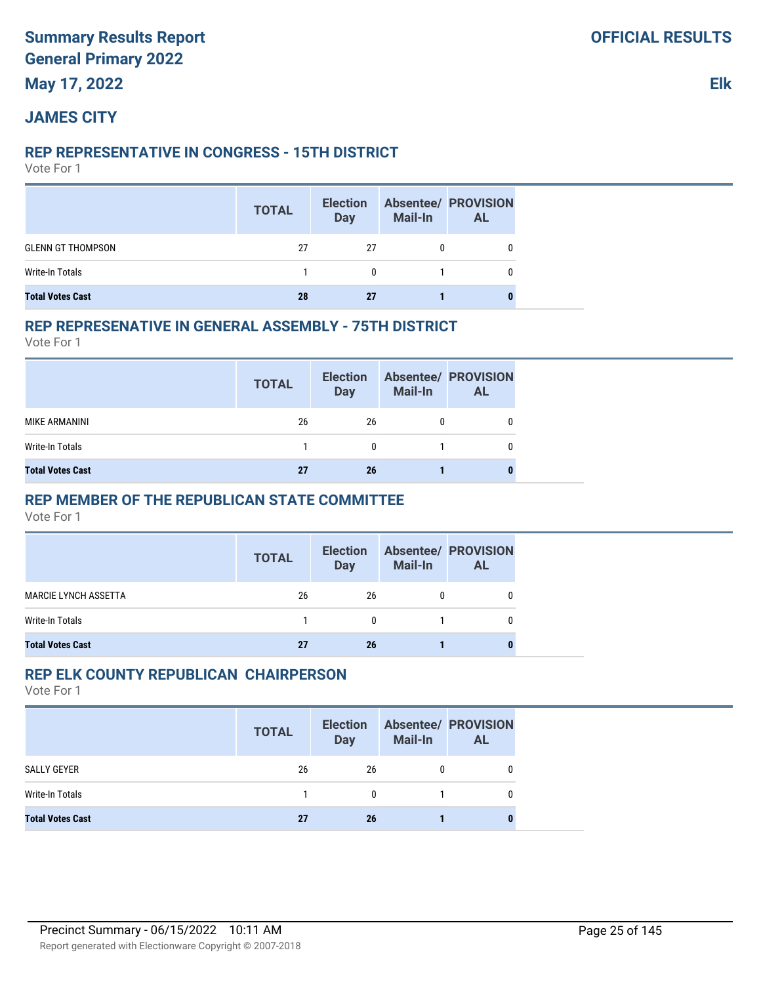# **JAMES CITY**

#### **REP REPRESENTATIVE IN CONGRESS - 15TH DISTRICT**

Vote For 1

|                          | <b>TOTAL</b> | <b>Election</b><br><b>Day</b> | <b>Mail-In</b> | <b>Absentee/ PROVISION</b><br>AL. |
|--------------------------|--------------|-------------------------------|----------------|-----------------------------------|
| <b>GLENN GT THOMPSON</b> | 27           | 27                            |                |                                   |
| Write-In Totals          |              | $\Omega$                      |                |                                   |
| <b>Total Votes Cast</b>  | 28           | 27                            |                |                                   |

#### **REP REPRESENATIVE IN GENERAL ASSEMBLY - 75TH DISTRICT**

Vote For 1

|                         | <b>TOTAL</b> | <b>Election</b><br><b>Day</b> | Mail-In | <b>Absentee/ PROVISION</b><br>AL |
|-------------------------|--------------|-------------------------------|---------|----------------------------------|
| MIKE ARMANINI           | 26           | 26                            |         |                                  |
| Write-In Totals         |              |                               |         |                                  |
| <b>Total Votes Cast</b> | 27           | 26                            |         |                                  |

### **REP MEMBER OF THE REPUBLICAN STATE COMMITTEE**

Vote For 1

|                             | <b>TOTAL</b> | <b>Election</b><br><b>Day</b> | <b>Mail-In</b> | <b>Absentee/ PROVISION</b><br><b>AL</b> |
|-----------------------------|--------------|-------------------------------|----------------|-----------------------------------------|
| <b>MARCIE LYNCH ASSETTA</b> | 26           | 26                            |                | 0                                       |
| Write-In Totals             |              | $\Omega$                      |                | 0                                       |
| <b>Total Votes Cast</b>     | 27           | 26                            |                |                                         |

## **REP ELK COUNTY REPUBLICAN CHAIRPERSON**

|                         | <b>TOTAL</b> | <b>Election</b><br><b>Day</b> | <b>Mail-In</b> | <b>Absentee/ PROVISION</b><br><b>AL</b> |
|-------------------------|--------------|-------------------------------|----------------|-----------------------------------------|
| SALLY GEYER             | 26           | 26                            |                |                                         |
| Write-In Totals         |              | $\mathbf{0}$                  |                |                                         |
| <b>Total Votes Cast</b> | 27           | 26                            |                |                                         |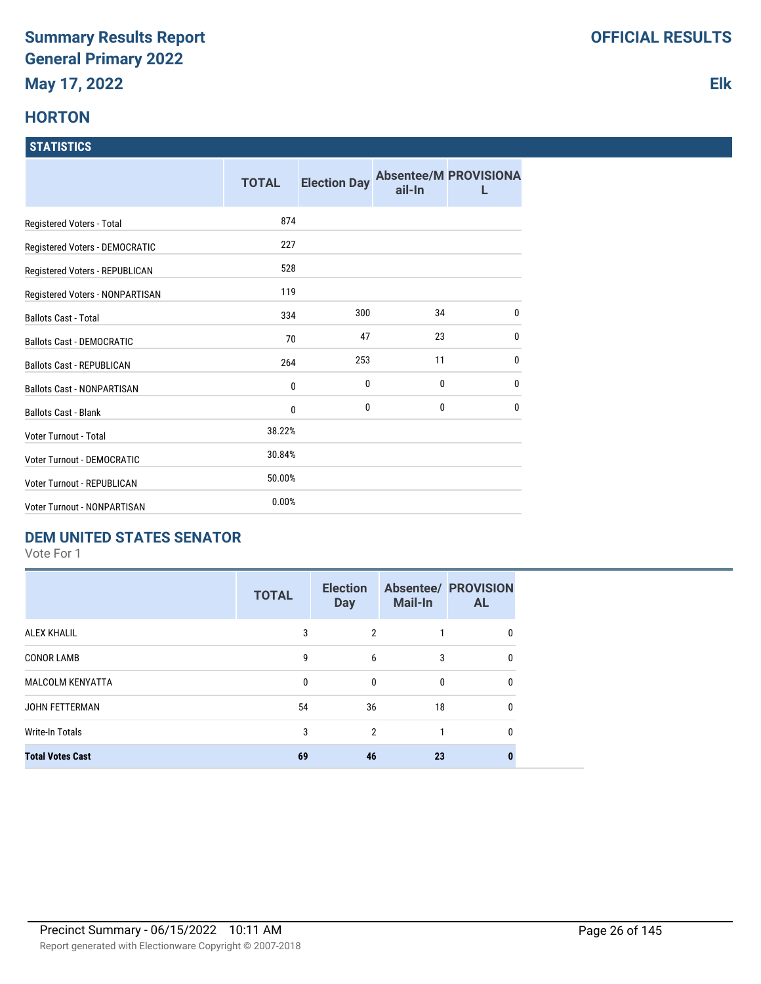# **HORTON**

#### **STATISTICS**

|                                    | <b>TOTAL</b> | <b>Election Day</b> | ail-In | <b>Absentee/M PROVISIONA</b> |
|------------------------------------|--------------|---------------------|--------|------------------------------|
| Registered Voters - Total          | 874          |                     |        |                              |
| Registered Voters - DEMOCRATIC     | 227          |                     |        |                              |
| Registered Voters - REPUBLICAN     | 528          |                     |        |                              |
| Registered Voters - NONPARTISAN    | 119          |                     |        |                              |
| <b>Ballots Cast - Total</b>        | 334          | 300                 | 34     | $\mathbf{0}$                 |
| <b>Ballots Cast - DEMOCRATIC</b>   | 70           | 47                  | 23     | $\mathbf{0}$                 |
| <b>Ballots Cast - REPUBLICAN</b>   | 264          | 253                 | 11     | $\mathbf{0}$                 |
| <b>Ballots Cast - NONPARTISAN</b>  | 0            | 0                   | 0      | $\bf{0}$                     |
| <b>Ballots Cast - Blank</b>        | 0            | 0                   | 0      | $\mathbf{0}$                 |
| Voter Turnout - Total              | 38.22%       |                     |        |                              |
| <b>Voter Turnout - DEMOCRATIC</b>  | 30.84%       |                     |        |                              |
| Voter Turnout - REPUBLICAN         | 50.00%       |                     |        |                              |
| <b>Voter Turnout - NONPARTISAN</b> | 0.00%        |                     |        |                              |

# **DEM UNITED STATES SENATOR**

Vote For 1

|                         | <b>TOTAL</b> | <b>Election</b><br><b>Day</b> | <b>Mail-In</b> | <b>Absentee/ PROVISION</b><br><b>AL</b> |
|-------------------------|--------------|-------------------------------|----------------|-----------------------------------------|
| <b>ALEX KHALIL</b>      | 3            | $\overline{2}$                |                | 0                                       |
| <b>CONOR LAMB</b>       | 9            | 6                             | 3              | 0                                       |
| <b>MALCOLM KENYATTA</b> | 0            | $\mathbf{0}$                  | $\Omega$       | 0                                       |
| JOHN FETTERMAN          | 54           | 36                            | 18             | 0                                       |
| <b>Write-In Totals</b>  | 3            | 2                             |                | 0                                       |
| <b>Total Votes Cast</b> | 69           | 46                            | 23             | 0                                       |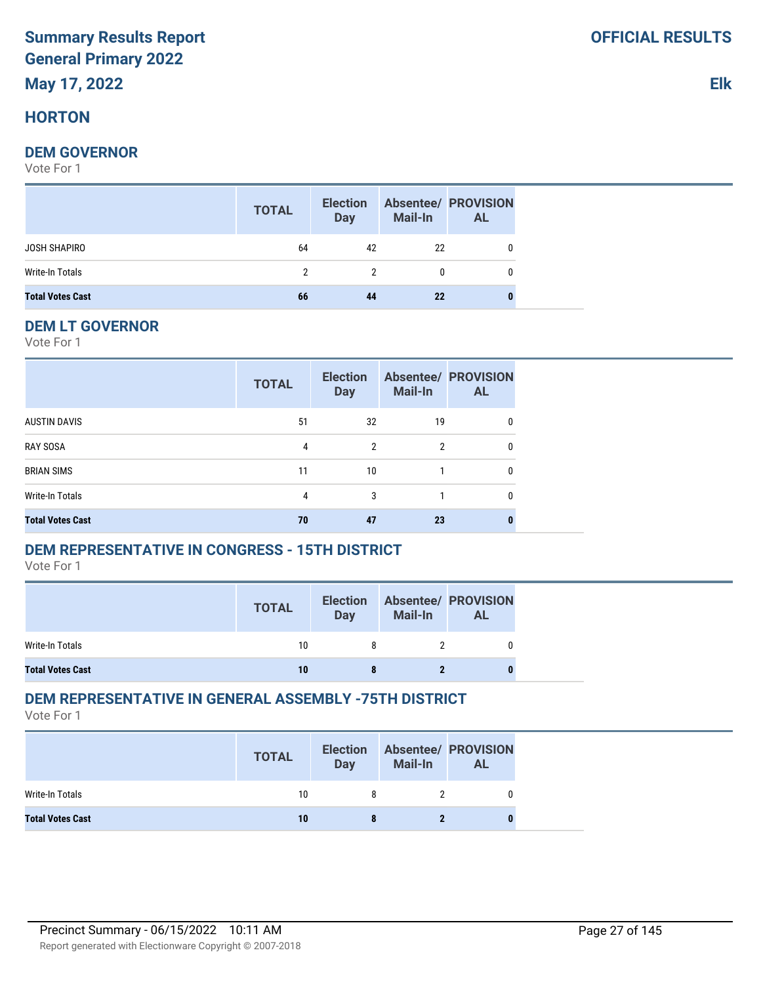# **HORTON**

#### **DEM GOVERNOR**

Vote For 1

|                         | <b>TOTAL</b> | <b>Election</b><br>Day | <b>Mail-In</b> | <b>Absentee/ PROVISION</b><br><b>AL</b> |
|-------------------------|--------------|------------------------|----------------|-----------------------------------------|
| JOSH SHAPIRO            | 64           | 42                     | 22             |                                         |
| Write-In Totals         | 2            | 2                      | $\mathbf{0}$   |                                         |
| <b>Total Votes Cast</b> | 66           | 44                     | 22             |                                         |

#### **DEM LT GOVERNOR**

Vote For 1

|                         | <b>TOTAL</b> | <b>Election</b><br><b>Day</b> | <b>Mail-In</b> | <b>Absentee/ PROVISION</b><br><b>AL</b> |
|-------------------------|--------------|-------------------------------|----------------|-----------------------------------------|
| AUSTIN DAVIS            | 51           | 32                            | 19             | 0                                       |
| <b>RAY SOSA</b>         | 4            | 2                             | $\overline{2}$ | 0                                       |
| <b>BRIAN SIMS</b>       | 11           | 10                            |                | 0                                       |
| Write-In Totals         | 4            | 3                             |                | 0                                       |
| <b>Total Votes Cast</b> | 70           | 47                            | 23             | 0                                       |

# **DEM REPRESENTATIVE IN CONGRESS - 15TH DISTRICT**

Vote For 1

|                         | <b>TOTAL</b> | <b>Election</b><br><b>Day</b> | Mail-In | <b>Absentee/ PROVISION</b><br>AL |
|-------------------------|--------------|-------------------------------|---------|----------------------------------|
| Write-In Totals         | 10           |                               |         |                                  |
| <b>Total Votes Cast</b> | 10           |                               |         |                                  |

# **DEM REPRESENTATIVE IN GENERAL ASSEMBLY -75TH DISTRICT**

|                         | <b>TOTAL</b> | <b>Election</b><br>Day | <b>Mail-In</b> | <b>Absentee/ PROVISION</b><br><b>AL</b> |
|-------------------------|--------------|------------------------|----------------|-----------------------------------------|
| Write-In Totals         | 10           |                        |                |                                         |
| <b>Total Votes Cast</b> | 10           |                        |                |                                         |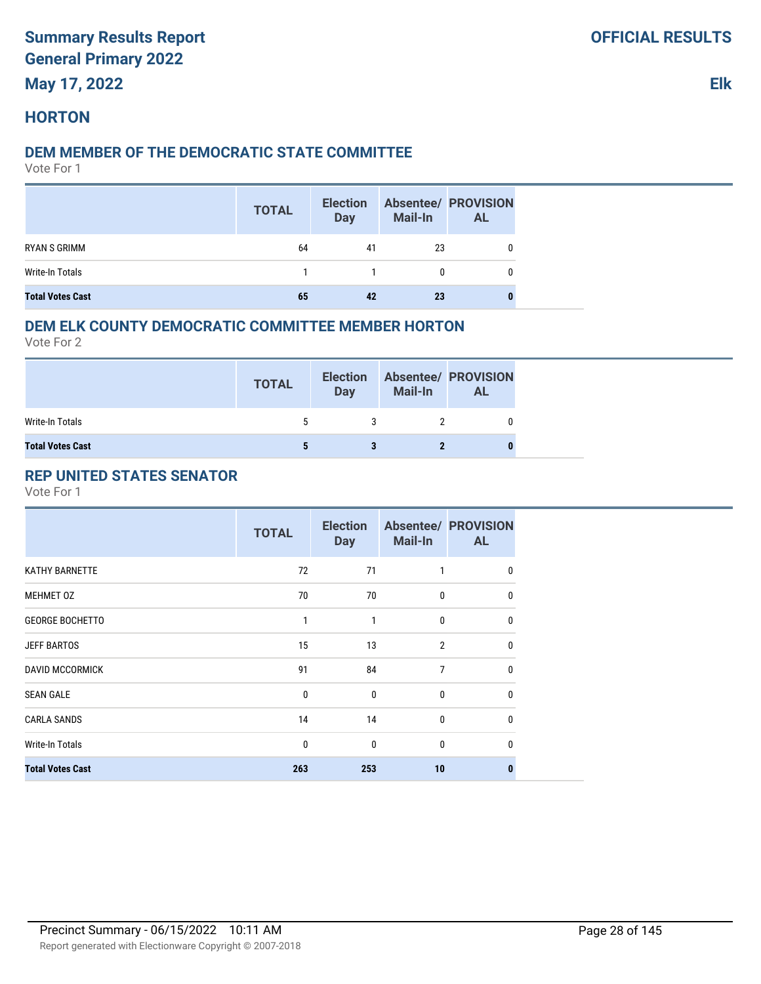# **HORTON**

#### **DEM MEMBER OF THE DEMOCRATIC STATE COMMITTEE**

Vote For 1

|                         | <b>TOTAL</b> | <b>Election</b><br><b>Day</b> | <b>Mail-In</b> | <b>Absentee/ PROVISION</b><br><b>AL</b> |
|-------------------------|--------------|-------------------------------|----------------|-----------------------------------------|
| RYAN S GRIMM            | 64           | 41                            | 23             |                                         |
| Write-In Totals         |              |                               | 0              |                                         |
| <b>Total Votes Cast</b> | 65           | 42                            | 23             |                                         |

## **DEM ELK COUNTY DEMOCRATIC COMMITTEE MEMBER HORTON**

Vote For 2

|                         | <b>TOTAL</b> | <b>Election</b><br><b>Day</b> | Mail-In | <b>Absentee/ PROVISION</b><br><b>AL</b> |
|-------------------------|--------------|-------------------------------|---------|-----------------------------------------|
| Write-In Totals         |              |                               |         |                                         |
| <b>Total Votes Cast</b> |              |                               |         |                                         |

## **REP UNITED STATES SENATOR**

|                         | <b>TOTAL</b> | <b>Election</b><br><b>Day</b> | <b>Mail-In</b> | <b>Absentee/ PROVISION</b><br><b>AL</b> |
|-------------------------|--------------|-------------------------------|----------------|-----------------------------------------|
| <b>KATHY BARNETTE</b>   | 72           | 71                            | 1              | 0                                       |
| MEHMET 0Z               | 70           | 70                            | $\mathbf{0}$   | $\mathbf{0}$                            |
| <b>GEORGE BOCHETTO</b>  | 1            | 1                             | $\mathbf{0}$   | $\mathbf{0}$                            |
| <b>JEFF BARTOS</b>      | 15           | 13                            | $\overline{2}$ | $\mathbf{0}$                            |
| <b>DAVID MCCORMICK</b>  | 91           | 84                            | 7              | $\mathbf{0}$                            |
| <b>SEAN GALE</b>        | $\mathbf{0}$ | 0                             | $\mathbf{0}$   | $\mathbf{0}$                            |
| <b>CARLA SANDS</b>      | 14           | 14                            | $\mathbf 0$    | $\mathbf{0}$                            |
| <b>Write-In Totals</b>  | $\mathbf{0}$ | 0                             | $\mathbf{0}$   | $\Omega$                                |
| <b>Total Votes Cast</b> | 263          | 253                           | 10             | 0                                       |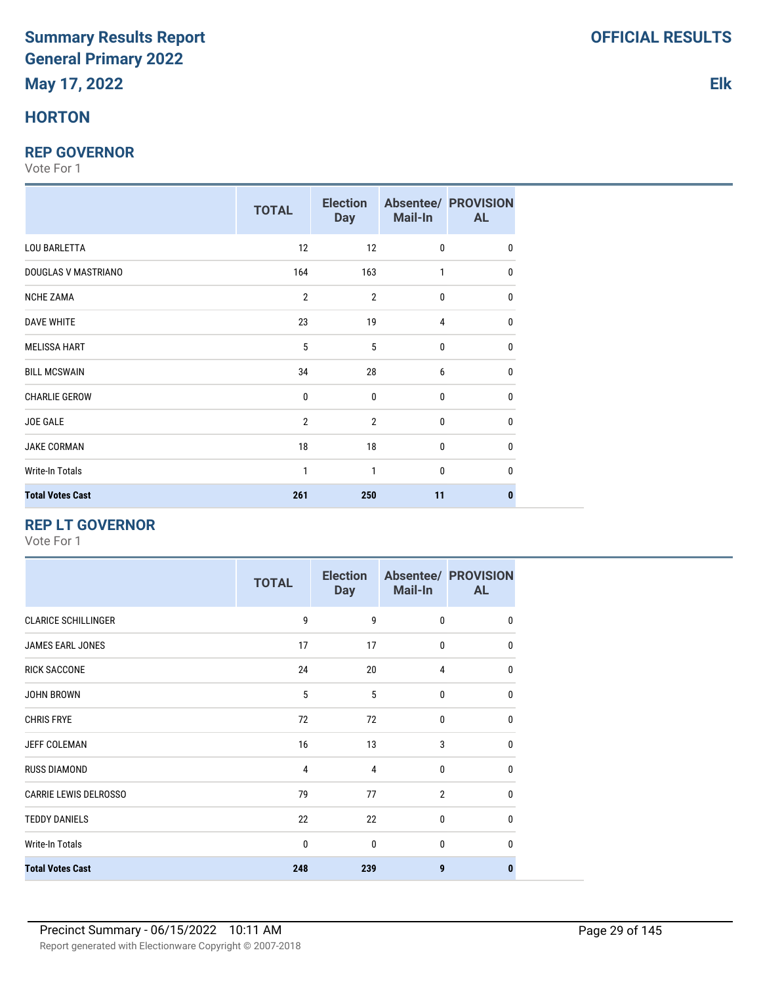# **HORTON**

#### **REP GOVERNOR**

Vote For 1

|                         | <b>TOTAL</b>   | <b>Election</b><br><b>Day</b> | <b>Mail-In</b> | <b>Absentee/ PROVISION</b><br><b>AL</b> |
|-------------------------|----------------|-------------------------------|----------------|-----------------------------------------|
| <b>LOU BARLETTA</b>     | 12             | 12                            | $\mathbf 0$    | $\mathbf{0}$                            |
| DOUGLAS V MASTRIANO     | 164            | 163                           | 1              | $\mathbf{0}$                            |
| <b>NCHE ZAMA</b>        | $\overline{2}$ | $\overline{2}$                | $\mathbf 0$    | $\Omega$                                |
| <b>DAVE WHITE</b>       | 23             | 19                            | $\overline{4}$ | $\mathbf{0}$                            |
| <b>MELISSA HART</b>     | 5              | 5                             | $\mathbf 0$    | $\mathbf{0}$                            |
| <b>BILL MCSWAIN</b>     | 34             | 28                            | 6              | $\mathbf{0}$                            |
| <b>CHARLIE GEROW</b>    | $\mathbf 0$    | $\mathbf{0}$                  | $\mathbf 0$    | $\Omega$                                |
| JOE GALE                | $\overline{2}$ | $\overline{2}$                | $\mathbf 0$    | $\Omega$                                |
| <b>JAKE CORMAN</b>      | 18             | 18                            | $\mathbf 0$    | $\mathbf{0}$                            |
| <b>Write-In Totals</b>  | 1              | 1                             | $\bf{0}$       | $\Omega$                                |
| <b>Total Votes Cast</b> | 261            | 250                           | 11             | n                                       |

## **REP LT GOVERNOR**

Vote For 1

|                              | <b>TOTAL</b> | <b>Election</b><br><b>Day</b> | Mail-In        | <b>Absentee/ PROVISION</b><br><b>AL</b> |
|------------------------------|--------------|-------------------------------|----------------|-----------------------------------------|
| <b>CLARICE SCHILLINGER</b>   | 9            | 9                             | $\mathbf{0}$   | $\mathbf{0}$                            |
| <b>JAMES EARL JONES</b>      | 17           | 17                            | $\mathbf{0}$   | $\Omega$                                |
| <b>RICK SACCONE</b>          | 24           | 20                            | 4              | 0                                       |
| <b>JOHN BROWN</b>            | 5            | 5                             | $\mathbf{0}$   | 0                                       |
| <b>CHRIS FRYE</b>            | 72           | 72                            | $\mathbf{0}$   | 0                                       |
| <b>JEFF COLEMAN</b>          | 16           | 13                            | 3              | $\mathbf{0}$                            |
| <b>RUSS DIAMOND</b>          | 4            | 4                             | $\mathbf 0$    | $\mathbf{0}$                            |
| <b>CARRIE LEWIS DELROSSO</b> | 79           | 77                            | $\overline{2}$ | $\mathbf{0}$                            |
| <b>TEDDY DANIELS</b>         | 22           | 22                            | $\mathbf{0}$   | $\mathbf{0}$                            |
| <b>Write-In Totals</b>       | $\mathbf{0}$ | 0                             | $\mathbf{0}$   | $\mathbf{0}$                            |
| <b>Total Votes Cast</b>      | 248          | 239                           | 9              | $\bf{0}$                                |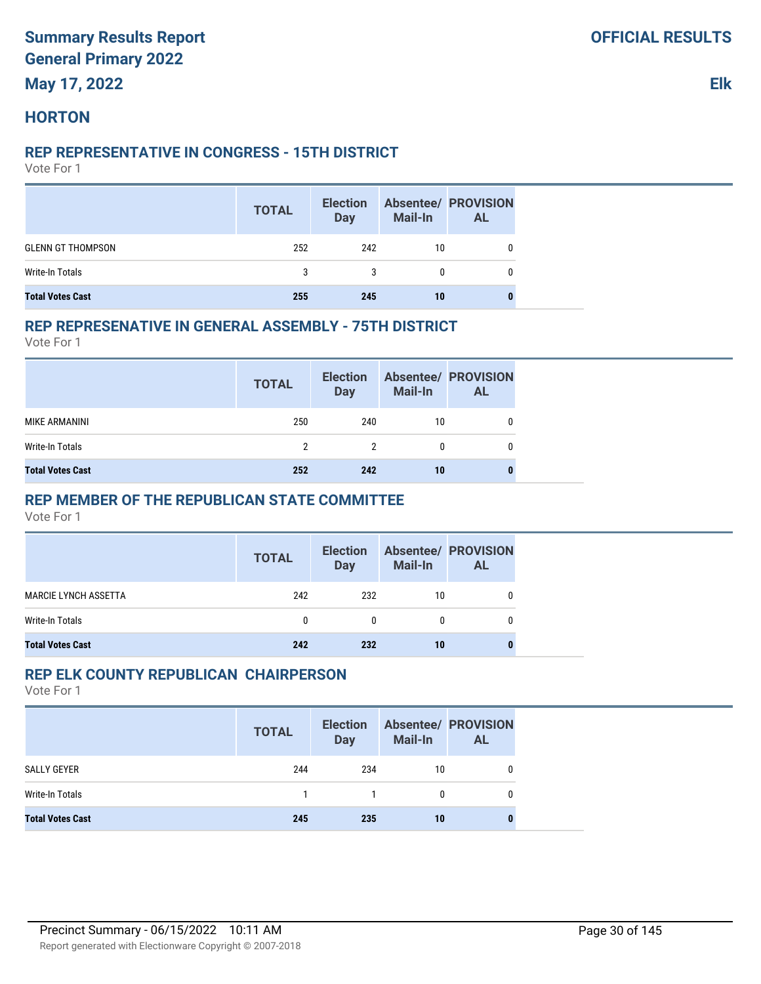# **HORTON**

#### **REP REPRESENTATIVE IN CONGRESS - 15TH DISTRICT**

Vote For 1

|                          | <b>TOTAL</b> | <b>Election</b><br>Day | <b>Mail-In</b> | <b>Absentee/ PROVISION</b><br><b>AL</b> |
|--------------------------|--------------|------------------------|----------------|-----------------------------------------|
| <b>GLENN GT THOMPSON</b> | 252          | 242                    | 10             |                                         |
| Write-In Totals          | 3            | 3                      |                |                                         |
| <b>Total Votes Cast</b>  | 255          | 245                    | 10             |                                         |

#### **REP REPRESENATIVE IN GENERAL ASSEMBLY - 75TH DISTRICT**

Vote For 1

|                         | <b>TOTAL</b> | <b>Election</b><br><b>Day</b> | Mail-In | <b>Absentee/ PROVISION</b><br><b>AL</b> |
|-------------------------|--------------|-------------------------------|---------|-----------------------------------------|
| MIKE ARMANINI           | 250          | 240                           | 10      |                                         |
| Write-In Totals         | 2            | 2                             | 0       |                                         |
| <b>Total Votes Cast</b> | 252          | 242                           | 10      |                                         |

### **REP MEMBER OF THE REPUBLICAN STATE COMMITTEE**

Vote For 1

|                             | <b>TOTAL</b> | <b>Election</b><br><b>Day</b> | <b>Mail-In</b> | <b>Absentee/ PROVISION</b><br><b>AL</b> |
|-----------------------------|--------------|-------------------------------|----------------|-----------------------------------------|
| <b>MARCIE LYNCH ASSETTA</b> | 242          | 232                           | 10             | 0                                       |
| Write-In Totals             | 0            | 0                             |                | 0                                       |
| <b>Total Votes Cast</b>     | 242          | 232                           | 10             |                                         |

## **REP ELK COUNTY REPUBLICAN CHAIRPERSON**

|                         | <b>TOTAL</b> | <b>Election</b><br><b>Day</b> | <b>Mail-In</b> | <b>Absentee/ PROVISION</b><br><b>AL</b> |
|-------------------------|--------------|-------------------------------|----------------|-----------------------------------------|
| SALLY GEYER             | 244          | 234                           | 10             |                                         |
| Write-In Totals         |              | 1                             | 0              |                                         |
| <b>Total Votes Cast</b> | 245          | 235                           | 10             | O                                       |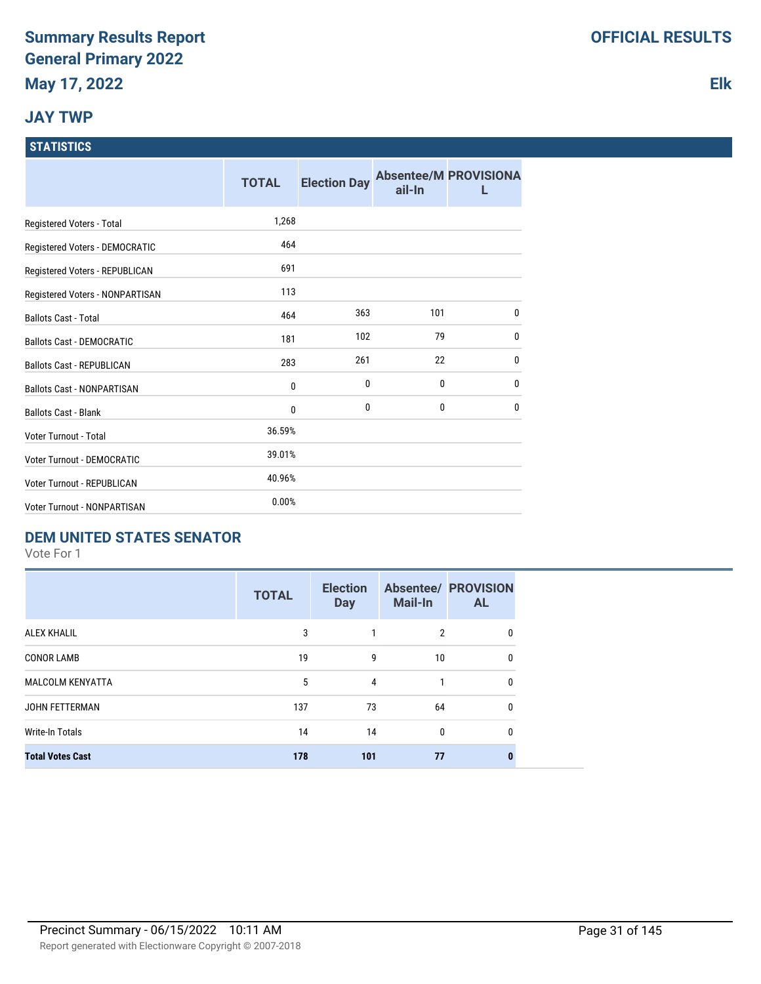# **JAY TWP**

#### **STATISTICS**

|                                    | <b>TOTAL</b> | <b>Election Day</b> | ail-In | <b>Absentee/M PROVISIONA</b> |
|------------------------------------|--------------|---------------------|--------|------------------------------|
| Registered Voters - Total          | 1,268        |                     |        |                              |
| Registered Voters - DEMOCRATIC     | 464          |                     |        |                              |
| Registered Voters - REPUBLICAN     | 691          |                     |        |                              |
| Registered Voters - NONPARTISAN    | 113          |                     |        |                              |
| <b>Ballots Cast - Total</b>        | 464          | 363                 | 101    | $\mathbf{0}$                 |
| <b>Ballots Cast - DEMOCRATIC</b>   | 181          | 102                 | 79     | $\mathbf{0}$                 |
| <b>Ballots Cast - REPUBLICAN</b>   | 283          | 261                 | 22     | $\mathbf{0}$                 |
| <b>Ballots Cast - NONPARTISAN</b>  | 0            | 0                   | 0      | $\mathbf 0$                  |
| <b>Ballots Cast - Blank</b>        | 0            | 0                   | 0      | $\mathbf{0}$                 |
| Voter Turnout - Total              | 36.59%       |                     |        |                              |
| <b>Voter Turnout - DEMOCRATIC</b>  | 39.01%       |                     |        |                              |
| Voter Turnout - REPUBLICAN         | 40.96%       |                     |        |                              |
| <b>Voter Turnout - NONPARTISAN</b> | 0.00%        |                     |        |                              |

# **DEM UNITED STATES SENATOR**

Vote For 1

|                         | <b>TOTAL</b> | <b>Election</b><br><b>Day</b> | <b>Mail-In</b> | <b>Absentee/ PROVISION</b><br><b>AL</b> |
|-------------------------|--------------|-------------------------------|----------------|-----------------------------------------|
| <b>ALEX KHALIL</b>      | 3            |                               | 2              | 0                                       |
| <b>CONOR LAMB</b>       | 19           | 9                             | 10             | $\Omega$                                |
| <b>MALCOLM KENYATTA</b> | 5            | 4                             | 1              | $\mathbf{0}$                            |
| JOHN FETTERMAN          | 137          | 73                            | 64             | 0                                       |
| <b>Write-In Totals</b>  | 14           | 14                            | 0              | $\theta$                                |
| <b>Total Votes Cast</b> | 178          | 101                           | 77             |                                         |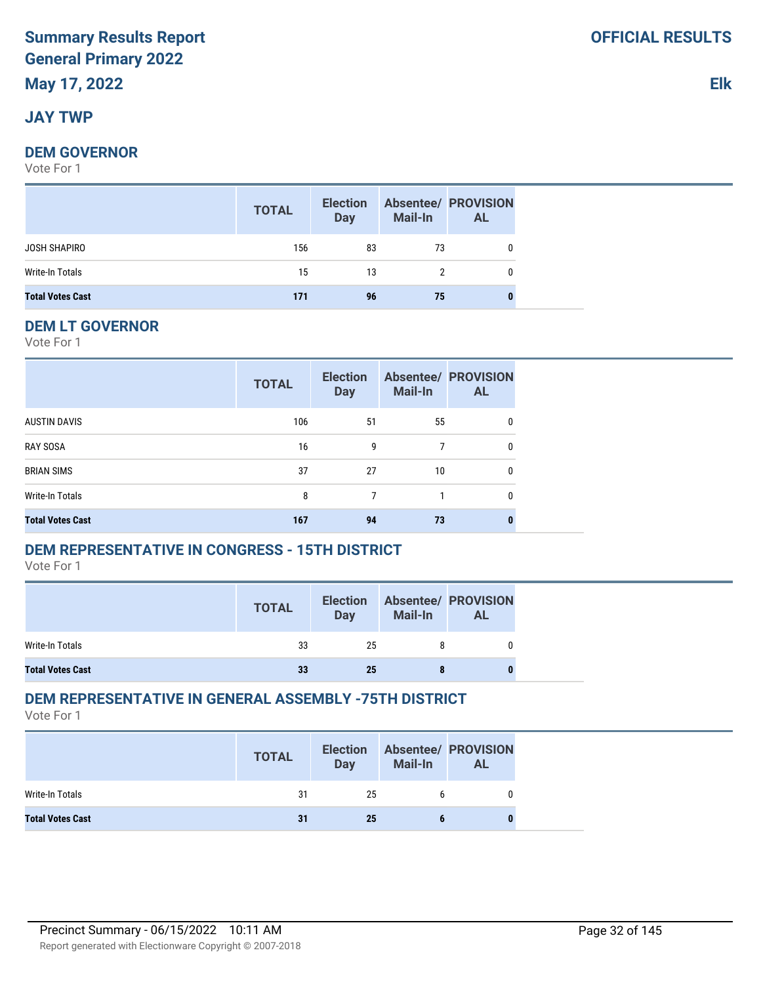# **JAY TWP**

## **DEM GOVERNOR**

Vote For 1

|                         | <b>TOTAL</b> | <b>Election</b><br><b>Day</b> | <b>Mail-In</b> | <b>Absentee/ PROVISION</b><br><b>AL</b> |
|-------------------------|--------------|-------------------------------|----------------|-----------------------------------------|
| JOSH SHAPIRO            | 156          | 83                            | 73             | 0                                       |
| Write-In Totals         | 15           | 13                            |                | $\mathbf{0}$                            |
| <b>Total Votes Cast</b> | 171          | 96                            | 75             | 0                                       |

#### **DEM LT GOVERNOR**

Vote For 1

|                         | <b>TOTAL</b> | <b>Election</b><br><b>Day</b> | Mail-In | <b>Absentee/ PROVISION</b><br><b>AL</b> |
|-------------------------|--------------|-------------------------------|---------|-----------------------------------------|
| <b>AUSTIN DAVIS</b>     | 106          | 51                            | 55      | 0                                       |
| <b>RAY SOSA</b>         | 16           | 9                             | 7       | 0                                       |
| <b>BRIAN SIMS</b>       | 37           | 27                            | 10      | 0                                       |
| <b>Write-In Totals</b>  | 8            | 7                             |         | 0                                       |
| <b>Total Votes Cast</b> | 167          | 94                            | 73      |                                         |

# **DEM REPRESENTATIVE IN CONGRESS - 15TH DISTRICT**

Vote For 1

|                         | <b>TOTAL</b> | <b>Election</b><br><b>Day</b> | Mail-In | <b>Absentee/ PROVISION</b><br><b>AL</b> |
|-------------------------|--------------|-------------------------------|---------|-----------------------------------------|
| Write-In Totals         | 33           | 25                            |         |                                         |
| <b>Total Votes Cast</b> | 33           | 25                            |         |                                         |

# **DEM REPRESENTATIVE IN GENERAL ASSEMBLY -75TH DISTRICT**

|                         | <b>TOTAL</b> | <b>Election</b><br><b>Day</b> | <b>Mail-In</b> | <b>Absentee/ PROVISION</b><br><b>AL</b> |
|-------------------------|--------------|-------------------------------|----------------|-----------------------------------------|
| Write-In Totals         | 31           | 25                            |                |                                         |
| <b>Total Votes Cast</b> | 31           | 25                            |                | 0                                       |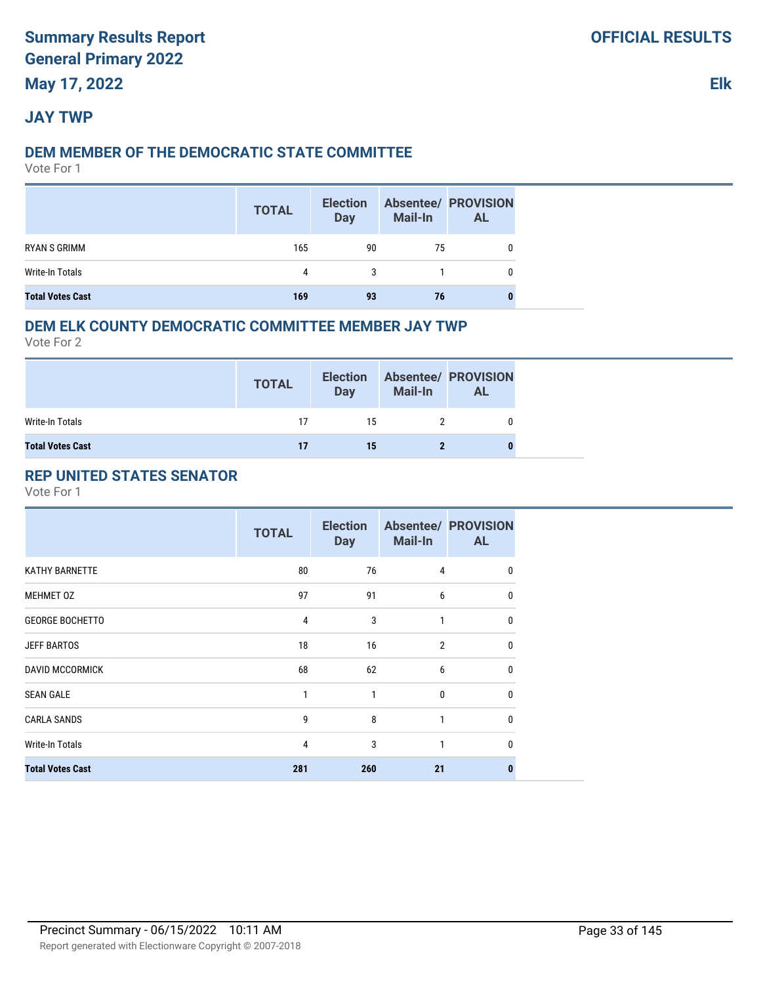# **JAY TWP**

#### **DEM MEMBER OF THE DEMOCRATIC STATE COMMITTEE**

Vote For 1

|                         | <b>TOTAL</b> | <b>Election</b><br><b>Day</b> | <b>Mail-In</b> | <b>Absentee/ PROVISION</b><br><b>AL</b> |
|-------------------------|--------------|-------------------------------|----------------|-----------------------------------------|
| RYAN S GRIMM            | 165          | 90                            | 75             |                                         |
| Write-In Totals         | 4            | 3                             |                |                                         |
| <b>Total Votes Cast</b> | 169          | 93                            | 76             |                                         |

## **DEM ELK COUNTY DEMOCRATIC COMMITTEE MEMBER JAY TWP**

Vote For 2

|                         | <b>TOTAL</b> | <b>Election</b><br><b>Day</b> | Mail-In | <b>Absentee/ PROVISION</b><br><b>AL</b> |
|-------------------------|--------------|-------------------------------|---------|-----------------------------------------|
| Write-In Totals         | 17           | 15                            |         |                                         |
| <b>Total Votes Cast</b> | 17           | 15                            |         | 0                                       |

## **REP UNITED STATES SENATOR**

|                         | <b>TOTAL</b> | <b>Election</b><br><b>Day</b> | Mail-In        | <b>Absentee/ PROVISION</b><br><b>AL</b> |
|-------------------------|--------------|-------------------------------|----------------|-----------------------------------------|
| <b>KATHY BARNETTE</b>   | 80           | 76                            | 4              | 0                                       |
| MEHMET 0Z               | 97           | 91                            | 6              | $\Omega$                                |
| <b>GEORGE BOCHETTO</b>  | 4            | 3                             | 1              | 0                                       |
| <b>JEFF BARTOS</b>      | 18           | 16                            | $\overline{2}$ | <sup>0</sup>                            |
| <b>DAVID MCCORMICK</b>  | 68           | 62                            | 6              | $\Omega$                                |
| <b>SEAN GALE</b>        | 1            | 1                             | 0              | $\Omega$                                |
| <b>CARLA SANDS</b>      | 9            | 8                             | 1              | 0                                       |
| <b>Write-In Totals</b>  | 4            | 3                             | 1              | <sup>0</sup>                            |
| <b>Total Votes Cast</b> | 281          | 260                           | 21             | 0                                       |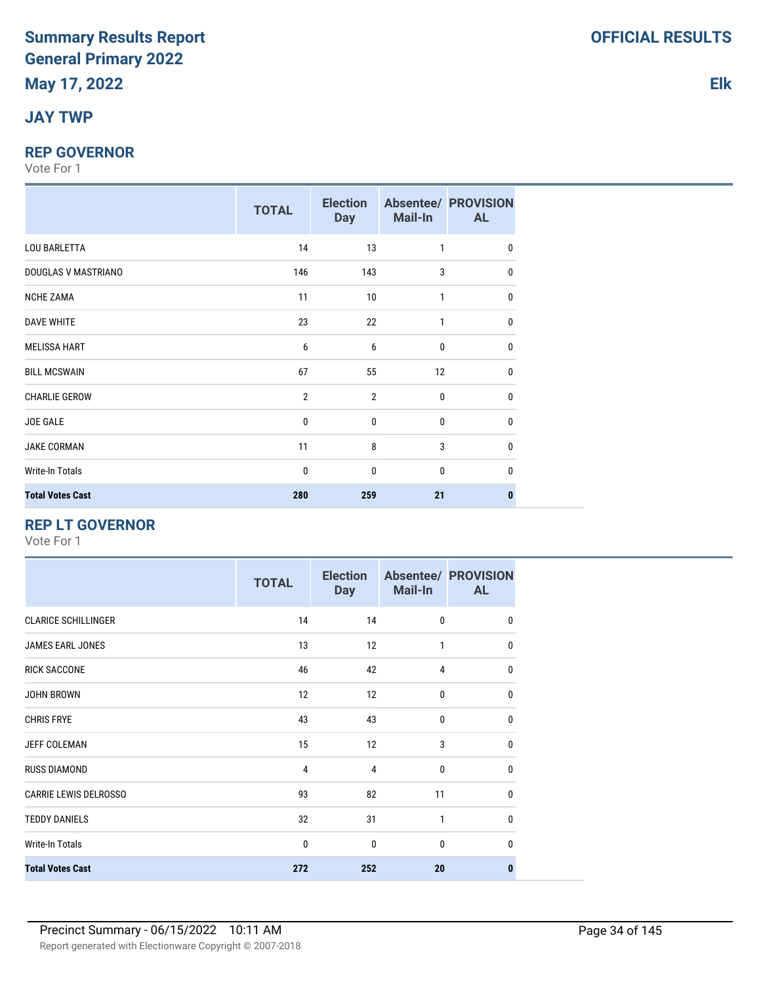# **JAY TWP**

#### **REP GOVERNOR**

Vote For 1

|                         | <b>TOTAL</b>   | <b>Election</b><br><b>Day</b> | Mail-In      | <b>Absentee/ PROVISION</b><br><b>AL</b> |
|-------------------------|----------------|-------------------------------|--------------|-----------------------------------------|
| <b>LOU BARLETTA</b>     | 14             | 13                            | 1            | $\mathbf{0}$                            |
| DOUGLAS V MASTRIANO     | 146            | 143                           | 3            | $\mathbf{0}$                            |
| <b>NCHE ZAMA</b>        | 11             | 10                            | $\mathbf{1}$ | $\mathbf{0}$                            |
| <b>DAVE WHITE</b>       | 23             | 22                            | 1            | 0                                       |
| <b>MELISSA HART</b>     | 6              | 6                             | 0            | 0                                       |
| <b>BILL MCSWAIN</b>     | 67             | 55                            | 12           | 0                                       |
| <b>CHARLIE GEROW</b>    | $\overline{2}$ | $\overline{2}$                | 0            | 0                                       |
| <b>JOE GALE</b>         | $\mathbf{0}$   | $\mathbf 0$                   | 0            | 0                                       |
| <b>JAKE CORMAN</b>      | 11             | 8                             | 3            | 0                                       |
| Write-In Totals         | $\mathbf{0}$   | $\mathbf{0}$                  | $\mathbf{0}$ | $\Omega$                                |
| <b>Total Votes Cast</b> | 280            | 259                           | 21           | 0                                       |

## **REP LT GOVERNOR**

|                              | <b>TOTAL</b> | <b>Election</b><br><b>Day</b> | Mail-In      | <b>Absentee/ PROVISION</b><br><b>AL</b> |
|------------------------------|--------------|-------------------------------|--------------|-----------------------------------------|
| <b>CLARICE SCHILLINGER</b>   | 14           | 14                            | $\mathbf{0}$ | $\mathbf{0}$                            |
| <b>JAMES EARL JONES</b>      | 13           | 12                            | 1            | 0                                       |
| <b>RICK SACCONE</b>          | 46           | 42                            | 4            | $\mathbf{0}$                            |
| <b>JOHN BROWN</b>            | 12           | 12                            | $\mathbf{0}$ | 0                                       |
| <b>CHRIS FRYE</b>            | 43           | 43                            | $\mathbf{0}$ | $\mathbf{0}$                            |
| <b>JEFF COLEMAN</b>          | 15           | 12                            | 3            | $\mathbf{0}$                            |
| <b>RUSS DIAMOND</b>          | 4            | $\overline{4}$                | 0            | $\mathbf{0}$                            |
| <b>CARRIE LEWIS DELROSSO</b> | 93           | 82                            | 11           | $\mathbf{0}$                            |
| <b>TEDDY DANIELS</b>         | 32           | 31                            | 1            | $\mathbf{0}$                            |
| Write-In Totals              | $\mathbf{0}$ | $\mathbf{0}$                  | 0            | $\Omega$                                |
| <b>Total Votes Cast</b>      | 272          | 252                           | 20           | $\bf{0}$                                |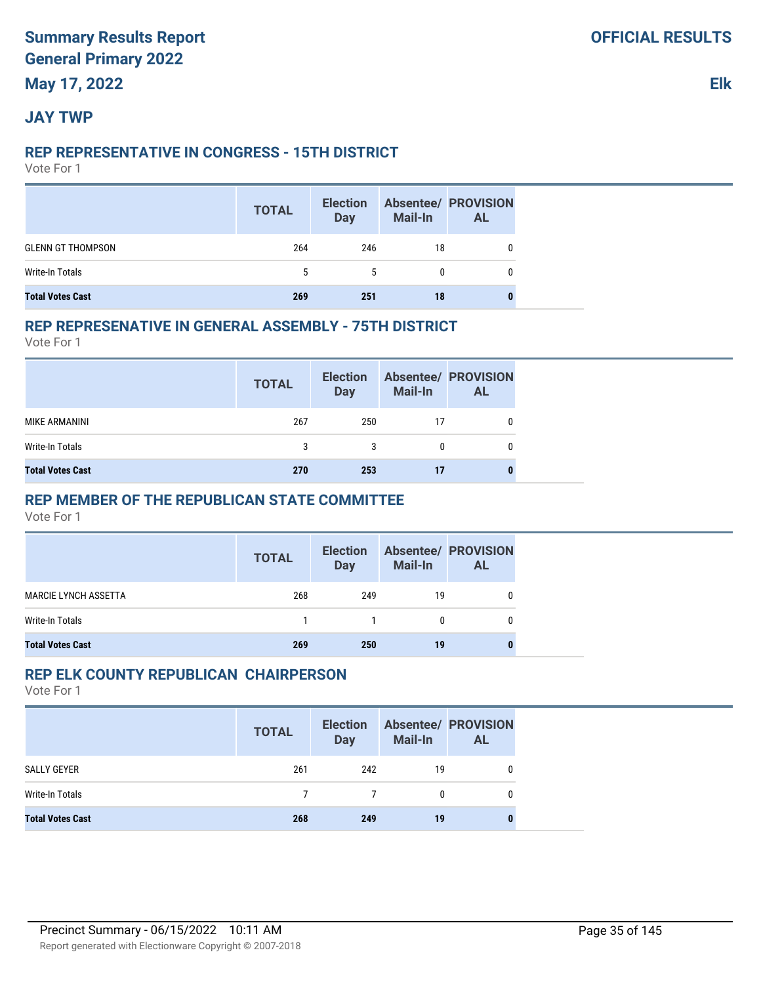# **JAY TWP**

#### **REP REPRESENTATIVE IN CONGRESS - 15TH DISTRICT**

Vote For 1

|                          | <b>TOTAL</b> | <b>Election</b><br><b>Day</b> | <b>Mail-In</b> | <b>Absentee/ PROVISION</b><br><b>AL</b> |
|--------------------------|--------------|-------------------------------|----------------|-----------------------------------------|
| <b>GLENN GT THOMPSON</b> | 264          | 246                           | 18             |                                         |
| Write-In Totals          | 5            | 5                             |                |                                         |
| <b>Total Votes Cast</b>  | 269          | 251                           | 18             |                                         |

#### **REP REPRESENATIVE IN GENERAL ASSEMBLY - 75TH DISTRICT**

Vote For 1

|                         | <b>TOTAL</b> | <b>Election</b><br><b>Day</b> | Mail-In | <b>Absentee/ PROVISION</b><br>AL |
|-------------------------|--------------|-------------------------------|---------|----------------------------------|
| <b>MIKE ARMANINI</b>    | 267          | 250                           | 17      |                                  |
| Write-In Totals         | 3            | 3                             | 0       |                                  |
| <b>Total Votes Cast</b> | 270          | 253                           |         |                                  |

### **REP MEMBER OF THE REPUBLICAN STATE COMMITTEE**

Vote For 1

|                             | <b>TOTAL</b> | <b>Election</b><br>Day | <b>Mail-In</b> | <b>Absentee/ PROVISION</b><br><b>AL</b> |
|-----------------------------|--------------|------------------------|----------------|-----------------------------------------|
| <b>MARCIE LYNCH ASSETTA</b> | 268          | 249                    | 19             | 0                                       |
| Write-In Totals             |              |                        | $\mathbf{0}$   | 0                                       |
| <b>Total Votes Cast</b>     | 269          | 250                    | 19             |                                         |

## **REP ELK COUNTY REPUBLICAN CHAIRPERSON**

|                         | <b>TOTAL</b>  | <b>Election</b><br>Day | <b>Mail-In</b> | <b>Absentee/ PROVISION</b><br><b>AL</b> |
|-------------------------|---------------|------------------------|----------------|-----------------------------------------|
| SALLY GEYER             | 261           | 242                    | 19             |                                         |
| Write-In Totals         | $\mathcal{L}$ | $\overline{7}$         |                | 0                                       |
| <b>Total Votes Cast</b> | 268           | 249                    | 19             |                                         |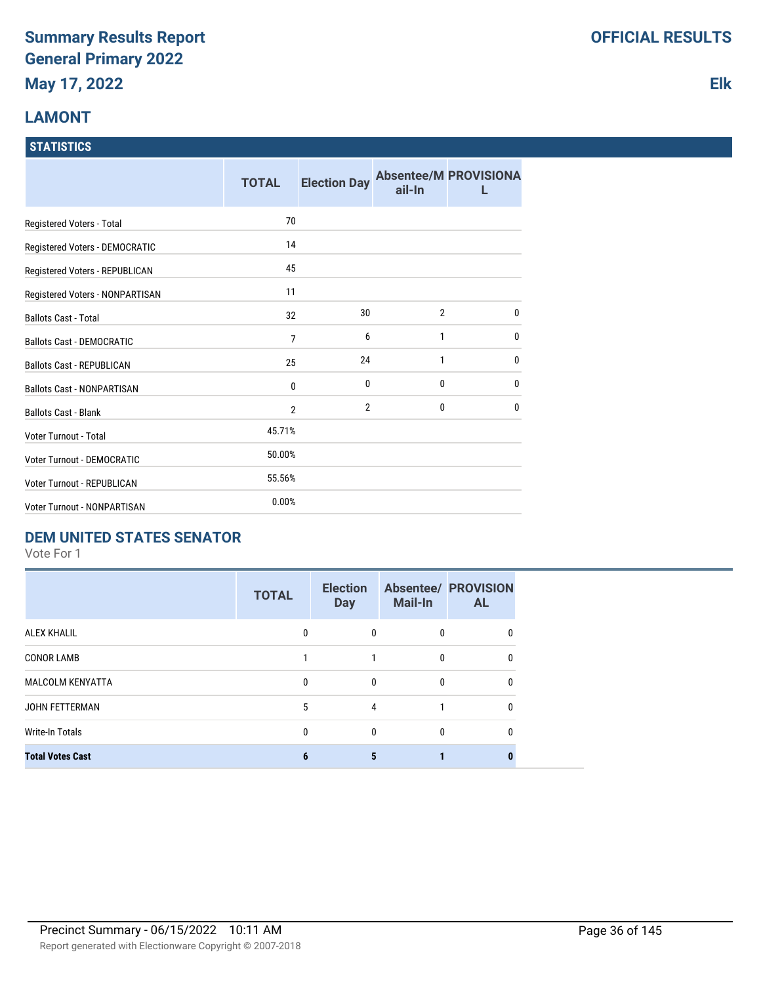# **LAMONT**

#### **STATISTICS**

|                                    | <b>TOTAL</b>   | <b>Election Day</b> | ail-In         | <b>Absentee/M PROVISIONA</b> |
|------------------------------------|----------------|---------------------|----------------|------------------------------|
| Registered Voters - Total          | 70             |                     |                |                              |
| Registered Voters - DEMOCRATIC     | 14             |                     |                |                              |
| Registered Voters - REPUBLICAN     | 45             |                     |                |                              |
| Registered Voters - NONPARTISAN    | 11             |                     |                |                              |
| <b>Ballots Cast - Total</b>        | 32             | 30                  | $\overline{2}$ | $\bf{0}$                     |
| <b>Ballots Cast - DEMOCRATIC</b>   | 7              | 6                   | 1              | $\bf{0}$                     |
| <b>Ballots Cast - REPUBLICAN</b>   | 25             | 24                  | 1              | $\mathbf{0}$                 |
| <b>Ballots Cast - NONPARTISAN</b>  | $\bf{0}$       | $\mathbf{0}$        | 0              | $\mathbf{0}$                 |
| <b>Ballots Cast - Blank</b>        | $\overline{2}$ | $\overline{2}$      | 0              | $\mathbf{0}$                 |
| Voter Turnout - Total              | 45.71%         |                     |                |                              |
| <b>Voter Turnout - DEMOCRATIC</b>  | 50.00%         |                     |                |                              |
| Voter Turnout - REPUBLICAN         | 55.56%         |                     |                |                              |
| <b>Voter Turnout - NONPARTISAN</b> | 0.00%          |                     |                |                              |

# **DEM UNITED STATES SENATOR**

Vote For 1

|                         | <b>TOTAL</b> | <b>Election</b><br><b>Day</b> | <b>Mail-In</b>   | <b>Absentee/ PROVISION</b><br><b>AL</b> |
|-------------------------|--------------|-------------------------------|------------------|-----------------------------------------|
| <b>ALEX KHALIL</b>      | 0            | 0                             | $\mathbf{0}$     |                                         |
| <b>CONOR LAMB</b>       |              |                               | $\mathbf{0}$     | 0                                       |
| <b>MALCOLM KENYATTA</b> | $\Omega$     | $\Omega$                      | $\mathbf{0}$     |                                         |
| JOHN FETTERMAN          | 5            | 4                             |                  | 0                                       |
| Write-In Totals         | 0            | 0                             | $\boldsymbol{0}$ | 0                                       |
| <b>Total Votes Cast</b> | 6            | 5                             |                  |                                         |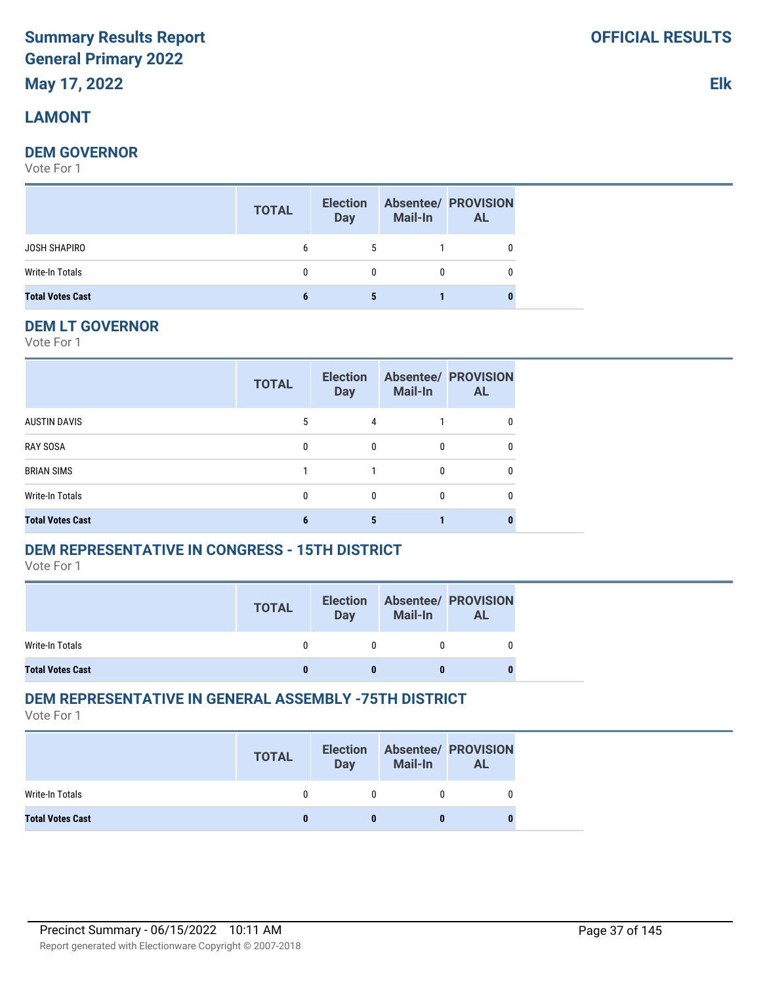# **LAMONT**

#### **DEM GOVERNOR**

Vote For 1

|                         | <b>TOTAL</b> | <b>Election</b><br><b>Day</b> | <b>Mail-In</b> | <b>Absentee/ PROVISION</b><br><b>AL</b> |
|-------------------------|--------------|-------------------------------|----------------|-----------------------------------------|
| JOSH SHAPIRO            | 6            | 5                             |                | 0                                       |
| Write-In Totals         | 0            | $\mathbf{0}$                  | 0              | U                                       |
| <b>Total Votes Cast</b> | 6            | 5.                            |                |                                         |

#### **DEM LT GOVERNOR**

Vote For 1

|                         | <b>TOTAL</b> | <b>Election</b><br><b>Day</b> | <b>Mail-In</b> | <b>Absentee/ PROVISION</b><br><b>AL</b> |
|-------------------------|--------------|-------------------------------|----------------|-----------------------------------------|
| <b>AUSTIN DAVIS</b>     | 5            | 4                             |                | 0                                       |
| <b>RAY SOSA</b>         | 0            | $\Omega$                      |                |                                         |
| <b>BRIAN SIMS</b>       |              |                               | 0              | 0                                       |
| <b>Write-In Totals</b>  | 0            | 0                             | 0              |                                         |
| <b>Total Votes Cast</b> |              |                               |                |                                         |

## **DEM REPRESENTATIVE IN CONGRESS - 15TH DISTRICT**

Vote For 1

|                         | <b>TOTAL</b> | <b>Election</b><br><b>Day</b> | Mail-In | <b>Absentee/ PROVISION</b><br>AL |
|-------------------------|--------------|-------------------------------|---------|----------------------------------|
| Write-In Totals         |              |                               |         |                                  |
| <b>Total Votes Cast</b> |              |                               |         |                                  |

# **DEM REPRESENTATIVE IN GENERAL ASSEMBLY -75TH DISTRICT**

|                         | <b>TOTAL</b> | <b>Election</b><br><b>Day</b> | <b>Mail-In</b> | <b>Absentee/ PROVISION</b><br><b>AL</b> |
|-------------------------|--------------|-------------------------------|----------------|-----------------------------------------|
| Write-In Totals         |              |                               |                |                                         |
| <b>Total Votes Cast</b> |              |                               |                |                                         |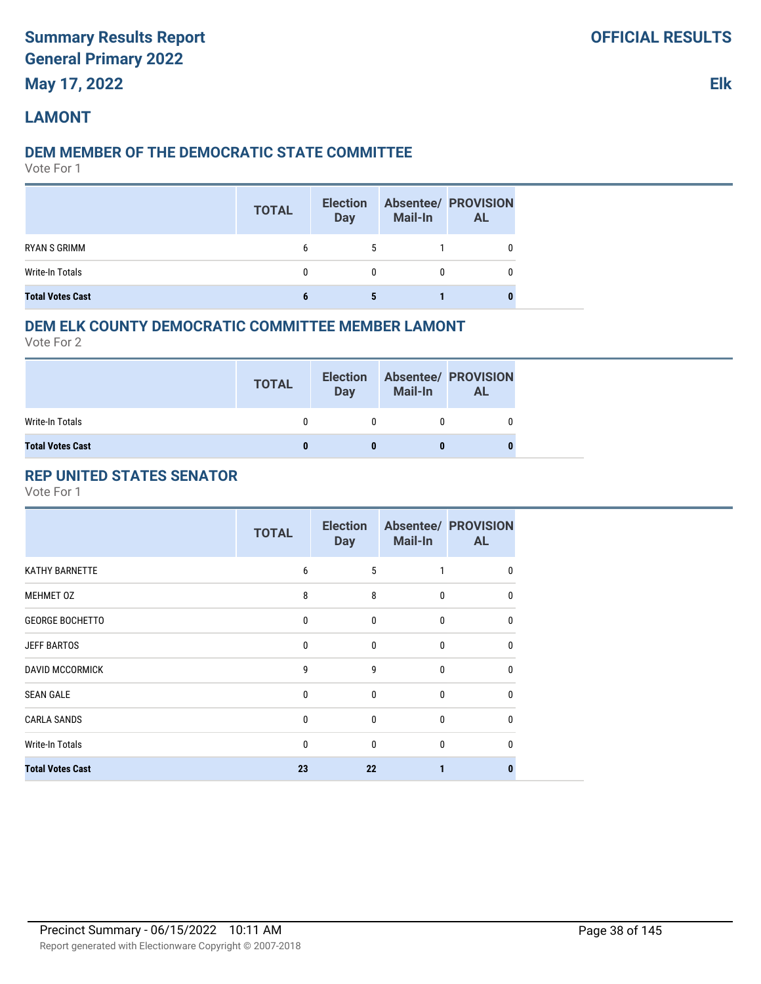# **LAMONT**

#### **DEM MEMBER OF THE DEMOCRATIC STATE COMMITTEE**

Vote For 1

|                         | <b>TOTAL</b> | <b>Election</b><br><b>Day</b> | <b>Mail-In</b> | <b>Absentee/ PROVISION</b><br><b>AL</b> |
|-------------------------|--------------|-------------------------------|----------------|-----------------------------------------|
| RYAN S GRIMM            | 6            | 5                             |                |                                         |
| Write-In Totals         | 0            | $\Omega$                      |                |                                         |
| <b>Total Votes Cast</b> |              |                               |                |                                         |

#### **DEM ELK COUNTY DEMOCRATIC COMMITTEE MEMBER LAMONT**

Vote For 2

|                         | <b>TOTAL</b> | <b>Election</b><br><b>Day</b> | <b>Mail-In</b> | <b>Absentee/ PROVISION</b><br>AL |
|-------------------------|--------------|-------------------------------|----------------|----------------------------------|
| Write-In Totals         |              |                               |                |                                  |
| <b>Total Votes Cast</b> |              |                               |                |                                  |

## **REP UNITED STATES SENATOR**

|                         | <b>TOTAL</b> | <b>Election</b><br><b>Day</b> | <b>Mail-In</b> | <b>Absentee/ PROVISION</b><br><b>AL</b> |
|-------------------------|--------------|-------------------------------|----------------|-----------------------------------------|
| KATHY BARNETTE          | 6            | 5                             |                |                                         |
| <b>MEHMET 0Z</b>        | 8            | 8                             | 0              | n                                       |
| <b>GEORGE BOCHETTO</b>  | 0            | $\mathbf{0}$                  | 0              | n                                       |
| <b>JEFF BARTOS</b>      | 0            | $\mathbf{0}$                  | $\mathbf{0}$   | U                                       |
| <b>DAVID MCCORMICK</b>  | 9            | 9                             | 0              | 0                                       |
| <b>SEAN GALE</b>        | 0            | $\Omega$                      | $\mathbf{0}$   |                                         |
| <b>CARLA SANDS</b>      | 0            | $\mathbf{0}$                  | 0              | n                                       |
| Write-In Totals         | 0            | $\mathbf{0}$                  | 0              |                                         |
| <b>Total Votes Cast</b> | 23           | 22                            |                |                                         |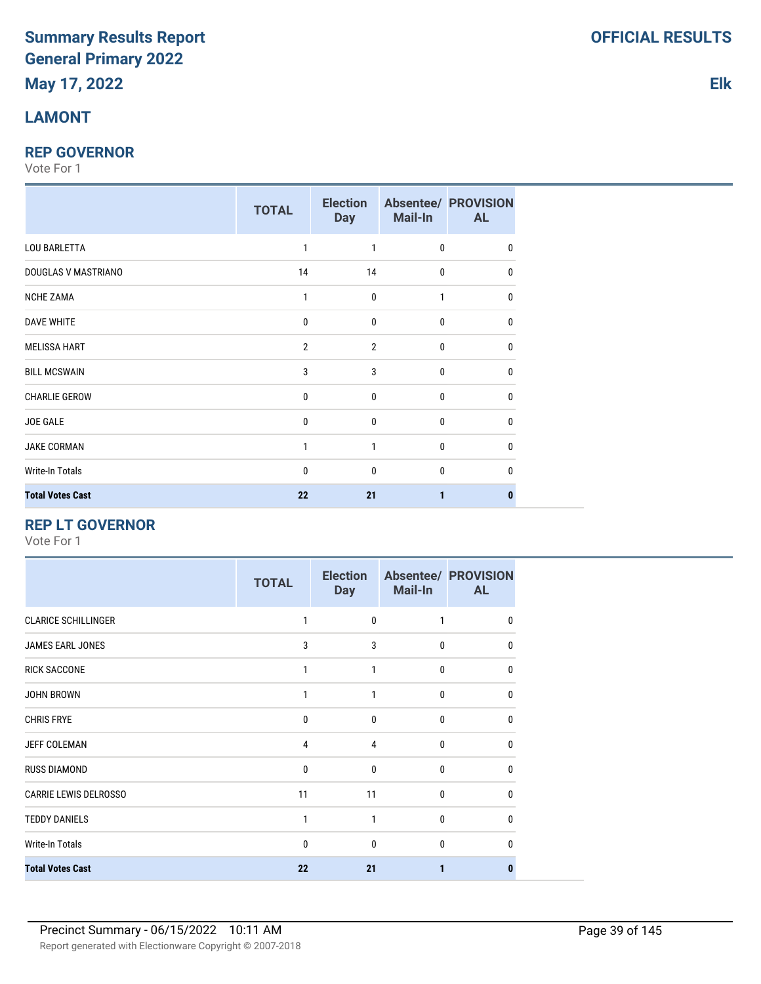# **LAMONT**

#### **REP GOVERNOR**

Vote For 1

|                         | <b>TOTAL</b>   | <b>Election</b><br><b>Day</b> | Mail-In      | <b>Absentee/ PROVISION</b><br><b>AL</b> |
|-------------------------|----------------|-------------------------------|--------------|-----------------------------------------|
| <b>LOU BARLETTA</b>     | 1              | 1                             | $\mathbf 0$  | 0                                       |
| DOUGLAS V MASTRIANO     | 14             | 14                            | $\mathbf 0$  | $\mathbf{0}$                            |
| <b>NCHE ZAMA</b>        | $\mathbf{1}$   | $\mathbf 0$                   | $\mathbf{1}$ | $\mathbf{0}$                            |
| <b>DAVE WHITE</b>       | $\bf{0}$       | $\mathbf 0$                   | $\mathbf 0$  | $\mathbf{0}$                            |
| <b>MELISSA HART</b>     | $\overline{2}$ | $\overline{2}$                | $\mathbf 0$  | 0                                       |
| <b>BILL MCSWAIN</b>     | 3              | 3                             | $\mathbf{0}$ | $\mathbf{0}$                            |
| <b>CHARLIE GEROW</b>    | $\mathbf{0}$   | $\mathbf{0}$                  | $\mathbf{0}$ | $\Omega$                                |
| JOE GALE                | $\mathbf{0}$   | $\mathbf{0}$                  | $\mathbf{0}$ | $\Omega$                                |
| JAKE CORMAN             | 1              | $\mathbf{1}$                  | $\mathbf 0$  | $\Omega$                                |
| Write-In Totals         | 0              | $\mathbf 0$                   | $\mathbf 0$  | $\Omega$                                |
| <b>Total Votes Cast</b> | 22             | 21                            | $\mathbf{1}$ |                                         |

#### **REP LT GOVERNOR**

|                              | <b>TOTAL</b> | <b>Election</b><br><b>Day</b> | Mail-In | <b>Absentee/ PROVISION</b><br><b>AL</b> |
|------------------------------|--------------|-------------------------------|---------|-----------------------------------------|
| <b>CLARICE SCHILLINGER</b>   | 1            | 0                             | 1       | $\Omega$                                |
| <b>JAMES EARL JONES</b>      | 3            | 3                             | 0       | <sup>0</sup>                            |
| <b>RICK SACCONE</b>          | 1            | 1                             | 0       | <sup>0</sup>                            |
| <b>JOHN BROWN</b>            | 1            | 1                             | 0       | <sup>0</sup>                            |
| <b>CHRIS FRYE</b>            | 0            | $\mathbf{0}$                  | 0       | <sup>0</sup>                            |
| JEFF COLEMAN                 | 4            | 4                             | 0       | <sup>0</sup>                            |
| <b>RUSS DIAMOND</b>          | $\mathbf{0}$ | 0                             | 0       | <sup>0</sup>                            |
| <b>CARRIE LEWIS DELROSSO</b> | 11           | 11                            | 0       | <sup>0</sup>                            |
| <b>TEDDY DANIELS</b>         | 1            | 1                             | 0       | $\Omega$                                |
| <b>Write-In Totals</b>       | $\mathbf{0}$ | 0                             | 0       | $\mathbf{0}$                            |
| <b>Total Votes Cast</b>      | 22           | 21                            |         | n                                       |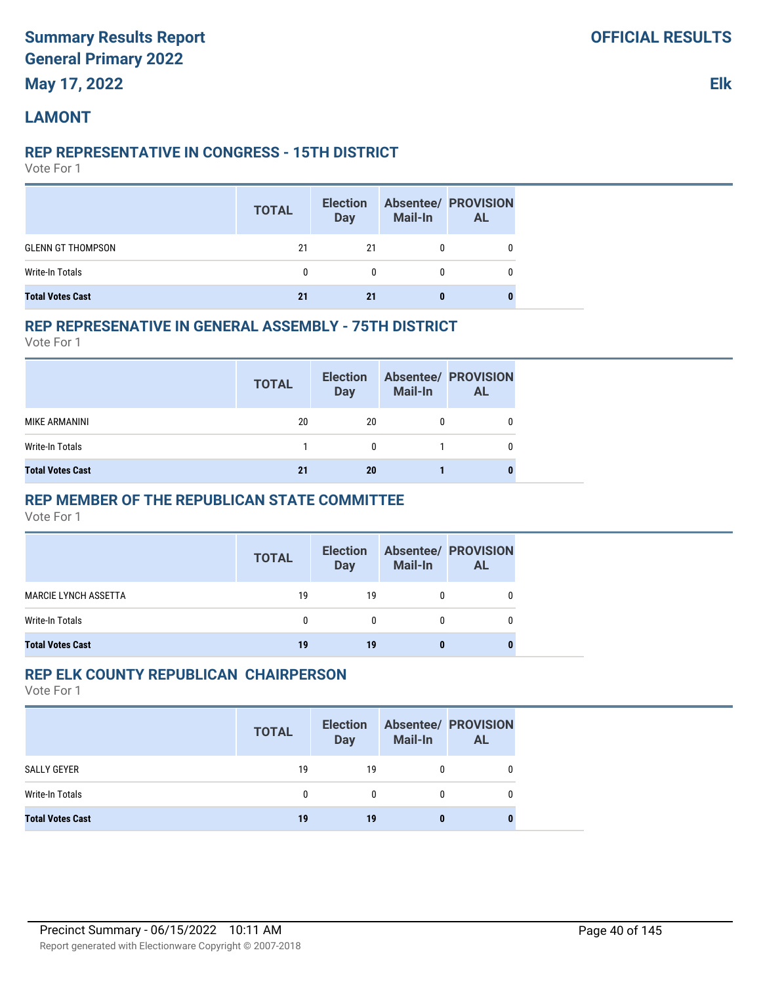# **LAMONT**

#### **REP REPRESENTATIVE IN CONGRESS - 15TH DISTRICT**

Vote For 1

|                          | <b>TOTAL</b> | <b>Election</b><br><b>Day</b> | <b>Mail-In</b> | <b>Absentee/ PROVISION</b><br><b>AL</b> |
|--------------------------|--------------|-------------------------------|----------------|-----------------------------------------|
| <b>GLENN GT THOMPSON</b> | 21           | 21                            |                |                                         |
| Write-In Totals          | 0            | 0                             | 0              |                                         |
| <b>Total Votes Cast</b>  | 21           | 21                            | 0              |                                         |

#### **REP REPRESENATIVE IN GENERAL ASSEMBLY - 75TH DISTRICT**

Vote For 1

|                         | <b>TOTAL</b> | <b>Election</b><br><b>Day</b> | Mail-In | <b>Absentee/ PROVISION</b><br><b>AL</b> |
|-------------------------|--------------|-------------------------------|---------|-----------------------------------------|
| MIKE ARMANINI           | 20           | 20                            |         |                                         |
| Write-In Totals         |              | 0                             |         |                                         |
| <b>Total Votes Cast</b> | 21           | 20                            |         |                                         |

#### **REP MEMBER OF THE REPUBLICAN STATE COMMITTEE**

Vote For 1

|                             | <b>TOTAL</b> | <b>Election</b><br><b>Day</b> | <b>Mail-In</b> | <b>Absentee/ PROVISION</b><br><b>AL</b> |  |
|-----------------------------|--------------|-------------------------------|----------------|-----------------------------------------|--|
| <b>MARCIE LYNCH ASSETTA</b> | 19           | 19                            | 0              |                                         |  |
| Write-In Totals             | 0            | $\mathbf{0}$                  | 0              | 0                                       |  |
| <b>Total Votes Cast</b>     | 19           | 19                            |                | 0                                       |  |

#### **REP ELK COUNTY REPUBLICAN CHAIRPERSON**

|                         | <b>TOTAL</b> | <b>Election</b><br><b>Day</b> | <b>Mail-In</b> | <b>Absentee/ PROVISION</b><br><b>AL</b> |
|-------------------------|--------------|-------------------------------|----------------|-----------------------------------------|
| SALLY GEYER             | 19           | 19                            |                |                                         |
| Write-In Totals         | 0            | $\mathbf{0}$                  | 0              |                                         |
| <b>Total Votes Cast</b> | 19           | 19                            | o              | 0                                       |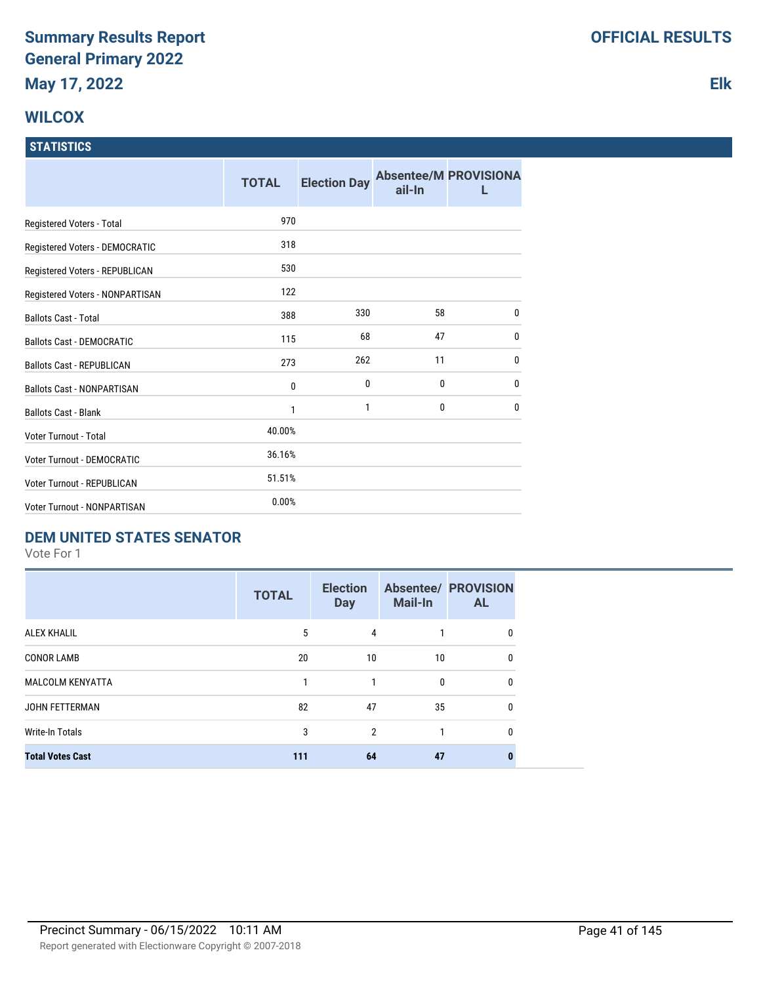# **WILCOX**

#### **STATISTICS**

|                                    | <b>TOTAL</b> | <b>Election Day</b> | ail-In       | <b>Absentee/M PROVISIONA</b> |
|------------------------------------|--------------|---------------------|--------------|------------------------------|
| Registered Voters - Total          | 970          |                     |              |                              |
| Registered Voters - DEMOCRATIC     | 318          |                     |              |                              |
| Registered Voters - REPUBLICAN     | 530          |                     |              |                              |
| Registered Voters - NONPARTISAN    | 122          |                     |              |                              |
| <b>Ballots Cast - Total</b>        | 388          | 330                 | 58           | $\mathbf{0}$                 |
| <b>Ballots Cast - DEMOCRATIC</b>   | 115          | 68                  | 47           | $\mathbf{0}$                 |
| <b>Ballots Cast - REPUBLICAN</b>   | 273          | 262                 | 11           | $\mathbf{0}$                 |
| <b>Ballots Cast - NONPARTISAN</b>  | 0            | 0                   | 0            | 0                            |
| <b>Ballots Cast - Blank</b>        | 1            | 1                   | $\mathbf{0}$ | $\mathbf{0}$                 |
| Voter Turnout - Total              | 40.00%       |                     |              |                              |
| <b>Voter Turnout - DEMOCRATIC</b>  | 36.16%       |                     |              |                              |
| Voter Turnout - REPUBLICAN         | 51.51%       |                     |              |                              |
| <b>Voter Turnout - NONPARTISAN</b> | 0.00%        |                     |              |                              |

## **DEM UNITED STATES SENATOR**

Vote For 1

|                         | <b>TOTAL</b> | <b>Election</b><br><b>Day</b> | <b>Mail-In</b> | <b>Absentee/ PROVISION</b><br><b>AL</b> |
|-------------------------|--------------|-------------------------------|----------------|-----------------------------------------|
| <b>ALEX KHALIL</b>      | 5            | 4                             |                | 0                                       |
| <b>CONOR LAMB</b>       | 20           | 10                            | 10             | 0                                       |
| <b>MALCOLM KENYATTA</b> | 1            |                               | 0              | 0                                       |
| JOHN FETTERMAN          | 82           | 47                            | 35             | 0                                       |
| <b>Write-In Totals</b>  | 3            | 2                             |                | 0                                       |
| <b>Total Votes Cast</b> | 111          | 64                            | 47             |                                         |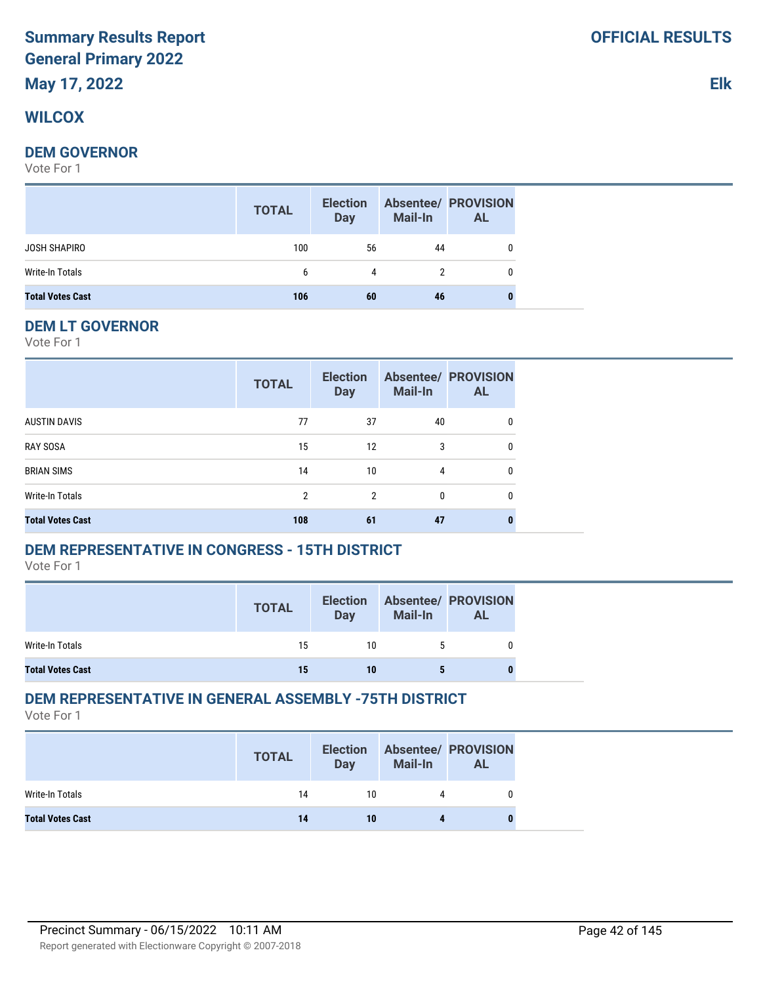## **WILCOX**

#### **DEM GOVERNOR**

Vote For 1

|                         | <b>TOTAL</b> | <b>Election</b><br><b>Day</b> | <b>Mail-In</b> | <b>Absentee/ PROVISION</b><br><b>AL</b> |
|-------------------------|--------------|-------------------------------|----------------|-----------------------------------------|
| JOSH SHAPIRO            | 100          | 56                            | 44             | 0                                       |
| Write-In Totals         | 6            | 4                             | 2              | 0                                       |
| <b>Total Votes Cast</b> | 106          | 60                            | 46             |                                         |

#### **DEM LT GOVERNOR**

Vote For 1

|                         | <b>TOTAL</b>   | <b>Election</b><br><b>Day</b> | <b>Mail-In</b> | <b>Absentee/ PROVISION</b><br><b>AL</b> |
|-------------------------|----------------|-------------------------------|----------------|-----------------------------------------|
| <b>AUSTIN DAVIS</b>     | 77             | 37                            | 40             | 0                                       |
| <b>RAY SOSA</b>         | 15             | 12                            | 3              | 0                                       |
| <b>BRIAN SIMS</b>       | 14             | 10                            | 4              | 0                                       |
| Write-In Totals         | $\overline{2}$ | $\overline{2}$                | 0              | 0                                       |
| <b>Total Votes Cast</b> | 108            | 61                            | 47             |                                         |

# **DEM REPRESENTATIVE IN CONGRESS - 15TH DISTRICT**

Vote For 1

|                         | <b>TOTAL</b> | <b>Election</b><br>Day | <b>Mail-In</b> | <b>Absentee/ PROVISION</b><br>AL |
|-------------------------|--------------|------------------------|----------------|----------------------------------|
| Write-In Totals         | 15           | 10                     |                |                                  |
| <b>Total Votes Cast</b> | 15           | 10                     |                |                                  |

# **DEM REPRESENTATIVE IN GENERAL ASSEMBLY -75TH DISTRICT**

|                         | <b>TOTAL</b> | <b>Election</b><br><b>Day</b> | <b>Mail-In</b> | <b>Absentee/ PROVISION</b><br><b>AL</b> |
|-------------------------|--------------|-------------------------------|----------------|-----------------------------------------|
| Write-In Totals         | 14           | 10                            | 4              |                                         |
| <b>Total Votes Cast</b> | 14           | 10                            |                |                                         |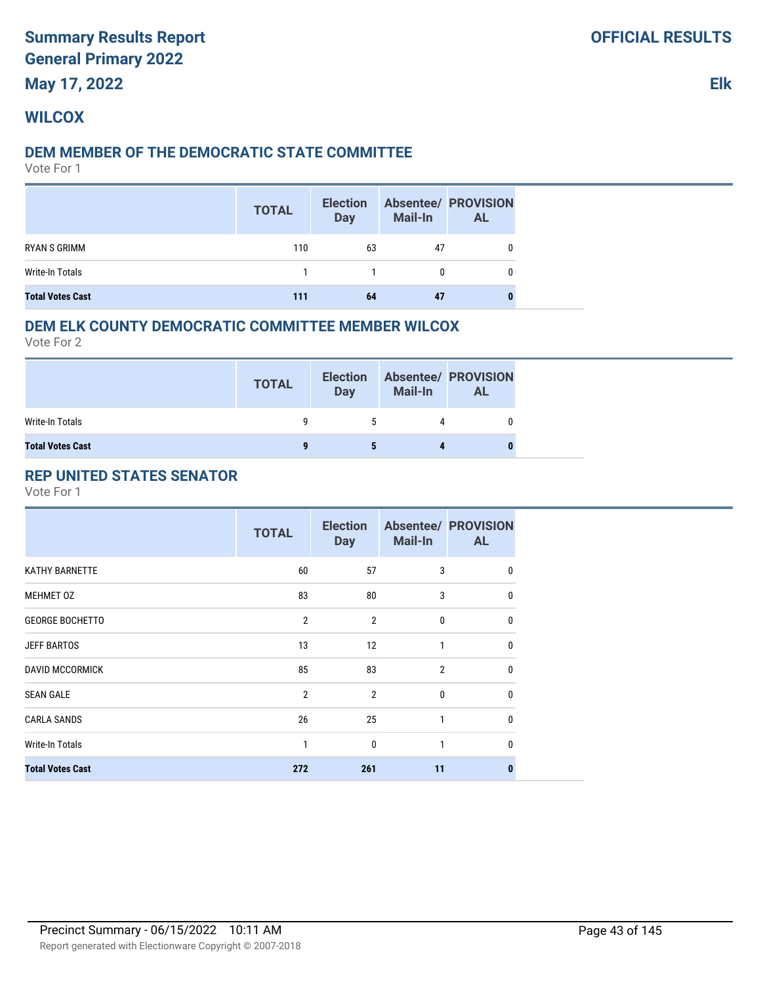# **WILCOX**

#### **DEM MEMBER OF THE DEMOCRATIC STATE COMMITTEE**

Vote For 1

|                         | <b>TOTAL</b> | <b>Election</b><br><b>Day</b> | <b>Mail-In</b> | <b>Absentee/ PROVISION</b><br><b>AL</b> |
|-------------------------|--------------|-------------------------------|----------------|-----------------------------------------|
| RYAN S GRIMM            | 110          | 63                            | 47             |                                         |
| Write-In Totals         |              |                               | 0              |                                         |
| <b>Total Votes Cast</b> | 111          | 64                            | 47             |                                         |

#### **DEM ELK COUNTY DEMOCRATIC COMMITTEE MEMBER WILCOX**

Vote For 2

|                         | <b>TOTAL</b> | <b>Election</b><br>Day | Mail-In | <b>Absentee/ PROVISION</b><br>AL |
|-------------------------|--------------|------------------------|---------|----------------------------------|
| Write-In Totals         |              |                        |         |                                  |
| <b>Total Votes Cast</b> |              |                        |         |                                  |

## **REP UNITED STATES SENATOR**

|                         | <b>TOTAL</b>   | <b>Election</b><br><b>Day</b> | <b>Mail-In</b> | <b>Absentee/ PROVISION</b><br><b>AL</b> |
|-------------------------|----------------|-------------------------------|----------------|-----------------------------------------|
| <b>KATHY BARNETTE</b>   | 60             | 57                            | 3              | 0                                       |
| MEHMET 0Z               | 83             | 80                            | 3              | 0                                       |
| <b>GEORGE BOCHETTO</b>  | $\overline{2}$ | $\overline{2}$                | 0              | 0                                       |
| <b>JEFF BARTOS</b>      | 13             | 12                            | 1              | $\mathbf{0}$                            |
| <b>DAVID MCCORMICK</b>  | 85             | 83                            | $\overline{2}$ | $\mathbf{0}$                            |
| <b>SEAN GALE</b>        | $\overline{2}$ | $\overline{2}$                | 0              | 0                                       |
| <b>CARLA SANDS</b>      | 26             | 25                            | 1              | $\mathbf{0}$                            |
| <b>Write-In Totals</b>  | 1              | $\mathbf 0$                   | 1              | $\mathbf{0}$                            |
| <b>Total Votes Cast</b> | 272            | 261                           | 11             | n                                       |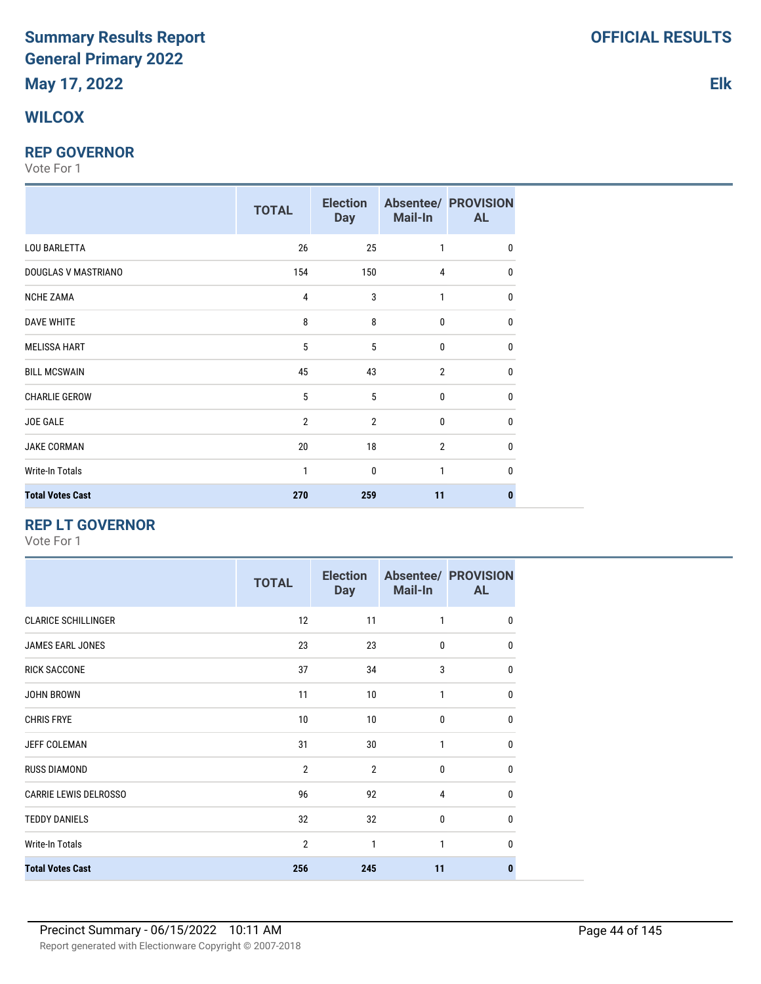# **WILCOX**

#### **REP GOVERNOR**

Vote For 1

|                         | <b>TOTAL</b>   | <b>Election</b><br><b>Day</b> | Mail-In        | <b>Absentee/ PROVISION</b><br><b>AL</b> |
|-------------------------|----------------|-------------------------------|----------------|-----------------------------------------|
| <b>LOU BARLETTA</b>     | 26             | 25                            | 1              | 0                                       |
| DOUGLAS V MASTRIANO     | 154            | 150                           | 4              | $\mathbf{0}$                            |
| <b>NCHE ZAMA</b>        | $\overline{4}$ | 3                             | 1              | 0                                       |
| <b>DAVE WHITE</b>       | 8              | 8                             | 0              | $\mathbf{0}$                            |
| <b>MELISSA HART</b>     | 5              | 5                             | 0              | 0                                       |
| <b>BILL MCSWAIN</b>     | 45             | 43                            | $\overline{2}$ | $\Omega$                                |
| <b>CHARLIE GEROW</b>    | 5              | 5                             | 0              | $\Omega$                                |
| <b>JOE GALE</b>         | $\overline{2}$ | $\overline{2}$                | $\mathbf{0}$   | $\Omega$                                |
| JAKE CORMAN             | 20             | 18                            | $\overline{2}$ | 0                                       |
| Write-In Totals         | $\mathbf{1}$   | $\mathbf 0$                   | $\mathbf{1}$   | $\Omega$                                |
| <b>Total Votes Cast</b> | 270            | 259                           | 11             | n                                       |

#### **REP LT GOVERNOR**

|                              | <b>TOTAL</b>   | <b>Election</b><br><b>Day</b> | Mail-In        | <b>Absentee/ PROVISION</b><br><b>AL</b> |
|------------------------------|----------------|-------------------------------|----------------|-----------------------------------------|
| <b>CLARICE SCHILLINGER</b>   | 12             | 11                            | $\mathbf{1}$   | $\mathbf{0}$                            |
| JAMES EARL JONES             | 23             | 23                            | $\mathbf{0}$   | 0                                       |
| <b>RICK SACCONE</b>          | 37             | 34                            | 3              | 0                                       |
| <b>JOHN BROWN</b>            | 11             | 10                            | $\mathbf{1}$   | $\mathbf{0}$                            |
| <b>CHRIS FRYE</b>            | 10             | 10                            | $\mathbf{0}$   | $\Omega$                                |
| <b>JEFF COLEMAN</b>          | 31             | 30                            | $\mathbf{1}$   | $\Omega$                                |
| <b>RUSS DIAMOND</b>          | $\overline{2}$ | $\overline{2}$                | $\mathbf{0}$   | $\mathbf{0}$                            |
| <b>CARRIE LEWIS DELROSSO</b> | 96             | 92                            | $\overline{4}$ | 0                                       |
| <b>TEDDY DANIELS</b>         | 32             | 32                            | $\bf{0}$       | $\mathbf{0}$                            |
| Write-In Totals              | $\overline{2}$ | 1                             | $\mathbf{1}$   | $\mathbf{0}$                            |
| <b>Total Votes Cast</b>      | 256            | 245                           | 11             | $\bf{0}$                                |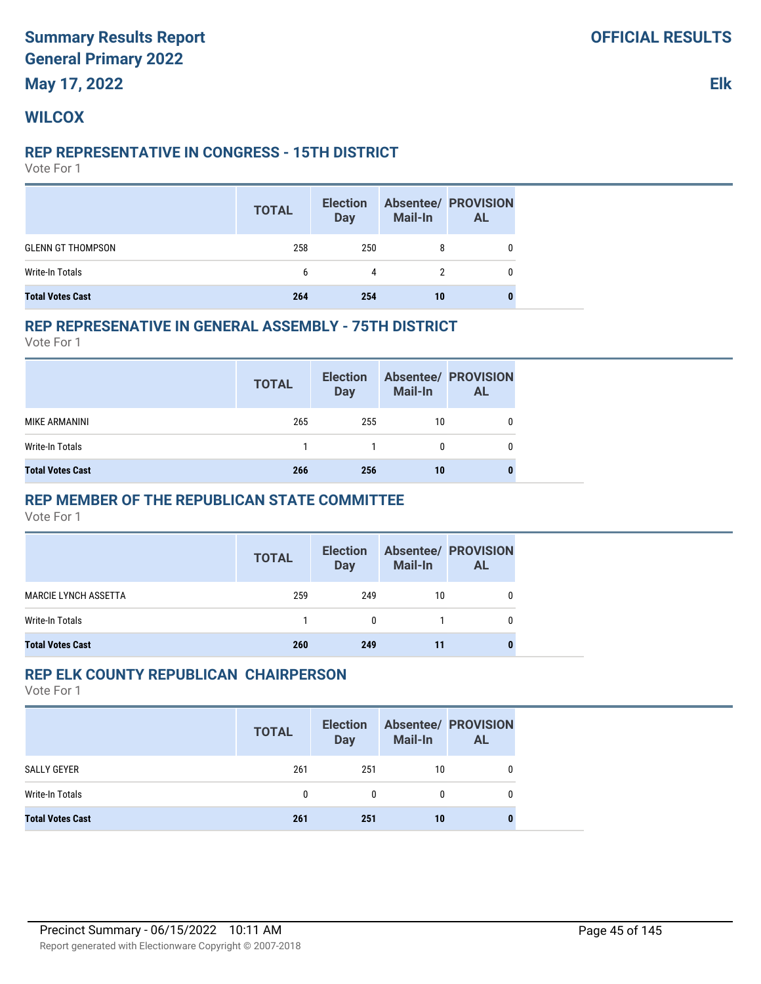## **WILCOX**

#### **REP REPRESENTATIVE IN CONGRESS - 15TH DISTRICT**

Vote For 1

|                          | <b>TOTAL</b> | <b>Election</b><br><b>Day</b> | Mail-In | <b>Absentee/ PROVISION</b><br><b>AL</b> |
|--------------------------|--------------|-------------------------------|---------|-----------------------------------------|
| <b>GLENN GT THOMPSON</b> | 258          | 250                           | 8       |                                         |
| Write-In Totals          | 6            | 4                             |         |                                         |
| <b>Total Votes Cast</b>  | 264          | 254                           | 10      |                                         |

#### **REP REPRESENATIVE IN GENERAL ASSEMBLY - 75TH DISTRICT**

Vote For 1

|                         | <b>TOTAL</b> | <b>Election</b><br><b>Day</b> | Mail-In | <b>Absentee/ PROVISION</b><br><b>AL</b> |
|-------------------------|--------------|-------------------------------|---------|-----------------------------------------|
| MIKE ARMANINI           | 265          | 255                           | 10      |                                         |
| Write-In Totals         |              |                               |         |                                         |
| <b>Total Votes Cast</b> | 266          | 256                           | 10      |                                         |

#### **REP MEMBER OF THE REPUBLICAN STATE COMMITTEE**

Vote For 1

|                             | <b>TOTAL</b> | <b>Election</b><br><b>Day</b> | <b>Mail-In</b> | <b>Absentee/ PROVISION</b><br><b>AL</b> |  |
|-----------------------------|--------------|-------------------------------|----------------|-----------------------------------------|--|
| <b>MARCIE LYNCH ASSETTA</b> | 259          | 249                           | 10             | 0                                       |  |
| Write-In Totals             |              | $\Omega$                      |                | 0                                       |  |
| <b>Total Votes Cast</b>     | 260          | 249                           | 11             | 0                                       |  |

#### **REP ELK COUNTY REPUBLICAN CHAIRPERSON**

|                         | <b>TOTAL</b> | <b>Election</b><br><b>Day</b> | <b>Mail-In</b> | <b>Absentee/ PROVISION</b><br><b>AL</b> |
|-------------------------|--------------|-------------------------------|----------------|-----------------------------------------|
| SALLY GEYER             | 261          | 251                           | 10             | 0                                       |
| Write-In Totals         | 0            | $\mathbf{0}$                  |                | 0                                       |
| <b>Total Votes Cast</b> | 261          | 251                           | 10             |                                         |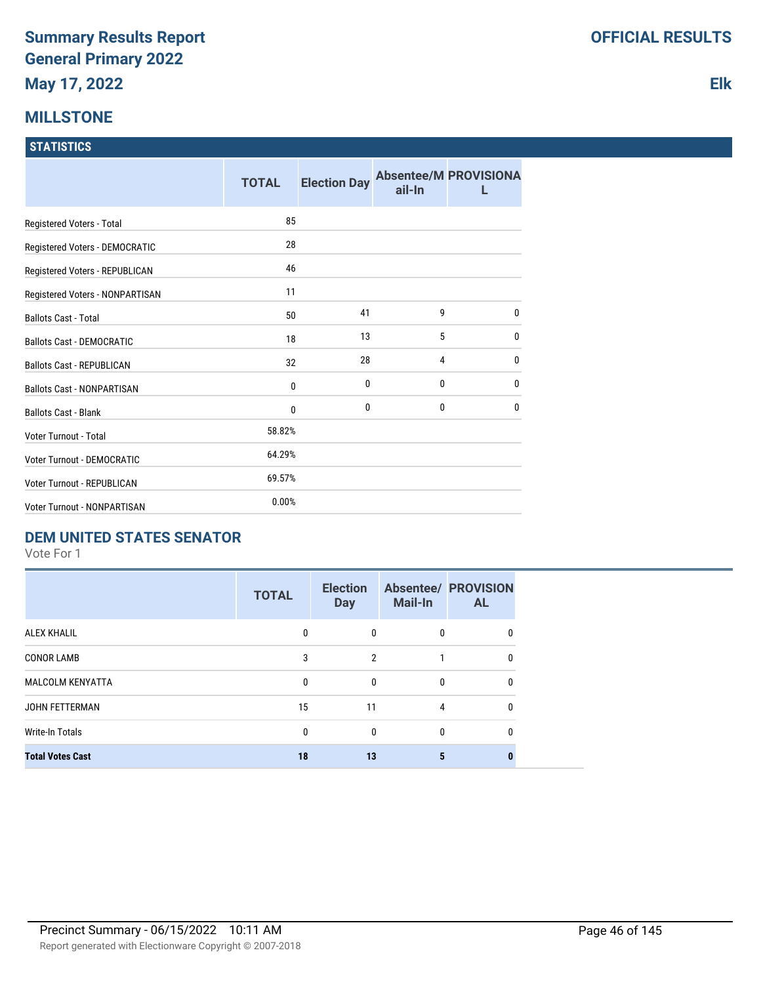#### **MILLSTONE**

#### **STATISTICS**

|                                   | <b>TOTAL</b> | <b>Election Day</b> | ail-In | <b>Absentee/M PROVISIONA</b> |
|-----------------------------------|--------------|---------------------|--------|------------------------------|
| Registered Voters - Total         | 85           |                     |        |                              |
| Registered Voters - DEMOCRATIC    | 28           |                     |        |                              |
| Registered Voters - REPUBLICAN    | 46           |                     |        |                              |
| Registered Voters - NONPARTISAN   | 11           |                     |        |                              |
| <b>Ballots Cast - Total</b>       | 50           | 41                  | 9      | $\mathbf{0}$                 |
| <b>Ballots Cast - DEMOCRATIC</b>  | 18           | 13                  | 5      | $\mathbf{0}$                 |
| <b>Ballots Cast - REPUBLICAN</b>  | 32           | 28                  | 4      | $\mathbf{0}$                 |
| <b>Ballots Cast - NONPARTISAN</b> | 0            | 0                   | 0      | $\mathbf{0}$                 |
| <b>Ballots Cast - Blank</b>       | $\mathbf{0}$ | 0                   | 0      | $\mathbf{0}$                 |
| Voter Turnout - Total             | 58.82%       |                     |        |                              |
| Voter Turnout - DEMOCRATIC        | 64.29%       |                     |        |                              |
| <b>Voter Turnout - REPUBLICAN</b> | 69.57%       |                     |        |                              |
| Voter Turnout - NONPARTISAN       | 0.00%        |                     |        |                              |

## **DEM UNITED STATES SENATOR**

Vote For 1

|                         | <b>TOTAL</b> | <b>Election</b><br><b>Day</b> | <b>Mail-In</b> | <b>Absentee/ PROVISION</b><br><b>AL</b> |
|-------------------------|--------------|-------------------------------|----------------|-----------------------------------------|
| ALEX KHALIL             | 0            | 0                             | 0              | 0                                       |
| <b>CONOR LAMB</b>       | 3            | $\mathfrak{p}$                |                | 0                                       |
| <b>MALCOLM KENYATTA</b> | 0            | $\Omega$                      | $\mathbf{0}$   | 0                                       |
| <b>JOHN FETTERMAN</b>   | 15           | 11                            | 4              | Ω                                       |
| Write-In Totals         | 0            | 0                             | $\mathbf{0}$   | 0                                       |
| <b>Total Votes Cast</b> | 18           | 13                            | 5              |                                         |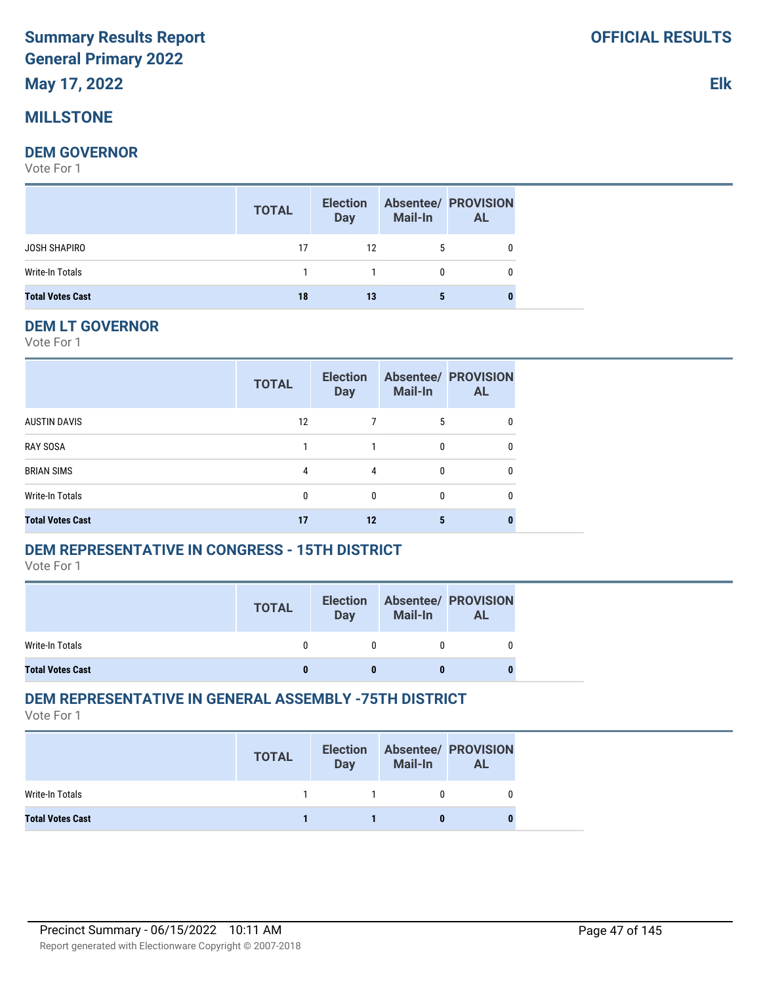# **MILLSTONE**

#### **DEM GOVERNOR**

Vote For 1

|                         | <b>TOTAL</b> | <b>Election</b><br>Day | <b>Mail-In</b> | <b>Absentee/ PROVISION</b><br><b>AL</b> |
|-------------------------|--------------|------------------------|----------------|-----------------------------------------|
| JOSH SHAPIRO            | 17           | 12                     | 5              |                                         |
| Write-In Totals         |              |                        | 0              |                                         |
| <b>Total Votes Cast</b> | 18           | 13                     | Ð              |                                         |

#### **DEM LT GOVERNOR**

Vote For 1

|                         | <b>TOTAL</b> | <b>Election</b><br><b>Day</b> | <b>Mail-In</b> | <b>Absentee/ PROVISION</b><br><b>AL</b> |
|-------------------------|--------------|-------------------------------|----------------|-----------------------------------------|
| <b>AUSTIN DAVIS</b>     | 12           |                               | 5              | 0                                       |
| <b>RAY SOSA</b>         |              |                               | 0              | 0                                       |
| <b>BRIAN SIMS</b>       | 4            | 4                             | 0              | 0                                       |
| Write-In Totals         | 0            | 0                             | 0              | 0                                       |
| <b>Total Votes Cast</b> | 17           | 12                            |                |                                         |

# **DEM REPRESENTATIVE IN CONGRESS - 15TH DISTRICT**

Vote For 1

|                         | <b>TOTAL</b> | <b>Election</b><br>Day | Mail-In | <b>Absentee/ PROVISION</b><br>AL |
|-------------------------|--------------|------------------------|---------|----------------------------------|
| Write-In Totals         |              |                        |         |                                  |
| <b>Total Votes Cast</b> |              |                        |         |                                  |

# **DEM REPRESENTATIVE IN GENERAL ASSEMBLY -75TH DISTRICT**

|                         | <b>TOTAL</b> | <b>Election</b><br><b>Day</b> | Mail-In | <b>Absentee/ PROVISION</b><br><b>AL</b> |
|-------------------------|--------------|-------------------------------|---------|-----------------------------------------|
| Write-In Totals         |              | $\sim$ 1                      |         |                                         |
| <b>Total Votes Cast</b> |              |                               |         | o                                       |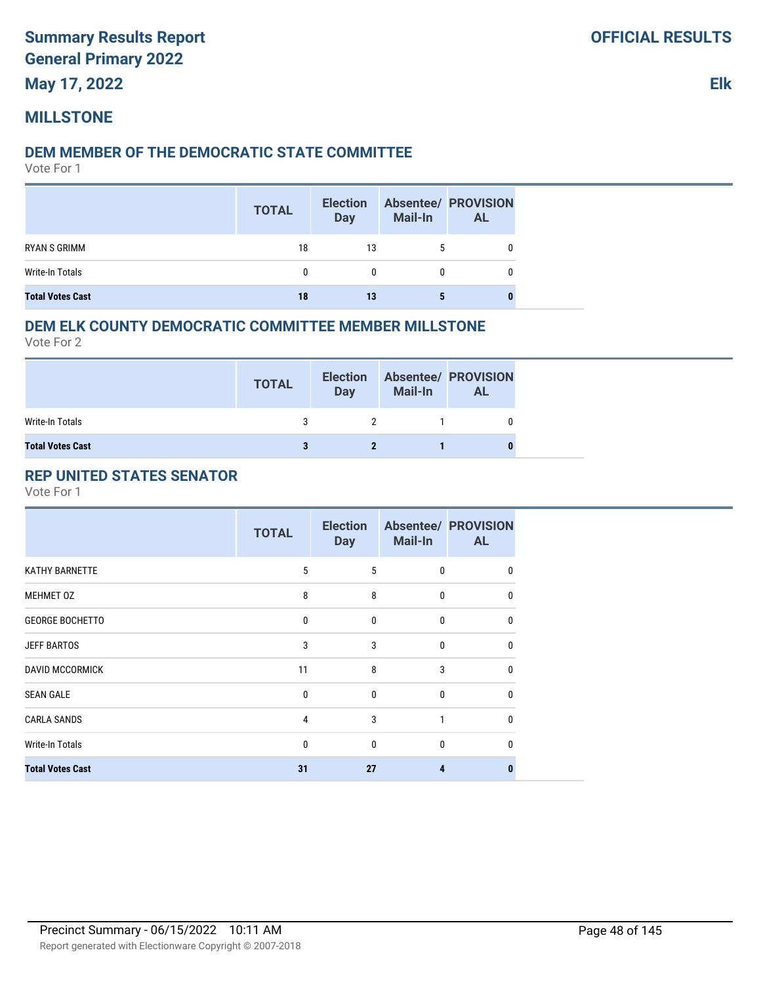# **MILLSTONE**

# **DEM MEMBER OF THE DEMOCRATIC STATE COMMITTEE**

Vote For 1

|                         | <b>TOTAL</b> | <b>Election</b><br><b>Day</b> | <b>Mail-In</b> | <b>Absentee/ PROVISION</b><br><b>AL</b> |
|-------------------------|--------------|-------------------------------|----------------|-----------------------------------------|
| <b>RYAN S GRIMM</b>     | 18           | 13                            |                |                                         |
| Write-In Totals         | 0            | 0                             | 0              |                                         |
| <b>Total Votes Cast</b> | 18           | 13                            |                |                                         |

#### **DEM ELK COUNTY DEMOCRATIC COMMITTEE MEMBER MILLSTONE**

Vote For 2

|                         | <b>TOTAL</b> | <b>Election</b><br><b>Day</b> | <b>Mail-In</b> | <b>Absentee/ PROVISION</b><br><b>AL</b> |
|-------------------------|--------------|-------------------------------|----------------|-----------------------------------------|
| Write-In Totals         | 3            |                               |                | 0                                       |
| <b>Total Votes Cast</b> |              |                               |                |                                         |

## **REP UNITED STATES SENATOR**

|                         | <b>TOTAL</b> | <b>Election</b><br><b>Day</b> | <b>Mail-In</b> | <b>Absentee/ PROVISION</b><br>AL |  |
|-------------------------|--------------|-------------------------------|----------------|----------------------------------|--|
| KATHY BARNETTE          | 5            | 5                             | 0              | 0                                |  |
| MEHMET 0Z               | 8            | 8                             | 0              | 0                                |  |
| <b>GEORGE BOCHETTO</b>  | $\mathbf{0}$ | $\mathbf{0}$                  | 0              | 0                                |  |
| <b>JEFF BARTOS</b>      | 3            | 3                             | $\mathbf{0}$   | $\mathbf{0}$                     |  |
| DAVID MCCORMICK         | 11           | 8                             | 3              | 0                                |  |
| <b>SEAN GALE</b>        | $\mathbf{0}$ | $\mathbf{0}$                  | $\mathbf{0}$   | 0                                |  |
| <b>CARLA SANDS</b>      | 4            | 3                             |                | 0                                |  |
| Write-In Totals         | $\mathbf{0}$ | $\mathbf{0}$                  | 0              | $\mathbf{0}$                     |  |
| <b>Total Votes Cast</b> | 31           | 27                            | 4              |                                  |  |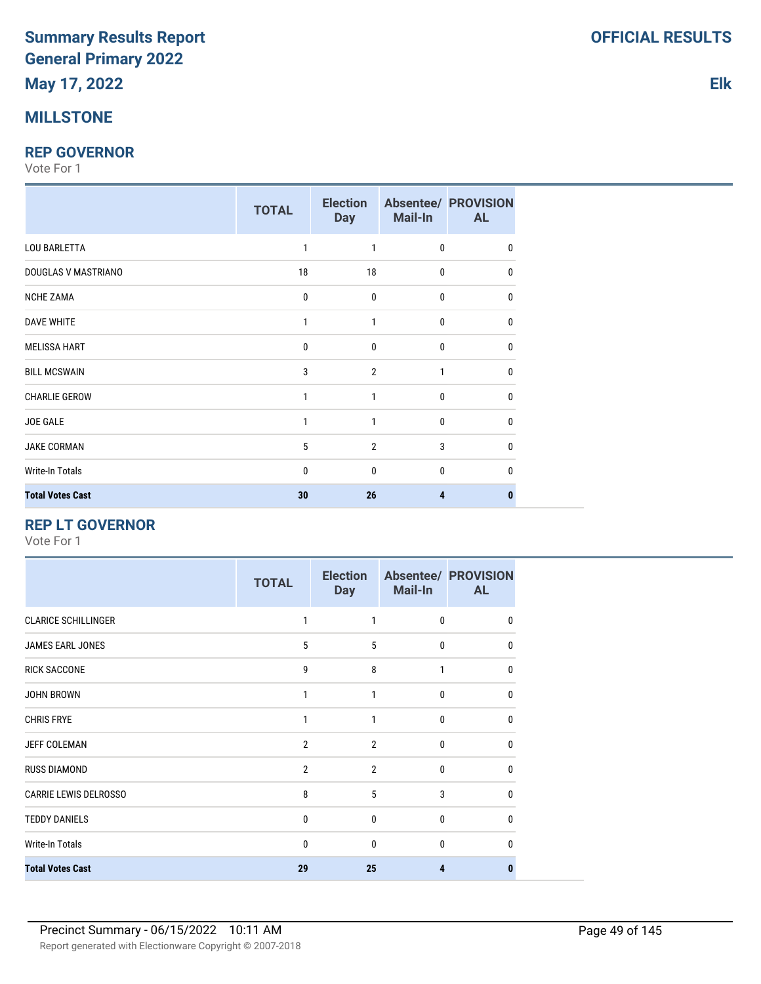# **MILLSTONE**

#### **REP GOVERNOR**

Vote For 1

|                         | <b>TOTAL</b> | <b>Election</b><br><b>Day</b> | Mail-In | <b>Absentee/ PROVISION</b><br><b>AL</b> |
|-------------------------|--------------|-------------------------------|---------|-----------------------------------------|
| <b>LOU BARLETTA</b>     | 1            | 1                             | 0       | $\Omega$                                |
| DOUGLAS V MASTRIANO     | 18           | 18                            | 0       | $\Omega$                                |
| <b>NCHE ZAMA</b>        | 0            | $\mathbf 0$                   | 0       | $\mathbf{0}$                            |
| <b>DAVE WHITE</b>       | 1            | 1                             | 0       | 0                                       |
| <b>MELISSA HART</b>     | 0            | $\mathbf 0$                   | 0       | 0                                       |
| <b>BILL MCSWAIN</b>     | 3            | $\overline{2}$                | 1       | <sup>0</sup>                            |
| <b>CHARLIE GEROW</b>    | 1            | 1                             | 0       | <sup>0</sup>                            |
| JOE GALE                | 1            | 1                             | 0       | <sup>0</sup>                            |
| JAKE CORMAN             | 5            | $\overline{2}$                | 3       | $\Omega$                                |
| Write-In Totals         | 0            | $\mathbf 0$                   | 0       | <sup>0</sup>                            |
| <b>Total Votes Cast</b> | 30           | 26                            | 4       |                                         |

## **REP LT GOVERNOR**

|                            | <b>TOTAL</b>   | <b>Election</b><br><b>Day</b> | Mail-In      | <b>Absentee/ PROVISION</b><br><b>AL</b> |
|----------------------------|----------------|-------------------------------|--------------|-----------------------------------------|
| <b>CLARICE SCHILLINGER</b> | 1              | 1                             | $\mathbf 0$  | 0                                       |
| JAMES EARL JONES           | 5              | 5                             | $\mathbf{0}$ | 0                                       |
| <b>RICK SACCONE</b>        | 9              | 8                             | 1            | $\mathbf{0}$                            |
| <b>JOHN BROWN</b>          | $\mathbf{1}$   | 1                             | $\mathbf{0}$ | $\mathbf{0}$                            |
| <b>CHRIS FRYE</b>          | $\mathbf{1}$   | 1                             | $\mathbf{0}$ | $\mathbf{0}$                            |
| JEFF COLEMAN               | $\overline{2}$ | $\overline{2}$                | $\mathbf{0}$ | $\mathbf{0}$                            |
| <b>RUSS DIAMOND</b>        | $\overline{2}$ | $\overline{2}$                | $\mathbf{0}$ | $\mathbf{0}$                            |
| CARRIE LEWIS DELROSSO      | 8              | 5                             | 3            | $\Omega$                                |
| <b>TEDDY DANIELS</b>       | $\mathbf{0}$   | 0                             | $\mathbf 0$  | $\Omega$                                |
| <b>Write-In Totals</b>     | $\mathbf{0}$   | $\mathbf{0}$                  | $\mathbf{0}$ | 0                                       |
| <b>Total Votes Cast</b>    | 29             | 25                            | 4            | O                                       |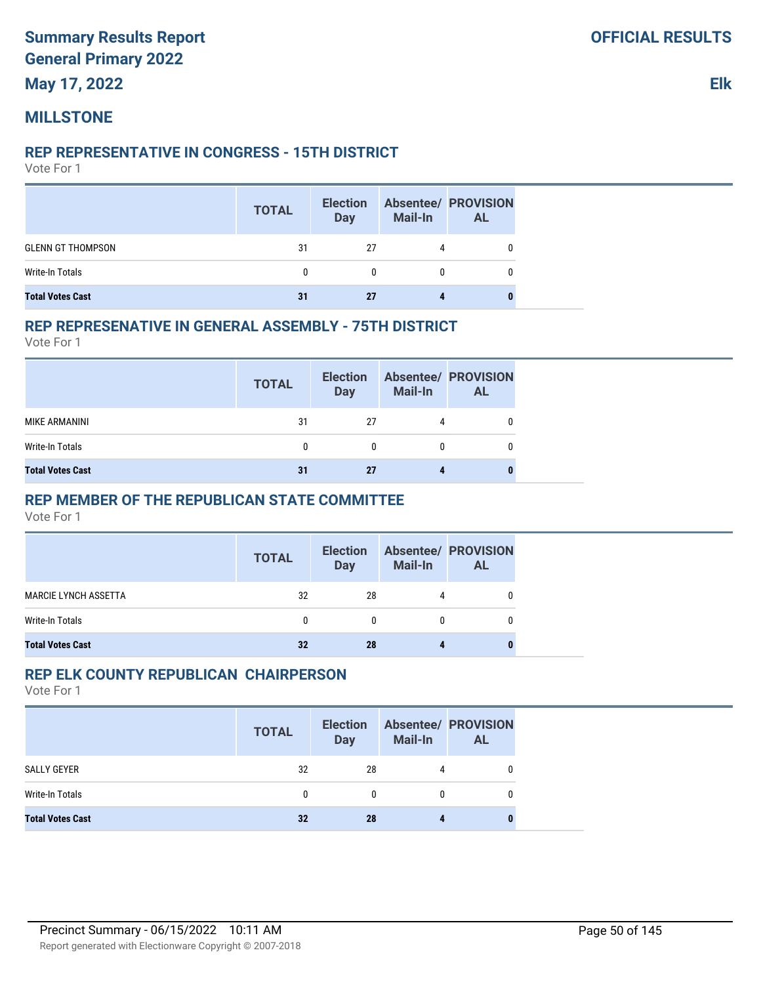# **MILLSTONE**

#### **REP REPRESENTATIVE IN CONGRESS - 15TH DISTRICT**

Vote For 1

|                          | <b>TOTAL</b> | <b>Election</b><br><b>Day</b> | <b>Mail-In</b> | <b>Absentee/ PROVISION</b><br><b>AL</b> |
|--------------------------|--------------|-------------------------------|----------------|-----------------------------------------|
| <b>GLENN GT THOMPSON</b> | 31           | 27                            |                |                                         |
| Write-In Totals          |              | 0                             | $\mathbf{0}$   |                                         |
| <b>Total Votes Cast</b>  | 31           | 27                            |                |                                         |

#### **REP REPRESENATIVE IN GENERAL ASSEMBLY - 75TH DISTRICT**

Vote For 1

|                         | <b>TOTAL</b> | <b>Election</b><br><b>Day</b> | Mail-In | <b>Absentee/ PROVISION</b><br><b>AL</b> |
|-------------------------|--------------|-------------------------------|---------|-----------------------------------------|
| MIKE ARMANINI           | 31           | 27                            |         |                                         |
| Write-In Totals         |              | 0                             |         |                                         |
| <b>Total Votes Cast</b> | 31           | 27                            |         |                                         |

#### **REP MEMBER OF THE REPUBLICAN STATE COMMITTEE**

Vote For 1

|                             | <b>TOTAL</b> | <b>Election</b><br>Day | <b>Mail-In</b> | <b>Absentee/ PROVISION</b><br><b>AL</b> |
|-----------------------------|--------------|------------------------|----------------|-----------------------------------------|
| <b>MARCIE LYNCH ASSETTA</b> | 32           | 28                     |                |                                         |
| Write-In Totals             | 0            | $\mathbf{0}$           | 0              |                                         |
| <b>Total Votes Cast</b>     | 32           | 28                     |                | 0                                       |

#### **REP ELK COUNTY REPUBLICAN CHAIRPERSON**

|                         | <b>TOTAL</b> | <b>Election</b><br><b>Day</b> | <b>Mail-In</b> | <b>Absentee/ PROVISION</b><br><b>AL</b> |
|-------------------------|--------------|-------------------------------|----------------|-----------------------------------------|
| SALLY GEYER             | 32           | 28                            | 4              |                                         |
| Write-In Totals         | 0            | $\Omega$                      |                |                                         |
| <b>Total Votes Cast</b> | 32           | 28                            |                |                                         |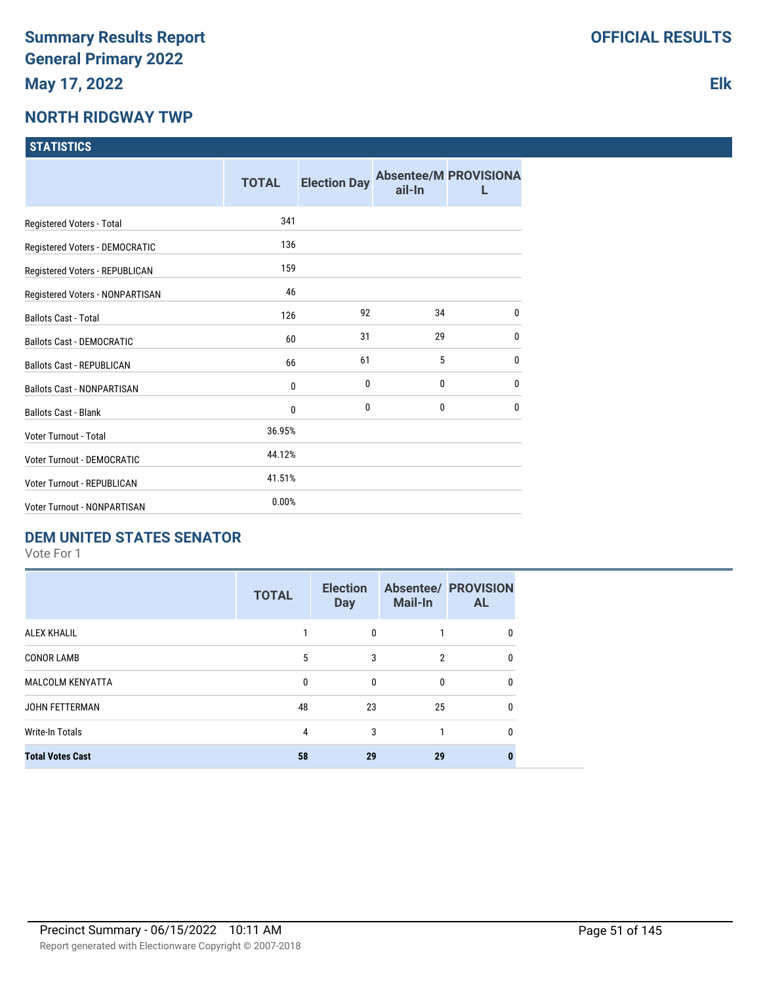# **NORTH RIDGWAY TWP**

|                                    | <b>TOTAL</b> | <b>Election Day</b> | ail-In       | <b>Absentee/M PROVISIONA</b> |
|------------------------------------|--------------|---------------------|--------------|------------------------------|
| Registered Voters - Total          | 341          |                     |              |                              |
| Registered Voters - DEMOCRATIC     | 136          |                     |              |                              |
| Registered Voters - REPUBLICAN     | 159          |                     |              |                              |
| Registered Voters - NONPARTISAN    | 46           |                     |              |                              |
| <b>Ballots Cast - Total</b>        | 126          | 92                  | 34           | $\mathbf 0$                  |
| <b>Ballots Cast - DEMOCRATIC</b>   | 60           | 31                  | 29           | $\mathbf{0}$                 |
| <b>Ballots Cast - REPUBLICAN</b>   | 66           | 61                  | 5            | $\mathbf{0}$                 |
| <b>Ballots Cast - NONPARTISAN</b>  | $\mathbf{0}$ | $\mathbf{0}$        | 0            | $\mathbf 0$                  |
| <b>Ballots Cast - Blank</b>        | $\mathbf{0}$ | $\mathbf{0}$        | $\mathbf{0}$ | $\mathbf{0}$                 |
| Voter Turnout - Total              | 36.95%       |                     |              |                              |
| <b>Voter Turnout - DEMOCRATIC</b>  | 44.12%       |                     |              |                              |
| Voter Turnout - REPUBLICAN         | 41.51%       |                     |              |                              |
| <b>Voter Turnout - NONPARTISAN</b> | 0.00%        |                     |              |                              |

#### **DEM UNITED STATES SENATOR**

Vote For 1

|                         | <b>TOTAL</b> | <b>Election</b><br><b>Day</b> | <b>Mail-In</b> | <b>Absentee/ PROVISION</b><br><b>AL</b> |
|-------------------------|--------------|-------------------------------|----------------|-----------------------------------------|
| <b>ALEX KHALIL</b>      |              | 0                             |                | 0                                       |
| <b>CONOR LAMB</b>       | 5            | 3                             | $\mathfrak{p}$ | 0                                       |
| <b>MALCOLM KENYATTA</b> | $\Omega$     | $\mathbf{0}$                  | $\Omega$       | 0                                       |
| <b>JOHN FETTERMAN</b>   | 48           | 23                            | 25             | 0                                       |
| <b>Write-In Totals</b>  | 4            | 3                             |                | 0                                       |
| <b>Total Votes Cast</b> | 58           | 29                            | 29             |                                         |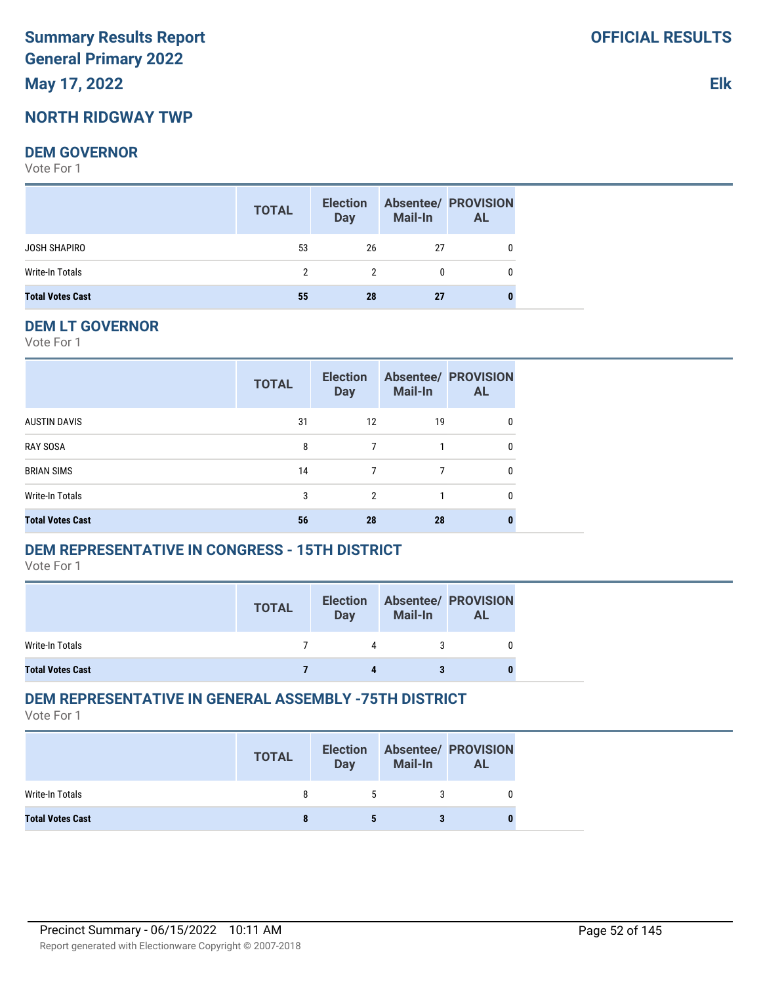# **NORTH RIDGWAY TWP**

#### **DEM GOVERNOR**

Vote For 1

|                         | <b>TOTAL</b>          | <b>Election</b><br><b>Day</b> | <b>Mail-In</b> | <b>Absentee/ PROVISION</b><br><b>AL</b> |
|-------------------------|-----------------------|-------------------------------|----------------|-----------------------------------------|
| <b>JOSH SHAPIRO</b>     | 53                    | 26                            | 27             | 0                                       |
| Write-In Totals         | $\mathbf{2}^{\prime}$ | 2                             | 0              | 0                                       |
| <b>Total Votes Cast</b> | 55                    | 28                            | 27             | 0                                       |

#### **DEM LT GOVERNOR**

Vote For 1

|                         | <b>TOTAL</b> | <b>Election</b><br><b>Day</b> | <b>Mail-In</b> | <b>Absentee/ PROVISION</b><br><b>AL</b> |
|-------------------------|--------------|-------------------------------|----------------|-----------------------------------------|
| <b>AUSTIN DAVIS</b>     | 31           | 12                            | 19             | 0                                       |
| <b>RAY SOSA</b>         | 8            | $\overline{7}$                |                | 0                                       |
| <b>BRIAN SIMS</b>       | 14           | 7                             |                | 0                                       |
| Write-In Totals         | 3            | $\overline{2}$                |                | 0                                       |
| <b>Total Votes Cast</b> | 56           | 28                            | 28             | O                                       |

## **DEM REPRESENTATIVE IN CONGRESS - 15TH DISTRICT**

Vote For 1

|                         | <b>TOTAL</b> | <b>Election</b><br>Day | Mail-In | <b>Absentee/ PROVISION</b><br>AL |
|-------------------------|--------------|------------------------|---------|----------------------------------|
| Write-In Totals         |              | 4                      |         |                                  |
| <b>Total Votes Cast</b> |              |                        |         |                                  |

# **DEM REPRESENTATIVE IN GENERAL ASSEMBLY -75TH DISTRICT**

|                         | <b>TOTAL</b> | <b>Election</b><br><b>Day</b> | <b>Mail-In</b> | <b>Absentee/ PROVISION</b><br><b>AL</b> |
|-------------------------|--------------|-------------------------------|----------------|-----------------------------------------|
| Write-In Totals         |              | 5                             |                |                                         |
| <b>Total Votes Cast</b> |              |                               |                |                                         |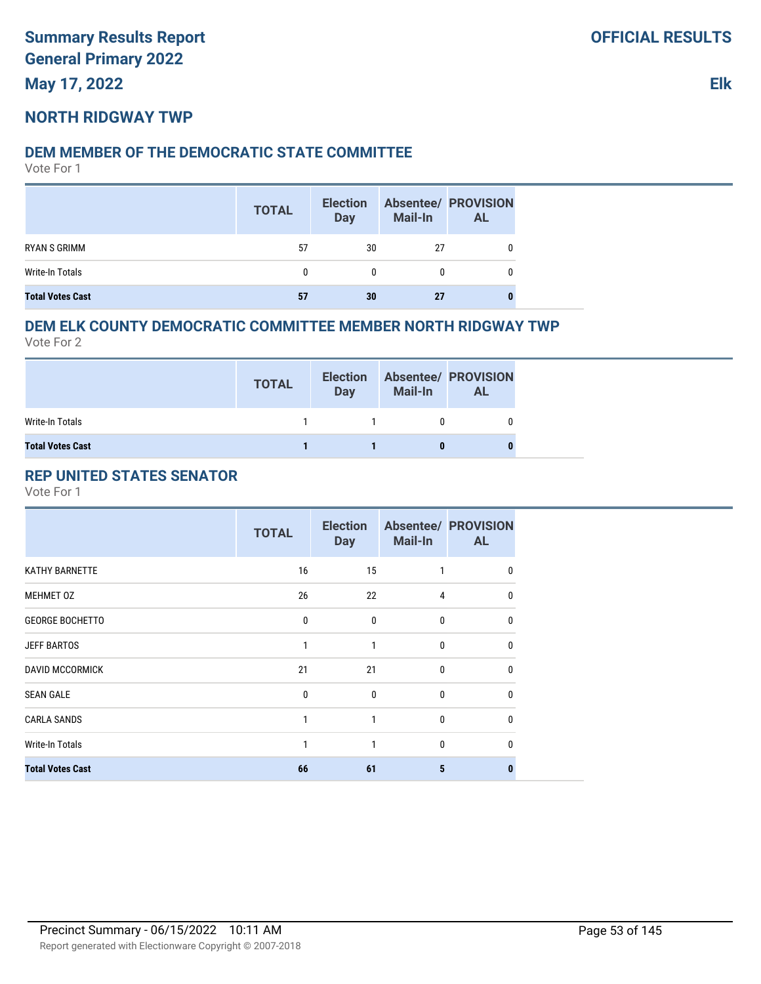# **NORTH RIDGWAY TWP**

## **DEM MEMBER OF THE DEMOCRATIC STATE COMMITTEE**

Vote For 1

|                         | <b>TOTAL</b> | <b>Election</b><br>Day | <b>Mail-In</b> | <b>Absentee/ PROVISION</b><br><b>AL</b> |
|-------------------------|--------------|------------------------|----------------|-----------------------------------------|
| RYAN S GRIMM            | 57           | 30                     | 27             |                                         |
| Write-In Totals         | 0            | 0                      | 0              |                                         |
| <b>Total Votes Cast</b> | 57           | 30                     | 27             |                                         |

# **DEM ELK COUNTY DEMOCRATIC COMMITTEE MEMBER NORTH RIDGWAY TWP**

Vote For 2

|                         | <b>TOTAL</b> | <b>Election</b><br><b>Day</b> | <b>Mail-In</b> | <b>Absentee/ PROVISION</b><br><b>AL</b> |
|-------------------------|--------------|-------------------------------|----------------|-----------------------------------------|
| Write-In Totals         |              |                               |                |                                         |
| <b>Total Votes Cast</b> |              |                               |                |                                         |

# **REP UNITED STATES SENATOR**

|                         | <b>TOTAL</b> | <b>Day</b> | <b>Mail-In</b> | Election Absentee/ PROVISION<br><b>AL</b> |
|-------------------------|--------------|------------|----------------|-------------------------------------------|
| <b>KATHY BARNETTE</b>   | 16           | 15         | 1              | 0                                         |
| MEHMET 0Z               | 26           | 22         | 4              | 0                                         |
| <b>GEORGE BOCHETTO</b>  | 0            | 0          | $\mathbf{0}$   | 0                                         |
| <b>JEFF BARTOS</b>      | $\mathbf{1}$ | 1          | $\mathbf{0}$   | $\mathbf{0}$                              |
| <b>DAVID MCCORMICK</b>  | 21           | 21         | 0              | 0                                         |
| <b>SEAN GALE</b>        | $\mathbf{0}$ | 0          | $\mathbf{0}$   | 0                                         |
| <b>CARLA SANDS</b>      | $\mathbf{1}$ | 1          | 0              | 0                                         |
| <b>Write-In Totals</b>  | 1            | 1          | $\mathbf{0}$   | 0                                         |
| <b>Total Votes Cast</b> | 66           | 61         | 5              | n                                         |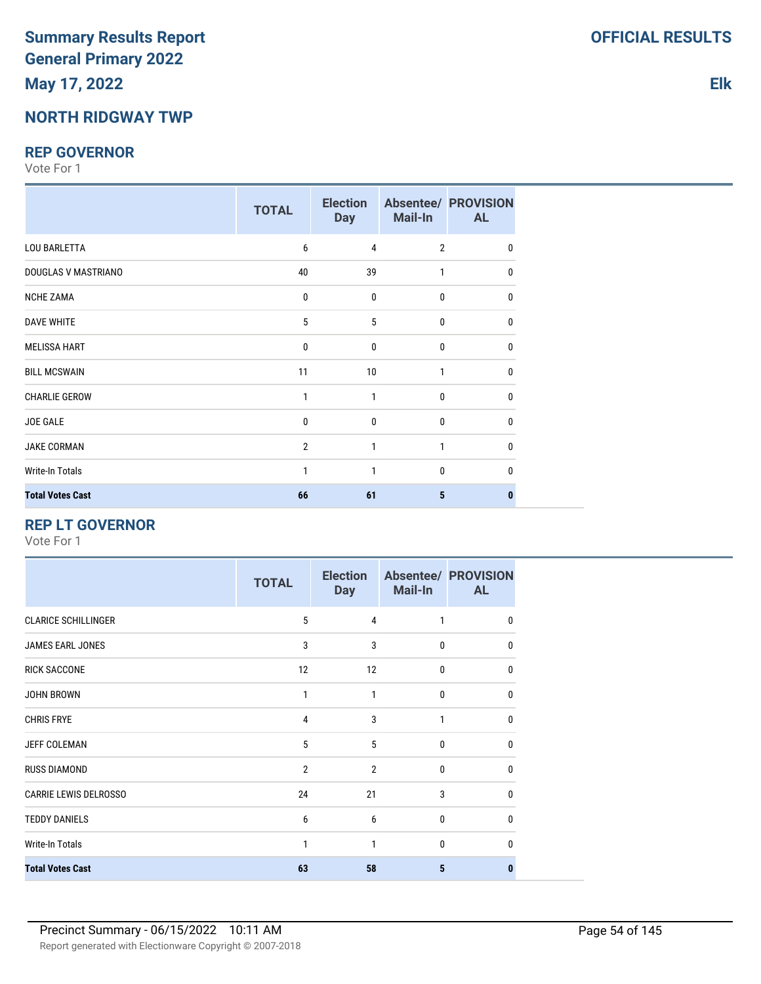# **NORTH RIDGWAY TWP**

#### **REP GOVERNOR**

Vote For 1

|                         | <b>TOTAL</b>   | <b>Election</b><br><b>Day</b> | Mail-In        | <b>Absentee/ PROVISION</b><br><b>AL</b> |
|-------------------------|----------------|-------------------------------|----------------|-----------------------------------------|
| <b>LOU BARLETTA</b>     | 6              | 4                             | $\overline{2}$ | 0                                       |
| DOUGLAS V MASTRIANO     | 40             | 39                            | 1              | $\mathbf{0}$                            |
| <b>NCHE ZAMA</b>        | 0              | 0                             | 0              | $\mathbf{0}$                            |
| <b>DAVE WHITE</b>       | 5              | 5                             | 0              | 0                                       |
| <b>MELISSA HART</b>     | 0              | 0                             | 0              | 0                                       |
| <b>BILL MCSWAIN</b>     | 11             | 10                            | 1              | 0                                       |
| <b>CHARLIE GEROW</b>    | 1              | 1                             | $\mathbf{0}$   | $\Omega$                                |
| JOE GALE                | $\mathbf{0}$   | $\mathbf{0}$                  | $\mathbf{0}$   | $\mathbf{0}$                            |
| <b>JAKE CORMAN</b>      | $\overline{2}$ | 1                             | 1              | $\Omega$                                |
| Write-In Totals         | 1              | 1                             | $\mathbf{0}$   | $\Omega$                                |
| <b>Total Votes Cast</b> | 66             | 61                            | 5              | 0                                       |

## **REP LT GOVERNOR**

|                              | <b>TOTAL</b>   | <b>Election</b><br><b>Day</b> | Mail-In      | <b>Absentee/ PROVISION</b><br><b>AL</b> |
|------------------------------|----------------|-------------------------------|--------------|-----------------------------------------|
| <b>CLARICE SCHILLINGER</b>   | 5              | 4                             | 1            | 0                                       |
| JAMES EARL JONES             | 3              | 3                             | $\mathbf{0}$ | <sub>0</sub>                            |
| <b>RICK SACCONE</b>          | 12             | 12                            | $\mathbf{0}$ | 0                                       |
| <b>JOHN BROWN</b>            | 1              | 1                             | $\mathbf{0}$ | <sub>0</sub>                            |
| <b>CHRIS FRYE</b>            | $\overline{4}$ | 3                             | 1            | n                                       |
| JEFF COLEMAN                 | 5              | 5                             | $\mathbf{0}$ | <sup>0</sup>                            |
| <b>RUSS DIAMOND</b>          | $\overline{2}$ | $\overline{2}$                | $\mathbf{0}$ | <sup>n</sup>                            |
| <b>CARRIE LEWIS DELROSSO</b> | 24             | 21                            | 3            | <sup>0</sup>                            |
| <b>TEDDY DANIELS</b>         | 6              | 6                             | $\mathbf 0$  | $\Omega$                                |
| <b>Write-In Totals</b>       | 1              | 1                             | $\mathbf{0}$ | <sup>0</sup>                            |
| <b>Total Votes Cast</b>      | 63             | 58                            | 5            |                                         |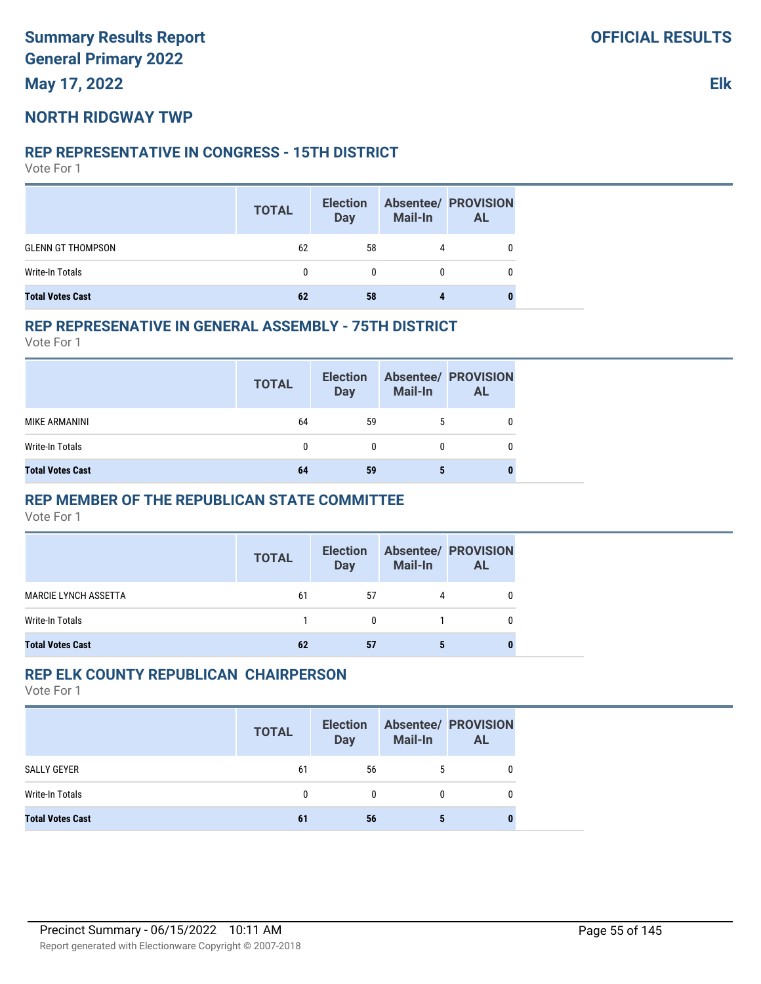# **NORTH RIDGWAY TWP**

## **REP REPRESENTATIVE IN CONGRESS - 15TH DISTRICT**

Vote For 1

|                          | <b>TOTAL</b> | <b>Election</b><br><b>Day</b> | <b>Mail-In</b> | <b>Absentee/ PROVISION</b><br><b>AL</b> |
|--------------------------|--------------|-------------------------------|----------------|-----------------------------------------|
| <b>GLENN GT THOMPSON</b> | 62           | 58                            |                |                                         |
| Write-In Totals          | 0            | 0                             | 0              |                                         |
| <b>Total Votes Cast</b>  | 62           | 58                            |                |                                         |

#### **REP REPRESENATIVE IN GENERAL ASSEMBLY - 75TH DISTRICT**

Vote For 1

|                         | <b>TOTAL</b> | <b>Election</b><br><b>Day</b> | <b>Mail-In</b> | <b>Absentee/ PROVISION</b><br><b>AL</b> |
|-------------------------|--------------|-------------------------------|----------------|-----------------------------------------|
| MIKE ARMANINI           | 64           | 59                            |                |                                         |
| Write-In Totals         |              |                               |                |                                         |
| <b>Total Votes Cast</b> | 64           | 59                            |                |                                         |

#### **REP MEMBER OF THE REPUBLICAN STATE COMMITTEE**

Vote For 1

|                             | <b>TOTAL</b> | Day      | <b>Mail-In</b> | Election Absentee/ PROVISION<br><b>AL</b> |  |
|-----------------------------|--------------|----------|----------------|-------------------------------------------|--|
| <b>MARCIE LYNCH ASSETTA</b> | 61           | 57       | 4              |                                           |  |
| Write-In Totals             |              | $\Omega$ |                | 0                                         |  |
| <b>Total Votes Cast</b>     | 62           | 57       |                |                                           |  |

#### **REP ELK COUNTY REPUBLICAN CHAIRPERSON**

|                         | <b>TOTAL</b> | <b>Election</b><br>Day | <b>Mail-In</b> | <b>Absentee/ PROVISION</b><br><b>AL</b> |
|-------------------------|--------------|------------------------|----------------|-----------------------------------------|
| SALLY GEYER             | 61           | 56                     | 5              |                                         |
| Write-In Totals         |              | 0                      |                |                                         |
| <b>Total Votes Cast</b> | 61           | 56                     |                |                                         |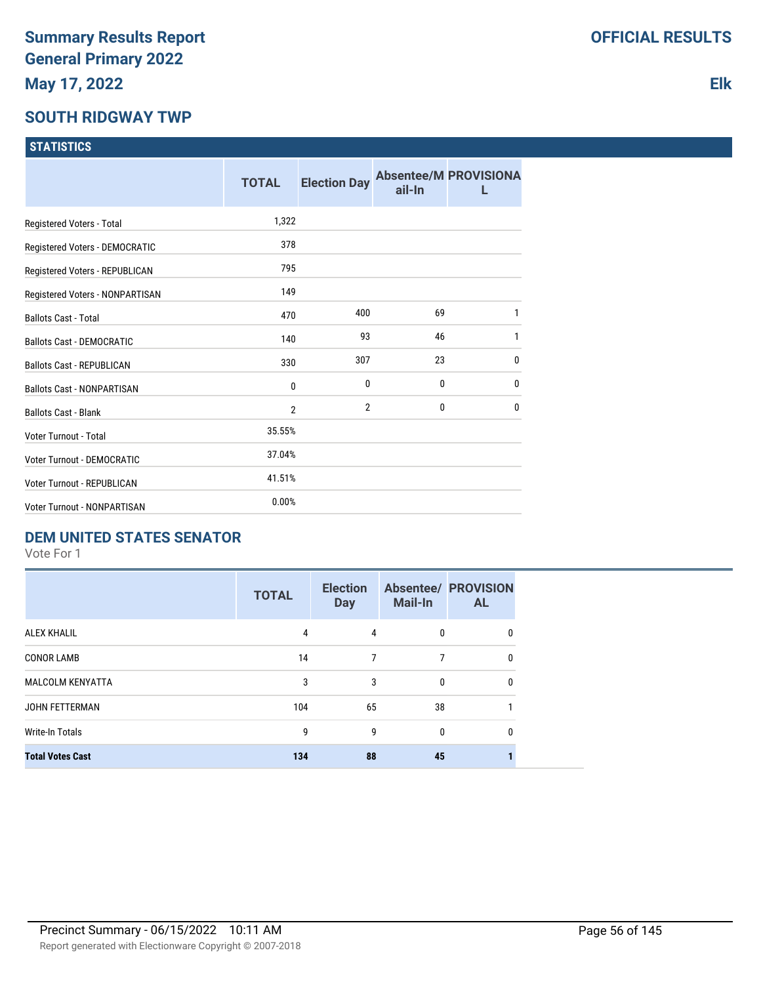# **SOUTH RIDGWAY TWP**

|                                    | <b>TOTAL</b>   | <b>Election Day</b> | ail-In       | <b>Absentee/M PROVISIONA</b> |
|------------------------------------|----------------|---------------------|--------------|------------------------------|
| Registered Voters - Total          | 1,322          |                     |              |                              |
| Registered Voters - DEMOCRATIC     | 378            |                     |              |                              |
| Registered Voters - REPUBLICAN     | 795            |                     |              |                              |
| Registered Voters - NONPARTISAN    | 149            |                     |              |                              |
| <b>Ballots Cast - Total</b>        | 470            | 400                 | 69           | 1                            |
| <b>Ballots Cast - DEMOCRATIC</b>   | 140            | 93                  | 46           | 1                            |
| <b>Ballots Cast - REPUBLICAN</b>   | 330            | 307                 | 23           | 0                            |
| <b>Ballots Cast - NONPARTISAN</b>  | $\mathbf{0}$   | 0                   | 0            | $\mathbf{0}$                 |
| <b>Ballots Cast - Blank</b>        | $\overline{2}$ | $\overline{2}$      | $\mathbf{0}$ | $\mathbf{0}$                 |
| Voter Turnout - Total              | 35.55%         |                     |              |                              |
| Voter Turnout - DEMOCRATIC         | 37.04%         |                     |              |                              |
| Voter Turnout - REPUBLICAN         | 41.51%         |                     |              |                              |
| <b>Voter Turnout - NONPARTISAN</b> | 0.00%          |                     |              |                              |

#### **DEM UNITED STATES SENATOR**

Vote For 1

|                         | <b>TOTAL</b> | <b>Election</b><br><b>Day</b> | <b>Mail-In</b> | <b>Absentee/ PROVISION</b><br><b>AL</b> |
|-------------------------|--------------|-------------------------------|----------------|-----------------------------------------|
| <b>ALEX KHALIL</b>      | 4            | 4                             | 0              | 0                                       |
| <b>CONOR LAMB</b>       | 14           | 7                             | 7              | 0                                       |
| <b>MALCOLM KENYATTA</b> | 3            | 3                             | $\mathbf{0}$   | 0                                       |
| <b>JOHN FETTERMAN</b>   | 104          | 65                            | 38             |                                         |
| Write-In Totals         | 9            | 9                             | $\mathbf{0}$   | 0                                       |
| <b>Total Votes Cast</b> | 134          | 88                            | 45             |                                         |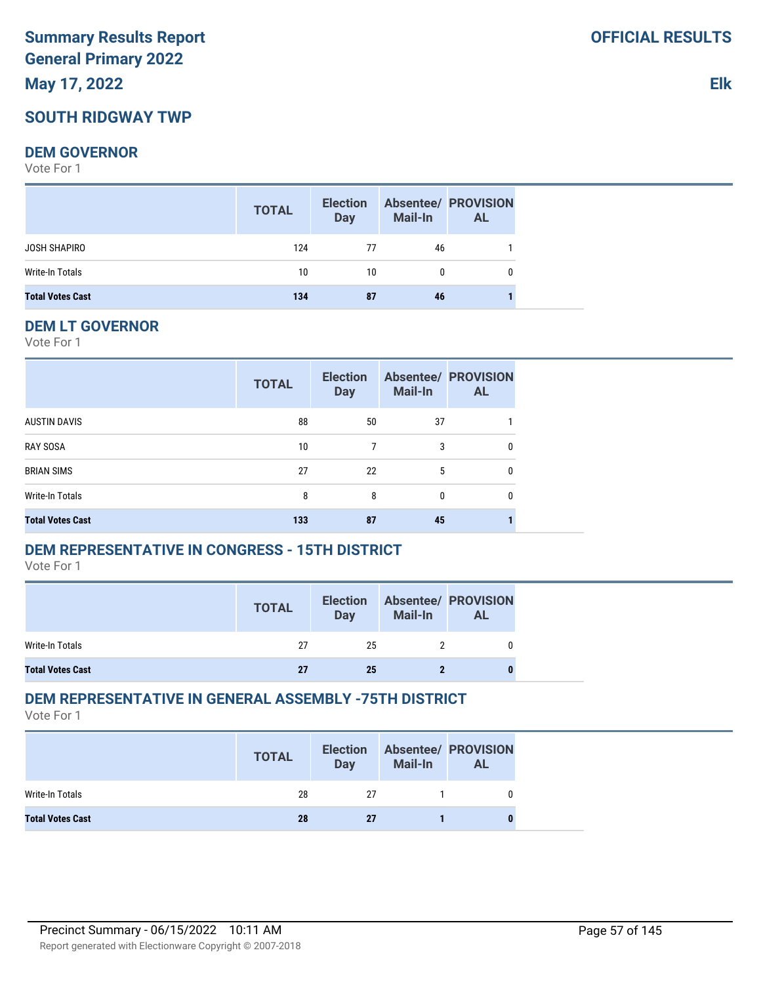# **SOUTH RIDGWAY TWP**

## **DEM GOVERNOR**

Vote For 1

|                         | <b>TOTAL</b> | <b>Election</b><br><b>Day</b> | <b>Mail-In</b> | <b>Absentee/ PROVISION</b><br><b>AL</b> |
|-------------------------|--------------|-------------------------------|----------------|-----------------------------------------|
| JOSH SHAPIRO            | 124          | 77                            | 46             |                                         |
| Write-In Totals         | 10           | 10                            | $\mathbf{0}$   | 0                                       |
| <b>Total Votes Cast</b> | 134          | 87                            | 46             |                                         |

#### **DEM LT GOVERNOR**

Vote For 1

|                         | <b>TOTAL</b> | <b>Election</b><br><b>Day</b> | <b>Mail-In</b> | <b>Absentee/ PROVISION</b><br><b>AL</b> |
|-------------------------|--------------|-------------------------------|----------------|-----------------------------------------|
| <b>AUSTIN DAVIS</b>     | 88           | 50                            | 37             |                                         |
| <b>RAY SOSA</b>         | 10           | 7                             | 3              | 0                                       |
| <b>BRIAN SIMS</b>       | 27           | 22                            | 5              | 0                                       |
| <b>Write-In Totals</b>  | 8            | 8                             | 0              | 0                                       |
| <b>Total Votes Cast</b> | 133          | 87                            | 45             |                                         |

# **DEM REPRESENTATIVE IN CONGRESS - 15TH DISTRICT**

Vote For 1

|                         | <b>TOTAL</b> | <b>Election</b><br>Day | Mail-In | <b>Absentee/ PROVISION</b><br>AL |
|-------------------------|--------------|------------------------|---------|----------------------------------|
| Write-In Totals         | 27           | 25                     |         |                                  |
| <b>Total Votes Cast</b> | 27           | 25                     |         |                                  |

# **DEM REPRESENTATIVE IN GENERAL ASSEMBLY -75TH DISTRICT**

Vote For 1

|                         | <b>TOTAL</b> | <b>Election</b><br><b>Day</b> | <b>Mail-In</b> | <b>Absentee/ PROVISION</b><br><b>AL</b> |
|-------------------------|--------------|-------------------------------|----------------|-----------------------------------------|
| Write-In Totals         | 28           | 27                            |                |                                         |
| <b>Total Votes Cast</b> | 28           | 27                            |                |                                         |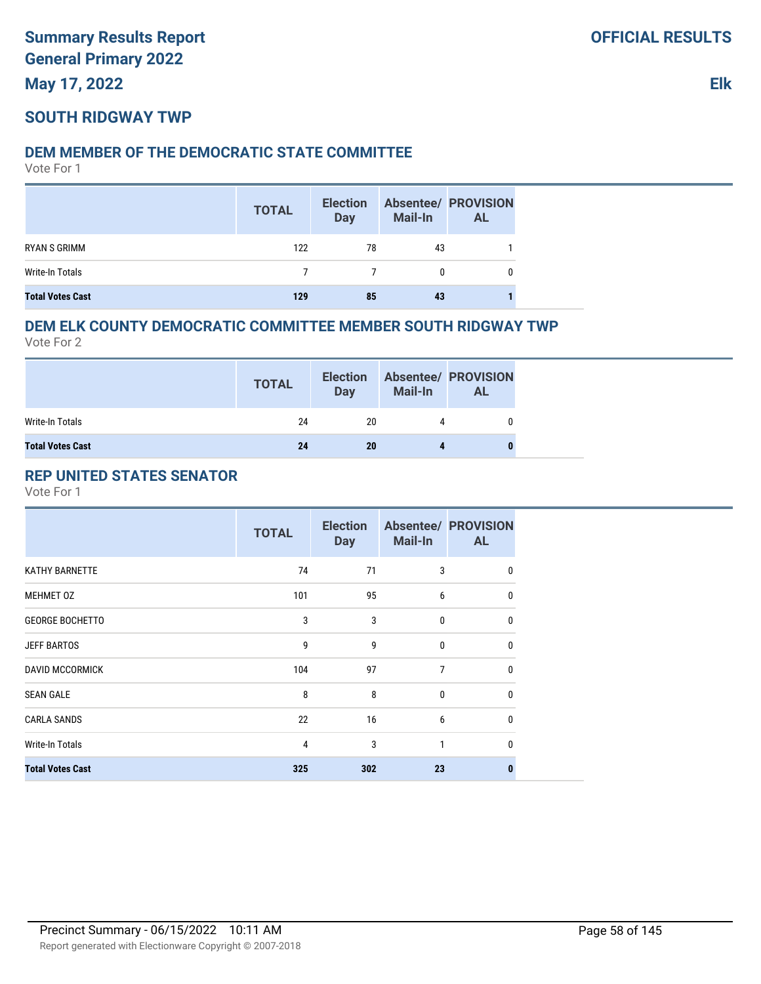# **SOUTH RIDGWAY TWP**

#### **DEM MEMBER OF THE DEMOCRATIC STATE COMMITTEE**

Vote For 1

|                         | <b>TOTAL</b>   | <b>Election</b><br><b>Day</b> | <b>Mail-In</b> | <b>Absentee/ PROVISION</b><br><b>AL</b> |
|-------------------------|----------------|-------------------------------|----------------|-----------------------------------------|
| RYAN S GRIMM            | 122            | 78                            | 43             |                                         |
| Write-In Totals         | $\overline{ }$ | 7                             | 0              |                                         |
| <b>Total Votes Cast</b> | 129            | 85                            | 43             |                                         |

# **DEM ELK COUNTY DEMOCRATIC COMMITTEE MEMBER SOUTH RIDGWAY TWP**

Vote For 2

|                         | <b>TOTAL</b> | <b>Election</b><br><b>Day</b> | Mail-In | <b>Absentee/ PROVISION</b><br>AL |
|-------------------------|--------------|-------------------------------|---------|----------------------------------|
| Write-In Totals         | 24           | 20                            |         |                                  |
| <b>Total Votes Cast</b> | 24           | 20                            |         |                                  |

## **REP UNITED STATES SENATOR**

|                         | <b>TOTAL</b> | <b>Election</b><br><b>Day</b> | <b>Mail-In</b> | <b>Absentee/ PROVISION</b><br><b>AL</b> |
|-------------------------|--------------|-------------------------------|----------------|-----------------------------------------|
| <b>KATHY BARNETTE</b>   | 74           | 71                            | 3              | 0                                       |
| MEHMET 0Z               | 101          | 95                            | 6              | 0                                       |
| <b>GEORGE BOCHETTO</b>  | 3            | 3                             | 0              | 0                                       |
| <b>JEFF BARTOS</b>      | 9            | 9                             | $\mathbf{0}$   | $\mathbf{0}$                            |
| <b>DAVID MCCORMICK</b>  | 104          | 97                            | 7              | 0                                       |
| <b>SEAN GALE</b>        | 8            | 8                             | 0              | $\mathbf{0}$                            |
| <b>CARLA SANDS</b>      | 22           | 16                            | 6              | 0                                       |
| <b>Write-In Totals</b>  | 4            | 3                             | 1              | $\mathbf{0}$                            |
| <b>Total Votes Cast</b> | 325          | 302                           | 23             |                                         |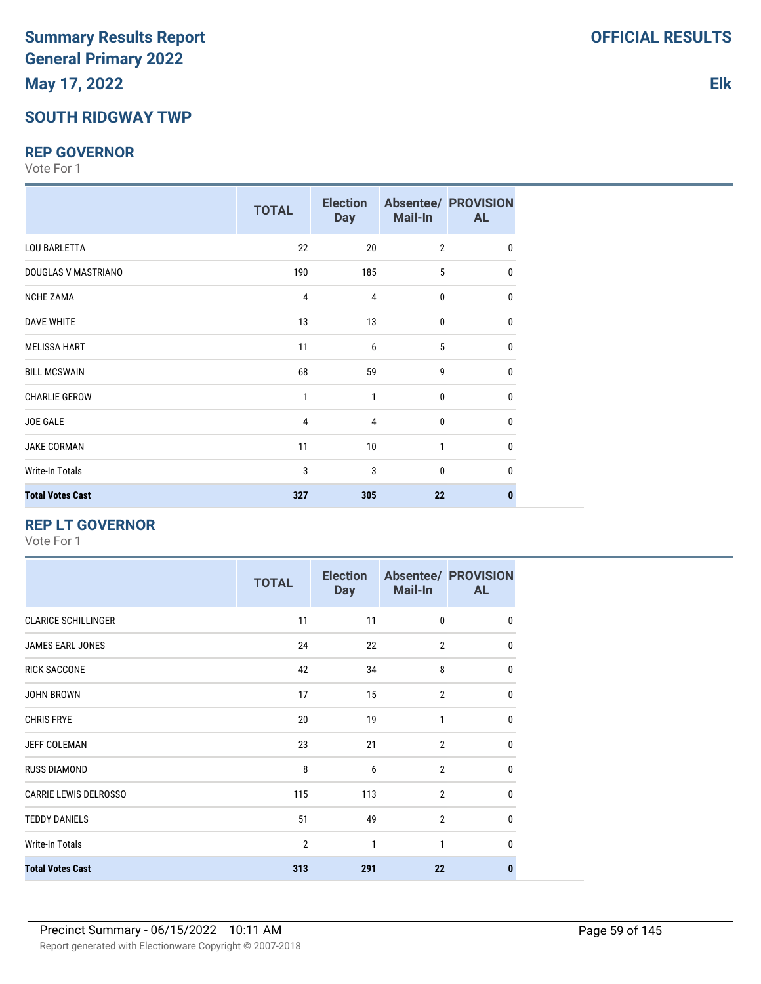# **SOUTH RIDGWAY TWP**

#### **REP GOVERNOR**

Vote For 1

|                         | <b>TOTAL</b>   | <b>Election</b><br><b>Day</b> | Mail-In        | <b>Absentee/ PROVISION</b><br><b>AL</b> |
|-------------------------|----------------|-------------------------------|----------------|-----------------------------------------|
| <b>LOU BARLETTA</b>     | 22             | 20                            | $\overline{2}$ | 0                                       |
| DOUGLAS V MASTRIANO     | 190            | 185                           | 5              | 0                                       |
| <b>NCHE ZAMA</b>        | $\overline{4}$ | 4                             | $\mathbf 0$    | $\mathbf{0}$                            |
| <b>DAVE WHITE</b>       | 13             | 13                            | 0              | 0                                       |
| <b>MELISSA HART</b>     | 11             | 6                             | 5              | 0                                       |
| <b>BILL MCSWAIN</b>     | 68             | 59                            | 9              | 0                                       |
| <b>CHARLIE GEROW</b>    | 1              | 1                             | $\mathbf{0}$   | 0                                       |
| JOE GALE                | 4              | $\overline{4}$                | $\mathbf{0}$   | 0                                       |
| <b>JAKE CORMAN</b>      | 11             | 10 <sup>°</sup>               | $\mathbf{1}$   | 0                                       |
| Write-In Totals         | 3              | 3                             | $\Omega$       | $\Omega$                                |
| <b>Total Votes Cast</b> | 327            | 305                           | 22             | n                                       |

## **REP LT GOVERNOR**

Vote For 1

|                              | <b>TOTAL</b>   | <b>Election</b><br><b>Day</b> | <b>Mail-In</b> | <b>Absentee/ PROVISION</b><br><b>AL</b> |
|------------------------------|----------------|-------------------------------|----------------|-----------------------------------------|
| <b>CLARICE SCHILLINGER</b>   | 11             | 11                            | 0              | 0                                       |
| <b>JAMES EARL JONES</b>      | 24             | 22                            | $\overline{2}$ | 0                                       |
| <b>RICK SACCONE</b>          | 42             | 34                            | 8              | 0                                       |
| <b>JOHN BROWN</b>            | 17             | 15                            | $\overline{2}$ | $\mathbf{0}$                            |
| <b>CHRIS FRYE</b>            | 20             | 19                            | 1              | $\mathbf{0}$                            |
| <b>JEFF COLEMAN</b>          | 23             | 21                            | $\overline{2}$ | 0                                       |
| <b>RUSS DIAMOND</b>          | 8              | 6                             | $\overline{2}$ | 0                                       |
| <b>CARRIE LEWIS DELROSSO</b> | 115            | 113                           | $\overline{2}$ | 0                                       |
| <b>TEDDY DANIELS</b>         | 51             | 49                            | $\overline{2}$ | 0                                       |
| <b>Write-In Totals</b>       | $\overline{2}$ | 1                             | 1              | 0                                       |
| <b>Total Votes Cast</b>      | 313            | 291                           | 22             | 0                                       |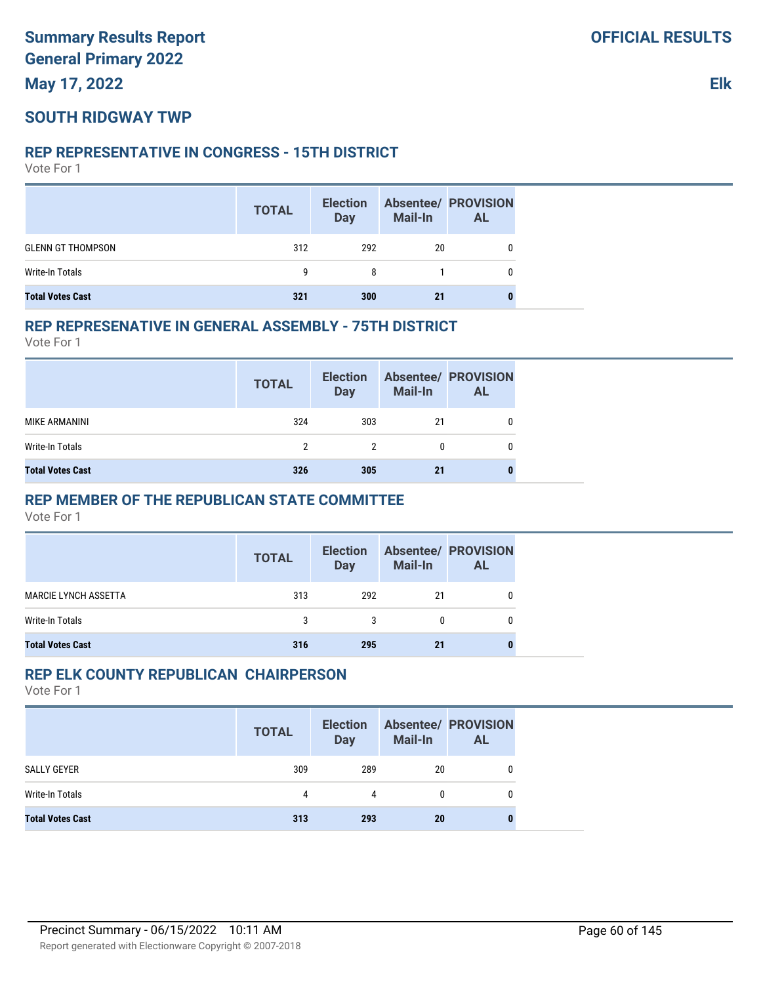# **SOUTH RIDGWAY TWP**

#### **REP REPRESENTATIVE IN CONGRESS - 15TH DISTRICT**

Vote For 1

|                          | <b>TOTAL</b> | <b>Election</b><br><b>Day</b> | <b>Mail-In</b> | <b>Absentee/ PROVISION</b><br><b>AL</b> |
|--------------------------|--------------|-------------------------------|----------------|-----------------------------------------|
| <b>GLENN GT THOMPSON</b> | 312          | 292                           | 20             |                                         |
| Write-In Totals          | g            | 8                             |                |                                         |
| <b>Total Votes Cast</b>  | 321          | 300                           | 21             |                                         |

#### **REP REPRESENATIVE IN GENERAL ASSEMBLY - 75TH DISTRICT**

Vote For 1

|                         | <b>TOTAL</b> | <b>Election</b><br><b>Day</b> | Mail-In | <b>Absentee/ PROVISION</b><br><b>AL</b> |
|-------------------------|--------------|-------------------------------|---------|-----------------------------------------|
| MIKE ARMANINI           | 324          | 303                           | 21      |                                         |
| Write-In Totals         |              |                               |         |                                         |
| <b>Total Votes Cast</b> | 326          | 305                           | 21      |                                         |

#### **REP MEMBER OF THE REPUBLICAN STATE COMMITTEE**

Vote For 1

|                             | <b>TOTAL</b> | <b>Election</b><br><b>Day</b> | <b>Mail-In</b> | <b>Absentee/ PROVISION</b><br><b>AL</b> |
|-----------------------------|--------------|-------------------------------|----------------|-----------------------------------------|
| <b>MARCIE LYNCH ASSETTA</b> | 313          | 292                           | 21             | 0                                       |
| Write-In Totals             | 3            | 3                             | 0              | 0                                       |
| <b>Total Votes Cast</b>     | 316          | 295                           | 21             | 0                                       |

#### **REP ELK COUNTY REPUBLICAN CHAIRPERSON**

|                         | <b>TOTAL</b> | <b>Election</b><br><b>Day</b> | <b>Mail-In</b> | <b>Absentee/ PROVISION</b><br><b>AL</b> |
|-------------------------|--------------|-------------------------------|----------------|-----------------------------------------|
| SALLY GEYER             | 309          | 289                           | 20             |                                         |
| Write-In Totals         | 4            | 4                             | 0              |                                         |
| <b>Total Votes Cast</b> | 313          | 293                           | 20             |                                         |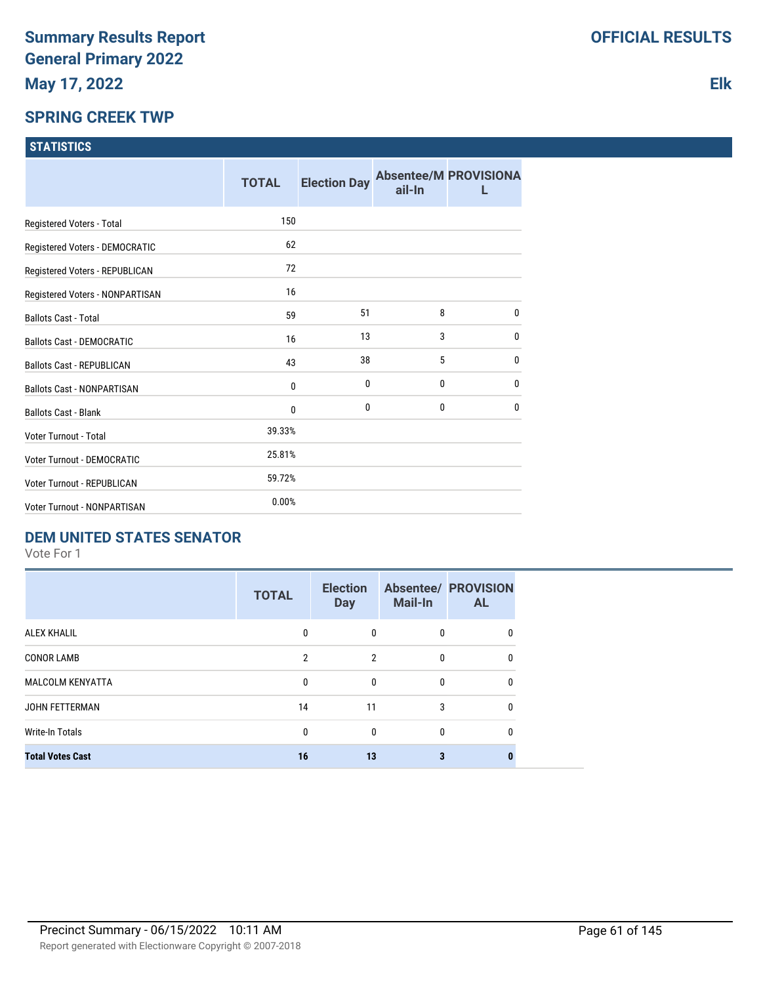## **SPRING CREEK TWP**

| <b>STATISTICS</b> |  |
|-------------------|--|
|                   |  |

|                                    | <b>TOTAL</b> | <b>Election Day</b> | ail-In | <b>Absentee/M PROVISIONA</b> |
|------------------------------------|--------------|---------------------|--------|------------------------------|
| Registered Voters - Total          | 150          |                     |        |                              |
| Registered Voters - DEMOCRATIC     | 62           |                     |        |                              |
| Registered Voters - REPUBLICAN     | 72           |                     |        |                              |
| Registered Voters - NONPARTISAN    | 16           |                     |        |                              |
| <b>Ballots Cast - Total</b>        | 59           | 51                  | 8      | $\mathbf 0$                  |
| <b>Ballots Cast - DEMOCRATIC</b>   | 16           | 13                  | 3      | $\mathbf 0$                  |
| <b>Ballots Cast - REPUBLICAN</b>   | 43           | 38                  | 5      | $\mathbf 0$                  |
| <b>Ballots Cast - NONPARTISAN</b>  | 0            | 0                   | 0      | $\mathbf{0}$                 |
| <b>Ballots Cast - Blank</b>        | $\mathbf{0}$ | 0                   | 0      | 0                            |
| Voter Turnout - Total              | 39.33%       |                     |        |                              |
| <b>Voter Turnout - DEMOCRATIC</b>  | 25.81%       |                     |        |                              |
| Voter Turnout - REPUBLICAN         | 59.72%       |                     |        |                              |
| <b>Voter Turnout - NONPARTISAN</b> | 0.00%        |                     |        |                              |

## **DEM UNITED STATES SENATOR**

Vote For 1

|                         | <b>TOTAL</b> | <b>Election</b><br><b>Day</b> | <b>Mail-In</b> | <b>Absentee/ PROVISION</b><br><b>AL</b> |
|-------------------------|--------------|-------------------------------|----------------|-----------------------------------------|
| <b>ALEX KHALIL</b>      | 0            | $\Omega$                      | 0              | 0                                       |
| <b>CONOR LAMB</b>       | 2            | $\mathfrak{p}$                | 0              | 0                                       |
| <b>MALCOLM KENYATTA</b> | $\Omega$     | $\Omega$                      | $\mathbf{0}$   | 0                                       |
| <b>JOHN FETTERMAN</b>   | 14           | 11                            | 3              | 0                                       |
| <b>Write-In Totals</b>  | 0            | $\Omega$                      | 0              | 0                                       |
| <b>Total Votes Cast</b> | 16           | 13                            |                |                                         |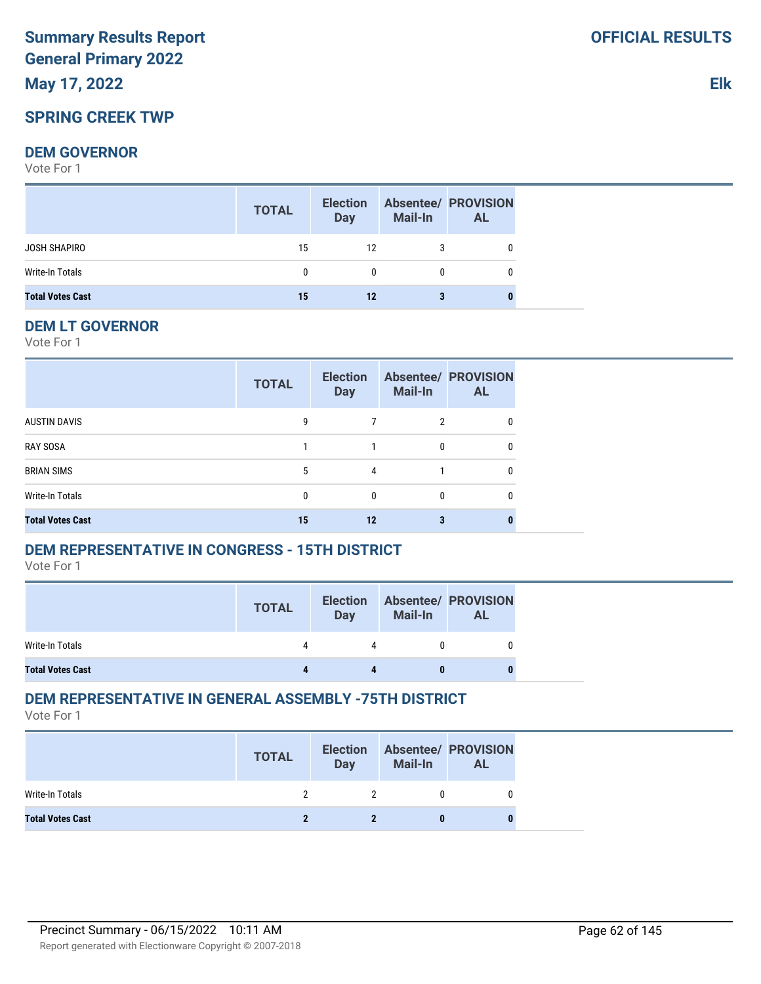# **Summary Results Report General Primary 2022**

**May 17, 2022**

# **SPRING CREEK TWP**

#### **DEM GOVERNOR**

Vote For 1

|                         | <b>TOTAL</b> | <b>Election</b><br>Day | <b>Mail-In</b> | <b>Absentee/ PROVISION</b><br><b>AL</b> |
|-------------------------|--------------|------------------------|----------------|-----------------------------------------|
| JOSH SHAPIRO            | 15           | 12                     | 3              |                                         |
| Write-In Totals         | $\mathbf{0}$ | $\mathbf{0}$           | $\Omega$       |                                         |
| <b>Total Votes Cast</b> | 15           | 12                     | з              |                                         |

#### **DEM LT GOVERNOR**

Vote For 1

|                         | <b>TOTAL</b> | <b>Election</b><br><b>Day</b> | <b>Mail-In</b> | <b>Absentee/ PROVISION</b><br><b>AL</b> |
|-------------------------|--------------|-------------------------------|----------------|-----------------------------------------|
| <b>AUSTIN DAVIS</b>     | 9            |                               | 2              | 0                                       |
| <b>RAY SOSA</b>         |              |                               | 0              | 0                                       |
| <b>BRIAN SIMS</b>       | 5            | 4                             |                | 0                                       |
| <b>Write-In Totals</b>  | 0            | 0                             | 0              |                                         |
| <b>Total Votes Cast</b> | 15           | 12                            |                |                                         |

# **DEM REPRESENTATIVE IN CONGRESS - 15TH DISTRICT**

Vote For 1

|                         | <b>TOTAL</b> | <b>Election</b><br>Day | Mail-In | <b>Absentee/ PROVISION</b><br>AL |
|-------------------------|--------------|------------------------|---------|----------------------------------|
| Write-In Totals         |              | 4                      |         |                                  |
| <b>Total Votes Cast</b> |              |                        |         |                                  |

# **DEM REPRESENTATIVE IN GENERAL ASSEMBLY -75TH DISTRICT**

Vote For 1

|                         | <b>TOTAL</b> | <b>Election</b><br><b>Day</b> | <b>Mail-In</b> | <b>Absentee/ PROVISION</b><br><b>AL</b> |
|-------------------------|--------------|-------------------------------|----------------|-----------------------------------------|
| Write-In Totals         |              | $\mathcal{P}$                 |                |                                         |
| <b>Total Votes Cast</b> |              |                               |                |                                         |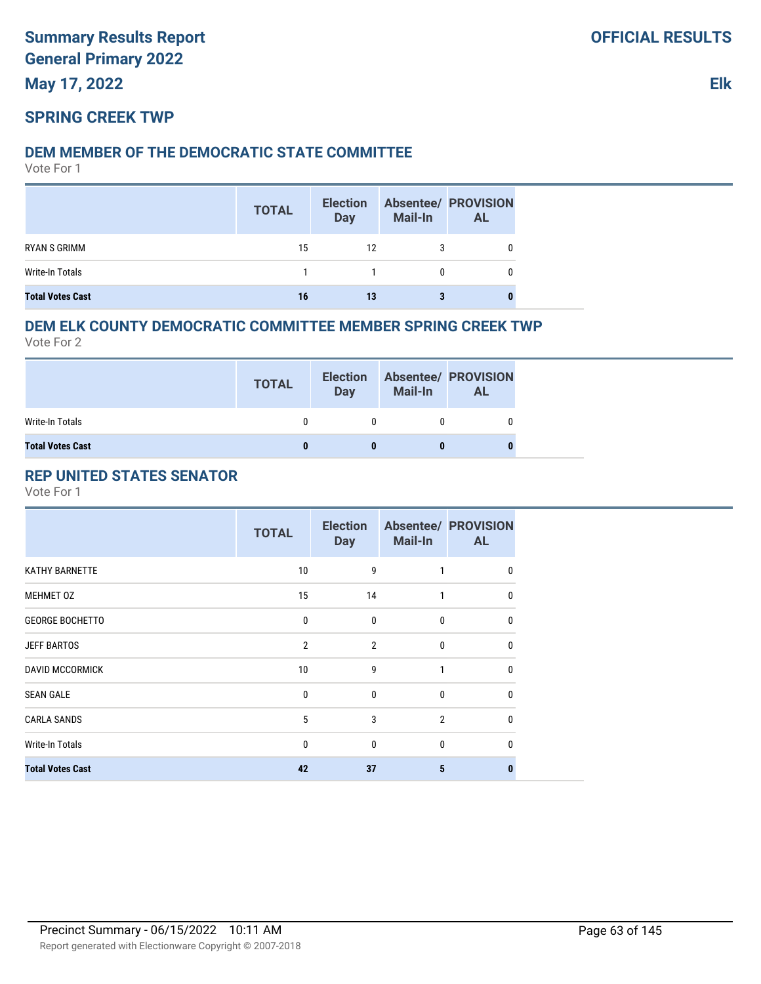# **SPRING CREEK TWP**

#### **DEM MEMBER OF THE DEMOCRATIC STATE COMMITTEE**

Vote For 1

|                         | <b>TOTAL</b> | <b>Election</b><br><b>Day</b> | <b>Mail-In</b> | <b>Absentee/ PROVISION</b><br><b>AL</b> |
|-------------------------|--------------|-------------------------------|----------------|-----------------------------------------|
| <b>RYAN S GRIMM</b>     | 15           | 12                            |                |                                         |
| Write-In Totals         |              |                               |                |                                         |
| <b>Total Votes Cast</b> | 16           | 13                            |                |                                         |

#### **DEM ELK COUNTY DEMOCRATIC COMMITTEE MEMBER SPRING CREEK TWP**

Vote For 2

|                         | <b>TOTAL</b> | <b>Election</b><br><b>Day</b> | <b>Mail-In</b> | <b>Absentee/ PROVISION</b><br><b>AL</b> |
|-------------------------|--------------|-------------------------------|----------------|-----------------------------------------|
| Write-In Totals         |              | 0                             |                |                                         |
| <b>Total Votes Cast</b> | 0            |                               |                |                                         |

#### **REP UNITED STATES SENATOR**

|                         | <b>TOTAL</b>   | <b>Election</b><br><b>Day</b> | <b>Mail-In</b> | <b>Absentee/ PROVISION</b><br><b>AL</b> |
|-------------------------|----------------|-------------------------------|----------------|-----------------------------------------|
| <b>KATHY BARNETTE</b>   | 10             | 9                             |                | 0                                       |
| MEHMET 0Z               | 15             | 14                            |                | 0                                       |
| <b>GEORGE BOCHETTO</b>  | 0              | $\mathbf 0$                   | 0              | 0                                       |
| <b>JEFF BARTOS</b>      | $\overline{2}$ | $\overline{2}$                | $\mathbf{0}$   | <sup>0</sup>                            |
| <b>DAVID MCCORMICK</b>  | 10             | 9                             | $\mathbf{1}$   | 0                                       |
| <b>SEAN GALE</b>        | 0              | $\mathbf{0}$                  | $\mathbf{0}$   | $\mathbf{0}$                            |
| <b>CARLA SANDS</b>      | 5              | 3                             | $\overline{2}$ | $\mathbf{0}$                            |
| Write-In Totals         | 0              | $\mathbf{0}$                  | $\mathbf{0}$   | 0                                       |
| <b>Total Votes Cast</b> | 42             | 37                            | 5              |                                         |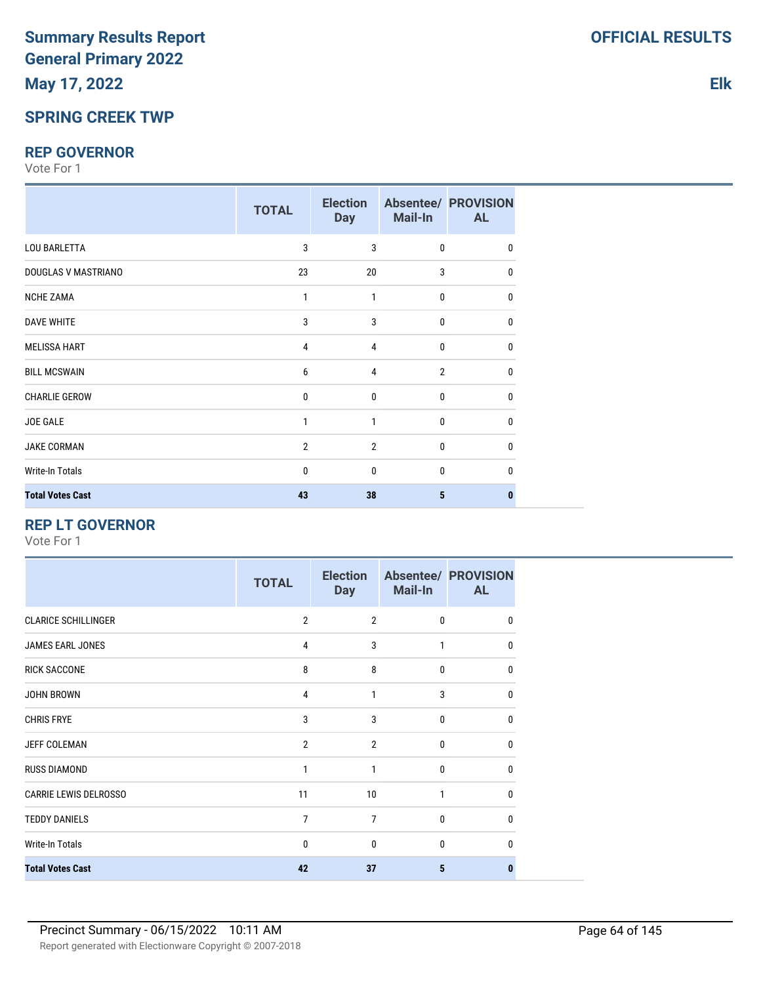# **SPRING CREEK TWP**

#### **REP GOVERNOR**

Vote For 1

|                         | <b>TOTAL</b>   | <b>Election</b><br><b>Day</b> | Mail-In        | <b>Absentee/ PROVISION</b><br><b>AL</b> |
|-------------------------|----------------|-------------------------------|----------------|-----------------------------------------|
| <b>LOU BARLETTA</b>     | 3              | 3                             | 0              | 0                                       |
| DOUGLAS V MASTRIANO     | 23             | 20                            | 3              | 0                                       |
| <b>NCHE ZAMA</b>        | 1              | 1                             | 0              | $\mathbf{0}$                            |
| <b>DAVE WHITE</b>       | 3              | 3                             | 0              | 0                                       |
| <b>MELISSA HART</b>     | 4              | 4                             | 0              | $\mathbf{0}$                            |
| <b>BILL MCSWAIN</b>     | 6              | 4                             | $\overline{2}$ | $\Omega$                                |
| <b>CHARLIE GEROW</b>    | 0              | 0                             | 0              | 0                                       |
| <b>JOE GALE</b>         | 1              | 1                             | 0              | <sup>0</sup>                            |
| JAKE CORMAN             | $\overline{2}$ | $\overline{2}$                | $\mathbf{0}$   | $\Omega$                                |
| Write-In Totals         | 0              | $\mathbf{0}$                  | 0              | <sup>0</sup>                            |
| <b>Total Votes Cast</b> | 43             | 38                            | 5              |                                         |

#### **REP LT GOVERNOR**

|                              | <b>TOTAL</b>   | <b>Election</b><br><b>Day</b> | <b>Mail-In</b> | <b>Absentee/ PROVISION</b><br><b>AL</b> |
|------------------------------|----------------|-------------------------------|----------------|-----------------------------------------|
| <b>CLARICE SCHILLINGER</b>   | 2              | $\overline{2}$                | 0              | 0                                       |
| <b>JAMES EARL JONES</b>      | $\overline{4}$ | 3                             | 1              | 0                                       |
| <b>RICK SACCONE</b>          | 8              | 8                             | 0              | 0                                       |
| <b>JOHN BROWN</b>            | 4              |                               | 3              | 0                                       |
| <b>CHRIS FRYE</b>            | 3              | 3                             | $\mathbf{0}$   | 0                                       |
| <b>JEFF COLEMAN</b>          | $\overline{2}$ | $\overline{2}$                | 0              | 0                                       |
| <b>RUSS DIAMOND</b>          | 1              | 1                             | $\mathbf{0}$   | 0                                       |
| <b>CARRIE LEWIS DELROSSO</b> | 11             | 10                            | 1              | 0                                       |
| <b>TEDDY DANIELS</b>         | $\overline{7}$ | 7                             | 0              | 0                                       |
| <b>Write-In Totals</b>       | 0              | $\mathbf{0}$                  | 0              | 0                                       |
| <b>Total Votes Cast</b>      | 42             | 37                            | 5              | 0                                       |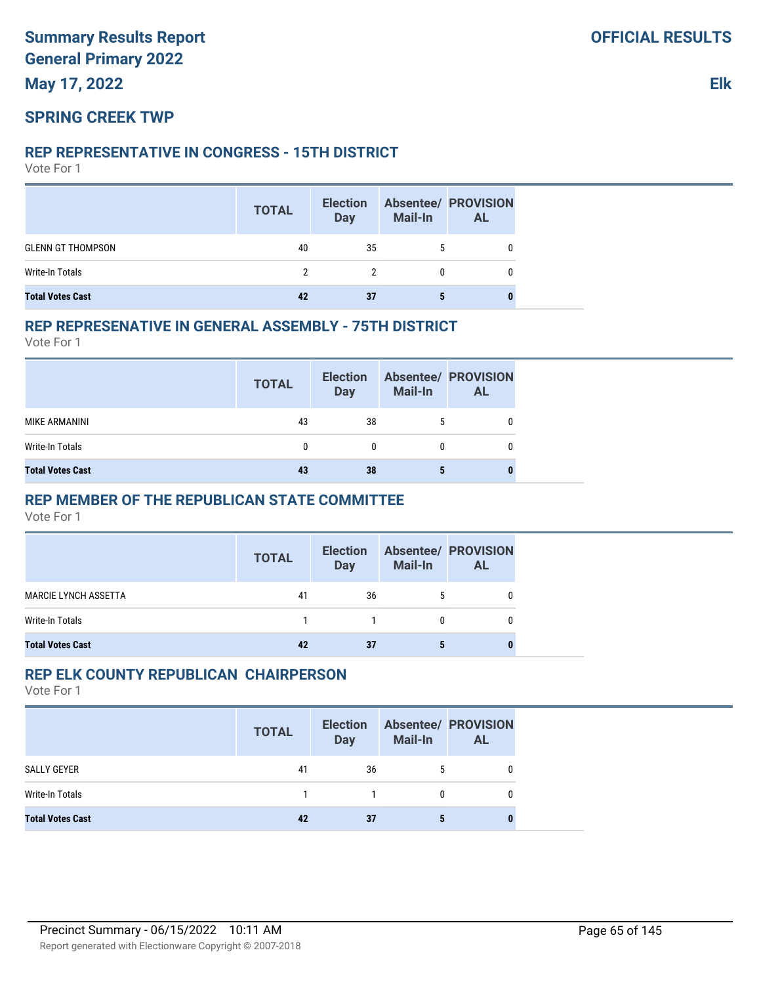# **SPRING CREEK TWP**

#### **REP REPRESENTATIVE IN CONGRESS - 15TH DISTRICT**

Vote For 1

|                          | <b>TOTAL</b> | <b>Election</b><br><b>Day</b> | <b>Mail-In</b> | <b>Absentee/ PROVISION</b><br><b>AL</b> |
|--------------------------|--------------|-------------------------------|----------------|-----------------------------------------|
| <b>GLENN GT THOMPSON</b> | 40           | 35                            |                |                                         |
| Write-In Totals          | 2            | 2                             |                |                                         |
| <b>Total Votes Cast</b>  | 42           | 37                            |                |                                         |

#### **REP REPRESENATIVE IN GENERAL ASSEMBLY - 75TH DISTRICT**

Vote For 1

|                         | <b>TOTAL</b> | <b>Election</b><br><b>Day</b> | Mail-In  | <b>Absentee/ PROVISION</b><br>AL |
|-------------------------|--------------|-------------------------------|----------|----------------------------------|
| MIKE ARMANINI           | 43           | 38                            | 5        |                                  |
| Write-In Totals         |              | 0                             | $\bf{0}$ |                                  |
| <b>Total Votes Cast</b> | 43           | 38                            |          |                                  |

#### **REP MEMBER OF THE REPUBLICAN STATE COMMITTEE**

Vote For 1

|                             | <b>TOTAL</b> | <b>Election</b><br><b>Day</b> | <b>Mail-In</b> | <b>Absentee/ PROVISION</b><br><b>AL</b> |  |
|-----------------------------|--------------|-------------------------------|----------------|-----------------------------------------|--|
| <b>MARCIE LYNCH ASSETTA</b> | 41           | 36                            |                |                                         |  |
| Write-In Totals             |              |                               | 0              | 0                                       |  |
| <b>Total Votes Cast</b>     | 42           | 37                            |                |                                         |  |

#### **REP ELK COUNTY REPUBLICAN CHAIRPERSON**

|                         | <b>TOTAL</b> | <b>Election</b><br><b>Day</b> | <b>Mail-In</b> | <b>Absentee/ PROVISION</b><br><b>AL</b> |
|-------------------------|--------------|-------------------------------|----------------|-----------------------------------------|
| SALLY GEYER             | 41           | 36                            |                |                                         |
| Write-In Totals         |              | $\overline{1}$                |                | 0                                       |
| <b>Total Votes Cast</b> | 42           | 37                            |                |                                         |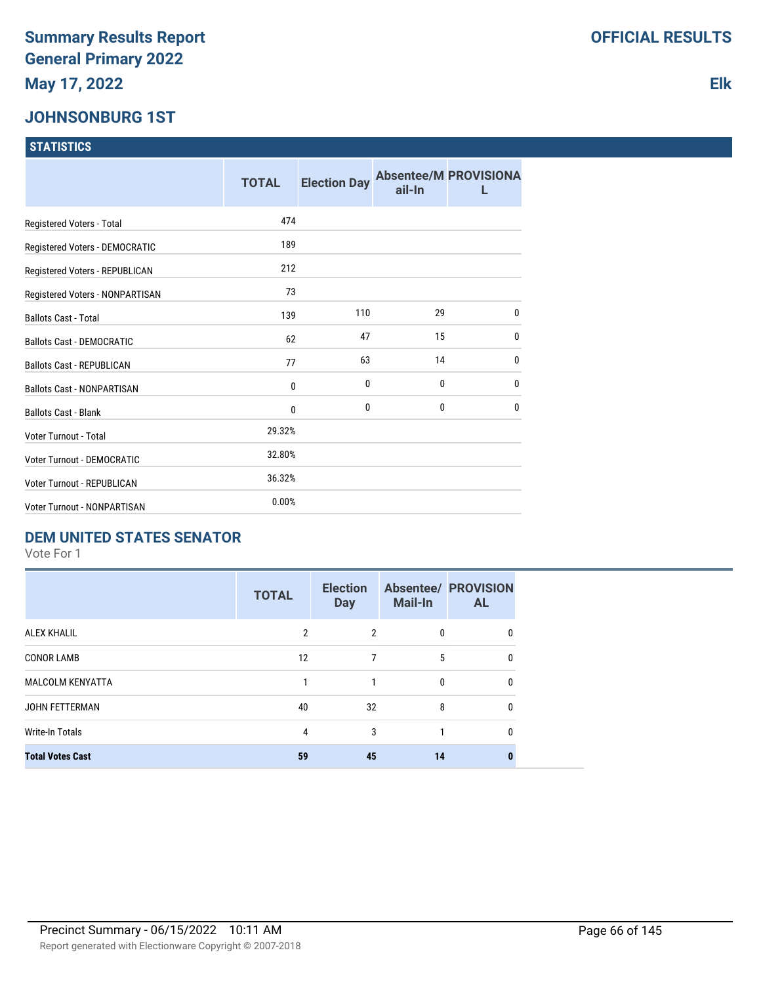## **JOHNSONBURG 1ST**

#### **STATISTICS**

|                                    | <b>TOTAL</b> | <b>Election Day</b> | ail-In       | <b>Absentee/M PROVISIONA</b> |
|------------------------------------|--------------|---------------------|--------------|------------------------------|
| Registered Voters - Total          | 474          |                     |              |                              |
| Registered Voters - DEMOCRATIC     | 189          |                     |              |                              |
| Registered Voters - REPUBLICAN     | 212          |                     |              |                              |
| Registered Voters - NONPARTISAN    | 73           |                     |              |                              |
| <b>Ballots Cast - Total</b>        | 139          | 110                 | 29           | $\mathbf{0}$                 |
| <b>Ballots Cast - DEMOCRATIC</b>   | 62           | 47                  | 15           | $\mathbf{0}$                 |
| <b>Ballots Cast - REPUBLICAN</b>   | 77           | 63                  | 14           | $\mathbf{0}$                 |
| <b>Ballots Cast - NONPARTISAN</b>  | 0            | 0                   | 0            | $\mathbf 0$                  |
| <b>Ballots Cast - Blank</b>        | 0            | 0                   | $\mathbf{0}$ | $\mathbf{0}$                 |
| Voter Turnout - Total              | 29.32%       |                     |              |                              |
| <b>Voter Turnout - DEMOCRATIC</b>  | 32.80%       |                     |              |                              |
| Voter Turnout - REPUBLICAN         | 36.32%       |                     |              |                              |
| <b>Voter Turnout - NONPARTISAN</b> | 0.00%        |                     |              |                              |

#### **DEM UNITED STATES SENATOR**

Vote For 1

|                         | <b>TOTAL</b> | <b>Election</b><br><b>Day</b> | <b>Mail-In</b> | <b>Absentee/ PROVISION</b><br><b>AL</b> |
|-------------------------|--------------|-------------------------------|----------------|-----------------------------------------|
| <b>ALEX KHALIL</b>      | 2            | $\mathfrak{p}$                | $\mathbf{0}$   | 0                                       |
| <b>CONOR LAMB</b>       | 12           | 7                             | 5              | 0                                       |
| <b>MALCOLM KENYATTA</b> |              |                               | $\mathbf{0}$   | 0                                       |
| <b>JOHN FETTERMAN</b>   | 40           | 32                            | 8              | 0                                       |
| <b>Write-In Totals</b>  | 4            | 3                             |                | 0                                       |
| <b>Total Votes Cast</b> | 59           | 45                            | 14             | 0                                       |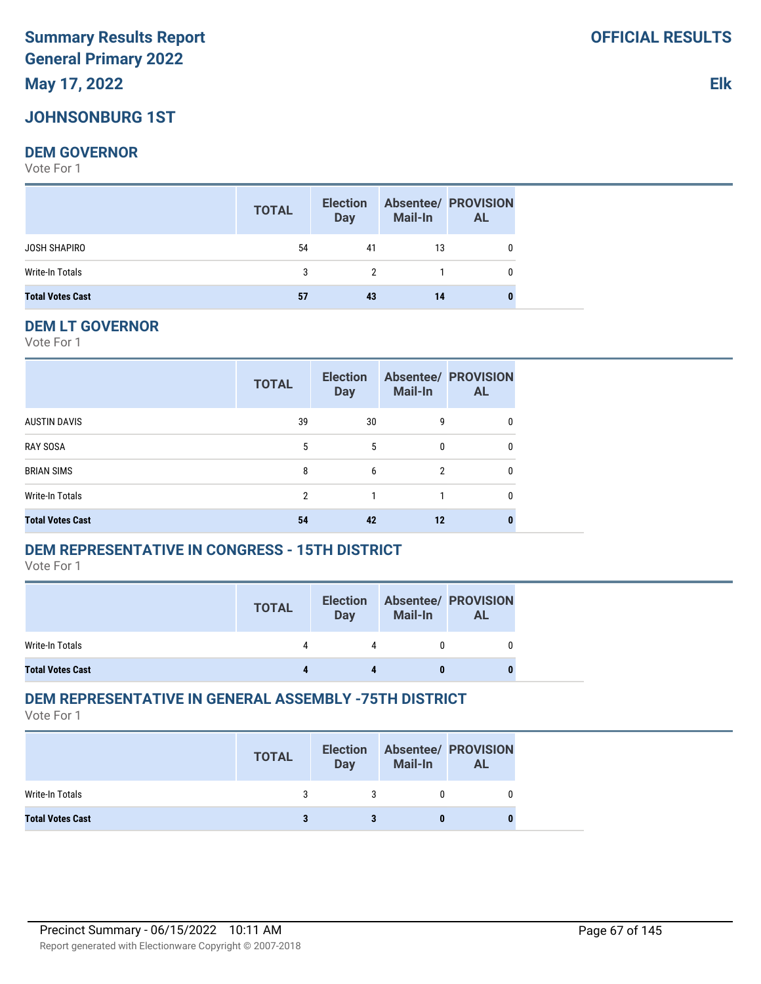# **Summary Results Report General Primary 2022**

**May 17, 2022**

# **JOHNSONBURG 1ST**

# **DEM GOVERNOR**

Vote For 1

|                         | <b>TOTAL</b> | <b>Election</b><br><b>Day</b> | <b>Mail-In</b> | <b>Absentee/ PROVISION</b><br><b>AL</b> |
|-------------------------|--------------|-------------------------------|----------------|-----------------------------------------|
| JOSH SHAPIRO            | 54           | 41                            | 13             | 0                                       |
| Write-In Totals         | $\mathbf{3}$ | 2                             |                | $\mathbf{0}$                            |
| <b>Total Votes Cast</b> | 57           | 43                            | 14             |                                         |

#### **DEM LT GOVERNOR**

Vote For 1

|                         | <b>TOTAL</b> | <b>Election</b><br><b>Day</b> | <b>Mail-In</b> | <b>Absentee/ PROVISION</b><br><b>AL</b> |
|-------------------------|--------------|-------------------------------|----------------|-----------------------------------------|
| <b>AUSTIN DAVIS</b>     | 39           | 30                            | 9              | 0                                       |
| <b>RAY SOSA</b>         | 5            | 5                             | 0              | 0                                       |
| <b>BRIAN SIMS</b>       | 8            | 6                             | $\overline{2}$ | 0                                       |
| Write-In Totals         | 2            |                               |                | 0                                       |
| <b>Total Votes Cast</b> | 54           | 42                            | 12             |                                         |

# **DEM REPRESENTATIVE IN CONGRESS - 15TH DISTRICT**

Vote For 1

|                         | <b>TOTAL</b> | <b>Election</b><br><b>Day</b> | Mail-In | <b>Absentee/ PROVISION</b><br>AL |
|-------------------------|--------------|-------------------------------|---------|----------------------------------|
| Write-In Totals         |              | 4                             |         |                                  |
| <b>Total Votes Cast</b> |              |                               |         |                                  |

# **DEM REPRESENTATIVE IN GENERAL ASSEMBLY -75TH DISTRICT**

Vote For 1

|                         | <b>TOTAL</b> | <b>Election</b><br><b>Day</b> | <b>Mail-In</b> | <b>Absentee/ PROVISION</b><br><b>AL</b> |
|-------------------------|--------------|-------------------------------|----------------|-----------------------------------------|
| Write-In Totals         |              |                               |                |                                         |
| <b>Total Votes Cast</b> |              |                               |                | o                                       |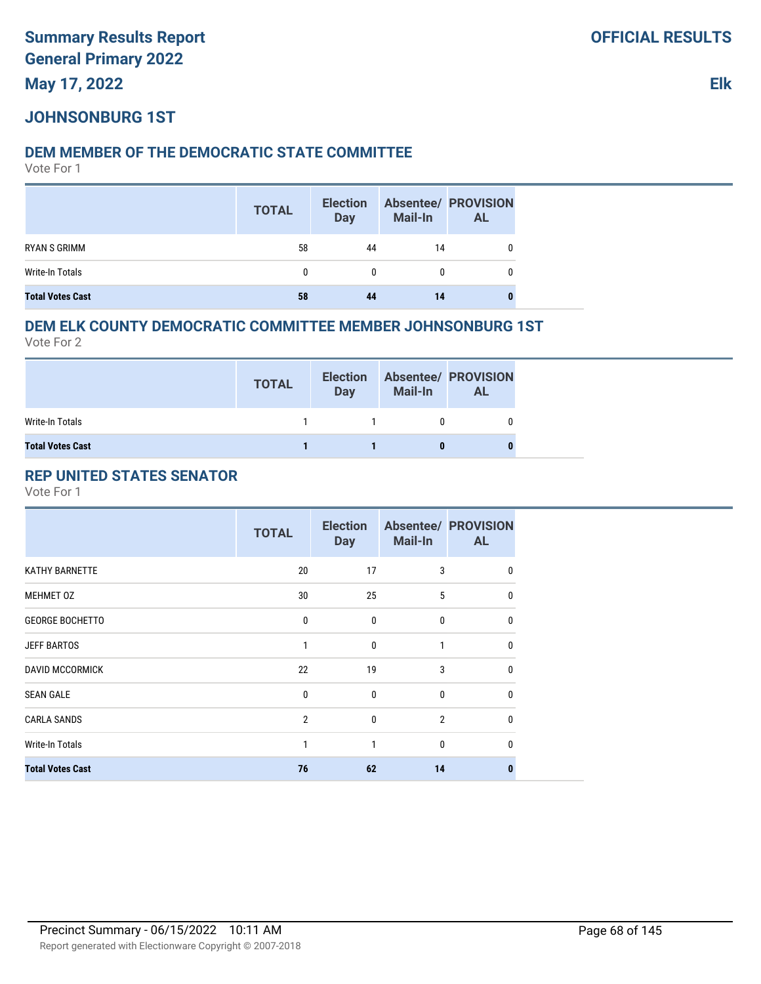# **JOHNSONBURG 1ST**

## **DEM MEMBER OF THE DEMOCRATIC STATE COMMITTEE**

Vote For 1

|                         | <b>TOTAL</b> | <b>Election</b><br><b>Day</b> | <b>Mail-In</b> | <b>Absentee/ PROVISION</b><br><b>AL</b> |
|-------------------------|--------------|-------------------------------|----------------|-----------------------------------------|
| RYAN S GRIMM            | 58           | 44                            | 14             |                                         |
| Write-In Totals         | 0            | 0                             | 0              |                                         |
| <b>Total Votes Cast</b> | 58           | 44                            | 14             |                                         |

#### **DEM ELK COUNTY DEMOCRATIC COMMITTEE MEMBER JOHNSONBURG 1ST**

Vote For 2

|                         | <b>TOTAL</b> | <b>Election</b><br><b>Day</b> | <b>Mail-In</b> | <b>Absentee/ PROVISION</b><br>AL |
|-------------------------|--------------|-------------------------------|----------------|----------------------------------|
| Write-In Totals         |              |                               |                |                                  |
| <b>Total Votes Cast</b> |              |                               |                |                                  |

## **REP UNITED STATES SENATOR**

|                         | <b>TOTAL</b>   | <b>Election</b><br><b>Day</b> | <b>Mail-In</b> | <b>Absentee/ PROVISION</b><br><b>AL</b> |
|-------------------------|----------------|-------------------------------|----------------|-----------------------------------------|
| <b>KATHY BARNETTE</b>   | 20             | 17                            | 3              | 0                                       |
| MEHMET 0Z               | 30             | 25                            | 5              | 0                                       |
| <b>GEORGE BOCHETTO</b>  | $\mathbf{0}$   | $\mathbf{0}$                  | $\mathbf{0}$   | 0                                       |
| <b>JEFF BARTOS</b>      | 1              | $\mathbf{0}$                  |                | 0                                       |
| <b>DAVID MCCORMICK</b>  | 22             | 19                            | 3              | 0                                       |
| <b>SEAN GALE</b>        | 0              | $\mathbf{0}$                  | $\Omega$       |                                         |
| <b>CARLA SANDS</b>      | $\overline{2}$ | $\mathbf{0}$                  | $\overline{2}$ | U                                       |
| <b>Write-In Totals</b>  | 1              | 1                             | $\mathbf{0}$   | n                                       |
| <b>Total Votes Cast</b> | 76             | 62                            | 14             | n                                       |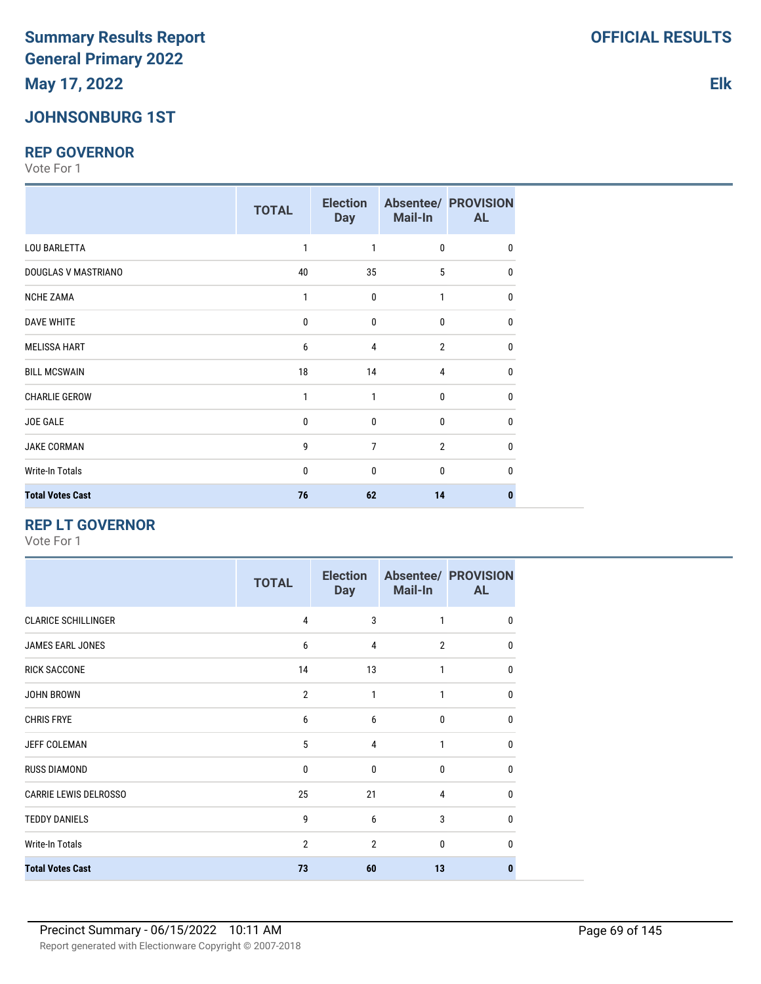# **JOHNSONBURG 1ST**

#### **REP GOVERNOR**

Vote For 1

|                         | <b>TOTAL</b> | <b>Election</b><br><b>Day</b> | <b>Mail-In</b> | <b>Absentee/ PROVISION</b><br><b>AL</b> |
|-------------------------|--------------|-------------------------------|----------------|-----------------------------------------|
| <b>LOU BARLETTA</b>     | 1            | $\mathbf{1}$                  | $\mathbf{0}$   | 0                                       |
| DOUGLAS V MASTRIANO     | 40           | 35                            | 5              | 0                                       |
| <b>NCHE ZAMA</b>        | 1            | $\mathbf 0$                   | $\mathbf{1}$   | $\mathbf{0}$                            |
| <b>DAVE WHITE</b>       | $\mathbf 0$  | 0                             | $\mathbf{0}$   | 0                                       |
| <b>MELISSA HART</b>     | 6            | 4                             | $\overline{2}$ | 0                                       |
| <b>BILL MCSWAIN</b>     | 18           | 14                            | 4              | 0                                       |
| <b>CHARLIE GEROW</b>    | 1            | 1                             | $\mathbf{0}$   | 0                                       |
| <b>JOE GALE</b>         | $\mathbf{0}$ | $\mathbf 0$                   | $\mathbf{0}$   | $\mathbf{0}$                            |
| <b>JAKE CORMAN</b>      | 9            | $\overline{7}$                | $\overline{2}$ | $\mathbf{0}$                            |
| Write-In Totals         | $\mathbf{0}$ | $\mathbf{0}$                  | $\mathbf{0}$   | $\mathbf{0}$                            |
| <b>Total Votes Cast</b> | 76           | 62                            | 14             | 0                                       |

## **REP LT GOVERNOR**

Vote For 1

|                              | <b>TOTAL</b>   | <b>Election</b><br><b>Day</b> | Mail-In        | <b>Absentee/ PROVISION</b><br><b>AL</b> |
|------------------------------|----------------|-------------------------------|----------------|-----------------------------------------|
| <b>CLARICE SCHILLINGER</b>   | $\overline{4}$ | 3                             | 1              | 0                                       |
| JAMES EARL JONES             | 6              | 4                             | $\overline{2}$ | <sup>0</sup>                            |
| <b>RICK SACCONE</b>          | 14             | 13                            | 1              | 0                                       |
| <b>JOHN BROWN</b>            | $\overline{2}$ | 1                             | 1              | <sup>0</sup>                            |
| <b>CHRIS FRYE</b>            | 6              | 6                             | 0              | U                                       |
| <b>JEFF COLEMAN</b>          | 5              | 4                             | 1              | <sup>0</sup>                            |
| <b>RUSS DIAMOND</b>          | $\mathbf{0}$   | $\mathbf{0}$                  | $\mathbf{0}$   | <sup>0</sup>                            |
| <b>CARRIE LEWIS DELROSSO</b> | 25             | 21                            | 4              | <sup>0</sup>                            |
| <b>TEDDY DANIELS</b>         | 9              | 6                             | 3              | $\Omega$                                |
| <b>Write-In Totals</b>       | $\overline{2}$ | $\overline{2}$                | $\mathbf{0}$   | <sup>0</sup>                            |
| <b>Total Votes Cast</b>      | 73             | 60                            | 13             |                                         |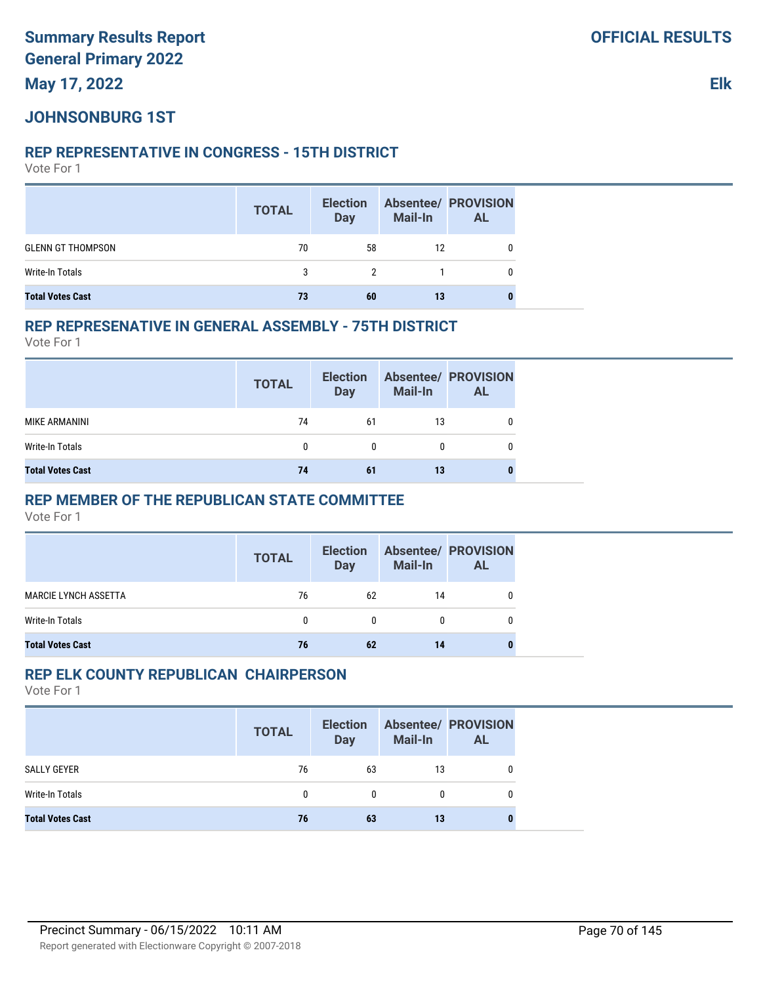# **JOHNSONBURG 1ST**

#### **REP REPRESENTATIVE IN CONGRESS - 15TH DISTRICT**

Vote For 1

|                          | <b>TOTAL</b> | <b>Election</b><br><b>Day</b> | Mail-In | <b>Absentee/ PROVISION</b><br><b>AL</b> |
|--------------------------|--------------|-------------------------------|---------|-----------------------------------------|
| <b>GLENN GT THOMPSON</b> | 70           | 58                            | 12      |                                         |
| Write-In Totals          | 3            | $\mathcal{P}$                 |         |                                         |
| <b>Total Votes Cast</b>  | 73           | 60                            | 13      |                                         |

#### **REP REPRESENATIVE IN GENERAL ASSEMBLY - 75TH DISTRICT**

Vote For 1

|                         | <b>TOTAL</b> | <b>Election</b><br><b>Day</b> | Mail-In | <b>Absentee/ PROVISION</b><br><b>AL</b> |
|-------------------------|--------------|-------------------------------|---------|-----------------------------------------|
| MIKE ARMANINI           | 74           | 61                            | 13      |                                         |
| Write-In Totals         | <sub>0</sub> | 0                             |         |                                         |
| <b>Total Votes Cast</b> | 74           | 61                            | 13      |                                         |

#### **REP MEMBER OF THE REPUBLICAN STATE COMMITTEE**

Vote For 1

|                             | <b>TOTAL</b> | <b>Election</b><br><b>Day</b> | <b>Mail-In</b> | <b>Absentee/ PROVISION</b><br><b>AL</b> |
|-----------------------------|--------------|-------------------------------|----------------|-----------------------------------------|
| <b>MARCIE LYNCH ASSETTA</b> | 76           | 62                            | 14             |                                         |
| Write-In Totals             | 0            | 0                             |                | 0                                       |
| <b>Total Votes Cast</b>     | 76           | 62                            | 14             | O                                       |

#### **REP ELK COUNTY REPUBLICAN CHAIRPERSON**

|                         | <b>TOTAL</b> | <b>Election</b><br><b>Day</b> | <b>Mail-In</b> | <b>Absentee/ PROVISION</b><br><b>AL</b> |
|-------------------------|--------------|-------------------------------|----------------|-----------------------------------------|
| SALLY GEYER             | 76           | 63                            | 13             |                                         |
| Write-In Totals         | 0            | $\mathbf{0}$                  | 0              |                                         |
| <b>Total Votes Cast</b> | 76           | 63                            | 13             | O                                       |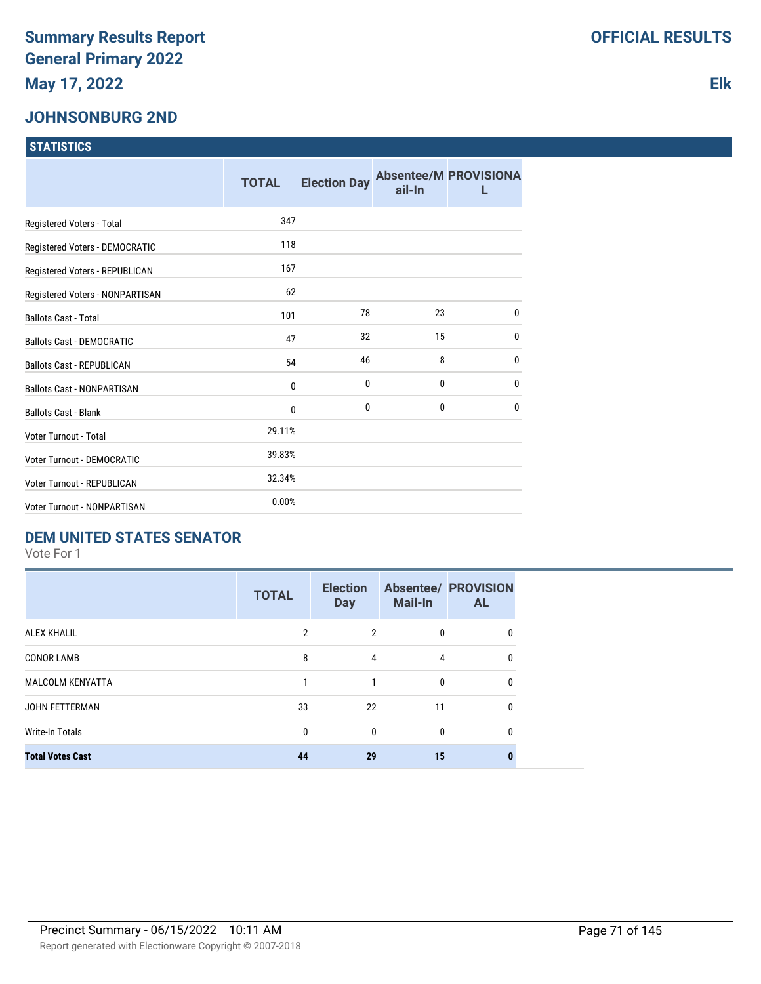## **JOHNSONBURG 2ND**

| <b>STATISTICS</b> |  |
|-------------------|--|
|                   |  |

|                                    | <b>TOTAL</b> | <b>Election Day</b> | ail-In       | <b>Absentee/M PROVISIONA</b> |
|------------------------------------|--------------|---------------------|--------------|------------------------------|
| Registered Voters - Total          | 347          |                     |              |                              |
| Registered Voters - DEMOCRATIC     | 118          |                     |              |                              |
| Registered Voters - REPUBLICAN     | 167          |                     |              |                              |
| Registered Voters - NONPARTISAN    | 62           |                     |              |                              |
| <b>Ballots Cast - Total</b>        | 101          | 78                  | 23           | $\mathbf 0$                  |
| <b>Ballots Cast - DEMOCRATIC</b>   | 47           | 32                  | 15           | $\mathbf{0}$                 |
| <b>Ballots Cast - REPUBLICAN</b>   | 54           | 46                  | 8            | $\bf{0}$                     |
| <b>Ballots Cast - NONPARTISAN</b>  | 0            | 0                   | 0            | 0                            |
| <b>Ballots Cast - Blank</b>        | 0            | $\mathbf{0}$        | $\mathbf{0}$ | $\mathbf{0}$                 |
| Voter Turnout - Total              | 29.11%       |                     |              |                              |
| <b>Voter Turnout - DEMOCRATIC</b>  | 39.83%       |                     |              |                              |
| Voter Turnout - REPUBLICAN         | 32.34%       |                     |              |                              |
| <b>Voter Turnout - NONPARTISAN</b> | 0.00%        |                     |              |                              |

#### **DEM UNITED STATES SENATOR**

Vote For 1

|                         | <b>TOTAL</b>   | <b>Election</b><br><b>Day</b> | <b>Mail-In</b> | <b>Absentee/ PROVISION</b><br><b>AL</b> |
|-------------------------|----------------|-------------------------------|----------------|-----------------------------------------|
| <b>ALEX KHALIL</b>      | $\overline{2}$ | 2                             | 0              | 0                                       |
| <b>CONOR LAMB</b>       | 8              | 4                             | 4              | 0                                       |
| <b>MALCOLM KENYATTA</b> |                | 1                             | $\mathbf{0}$   | 0                                       |
| <b>JOHN FETTERMAN</b>   | 33             | 22                            | 11             | 0                                       |
| Write-In Totals         | $\Omega$       | $\mathbf{0}$                  | $\mathbf{0}$   | 0                                       |
| <b>Total Votes Cast</b> | 44             | 29                            | 15             | 0                                       |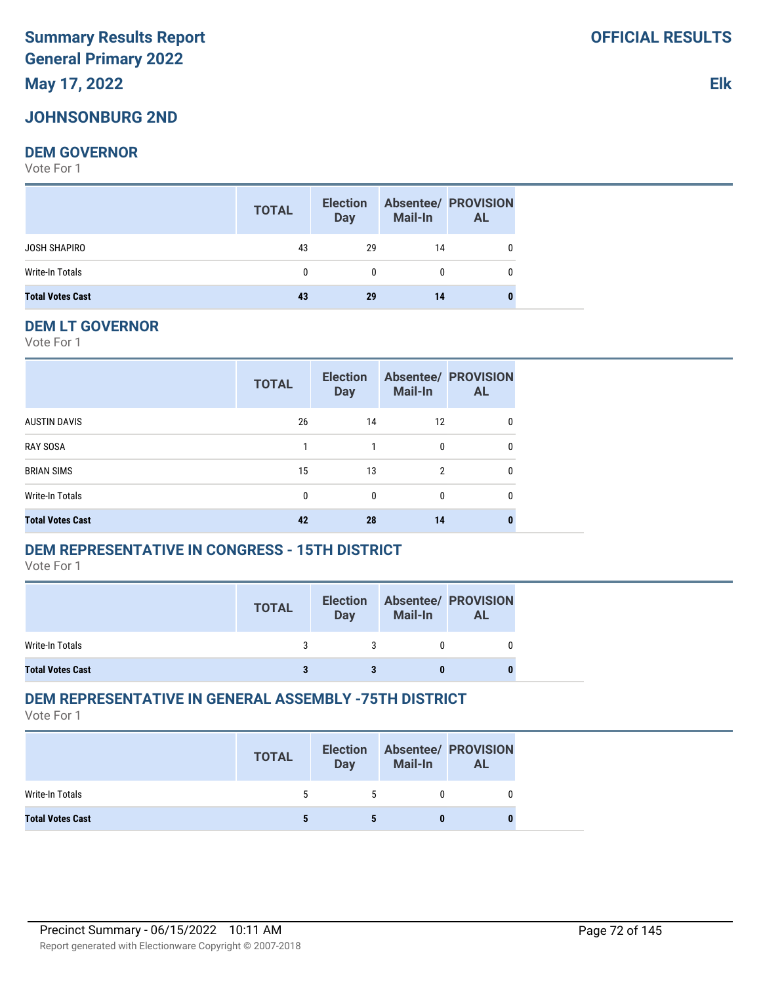# **Summary Results Report General Primary 2022**

**May 17, 2022**

# **JOHNSONBURG 2ND**

# **DEM GOVERNOR**

Vote For 1

|                         | <b>TOTAL</b> | <b>Election</b><br><b>Day</b> | <b>Mail-In</b> | <b>Absentee/ PROVISION</b><br><b>AL</b> |
|-------------------------|--------------|-------------------------------|----------------|-----------------------------------------|
| JOSH SHAPIRO            | 43           | 29                            | 14             | $\mathbf{0}$                            |
| Write-In Totals         | $\mathbf{0}$ | 0                             | 0              | 0                                       |
| <b>Total Votes Cast</b> | 43           | 29                            | 14             |                                         |

#### **DEM LT GOVERNOR**

Vote For 1

|                         | <b>TOTAL</b> | <b>Election</b><br><b>Day</b> | <b>Mail-In</b> | <b>Absentee/ PROVISION</b><br><b>AL</b> |
|-------------------------|--------------|-------------------------------|----------------|-----------------------------------------|
| <b>AUSTIN DAVIS</b>     | 26           | 14                            | 12             | 0                                       |
| <b>RAY SOSA</b>         |              |                               | 0              | 0                                       |
| <b>BRIAN SIMS</b>       | 15           | 13                            | 2              | 0                                       |
| Write-In Totals         | 0            | $\mathbf{0}$                  | 0              | 0                                       |
| <b>Total Votes Cast</b> | 42           | 28                            | 14             |                                         |

# **DEM REPRESENTATIVE IN CONGRESS - 15TH DISTRICT**

Vote For 1

|                         | <b>TOTAL</b> | <b>Election</b><br>Day | Mail-In | <b>Absentee/ PROVISION</b><br>AL |
|-------------------------|--------------|------------------------|---------|----------------------------------|
| Write-In Totals         | 3            |                        |         |                                  |
| <b>Total Votes Cast</b> |              |                        |         |                                  |

# **DEM REPRESENTATIVE IN GENERAL ASSEMBLY -75TH DISTRICT**

Vote For 1

|                         | <b>TOTAL</b> | <b>Election</b><br>Day | Mail-In | <b>Absentee/ PROVISION</b><br><b>AL</b> |
|-------------------------|--------------|------------------------|---------|-----------------------------------------|
| Write-In Totals         |              | 5.                     |         |                                         |
| <b>Total Votes Cast</b> |              |                        |         |                                         |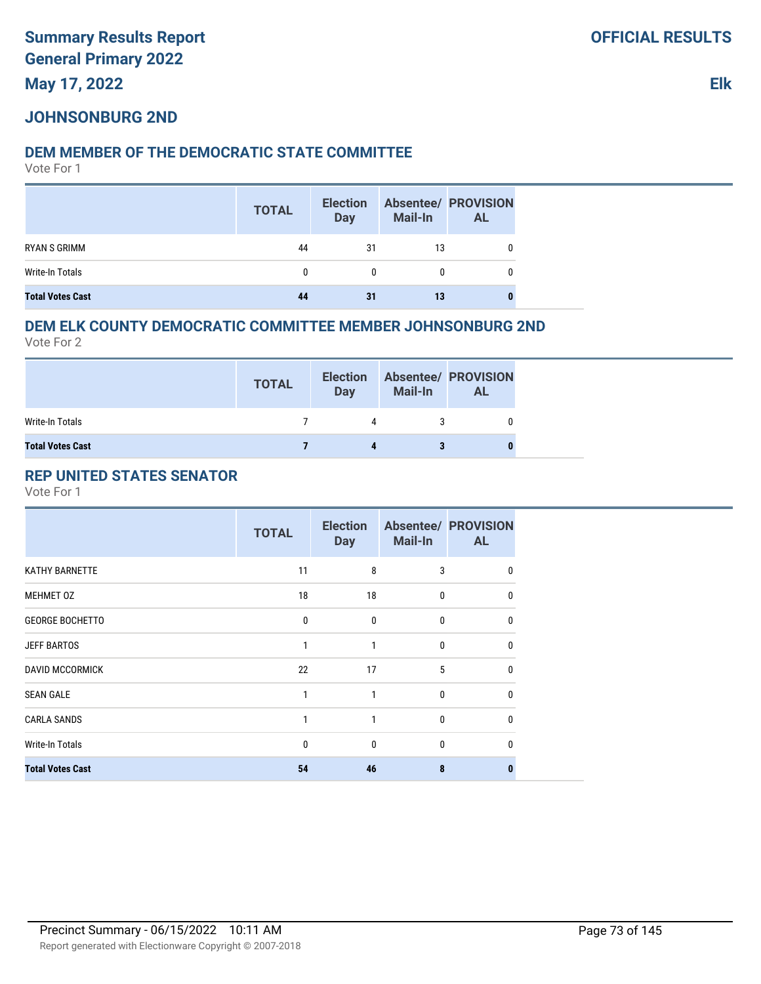# **JOHNSONBURG 2ND**

### **DEM MEMBER OF THE DEMOCRATIC STATE COMMITTEE**

Vote For 1

|                         | <b>TOTAL</b> | <b>Election</b><br><b>Day</b> | <b>Mail-In</b> | <b>Absentee/ PROVISION</b><br><b>AL</b> |
|-------------------------|--------------|-------------------------------|----------------|-----------------------------------------|
| RYAN S GRIMM            | 44           | 31                            | 13             |                                         |
| Write-In Totals         | 0            | 0                             | 0              |                                         |
| <b>Total Votes Cast</b> | 44           | 31                            | 13             |                                         |

### **DEM ELK COUNTY DEMOCRATIC COMMITTEE MEMBER JOHNSONBURG 2ND**

Vote For 2

|                         | <b>TOTAL</b> | <b>Election</b><br><b>Day</b> | <b>Mail-In</b> | <b>Absentee/ PROVISION</b><br><b>AL</b> |
|-------------------------|--------------|-------------------------------|----------------|-----------------------------------------|
| Write-In Totals         |              | 4                             |                |                                         |
| <b>Total Votes Cast</b> |              |                               |                |                                         |

# **REP UNITED STATES SENATOR**

|                         | <b>TOTAL</b> | <b>Election</b><br><b>Day</b> | <b>Mail-In</b> | <b>Absentee/ PROVISION</b><br><b>AL</b> |
|-------------------------|--------------|-------------------------------|----------------|-----------------------------------------|
| <b>KATHY BARNETTE</b>   | 11           | 8                             | 3              | 0                                       |
| MEHMET 0Z               | 18           | 18                            | 0              | 0                                       |
| <b>GEORGE BOCHETTO</b>  | 0            | 0                             | 0              | 0                                       |
| <b>JEFF BARTOS</b>      |              |                               | 0              | 0                                       |
| <b>DAVID MCCORMICK</b>  | 22           | 17                            | 5              | 0                                       |
| <b>SEAN GALE</b>        |              |                               | 0              | 0                                       |
| <b>CARLA SANDS</b>      |              |                               | 0              | 0                                       |
| <b>Write-In Totals</b>  | 0            | 0                             | 0              | $\Omega$                                |
| <b>Total Votes Cast</b> | 54           | 46                            | 8              |                                         |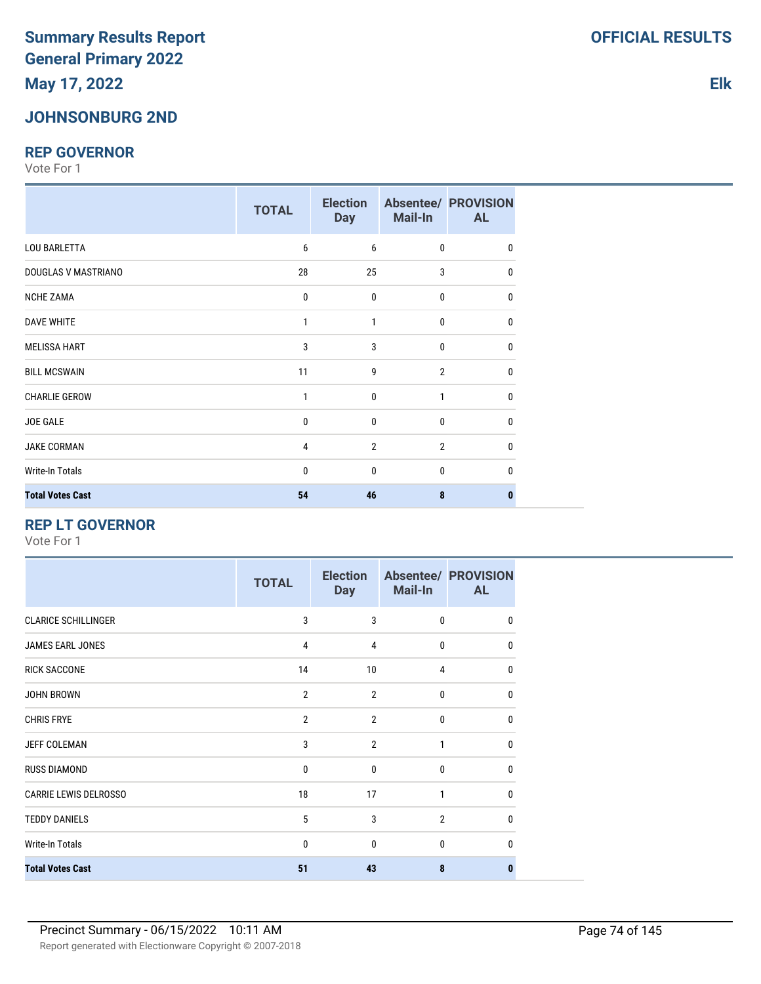# **JOHNSONBURG 2ND**

### **REP GOVERNOR**

Vote For 1

|                         | <b>TOTAL</b> | <b>Election</b><br><b>Day</b> | <b>Mail-In</b> | <b>Absentee/ PROVISION</b><br><b>AL</b> |
|-------------------------|--------------|-------------------------------|----------------|-----------------------------------------|
| <b>LOU BARLETTA</b>     | 6            | 6                             | $\mathbf 0$    | 0                                       |
| DOUGLAS V MASTRIANO     | 28           | 25                            | 3              | 0                                       |
| <b>NCHE ZAMA</b>        | 0            | $\mathbf{0}$                  | $\mathbf 0$    | $\mathbf{0}$                            |
| <b>DAVE WHITE</b>       | 1            | $\mathbf{1}$                  | $\mathbf 0$    | 0                                       |
| <b>MELISSA HART</b>     | 3            | 3                             | $\mathbf 0$    | 0                                       |
| <b>BILL MCSWAIN</b>     | 11           | 9                             | $\overline{2}$ | 0                                       |
| <b>CHARLIE GEROW</b>    | 1            | $\mathbf{0}$                  | 1              | 0                                       |
| JOE GALE                | 0            | $\mathbf 0$                   | $\mathbf 0$    | 0                                       |
| JAKE CORMAN             | 4            | $\overline{2}$                | $\overline{2}$ | 0                                       |
| Write-In Totals         | 0            | $\mathbf 0$                   | $\mathbf 0$    | 0                                       |
| <b>Total Votes Cast</b> | 54           | 46                            | 8              | n                                       |

### **REP LT GOVERNOR**

|                              | <b>TOTAL</b>   | <b>Election</b><br><b>Day</b> | <b>Mail-In</b> | <b>Absentee/ PROVISION</b><br><b>AL</b> |
|------------------------------|----------------|-------------------------------|----------------|-----------------------------------------|
| <b>CLARICE SCHILLINGER</b>   | 3              | 3                             | $\mathbf 0$    | $\Omega$                                |
| JAMES EARL JONES             | 4              | 4                             | $\mathbf 0$    | <sup>0</sup>                            |
| <b>RICK SACCONE</b>          | 14             | 10                            | $\overline{4}$ | U                                       |
| <b>JOHN BROWN</b>            | $\overline{2}$ | $\overline{2}$                | $\mathbf{0}$   | <sup>0</sup>                            |
| <b>CHRIS FRYE</b>            | $\overline{2}$ | $\overline{2}$                | $\mathbf{0}$   | n                                       |
| JEFF COLEMAN                 | 3              | $\overline{2}$                | 1              | <sup>0</sup>                            |
| <b>RUSS DIAMOND</b>          | $\mathbf{0}$   | $\mathbf{0}$                  | $\mathbf{0}$   | <sup>0</sup>                            |
| <b>CARRIE LEWIS DELROSSO</b> | 18             | 17                            | 1              | <sup>0</sup>                            |
| <b>TEDDY DANIELS</b>         | 5              | 3                             | $\overline{2}$ | <sup>0</sup>                            |
| <b>Write-In Totals</b>       | $\mathbf{0}$   | $\mathbf{0}$                  | $\mathbf{0}$   | <sup>0</sup>                            |
| <b>Total Votes Cast</b>      | 51             | 43                            | 8              | n                                       |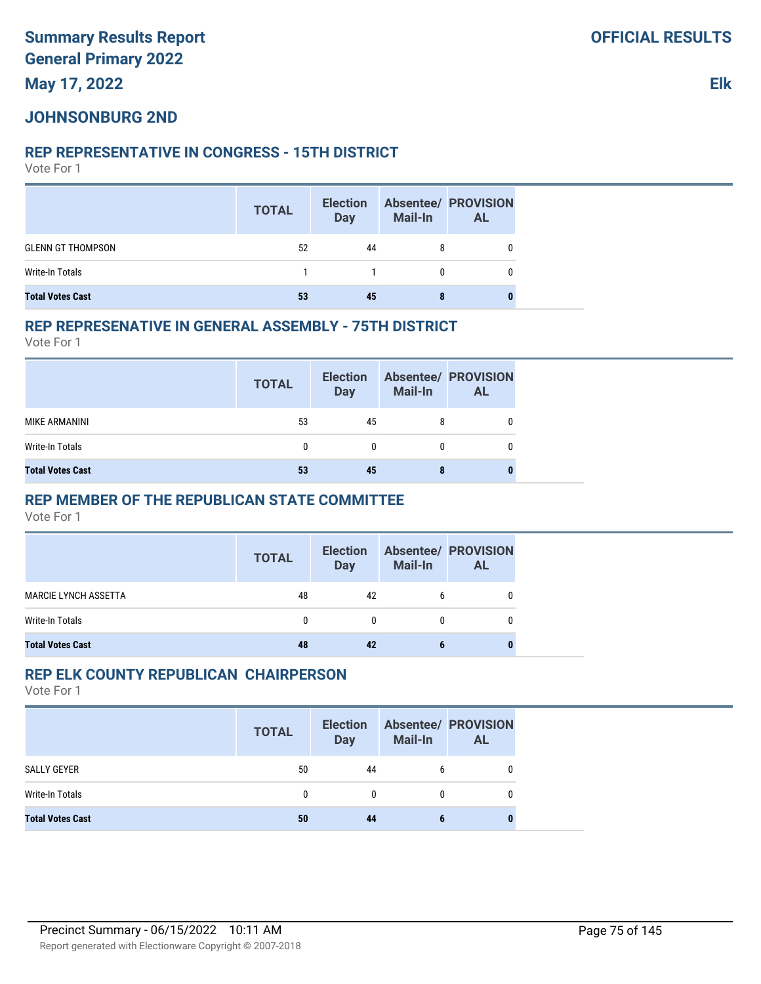# **JOHNSONBURG 2ND**

### **REP REPRESENTATIVE IN CONGRESS - 15TH DISTRICT**

Vote For 1

|                          | <b>TOTAL</b> | <b>Election</b><br><b>Day</b> | <b>Mail-In</b> | <b>Absentee/ PROVISION</b><br><b>AL</b> |
|--------------------------|--------------|-------------------------------|----------------|-----------------------------------------|
| <b>GLENN GT THOMPSON</b> | 52           | 44                            | 8              |                                         |
| Write-In Totals          |              |                               | 0              |                                         |
| <b>Total Votes Cast</b>  | 53           | 45                            |                |                                         |

#### **REP REPRESENATIVE IN GENERAL ASSEMBLY - 75TH DISTRICT**

Vote For 1

|                         | <b>TOTAL</b> | <b>Election</b><br><b>Day</b> | Mail-In | <b>Absentee/ PROVISION</b><br>AL |
|-------------------------|--------------|-------------------------------|---------|----------------------------------|
| MIKE ARMANINI           | 53           | 45                            |         |                                  |
| Write-In Totals         |              |                               |         |                                  |
| <b>Total Votes Cast</b> | 53           | 45                            |         |                                  |

### **REP MEMBER OF THE REPUBLICAN STATE COMMITTEE**

Vote For 1

|                             | <b>TOTAL</b> | <b>Election</b><br>Day | <b>Mail-In</b> | <b>Absentee/ PROVISION</b><br><b>AL</b> |
|-----------------------------|--------------|------------------------|----------------|-----------------------------------------|
| <b>MARCIE LYNCH ASSETTA</b> | 48           | 42                     | <sub>6</sub>   |                                         |
| Write-In Totals             |              | 0                      |                | 0                                       |
| <b>Total Votes Cast</b>     | 48           | 42                     |                |                                         |

### **REP ELK COUNTY REPUBLICAN CHAIRPERSON**

|                         | <b>TOTAL</b> | <b>Election</b><br><b>Day</b> | <b>Mail-In</b> | <b>Absentee/ PROVISION</b><br><b>AL</b> |
|-------------------------|--------------|-------------------------------|----------------|-----------------------------------------|
| SALLY GEYER             | 50           | 44                            |                |                                         |
| Write-In Totals         | 0            | $\mathbf{0}$                  |                |                                         |
| <b>Total Votes Cast</b> | 50           | 44                            |                |                                         |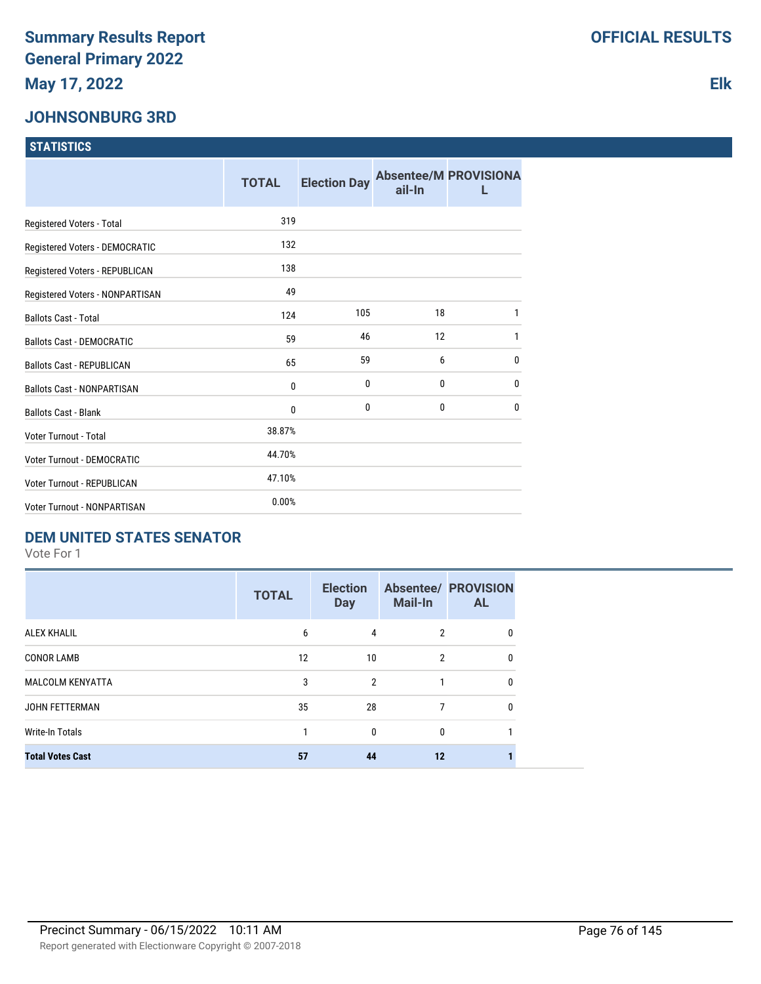### **JOHNSONBURG 3RD**

| <b>STATISTICS</b> |  |
|-------------------|--|
|                   |  |

|                                    | <b>TOTAL</b> | <b>Election Day</b> | ail-In       | <b>Absentee/M PROVISIONA</b> |
|------------------------------------|--------------|---------------------|--------------|------------------------------|
| Registered Voters - Total          | 319          |                     |              |                              |
| Registered Voters - DEMOCRATIC     | 132          |                     |              |                              |
| Registered Voters - REPUBLICAN     | 138          |                     |              |                              |
| Registered Voters - NONPARTISAN    | 49           |                     |              |                              |
| <b>Ballots Cast - Total</b>        | 124          | 105                 | 18           | 1                            |
| <b>Ballots Cast - DEMOCRATIC</b>   | 59           | 46                  | 12           | 1                            |
| <b>Ballots Cast - REPUBLICAN</b>   | 65           | 59                  | 6            | $\mathbf 0$                  |
| <b>Ballots Cast - NONPARTISAN</b>  | $\mathbf{0}$ | 0                   | 0            | 0                            |
| <b>Ballots Cast - Blank</b>        | $\mathbf{0}$ | 0                   | $\mathbf{0}$ | $\mathbf{0}$                 |
| Voter Turnout - Total              | 38.87%       |                     |              |                              |
| <b>Voter Turnout - DEMOCRATIC</b>  | 44.70%       |                     |              |                              |
| Voter Turnout - REPUBLICAN         | 47.10%       |                     |              |                              |
| <b>Voter Turnout - NONPARTISAN</b> | 0.00%        |                     |              |                              |

### **DEM UNITED STATES SENATOR**

Vote For 1

|                         | <b>TOTAL</b> | <b>Election</b><br><b>Day</b> | <b>Mail-In</b> | <b>Absentee/ PROVISION</b><br><b>AL</b> |
|-------------------------|--------------|-------------------------------|----------------|-----------------------------------------|
| <b>ALEX KHALIL</b>      | 6            | 4                             | $\overline{2}$ | 0                                       |
| <b>CONOR LAMB</b>       | 12           | 10                            | $\overline{2}$ | 0                                       |
| <b>MALCOLM KENYATTA</b> | 3            | $\mathfrak{p}$                | 1              | 0                                       |
| <b>JOHN FETTERMAN</b>   | 35           | 28                            | 7              | 0                                       |
| <b>Write-In Totals</b>  |              | $\Omega$                      | $\bf{0}$       |                                         |
| <b>Total Votes Cast</b> | 57           | 44                            | 12             |                                         |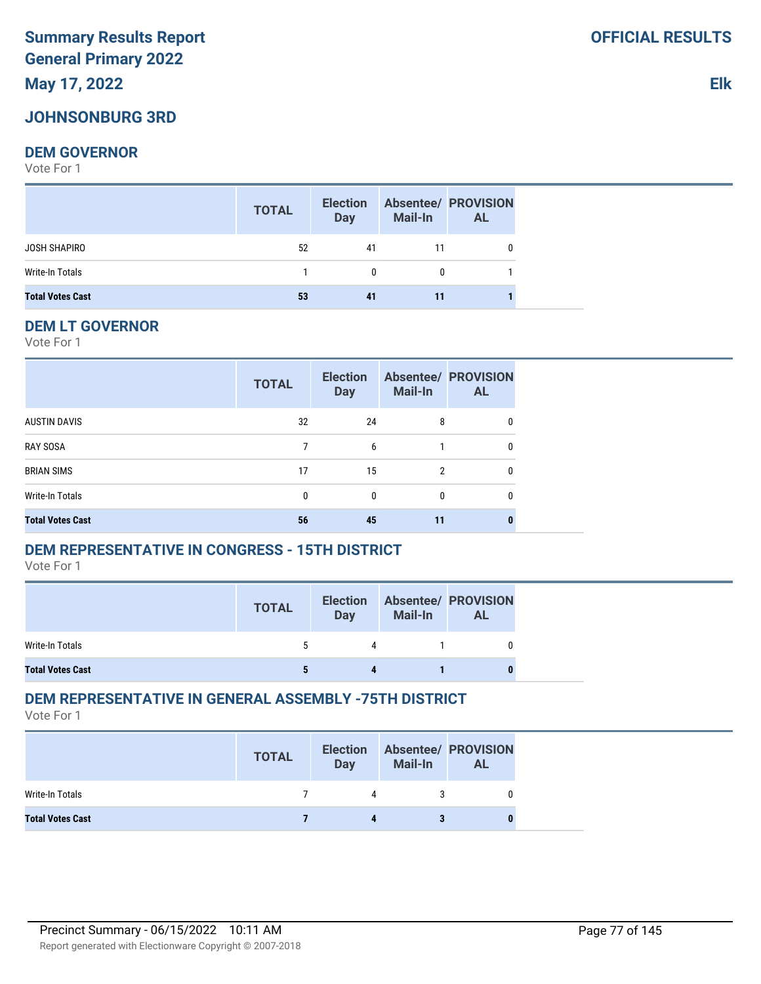# **Summary Results Report General Primary 2022**

**May 17, 2022**

# **JOHNSONBURG 3RD**

### **DEM GOVERNOR**

Vote For 1

|                         | <b>TOTAL</b> | <b>Election</b><br>Day | <b>Mail-In</b> | <b>Absentee/ PROVISION</b><br><b>AL</b> |
|-------------------------|--------------|------------------------|----------------|-----------------------------------------|
| JOSH SHAPIRO            | 52           | 41                     | 11             | 0                                       |
| Write-In Totals         |              | 0                      | $\mathbf{0}$   |                                         |
| <b>Total Votes Cast</b> | 53           | 41                     | 11             |                                         |

### **DEM LT GOVERNOR**

Vote For 1

|                         | <b>TOTAL</b> | <b>Election</b><br><b>Day</b> | <b>Mail-In</b> | <b>Absentee/ PROVISION</b><br><b>AL</b> |
|-------------------------|--------------|-------------------------------|----------------|-----------------------------------------|
| <b>AUSTIN DAVIS</b>     | 32           | 24                            | 8              | 0                                       |
| <b>RAY SOSA</b>         | 7            | 6                             |                | 0                                       |
| <b>BRIAN SIMS</b>       | 17           | 15                            | $\overline{2}$ | 0                                       |
| Write-In Totals         | 0            | 0                             | 0              | 0                                       |
| <b>Total Votes Cast</b> | 56           | 45                            | 11             |                                         |

### **DEM REPRESENTATIVE IN CONGRESS - 15TH DISTRICT**

Vote For 1

|                         | <b>TOTAL</b> | <b>Election</b><br>Day | Mail-In | <b>Absentee/ PROVISION</b><br>AL |
|-------------------------|--------------|------------------------|---------|----------------------------------|
| Write-In Totals         |              | 4                      |         |                                  |
| <b>Total Votes Cast</b> |              |                        |         |                                  |

# **DEM REPRESENTATIVE IN GENERAL ASSEMBLY -75TH DISTRICT**

Vote For 1

|                         | <b>TOTAL</b> | <b>Election</b><br>Day | <b>Mail-In</b> | <b>Absentee/ PROVISION</b><br><b>AL</b> |
|-------------------------|--------------|------------------------|----------------|-----------------------------------------|
| Write-In Totals         |              | 4                      |                |                                         |
| <b>Total Votes Cast</b> |              |                        |                |                                         |

**OFFICIAL RESULTS**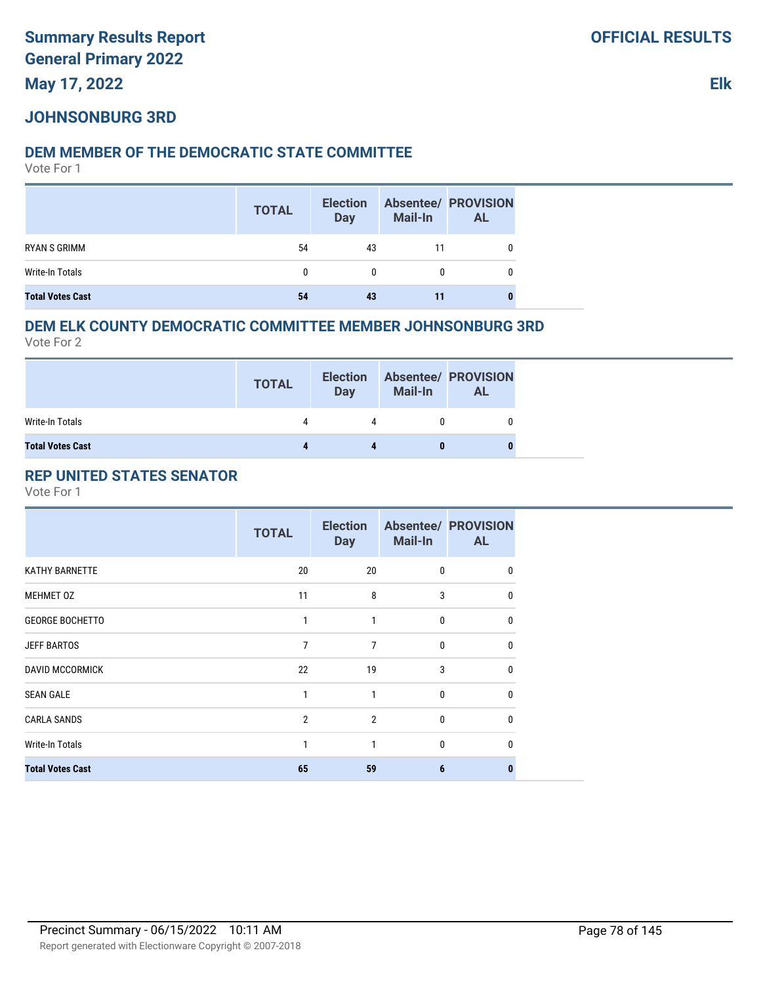# **JOHNSONBURG 3RD**

### **DEM MEMBER OF THE DEMOCRATIC STATE COMMITTEE**

Vote For 1

|                         | <b>TOTAL</b> | <b>Election</b><br><b>Day</b> | <b>Mail-In</b> | <b>Absentee/ PROVISION</b><br><b>AL</b> |
|-------------------------|--------------|-------------------------------|----------------|-----------------------------------------|
| RYAN S GRIMM            | 54           | 43                            | 11             |                                         |
| Write-In Totals         | 0            | 0                             |                |                                         |
| <b>Total Votes Cast</b> | 54           | 43                            | 11             |                                         |

### **DEM ELK COUNTY DEMOCRATIC COMMITTEE MEMBER JOHNSONBURG 3RD**

Vote For 2

|                         | <b>TOTAL</b> | <b>Election</b><br><b>Day</b> | Mail-In | <b>Absentee/ PROVISION</b><br><b>AL</b> |
|-------------------------|--------------|-------------------------------|---------|-----------------------------------------|
| Write-In Totals         | 4            |                               |         |                                         |
| <b>Total Votes Cast</b> |              |                               |         |                                         |

# **REP UNITED STATES SENATOR**

|                         | <b>TOTAL</b>   | <b>Election</b><br><b>Day</b> | <b>Mail-In</b> | <b>Absentee/ PROVISION</b><br><b>AL</b> |
|-------------------------|----------------|-------------------------------|----------------|-----------------------------------------|
| <b>KATHY BARNETTE</b>   | 20             | 20                            | 0              | 0                                       |
| MEHMET 0Z               | 11             | 8                             | 3              | $\Omega$                                |
| <b>GEORGE BOCHETTO</b>  | $\mathbf{1}$   | 1                             | 0              | 0                                       |
| <b>JEFF BARTOS</b>      | 7              | 7                             | 0              | $\Omega$                                |
| <b>DAVID MCCORMICK</b>  | 22             | 19                            | 3              | $\mathbf{0}$                            |
| <b>SEAN GALE</b>        | 1              | 1                             | 0              | $\Omega$                                |
| <b>CARLA SANDS</b>      | $\overline{2}$ | $\overline{2}$                | 0              | $\mathbf{0}$                            |
| Write-In Totals         | 1              | 1                             | 0              | $\Omega$                                |
| <b>Total Votes Cast</b> | 65             | 59                            | 6              |                                         |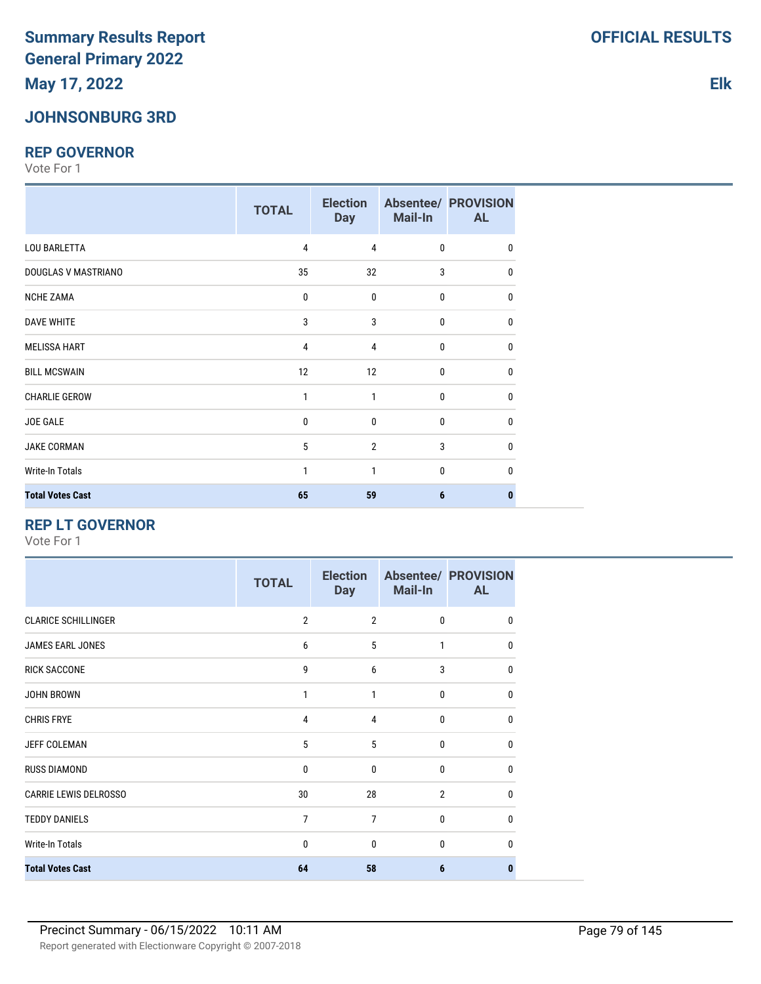# **JOHNSONBURG 3RD**

### **REP GOVERNOR**

Vote For 1

|                         | <b>TOTAL</b> | <b>Election</b><br><b>Day</b> | Mail-In      | <b>Absentee/ PROVISION</b><br><b>AL</b> |
|-------------------------|--------------|-------------------------------|--------------|-----------------------------------------|
| <b>LOU BARLETTA</b>     | 4            | $\overline{4}$                | 0            | 0                                       |
| DOUGLAS V MASTRIANO     | 35           | 32                            | 3            | 0                                       |
| <b>NCHE ZAMA</b>        | 0            | $\mathbf{0}$                  | 0            | 0                                       |
| <b>DAVE WHITE</b>       | 3            | 3                             | 0            | 0                                       |
| <b>MELISSA HART</b>     | 4            | $\overline{4}$                | 0            | 0                                       |
| <b>BILL MCSWAIN</b>     | 12           | 12                            | $\mathbf{0}$ | 0                                       |
| <b>CHARLIE GEROW</b>    | 1            | 1                             | 0            | 0                                       |
| JOE GALE                | 0            | $\mathbf{0}$                  | $\mathbf{0}$ | 0                                       |
| <b>JAKE CORMAN</b>      | 5            | $\overline{2}$                | 3            | 0                                       |
| <b>Write-In Totals</b>  | 1            | $\mathbf{1}$                  | 0            | $\mathbf{0}$                            |
| <b>Total Votes Cast</b> | 65           | 59                            | 6            | ŋ                                       |

### **REP LT GOVERNOR**

Vote For 1

|                              | <b>TOTAL</b>   | <b>Election</b><br><b>Day</b> | Mail-In        | <b>Absentee/ PROVISION</b><br><b>AL</b> |
|------------------------------|----------------|-------------------------------|----------------|-----------------------------------------|
| <b>CLARICE SCHILLINGER</b>   | $\overline{2}$ | $\overline{2}$                | $\mathbf{0}$   | $\mathbf{0}$                            |
| JAMES EARL JONES             | 6              | 5                             | 1              | $\mathbf{0}$                            |
| <b>RICK SACCONE</b>          | 9              | 6                             | 3              | $\Omega$                                |
| <b>JOHN BROWN</b>            | 1              | 1                             | $\Omega$       | $\Omega$                                |
| <b>CHRIS FRYE</b>            | 4              | $\overline{4}$                | $\Omega$       | $\Omega$                                |
| JEFF COLEMAN                 | 5              | 5                             | $\mathbf{0}$   | $\Omega$                                |
| <b>RUSS DIAMOND</b>          | $\mathbf{0}$   | $\mathbf{0}$                  | $\mathbf{0}$   | $\mathbf{0}$                            |
| <b>CARRIE LEWIS DELROSSO</b> | 30             | 28                            | $\overline{2}$ | $\mathbf{0}$                            |
| <b>TEDDY DANIELS</b>         | 7              | $\overline{7}$                | $\mathbf{0}$   | $\Omega$                                |
| <b>Write-In Totals</b>       | $\mathbf{0}$   | $\mathbf{0}$                  | $\mathbf{0}$   | $\Omega$                                |
| <b>Total Votes Cast</b>      | 64             | 58                            | 6              | 0                                       |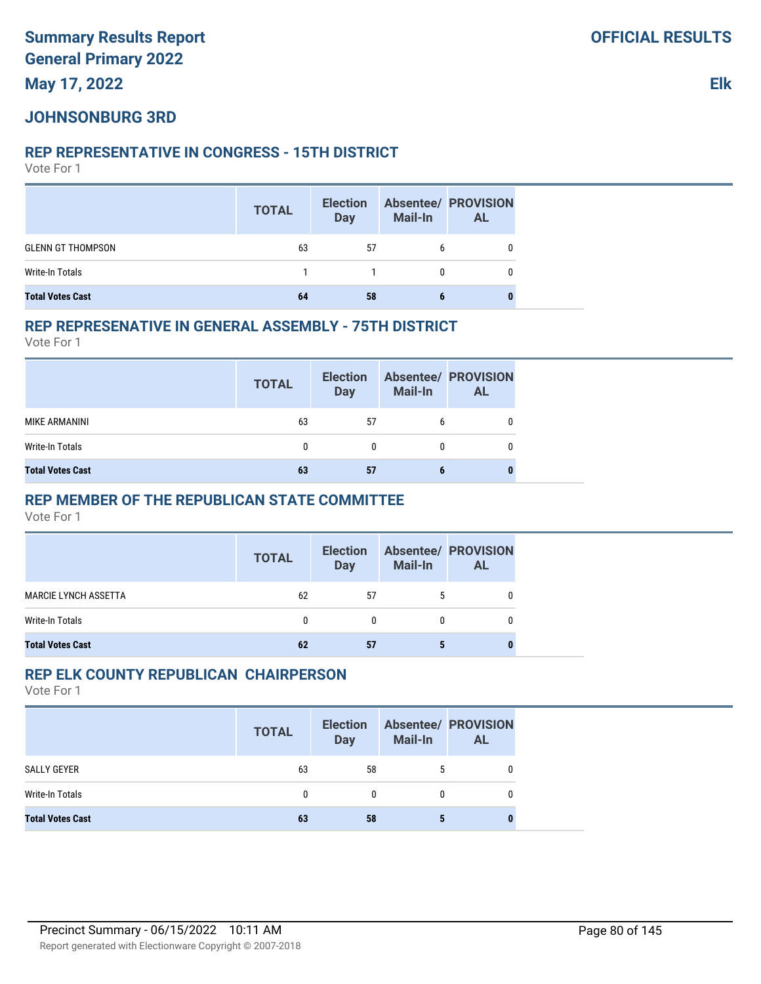### **JOHNSONBURG 3RD**

#### **REP REPRESENTATIVE IN CONGRESS - 15TH DISTRICT**

Vote For 1

|                          | <b>TOTAL</b> | <b>Election</b><br><b>Day</b> | <b>Mail-In</b> | <b>Absentee/ PROVISION</b><br><b>AL</b> |
|--------------------------|--------------|-------------------------------|----------------|-----------------------------------------|
| <b>GLENN GT THOMPSON</b> | 63           | 57                            |                |                                         |
| Write-In Totals          |              |                               |                |                                         |
| <b>Total Votes Cast</b>  | 64           | 58                            |                |                                         |

#### **REP REPRESENATIVE IN GENERAL ASSEMBLY - 75TH DISTRICT**

Vote For 1

|                         | <b>TOTAL</b> | <b>Election</b><br><b>Day</b> | Mail-In | <b>Absentee/ PROVISION</b><br><b>AL</b> |
|-------------------------|--------------|-------------------------------|---------|-----------------------------------------|
| MIKE ARMANINI           | 63           | 57                            |         |                                         |
| Write-In Totals         |              |                               |         |                                         |
| <b>Total Votes Cast</b> | 63           | 57                            |         |                                         |

### **REP MEMBER OF THE REPUBLICAN STATE COMMITTEE**

Vote For 1

|                             | <b>TOTAL</b> | <b>Election</b><br>Day | <b>Mail-In</b> | <b>Absentee/ PROVISION</b><br><b>AL</b> |  |
|-----------------------------|--------------|------------------------|----------------|-----------------------------------------|--|
| <b>MARCIE LYNCH ASSETTA</b> | 62           | 57                     |                |                                         |  |
| Write-In Totals             | 0            | $\mathbf{0}$           | 0              | 0                                       |  |
| <b>Total Votes Cast</b>     | 62           | 57                     |                |                                         |  |

### **REP ELK COUNTY REPUBLICAN CHAIRPERSON**

|                         | <b>TOTAL</b> | <b>Election</b><br><b>Day</b> | <b>Mail-In</b> | <b>Absentee/ PROVISION</b><br><b>AL</b> |
|-------------------------|--------------|-------------------------------|----------------|-----------------------------------------|
| SALLY GEYER             | 63           | 58                            |                |                                         |
| Write-In Totals         | 0            | $\mathbf{0}$                  |                |                                         |
| <b>Total Votes Cast</b> | 63           | 58                            |                |                                         |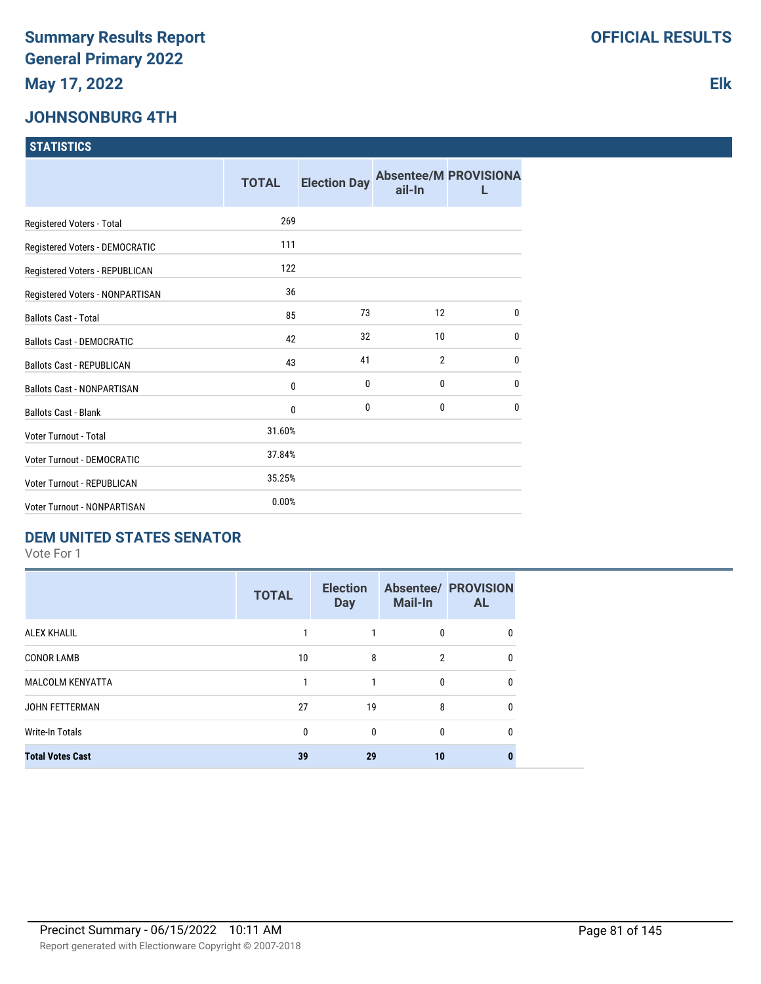### **JOHNSONBURG 4TH**

| <b>STATISTICS</b> |
|-------------------|
|                   |

|                                    | <b>TOTAL</b> | <b>Election Day</b> | ail-In         | <b>Absentee/M PROVISIONA</b> |
|------------------------------------|--------------|---------------------|----------------|------------------------------|
| Registered Voters - Total          | 269          |                     |                |                              |
| Registered Voters - DEMOCRATIC     | 111          |                     |                |                              |
| Registered Voters - REPUBLICAN     | 122          |                     |                |                              |
| Registered Voters - NONPARTISAN    | 36           |                     |                |                              |
| <b>Ballots Cast - Total</b>        | 85           | 73                  | 12             | $\mathbf{0}$                 |
| <b>Ballots Cast - DEMOCRATIC</b>   | 42           | 32                  | 10             | $\mathbf{0}$                 |
| <b>Ballots Cast - REPUBLICAN</b>   | 43           | 41                  | $\overline{2}$ | $\mathbf{0}$                 |
| <b>Ballots Cast - NONPARTISAN</b>  | 0            | 0                   | 0              | $\mathbf{0}$                 |
| <b>Ballots Cast - Blank</b>        | 0            | $\mathbf{0}$        | $\mathbf{0}$   | $\mathbf{0}$                 |
| Voter Turnout - Total              | 31.60%       |                     |                |                              |
| Voter Turnout - DEMOCRATIC         | 37.84%       |                     |                |                              |
| Voter Turnout - REPUBLICAN         | 35.25%       |                     |                |                              |
| <b>Voter Turnout - NONPARTISAN</b> | 0.00%        |                     |                |                              |

### **DEM UNITED STATES SENATOR**

Vote For 1

|                         | <b>TOTAL</b> | <b>Election</b><br><b>Day</b> | <b>Mail-In</b> | <b>Absentee/ PROVISION</b><br><b>AL</b> |
|-------------------------|--------------|-------------------------------|----------------|-----------------------------------------|
| <b>ALEX KHALIL</b>      |              |                               | 0              | 0                                       |
| <b>CONOR LAMB</b>       | 10           | 8                             | $\overline{2}$ | 0                                       |
| <b>MALCOLM KENYATTA</b> |              |                               | $\mathbf{0}$   | 0                                       |
| <b>JOHN FETTERMAN</b>   | 27           | 19                            | 8              | 0                                       |
| <b>Write-In Totals</b>  | 0            | $\mathbf{0}$                  | 0              | 0                                       |
| <b>Total Votes Cast</b> | 39           | 29                            | 10             |                                         |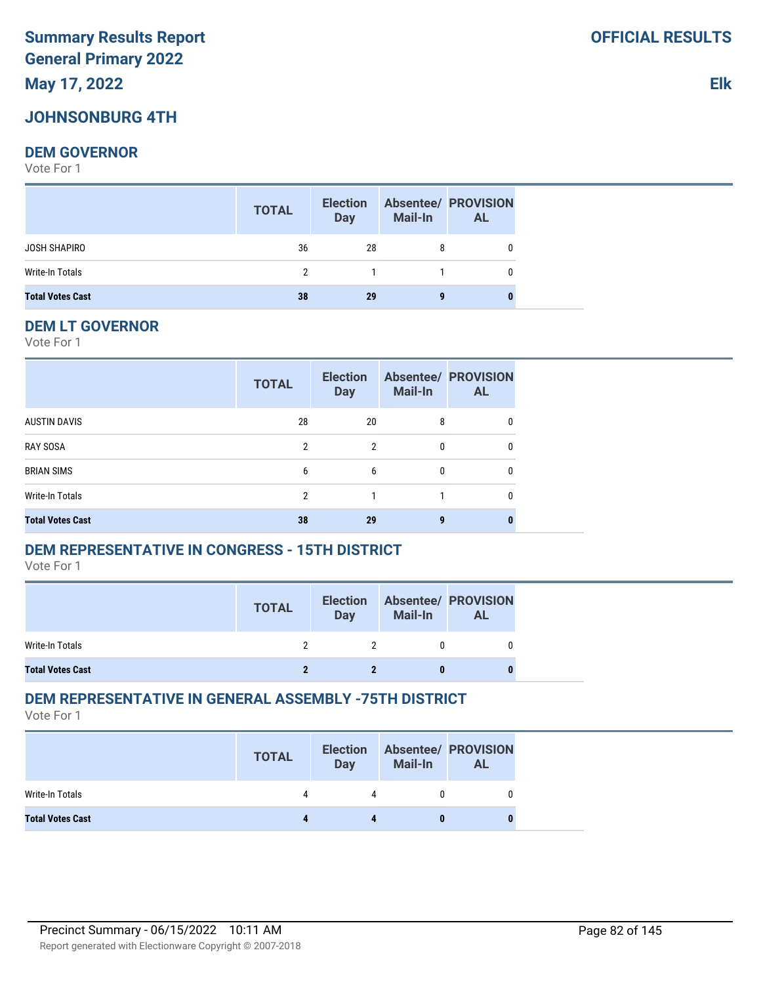# **Summary Results Report General Primary 2022**

**May 17, 2022**

# **JOHNSONBURG 4TH**

## **DEM GOVERNOR**

Vote For 1

|                         | <b>TOTAL</b> | <b>Election</b><br>Day | <b>Mail-In</b> | <b>Absentee/ PROVISION</b><br><b>AL</b> |
|-------------------------|--------------|------------------------|----------------|-----------------------------------------|
| JOSH SHAPIRO            | 36           | 28                     | 8              | 0                                       |
| Write-In Totals         | 2            |                        | $\sim$ 1       | 0                                       |
| <b>Total Votes Cast</b> | 38           | 29                     | 9              | 0                                       |

### **DEM LT GOVERNOR**

Vote For 1

|                         | <b>TOTAL</b> | <b>Election</b><br><b>Day</b> | <b>Mail-In</b> | <b>Absentee/ PROVISION</b><br><b>AL</b> |
|-------------------------|--------------|-------------------------------|----------------|-----------------------------------------|
| AUSTIN DAVIS            | 28           | 20                            | 8              | 0                                       |
| <b>RAY SOSA</b>         | 2            | $\overline{2}$                | 0              | 0                                       |
| <b>BRIAN SIMS</b>       | 6            | 6                             | 0              | 0                                       |
| Write-In Totals         | 2            |                               |                | 0                                       |
| <b>Total Votes Cast</b> | 38           | 29                            | o              |                                         |

### **DEM REPRESENTATIVE IN CONGRESS - 15TH DISTRICT**

Vote For 1

|                         | <b>TOTAL</b> | <b>Election</b><br><b>Day</b> | Mail-In | <b>Absentee/ PROVISION</b><br>AL |
|-------------------------|--------------|-------------------------------|---------|----------------------------------|
| Write-In Totals         |              |                               |         |                                  |
| <b>Total Votes Cast</b> |              |                               |         |                                  |

### **DEM REPRESENTATIVE IN GENERAL ASSEMBLY -75TH DISTRICT**

Vote For 1

|                         | <b>TOTAL</b> | <b>Election</b><br><b>Day</b> | <b>Mail-In</b> | <b>Absentee/ PROVISION</b><br><b>AL</b> |
|-------------------------|--------------|-------------------------------|----------------|-----------------------------------------|
| Write-In Totals         | 4            |                               |                |                                         |
| <b>Total Votes Cast</b> |              |                               |                |                                         |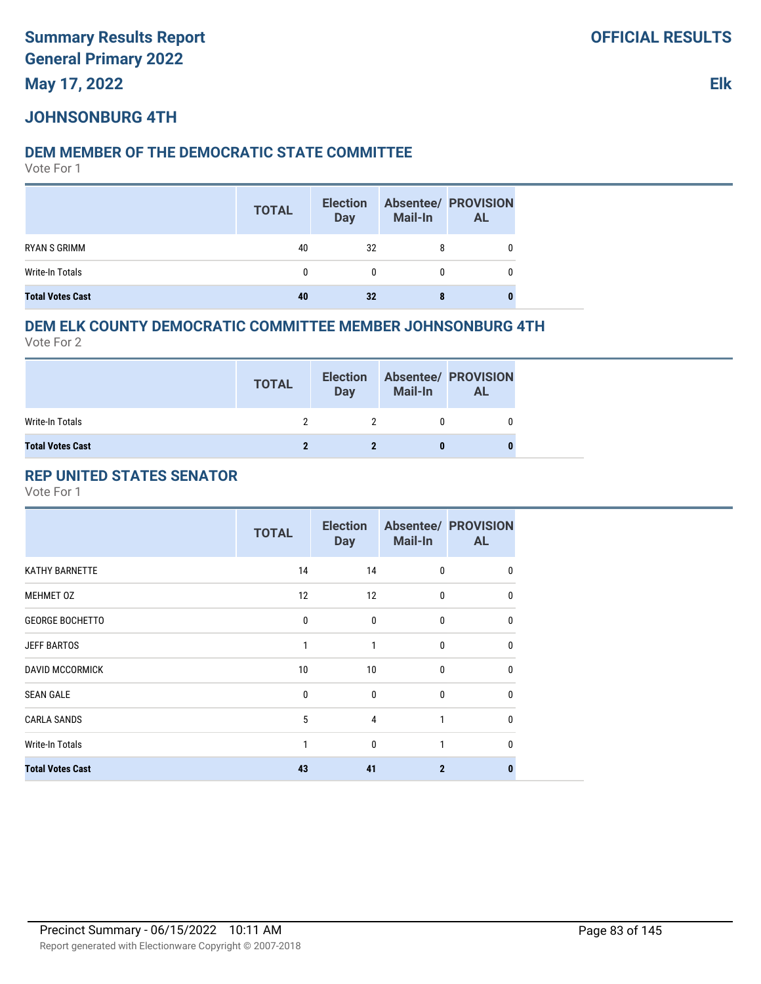# **JOHNSONBURG 4TH**

### **DEM MEMBER OF THE DEMOCRATIC STATE COMMITTEE**

Vote For 1

|                         | <b>TOTAL</b> | <b>Election</b><br><b>Day</b> | <b>Mail-In</b> | <b>Absentee/ PROVISION</b><br><b>AL</b> |
|-------------------------|--------------|-------------------------------|----------------|-----------------------------------------|
| RYAN S GRIMM            | 40           | 32                            |                |                                         |
| Write-In Totals         | 0            | 0                             | 0              |                                         |
| <b>Total Votes Cast</b> | 40           | 32                            | 8              |                                         |

# **DEM ELK COUNTY DEMOCRATIC COMMITTEE MEMBER JOHNSONBURG 4TH**

Vote For 2

|                         | <b>TOTAL</b> | <b>Election</b><br><b>Day</b> | <b>Mail-In</b> | <b>Absentee/ PROVISION</b><br><b>AL</b> |
|-------------------------|--------------|-------------------------------|----------------|-----------------------------------------|
| Write-In Totals         |              |                               |                |                                         |
| <b>Total Votes Cast</b> |              |                               |                |                                         |

### **REP UNITED STATES SENATOR**

|                         | <b>TOTAL</b> | <b>Election</b><br><b>Day</b> | <b>Mail-In</b> | <b>Absentee/ PROVISION</b><br><b>AL</b> |
|-------------------------|--------------|-------------------------------|----------------|-----------------------------------------|
| KATHY BARNETTE          | 14           | 14                            | $\mathbf{0}$   | 0                                       |
| MEHMET 0Z               | 12           | 12                            | $\mathbf{0}$   | 0                                       |
| <b>GEORGE BOCHETTO</b>  | 0            | 0                             | 0              | $\mathbf{0}$                            |
| <b>JEFF BARTOS</b>      |              |                               | $\mathbf{0}$   | $\mathbf{0}$                            |
| <b>DAVID MCCORMICK</b>  | 10           | 10                            | 0              | $\mathbf{0}$                            |
| <b>SEAN GALE</b>        | 0            | $\mathbf{0}$                  | $\mathbf{0}$   | 0                                       |
| <b>CARLA SANDS</b>      | 5            | 4                             | 1              | $\mathbf{0}$                            |
| <b>Write-In Totals</b>  | 1            | 0                             | 1              | 0                                       |
| <b>Total Votes Cast</b> | 43           | 41                            | $\overline{2}$ | 0                                       |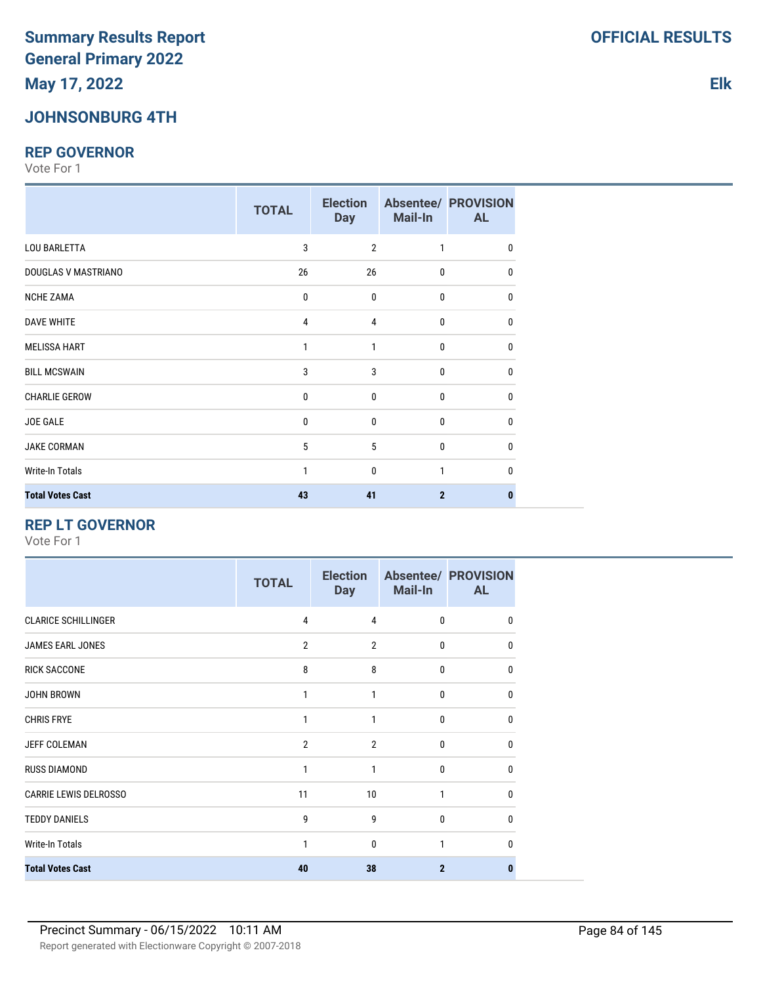# **JOHNSONBURG 4TH**

### **REP GOVERNOR**

Vote For 1

|                         | <b>TOTAL</b> | <b>Election</b><br><b>Day</b> | Mail-In        | <b>Absentee/ PROVISION</b><br><b>AL</b> |
|-------------------------|--------------|-------------------------------|----------------|-----------------------------------------|
| <b>LOU BARLETTA</b>     | 3            | $\overline{2}$                | 1              | 0                                       |
| DOUGLAS V MASTRIANO     | 26           | 26                            | $\mathbf 0$    | 0                                       |
| <b>NCHE ZAMA</b>        | 0            | 0                             | $\mathbf 0$    | 0                                       |
| <b>DAVE WHITE</b>       | 4            | 4                             | $\mathbf 0$    | 0                                       |
| <b>MELISSA HART</b>     | 1            | $\mathbf{1}$                  | $\mathbf 0$    | 0                                       |
| <b>BILL MCSWAIN</b>     | 3            | 3                             | $\mathbf{0}$   | 0                                       |
| <b>CHARLIE GEROW</b>    | 0            | $\mathbf 0$                   | $\mathbf{0}$   | 0                                       |
| JOE GALE                | 0            | $\mathbf{0}$                  | $\mathbf{0}$   | 0                                       |
| JAKE CORMAN             | 5            | 5                             | $\mathbf{0}$   | $\mathbf{0}$                            |
| Write-In Totals         | 1            | $\mathbf{0}$                  | 1              | $\mathbf{0}$                            |
| <b>Total Votes Cast</b> | 43           | 41                            | $\overline{2}$ | 0                                       |

### **REP LT GOVERNOR**

|                              | <b>TOTAL</b>   | <b>Election</b><br><b>Day</b> | Mail-In      | <b>Absentee/ PROVISION</b><br><b>AL</b> |
|------------------------------|----------------|-------------------------------|--------------|-----------------------------------------|
| <b>CLARICE SCHILLINGER</b>   | $\overline{4}$ | 4                             | $\mathbf{0}$ | 0                                       |
| JAMES EARL JONES             | $\overline{2}$ | $\overline{2}$                | $\mathbf{0}$ | 0                                       |
| <b>RICK SACCONE</b>          | 8              | 8                             | $\Omega$     | 0                                       |
| <b>JOHN BROWN</b>            | 1              | 1                             | $\Omega$     | $\Omega$                                |
| <b>CHRIS FRYE</b>            | 1              | 1                             | $\mathbf{0}$ | $\Omega$                                |
| JEFF COLEMAN                 | $\overline{2}$ | $\overline{2}$                | $\mathbf{0}$ | 0                                       |
| <b>RUSS DIAMOND</b>          | 1              | 1                             | $\mathbf{0}$ | 0                                       |
| <b>CARRIE LEWIS DELROSSO</b> | 11             | 10                            | 1            | $\mathbf{0}$                            |
| <b>TEDDY DANIELS</b>         | 9              | 9                             | $\mathbf{0}$ | $\Omega$                                |
| <b>Write-In Totals</b>       | 1              | 0                             | 1            | 0                                       |
| <b>Total Votes Cast</b>      | 40             | 38                            | $\mathbf{2}$ | п                                       |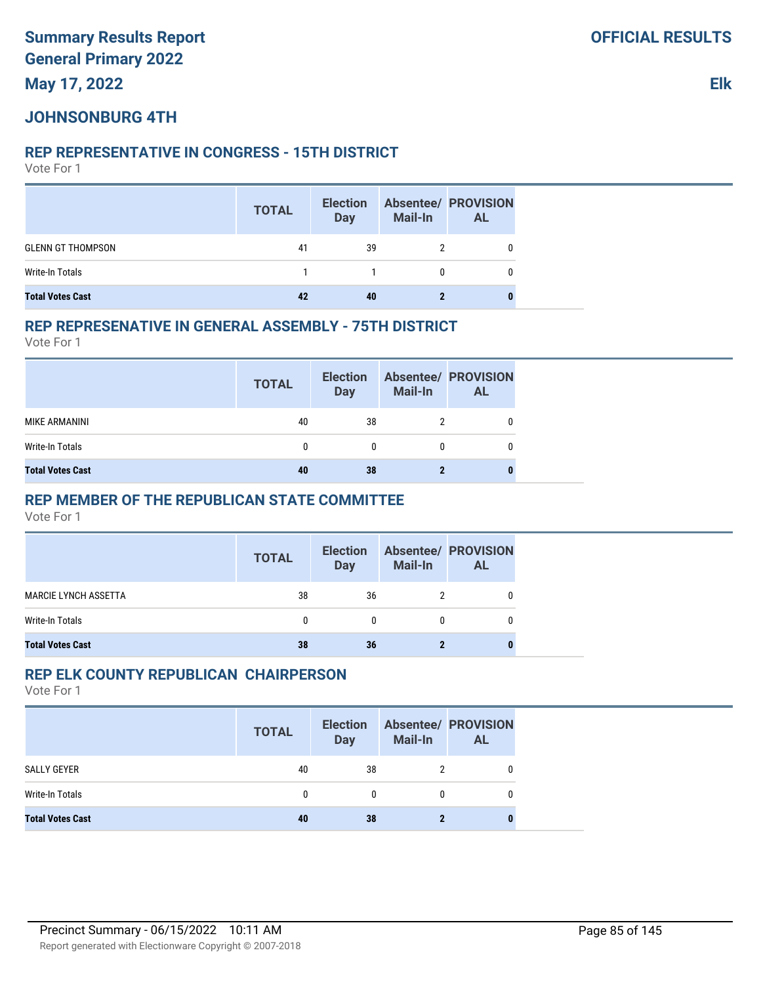## **JOHNSONBURG 4TH**

#### **REP REPRESENTATIVE IN CONGRESS - 15TH DISTRICT**

Vote For 1

|                          | <b>TOTAL</b> | <b>Election</b><br><b>Day</b> | <b>Mail-In</b> | <b>Absentee/ PROVISION</b><br><b>AL</b> |
|--------------------------|--------------|-------------------------------|----------------|-----------------------------------------|
| <b>GLENN GT THOMPSON</b> | 41           | 39                            |                |                                         |
| Write-In Totals          |              |                               |                |                                         |
| <b>Total Votes Cast</b>  | 42           | 40                            |                |                                         |

#### **REP REPRESENATIVE IN GENERAL ASSEMBLY - 75TH DISTRICT**

Vote For 1

|                         | <b>TOTAL</b> | <b>Election</b><br><b>Day</b> | Mail-In | <b>Absentee/ PROVISION</b><br><b>AL</b> |
|-------------------------|--------------|-------------------------------|---------|-----------------------------------------|
| MIKE ARMANINI           | 40           | 38                            |         |                                         |
| Write-In Totals         | U            | 0                             |         |                                         |
| <b>Total Votes Cast</b> | 40           | 38                            |         |                                         |

### **REP MEMBER OF THE REPUBLICAN STATE COMMITTEE**

Vote For 1

|                             | <b>TOTAL</b> | <b>Election</b><br>Day | <b>Mail-In</b> | <b>Absentee/ PROVISION</b><br><b>AL</b> |
|-----------------------------|--------------|------------------------|----------------|-----------------------------------------|
| <b>MARCIE LYNCH ASSETTA</b> | 38           | 36                     |                |                                         |
| Write-In Totals             | 0            | 0                      | 0              |                                         |
| <b>Total Votes Cast</b>     | 38           | 36                     |                |                                         |

### **REP ELK COUNTY REPUBLICAN CHAIRPERSON**

|                         | <b>TOTAL</b> | <b>Election</b><br><b>Day</b> | <b>Mail-In</b> | <b>Absentee/ PROVISION</b><br><b>AL</b> |
|-------------------------|--------------|-------------------------------|----------------|-----------------------------------------|
| SALLY GEYER             | 40           | 38                            |                |                                         |
| Write-In Totals         | 0            | $\mathbf{0}$                  |                |                                         |
| <b>Total Votes Cast</b> | 40           | 38                            |                |                                         |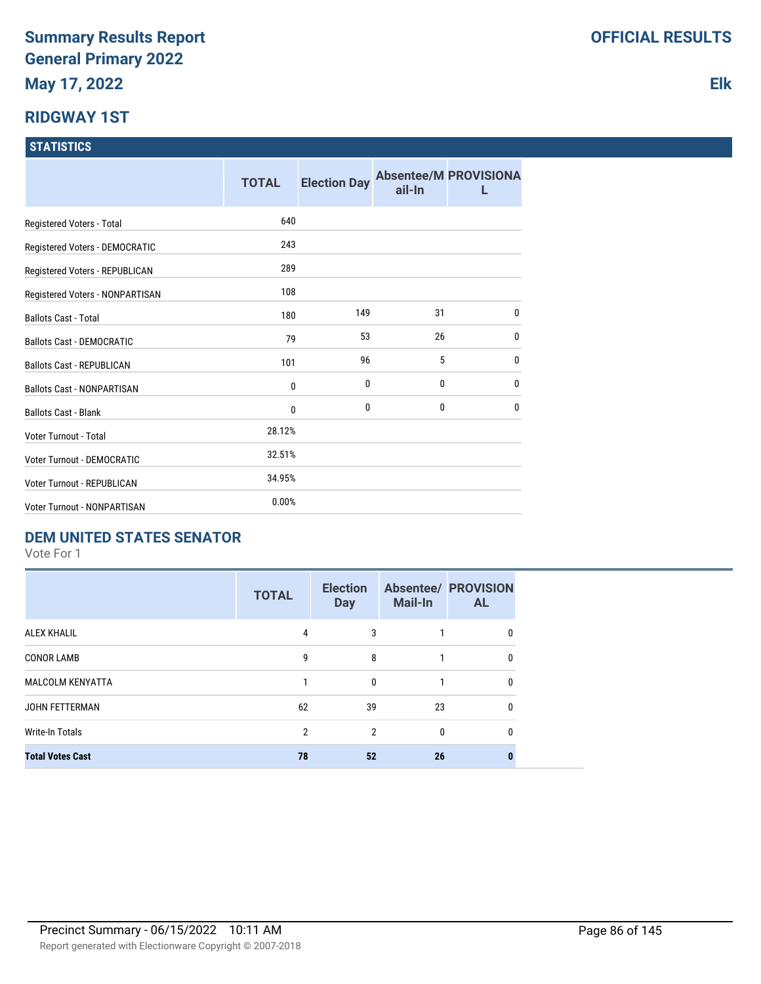# **RIDGWAY 1ST**

### **STATISTICS**

|                                   | <b>TOTAL</b> | <b>Election Day</b> | ail-In | <b>Absentee/M PROVISIONA</b> |
|-----------------------------------|--------------|---------------------|--------|------------------------------|
| Registered Voters - Total         | 640          |                     |        |                              |
| Registered Voters - DEMOCRATIC    | 243          |                     |        |                              |
| Registered Voters - REPUBLICAN    | 289          |                     |        |                              |
| Registered Voters - NONPARTISAN   | 108          |                     |        |                              |
| <b>Ballots Cast - Total</b>       | 180          | 149                 | 31     | $\mathbf{0}$                 |
| <b>Ballots Cast - DEMOCRATIC</b>  | 79           | 53                  | 26     | 0                            |
| <b>Ballots Cast - REPUBLICAN</b>  | 101          | 96                  | 5      | $\mathbf{0}$                 |
| <b>Ballots Cast - NONPARTISAN</b> | $\mathbf 0$  | 0                   | 0      | $\mathbf{0}$                 |
| <b>Ballots Cast - Blank</b>       | $\mathbf{0}$ | 0                   | 0      | $\mathbf{0}$                 |
| Voter Turnout - Total             | 28.12%       |                     |        |                              |
| <b>Voter Turnout - DEMOCRATIC</b> | 32.51%       |                     |        |                              |
| Voter Turnout - REPUBLICAN        | 34.95%       |                     |        |                              |
| Voter Turnout - NONPARTISAN       | 0.00%        |                     |        |                              |

### **DEM UNITED STATES SENATOR**

Vote For 1

|                         | <b>TOTAL</b> | <b>Election</b><br><b>Day</b> | <b>Mail-In</b> | <b>Absentee/ PROVISION</b><br><b>AL</b> |
|-------------------------|--------------|-------------------------------|----------------|-----------------------------------------|
| <b>ALEX KHALIL</b>      | 4            | 3                             |                | 0                                       |
| <b>CONOR LAMB</b>       | 9            | 8                             |                | 0                                       |
| <b>MALCOLM KENYATTA</b> |              | $\Omega$                      |                | 0                                       |
| JOHN FETTERMAN          | 62           | 39                            | 23             | 0                                       |
| <b>Write-In Totals</b>  | 2            | 2                             | $\Omega$       | 0                                       |
| <b>Total Votes Cast</b> | 78           | 52                            | 26             |                                         |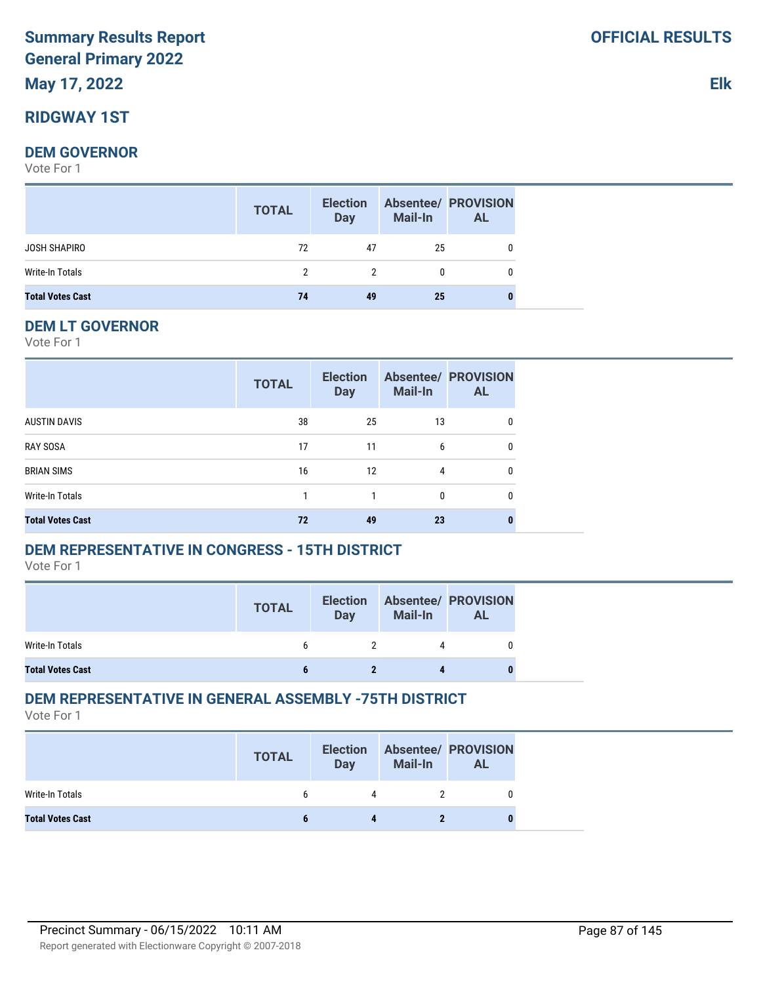## **RIDGWAY 1ST**

#### **DEM GOVERNOR**

Vote For 1

|                         | <b>TOTAL</b> | <b>Election</b><br>Day | <b>Mail-In</b> | <b>Absentee/ PROVISION</b><br><b>AL</b> |
|-------------------------|--------------|------------------------|----------------|-----------------------------------------|
| JOSH SHAPIRO            | 72           | 47                     | 25             | 0                                       |
| Write-In Totals         | 2            | 2                      | 0              | 0                                       |
| <b>Total Votes Cast</b> | 74           | 49                     | 25             | 0                                       |

#### **DEM LT GOVERNOR**

Vote For 1

|                         | <b>TOTAL</b> | <b>Election</b><br><b>Day</b> | <b>Mail-In</b> | <b>Absentee/ PROVISION</b><br><b>AL</b> |
|-------------------------|--------------|-------------------------------|----------------|-----------------------------------------|
| AUSTIN DAVIS            | 38           | 25                            | 13             | 0                                       |
| <b>RAY SOSA</b>         | 17           | 11                            | 6              | 0                                       |
| <b>BRIAN SIMS</b>       | 16           | 12                            | 4              | 0                                       |
| Write-In Totals         |              |                               | 0              | 0                                       |
| <b>Total Votes Cast</b> | 72           | 49                            | 23             | 0                                       |

### **DEM REPRESENTATIVE IN CONGRESS - 15TH DISTRICT**

Vote For 1

|                         | <b>TOTAL</b> | <b>Election</b><br><b>Day</b> | <b>Mail-In</b> | <b>Absentee/ PROVISION</b><br>AL |
|-------------------------|--------------|-------------------------------|----------------|----------------------------------|
| Write-In Totals         |              |                               |                |                                  |
| <b>Total Votes Cast</b> |              |                               |                |                                  |

### **DEM REPRESENTATIVE IN GENERAL ASSEMBLY -75TH DISTRICT**

|                         | <b>TOTAL</b> | <b>Election</b><br><b>Day</b> | <b>Mail-In</b> | <b>Absentee/ PROVISION</b><br><b>AL</b> |
|-------------------------|--------------|-------------------------------|----------------|-----------------------------------------|
| Write-In Totals         | 6            | 4                             |                |                                         |
| <b>Total Votes Cast</b> |              |                               |                | 0                                       |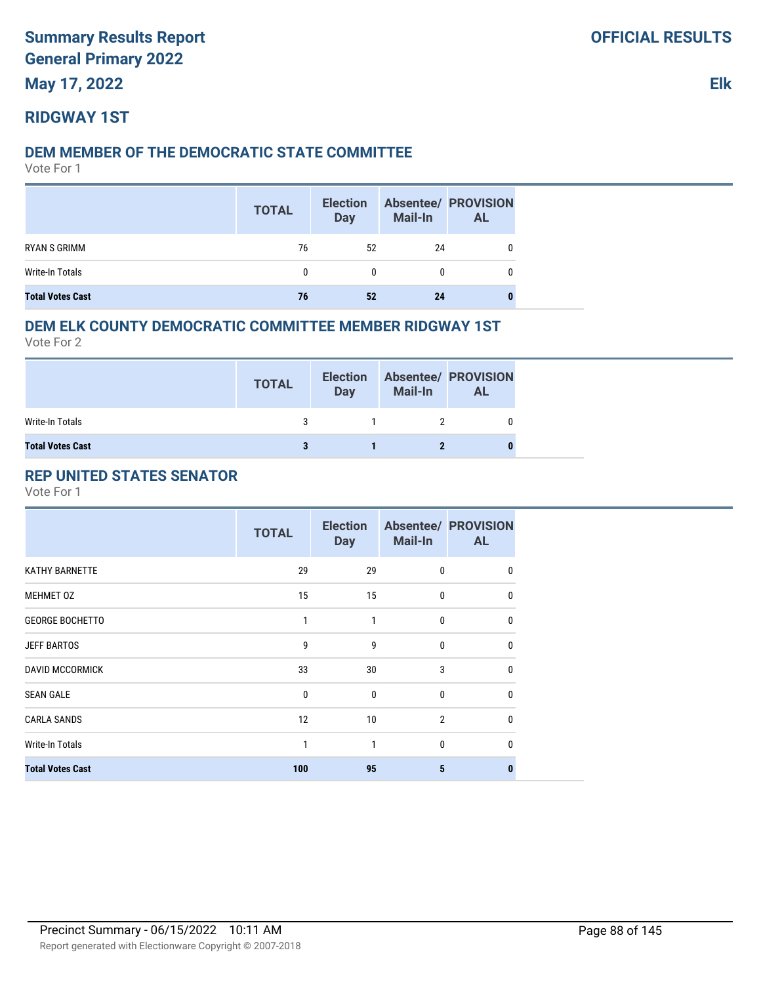**Elk**

# **RIDGWAY 1ST**

### **DEM MEMBER OF THE DEMOCRATIC STATE COMMITTEE**

Vote For 1

|                         | <b>TOTAL</b> | <b>Election</b><br><b>Day</b> | <b>Mail-In</b> | <b>Absentee/ PROVISION</b><br><b>AL</b> |
|-------------------------|--------------|-------------------------------|----------------|-----------------------------------------|
| RYAN S GRIMM            | 76           | 52                            | 24             |                                         |
| Write-In Totals         | 0            | 0                             | 0              |                                         |
| <b>Total Votes Cast</b> | 76           | 52                            | 24             |                                         |

### **DEM ELK COUNTY DEMOCRATIC COMMITTEE MEMBER RIDGWAY 1ST**

Vote For 2

|                         | <b>TOTAL</b> | <b>Election</b><br>Day | Mail-In | <b>Absentee/ PROVISION</b><br><b>AL</b> |
|-------------------------|--------------|------------------------|---------|-----------------------------------------|
| Write-In Totals         | 3            |                        |         |                                         |
| <b>Total Votes Cast</b> | 3            |                        |         |                                         |

# **REP UNITED STATES SENATOR**

|                         | <b>TOTAL</b> | <b>Election</b><br><b>Day</b> | <b>Mail-In</b> | <b>Absentee/ PROVISION</b><br><b>AL</b> |
|-------------------------|--------------|-------------------------------|----------------|-----------------------------------------|
| <b>KATHY BARNETTE</b>   | 29           | 29                            | 0              | 0                                       |
| MEHMET 0Z               | 15           | 15                            | $\mathbf 0$    | 0                                       |
| <b>GEORGE BOCHETTO</b>  | 1            | 1                             | 0              | 0                                       |
| <b>JEFF BARTOS</b>      | 9            | 9                             | $\mathbf{0}$   | $\Omega$                                |
| <b>DAVID MCCORMICK</b>  | 33           | 30                            | 3              | $\mathbf{0}$                            |
| <b>SEAN GALE</b>        | $\bf{0}$     | 0                             | $\mathbf{0}$   | $\Omega$                                |
| <b>CARLA SANDS</b>      | 12           | 10                            | $\overline{2}$ | $\mathbf{0}$                            |
| Write-In Totals         | 1            | 1                             | $\mathbf{0}$   | $\Omega$                                |
| <b>Total Votes Cast</b> | 100          | 95                            | 5              |                                         |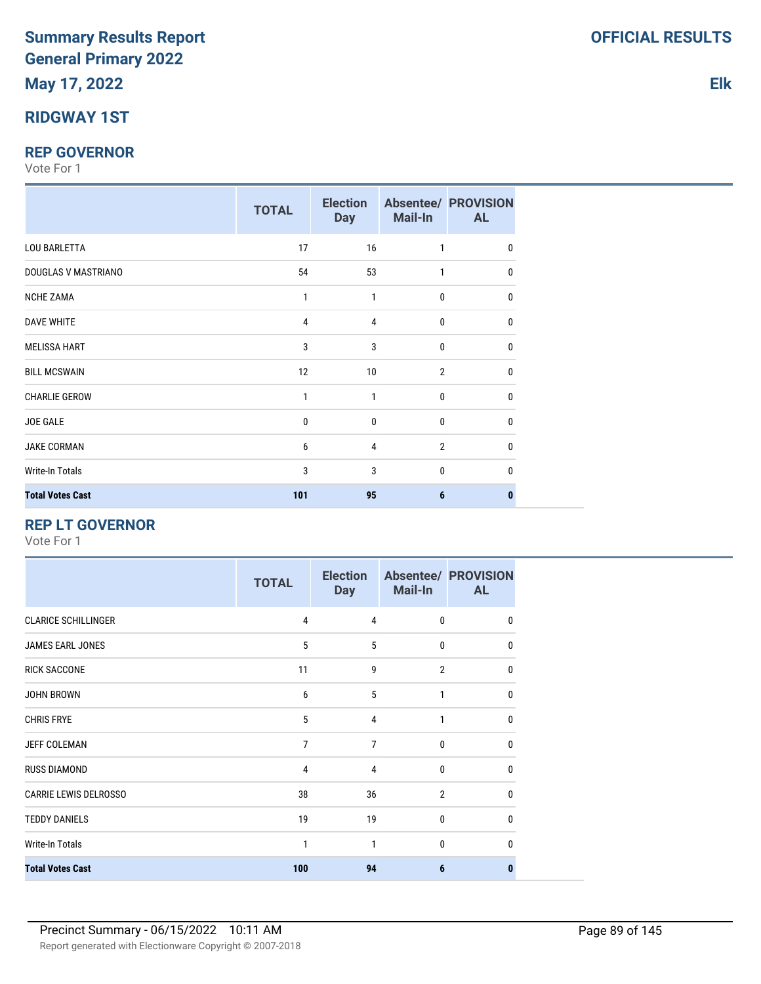### **RIDGWAY 1ST**

#### **REP GOVERNOR**

Vote For 1

|                         | <b>TOTAL</b> | <b>Election</b><br><b>Day</b> | <b>Mail-In</b> | <b>Absentee/ PROVISION</b><br><b>AL</b> |
|-------------------------|--------------|-------------------------------|----------------|-----------------------------------------|
| <b>LOU BARLETTA</b>     | 17           | 16                            | $\mathbf{1}$   | 0                                       |
| DOUGLAS V MASTRIANO     | 54           | 53                            | 1              | 0                                       |
| <b>NCHE ZAMA</b>        | 1            | 1                             | 0              | 0                                       |
| <b>DAVE WHITE</b>       | 4            | 4                             | $\mathbf{0}$   | 0                                       |
| <b>MELISSA HART</b>     | 3            | 3                             | $\mathbf{0}$   | 0                                       |
| <b>BILL MCSWAIN</b>     | 12           | 10 <sup>°</sup>               | $\overline{2}$ | 0                                       |
| <b>CHARLIE GEROW</b>    | 1            | 1                             | $\mathbf{0}$   | 0                                       |
| <b>JOE GALE</b>         | $\mathbf 0$  | $\mathbf{0}$                  | $\mathbf{0}$   | 0                                       |
| <b>JAKE CORMAN</b>      | 6            | 4                             | $\overline{2}$ | 0                                       |
| Write-In Totals         | 3            | 3                             | $\mathbf{0}$   | <sup>0</sup>                            |
| <b>Total Votes Cast</b> | 101          | 95                            | 6              |                                         |

### **REP LT GOVERNOR**

Vote For 1

|                              | <b>TOTAL</b>   | <b>Election</b><br><b>Day</b> | Mail-In        | <b>Absentee/ PROVISION</b><br><b>AL</b> |
|------------------------------|----------------|-------------------------------|----------------|-----------------------------------------|
| <b>CLARICE SCHILLINGER</b>   | 4              | 4                             | $\mathbf{0}$   | $\mathbf{0}$                            |
| JAMES EARL JONES             | 5              | 5                             | $\mathbf{0}$   | 0                                       |
| <b>RICK SACCONE</b>          | 11             | 9                             | $\overline{2}$ | $\mathbf{0}$                            |
| <b>JOHN BROWN</b>            | 6              | 5                             | 1              | $\Omega$                                |
| <b>CHRIS FRYE</b>            | 5              | $\overline{4}$                | 1              | $\Omega$                                |
| JEFF COLEMAN                 | $\overline{7}$ | $\overline{7}$                | $\mathbf{0}$   | $\Omega$                                |
| <b>RUSS DIAMOND</b>          | 4              | $\overline{4}$                | $\mathbf{0}$   | $\mathbf{0}$                            |
| <b>CARRIE LEWIS DELROSSO</b> | 38             | 36                            | $\overline{2}$ | $\mathbf{0}$                            |
| <b>TEDDY DANIELS</b>         | 19             | 19                            | $\mathbf{0}$   | $\Omega$                                |
| <b>Write-In Totals</b>       | $\mathbf{1}$   | 1                             | $\mathbf{0}$   | $\mathbf{0}$                            |
| <b>Total Votes Cast</b>      | 100            | 94                            | 6              | 0                                       |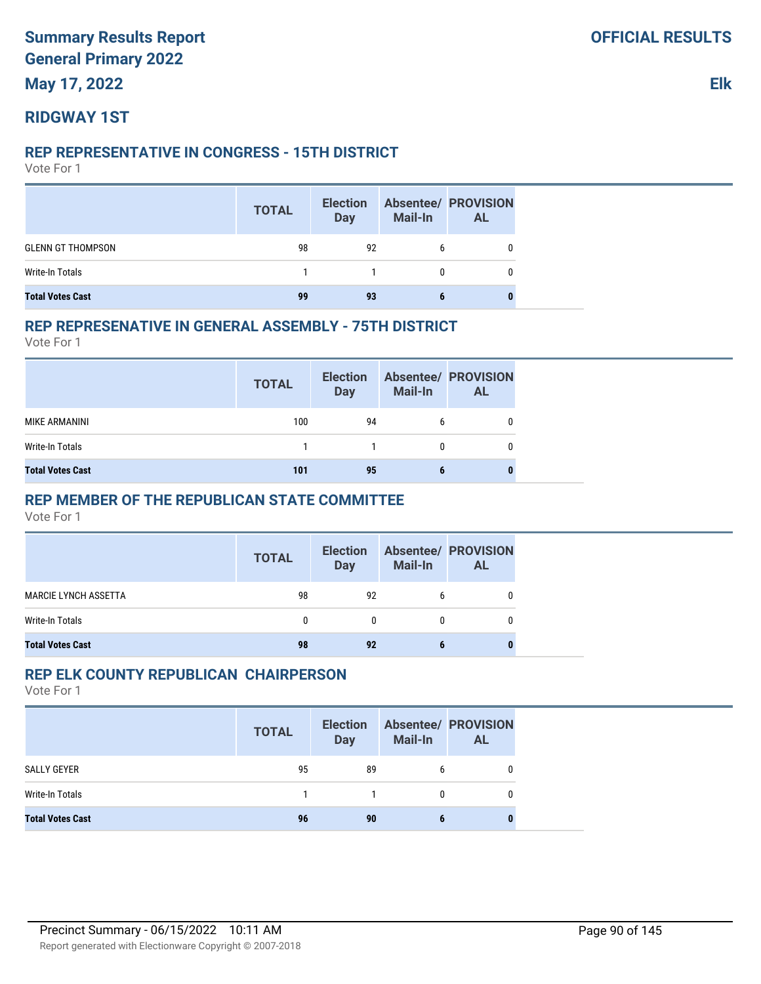# **RIDGWAY 1ST**

### **REP REPRESENTATIVE IN CONGRESS - 15TH DISTRICT**

Vote For 1

|                          | <b>TOTAL</b> | <b>Election</b><br><b>Day</b> | <b>Mail-In</b> | <b>Absentee/ PROVISION</b><br><b>AL</b> |
|--------------------------|--------------|-------------------------------|----------------|-----------------------------------------|
| <b>GLENN GT THOMPSON</b> | 98           | 92                            | 6              |                                         |
| Write-In Totals          |              |                               | 0              |                                         |
| <b>Total Votes Cast</b>  | 99           | 93                            | b              |                                         |

# **REP REPRESENATIVE IN GENERAL ASSEMBLY - 75TH DISTRICT**

Vote For 1

|                         | <b>TOTAL</b> | <b>Election</b><br><b>Day</b> | Mail-In | <b>Absentee/ PROVISION</b><br><b>AL</b> |
|-------------------------|--------------|-------------------------------|---------|-----------------------------------------|
| MIKE ARMANINI           | 100          | 94                            | b       |                                         |
| Write-In Totals         |              |                               |         |                                         |
| <b>Total Votes Cast</b> | 101          | 95                            | o       |                                         |

# **REP MEMBER OF THE REPUBLICAN STATE COMMITTEE**

Vote For 1

|                             | <b>TOTAL</b> | <b>Election</b><br>Day | <b>Mail-In</b> | <b>Absentee/ PROVISION</b><br><b>AL</b> |
|-----------------------------|--------------|------------------------|----------------|-----------------------------------------|
| <b>MARCIE LYNCH ASSETTA</b> | 98           | 92                     | b              |                                         |
| Write-In Totals             | 0            | 0                      |                |                                         |
| <b>Total Votes Cast</b>     | 98           | 92                     |                | U                                       |

# **REP ELK COUNTY REPUBLICAN CHAIRPERSON**

|                         | <b>TOTAL</b> | <b>Election</b><br>Day | <b>Mail-In</b> | <b>Absentee/ PROVISION</b><br><b>AL</b> |
|-------------------------|--------------|------------------------|----------------|-----------------------------------------|
| SALLY GEYER             | 95           | 89                     | 6              |                                         |
| Write-In Totals         |              | $\sim$ 1               | $\eta$         |                                         |
| <b>Total Votes Cast</b> | 96           | 90                     | b              |                                         |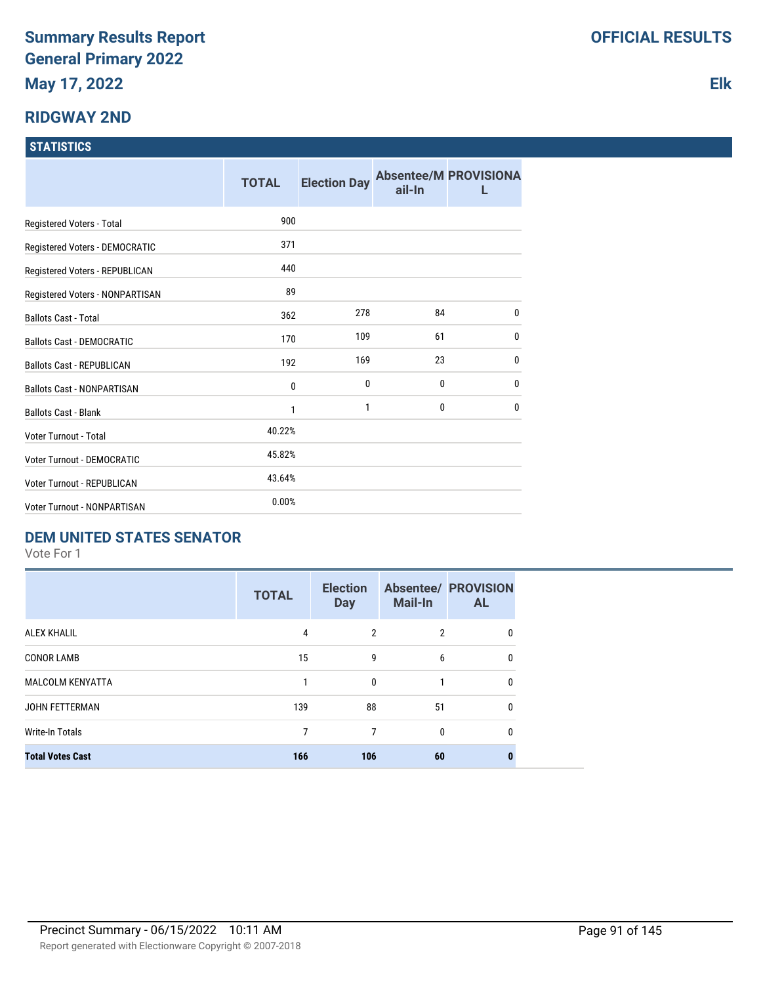### **RIDGWAY 2ND**

### **STATISTICS**

|                                   | <b>TOTAL</b> | <b>Election Day</b> | ail-In       | <b>Absentee/M PROVISIONA</b> |
|-----------------------------------|--------------|---------------------|--------------|------------------------------|
| Registered Voters - Total         | 900          |                     |              |                              |
| Registered Voters - DEMOCRATIC    | 371          |                     |              |                              |
| Registered Voters - REPUBLICAN    | 440          |                     |              |                              |
| Registered Voters - NONPARTISAN   | 89           |                     |              |                              |
| <b>Ballots Cast - Total</b>       | 362          | 278                 | 84           | $\mathbf{0}$                 |
| <b>Ballots Cast - DEMOCRATIC</b>  | 170          | 109                 | 61           | $\mathbf{0}$                 |
| <b>Ballots Cast - REPUBLICAN</b>  | 192          | 169                 | 23           | $\mathbf{0}$                 |
| <b>Ballots Cast - NONPARTISAN</b> | $\mathbf{0}$ | 0                   | 0            | $\mathbf{0}$                 |
| <b>Ballots Cast - Blank</b>       | 1            | 1                   | $\mathbf{0}$ | $\mathbf{0}$                 |
| Voter Turnout - Total             | 40.22%       |                     |              |                              |
| <b>Voter Turnout - DEMOCRATIC</b> | 45.82%       |                     |              |                              |
| Voter Turnout - REPUBLICAN        | 43.64%       |                     |              |                              |
| Voter Turnout - NONPARTISAN       | 0.00%        |                     |              |                              |

### **DEM UNITED STATES SENATOR**

Vote For 1

|                         | <b>TOTAL</b> | <b>Election</b><br><b>Day</b> | <b>Mail-In</b> | <b>Absentee/ PROVISION</b><br><b>AL</b> |
|-------------------------|--------------|-------------------------------|----------------|-----------------------------------------|
| <b>ALEX KHALIL</b>      | 4            | 2                             | $\overline{2}$ | 0                                       |
| <b>CONOR LAMB</b>       | 15           | 9                             | 6              | 0                                       |
| <b>MALCOLM KENYATTA</b> |              | $\mathbf{0}$                  |                | 0                                       |
| <b>JOHN FETTERMAN</b>   | 139          | 88                            | 51             | 0                                       |
| Write-In Totals         | 7            |                               | $\mathbf{0}$   | 0                                       |
| <b>Total Votes Cast</b> | 166          | 106                           | 60             | 0                                       |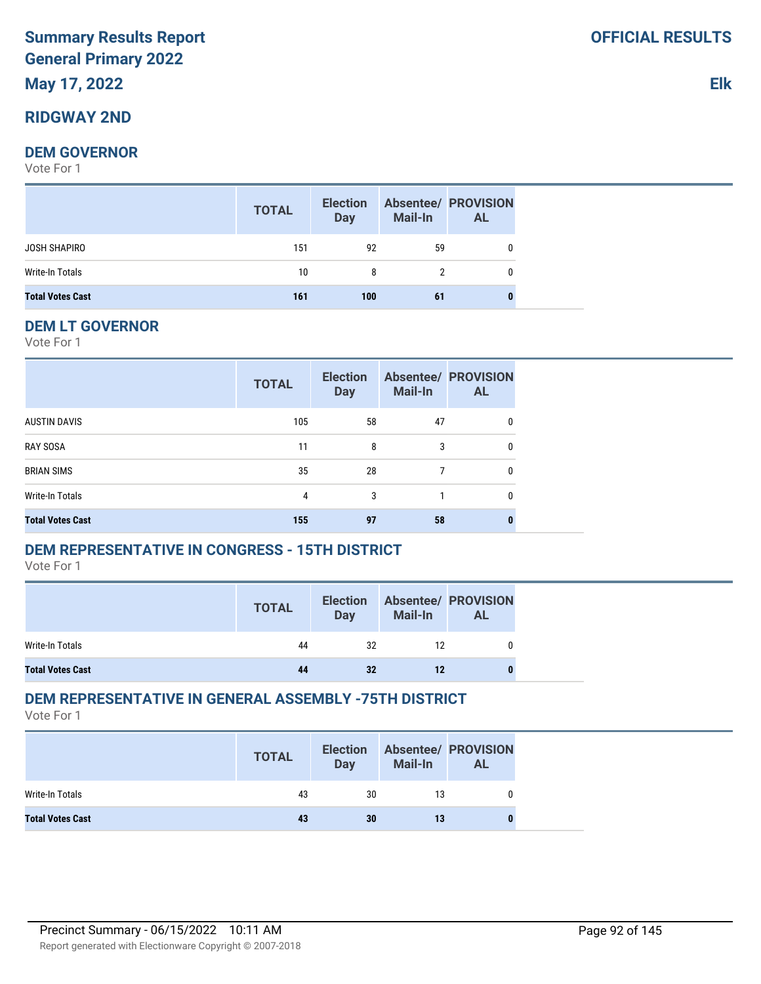# **Summary Results Report General Primary 2022**

# **May 17, 2022**

### **RIDGWAY 2ND**

### **DEM GOVERNOR**

Vote For 1

|                         | <b>TOTAL</b> | <b>Election</b><br><b>Day</b> | <b>Mail-In</b> | <b>Absentee/ PROVISION</b><br><b>AL</b> |
|-------------------------|--------------|-------------------------------|----------------|-----------------------------------------|
| JOSH SHAPIRO            | 151          | 92                            | 59             | 0                                       |
| Write-In Totals         | 10           | 8                             |                | 0                                       |
| <b>Total Votes Cast</b> | 161          | 100                           | 61             |                                         |

### **DEM LT GOVERNOR**

Vote For 1

|                         | <b>TOTAL</b> | <b>Election</b><br><b>Day</b> | <b>Mail-In</b> | <b>Absentee/ PROVISION</b><br><b>AL</b> |
|-------------------------|--------------|-------------------------------|----------------|-----------------------------------------|
| <b>AUSTIN DAVIS</b>     | 105          | 58                            | 47             | 0                                       |
| <b>RAY SOSA</b>         | 11           | 8                             | 3              | 0                                       |
| <b>BRIAN SIMS</b>       | 35           | 28                            | 7              | 0                                       |
| Write-In Totals         | 4            | 3                             |                | 0                                       |
| <b>Total Votes Cast</b> | 155          | 97                            | 58             |                                         |

### **DEM REPRESENTATIVE IN CONGRESS - 15TH DISTRICT**

Vote For 1

|                         | <b>TOTAL</b> | <b>Election</b><br><b>Day</b> | Mail-In | <b>Absentee/ PROVISION</b><br><b>AL</b> |
|-------------------------|--------------|-------------------------------|---------|-----------------------------------------|
| Write-In Totals         | 44           | 32                            | 12      |                                         |
| <b>Total Votes Cast</b> |              | 32                            | 12      |                                         |

### **DEM REPRESENTATIVE IN GENERAL ASSEMBLY -75TH DISTRICT**

|                         | <b>TOTAL</b> | <b>Election</b><br>Day | <b>Mail-In</b> | <b>Absentee/ PROVISION</b><br><b>AL</b> |
|-------------------------|--------------|------------------------|----------------|-----------------------------------------|
| Write-In Totals         | 43           | 30                     | 13             |                                         |
| <b>Total Votes Cast</b> | 43           | 30                     | 13             |                                         |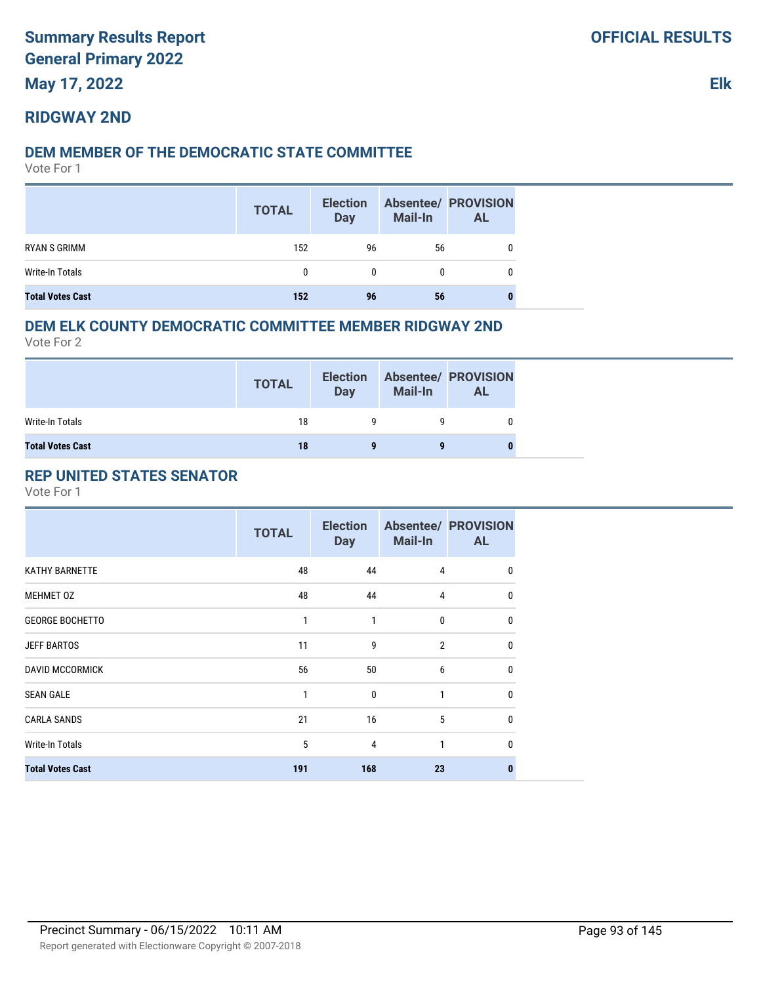# **RIDGWAY 2ND**

### **DEM MEMBER OF THE DEMOCRATIC STATE COMMITTEE**

Vote For 1

|                         | <b>TOTAL</b> | <b>Election</b><br><b>Day</b> | <b>Mail-In</b> | <b>Absentee/ PROVISION</b><br><b>AL</b> |
|-------------------------|--------------|-------------------------------|----------------|-----------------------------------------|
| RYAN S GRIMM            | 152          | 96                            | 56             |                                         |
| Write-In Totals         | 0            | 0                             | 0              | 0                                       |
| <b>Total Votes Cast</b> | 152          | 96                            | 56             | 0                                       |

#### **DEM ELK COUNTY DEMOCRATIC COMMITTEE MEMBER RIDGWAY 2ND**

Vote For 2

|                         | <b>TOTAL</b> | <b>Election</b><br>Day | <b>Mail-In</b> | <b>Absentee/ PROVISION</b><br>AL |
|-------------------------|--------------|------------------------|----------------|----------------------------------|
| Write-In Totals         | 18           |                        |                |                                  |
| <b>Total Votes Cast</b> | 18           |                        |                | 0                                |

### **REP UNITED STATES SENATOR**

|                         | <b>TOTAL</b> | <b>Election</b><br><b>Day</b> | <b>Mail-In</b> | <b>Absentee/ PROVISION</b><br><b>AL</b> |
|-------------------------|--------------|-------------------------------|----------------|-----------------------------------------|
| <b>KATHY BARNETTE</b>   | 48           | 44                            | 4              | 0                                       |
| MEHMET 0Z               | 48           | 44                            | $\overline{4}$ | 0                                       |
| <b>GEORGE BOCHETTO</b>  | 1            | 1                             | 0              | 0                                       |
| <b>JEFF BARTOS</b>      | 11           | 9                             | $\overline{2}$ | $\mathbf{0}$                            |
| <b>DAVID MCCORMICK</b>  | 56           | 50                            | 6              | 0                                       |
| <b>SEAN GALE</b>        | 1            | $\mathbf{0}$                  | 1              | 0                                       |
| <b>CARLA SANDS</b>      | 21           | 16                            | 5              | $\mathbf 0$                             |
| <b>Write-In Totals</b>  | 5            | 4                             | 1              | $\Omega$                                |
| <b>Total Votes Cast</b> | 191          | 168                           | 23             | 0                                       |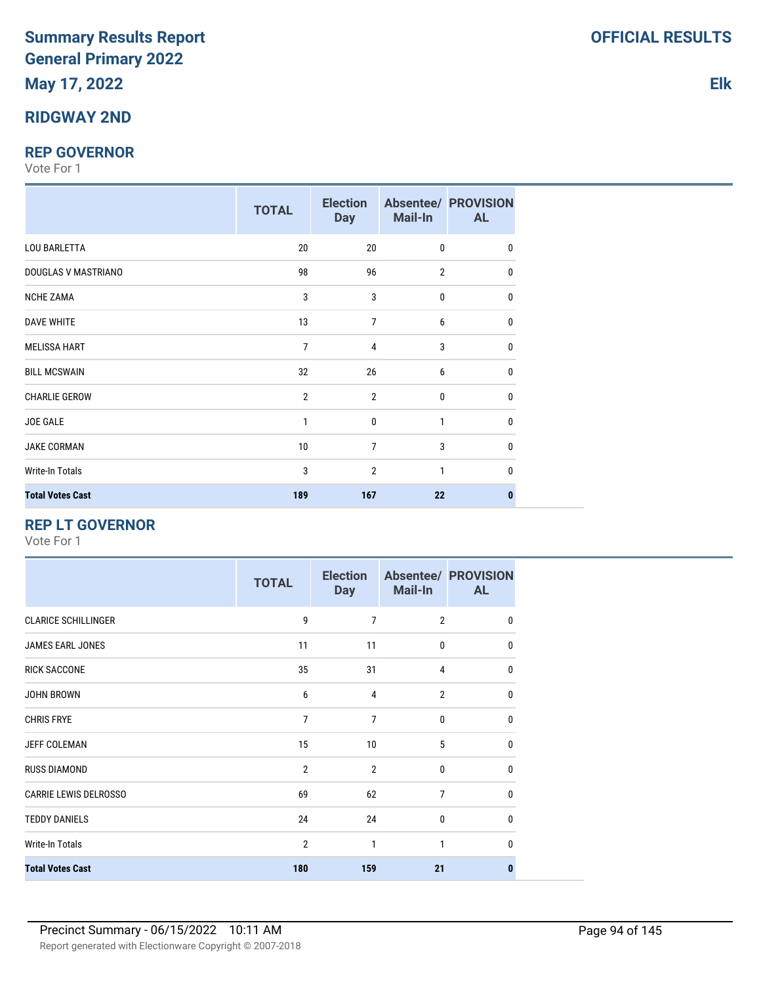### **RIDGWAY 2ND**

#### **REP GOVERNOR**

Vote For 1

|                         | <b>TOTAL</b>   | <b>Election</b><br><b>Day</b> | <b>Mail-In</b> | <b>Absentee/ PROVISION</b><br><b>AL</b> |
|-------------------------|----------------|-------------------------------|----------------|-----------------------------------------|
| <b>LOU BARLETTA</b>     | 20             | 20                            | $\mathbf{0}$   | 0                                       |
| DOUGLAS V MASTRIANO     | 98             | 96                            | $\overline{2}$ | $\mathbf{0}$                            |
| <b>NCHE ZAMA</b>        | 3              | 3                             | 0              | $\mathbf{0}$                            |
| <b>DAVE WHITE</b>       | 13             | 7                             | 6              | $\mathbf{0}$                            |
| <b>MELISSA HART</b>     | 7              | 4                             | 3              | 0                                       |
| <b>BILL MCSWAIN</b>     | 32             | 26                            | 6              | 0                                       |
| <b>CHARLIE GEROW</b>    | $\overline{2}$ | $\overline{2}$                | $\mathbf{0}$   | $\mathbf{0}$                            |
| JOE GALE                | 1              | $\mathbf{0}$                  | 1              | $\mathbf{0}$                            |
| <b>JAKE CORMAN</b>      | 10             | $\overline{7}$                | 3              | $\mathbf{0}$                            |
| Write-In Totals         | 3              | $\overline{2}$                | 1              | $\Omega$                                |
| <b>Total Votes Cast</b> | 189            | 167                           | 22             | 0                                       |

### **REP LT GOVERNOR**

Vote For 1

|                              | <b>TOTAL</b>   | <b>Election</b><br><b>Day</b> | <b>Mail-In</b> | <b>Absentee/ PROVISION</b><br><b>AL</b> |
|------------------------------|----------------|-------------------------------|----------------|-----------------------------------------|
| <b>CLARICE SCHILLINGER</b>   | 9              | $\overline{7}$                | $\overline{2}$ | $\mathbf{0}$                            |
| JAMES EARL JONES             | 11             | 11                            | $\mathbf{0}$   | 0                                       |
| <b>RICK SACCONE</b>          | 35             | 31                            | 4              | $\mathbf{0}$                            |
| <b>JOHN BROWN</b>            | 6              | 4                             | $\overline{2}$ | 0                                       |
| <b>CHRIS FRYE</b>            | 7              | 7                             | $\mathbf 0$    | 0                                       |
| <b>JEFF COLEMAN</b>          | 15             | 10                            | 5              | 0                                       |
| <b>RUSS DIAMOND</b>          | $\overline{2}$ | $\overline{2}$                | $\mathbf{0}$   | $\mathbf{0}$                            |
| <b>CARRIE LEWIS DELROSSO</b> | 69             | 62                            | 7              | 0                                       |
| <b>TEDDY DANIELS</b>         | 24             | 24                            | $\bf{0}$       | $\mathbf{0}$                            |
| <b>Write-In Totals</b>       | $\overline{2}$ | 1                             | 1              | $\mathbf{0}$                            |
| <b>Total Votes Cast</b>      | 180            | 159                           | 21             | 0                                       |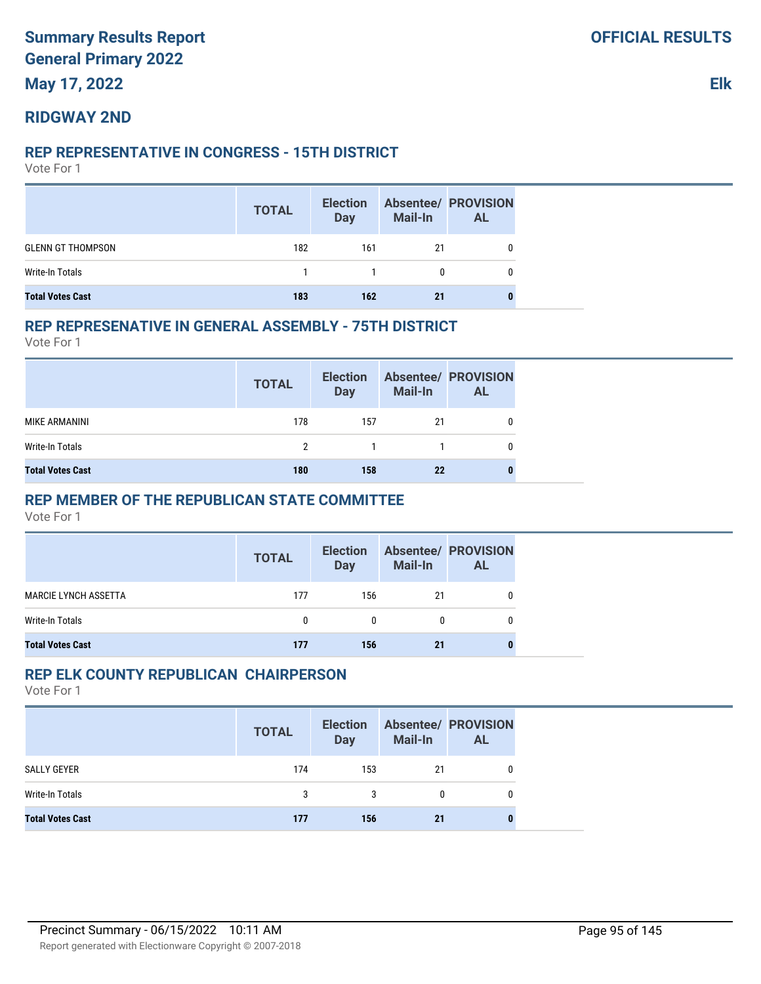### **RIDGWAY 2ND**

#### **REP REPRESENTATIVE IN CONGRESS - 15TH DISTRICT**

Vote For 1

|                          | <b>TOTAL</b> | <b>Election</b><br><b>Day</b> | <b>Mail-In</b> | <b>Absentee/ PROVISION</b><br><b>AL</b> |
|--------------------------|--------------|-------------------------------|----------------|-----------------------------------------|
| <b>GLENN GT THOMPSON</b> | 182          | 161                           | 21             |                                         |
| Write-In Totals          |              |                               | 0              |                                         |
| <b>Total Votes Cast</b>  | 183          | 162                           | 21             |                                         |

#### **REP REPRESENATIVE IN GENERAL ASSEMBLY - 75TH DISTRICT**

Vote For 1

|                         | <b>TOTAL</b> | <b>Election</b><br><b>Day</b> | Mail-In | <b>Absentee/ PROVISION</b><br><b>AL</b> |
|-------------------------|--------------|-------------------------------|---------|-----------------------------------------|
| MIKE ARMANINI           | 178          | 157                           | 21      |                                         |
| Write-In Totals         | 2            |                               |         |                                         |
| <b>Total Votes Cast</b> | 180          | 158                           | 22      |                                         |

### **REP MEMBER OF THE REPUBLICAN STATE COMMITTEE**

Vote For 1

|                             | <b>TOTAL</b> | <b>Election</b><br>Day | <b>Mail-In</b> | <b>Absentee/ PROVISION</b><br><b>AL</b> |
|-----------------------------|--------------|------------------------|----------------|-----------------------------------------|
| <b>MARCIE LYNCH ASSETTA</b> | 177          | 156                    | 21             | 0                                       |
| Write-In Totals             | $\mathbf{0}$ | 0                      | 0              | 0                                       |
| <b>Total Votes Cast</b>     | 177          | 156                    | -21            |                                         |

### **REP ELK COUNTY REPUBLICAN CHAIRPERSON**

|                         | <b>TOTAL</b> | <b>Election</b><br><b>Day</b> | <b>Mail-In</b> | <b>Absentee/ PROVISION</b><br><b>AL</b> |
|-------------------------|--------------|-------------------------------|----------------|-----------------------------------------|
| SALLY GEYER             | 174          | 153                           | 21             |                                         |
| Write-In Totals         | 3            | 3                             | 0              |                                         |
| <b>Total Votes Cast</b> | 177          | 156                           | -21            |                                         |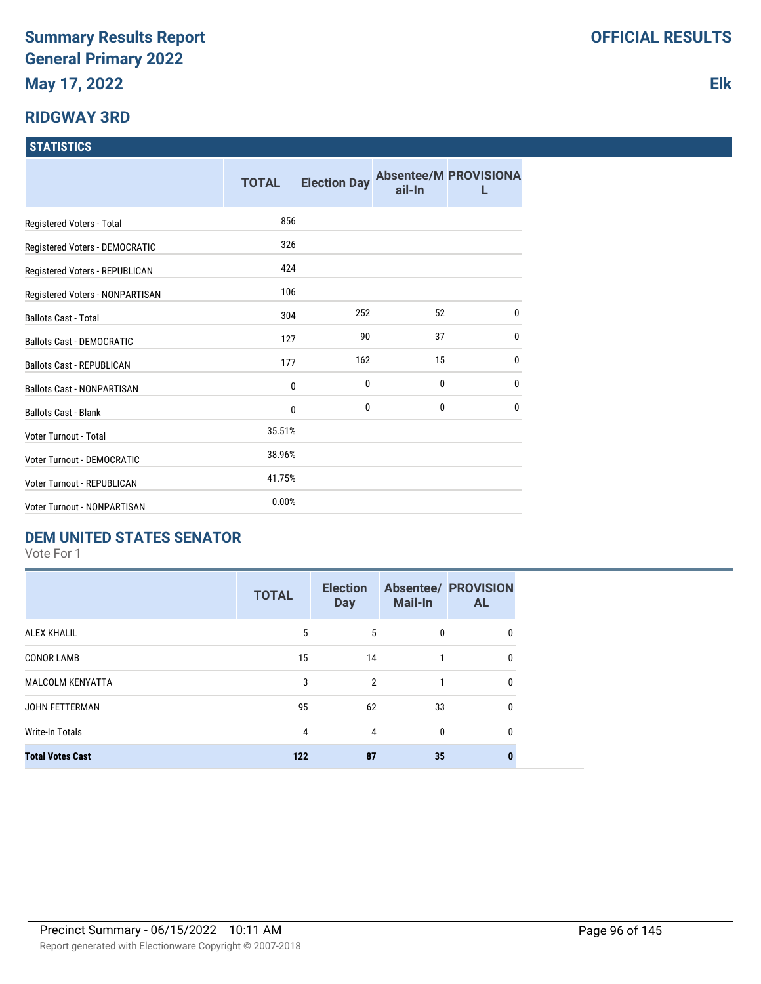### **RIDGWAY 3RD**

### **STATISTICS**

|                                    | <b>TOTAL</b> | <b>Election Day</b> | ail-In | <b>Absentee/M PROVISIONA</b> |
|------------------------------------|--------------|---------------------|--------|------------------------------|
| Registered Voters - Total          | 856          |                     |        |                              |
| Registered Voters - DEMOCRATIC     | 326          |                     |        |                              |
| Registered Voters - REPUBLICAN     | 424          |                     |        |                              |
| Registered Voters - NONPARTISAN    | 106          |                     |        |                              |
| <b>Ballots Cast - Total</b>        | 304          | 252                 | 52     | $\mathbf{0}$                 |
| <b>Ballots Cast - DEMOCRATIC</b>   | 127          | 90                  | 37     | 0                            |
| <b>Ballots Cast - REPUBLICAN</b>   | 177          | 162                 | 15     | $\mathbf{0}$                 |
| <b>Ballots Cast - NONPARTISAN</b>  | $\mathbf 0$  | 0                   | 0      | $\mathbf{0}$                 |
| <b>Ballots Cast - Blank</b>        | $\mathbf{0}$ | 0                   | 0      | $\mathbf{0}$                 |
| Voter Turnout - Total              | 35.51%       |                     |        |                              |
| <b>Voter Turnout - DEMOCRATIC</b>  | 38.96%       |                     |        |                              |
| Voter Turnout - REPUBLICAN         | 41.75%       |                     |        |                              |
| <b>Voter Turnout - NONPARTISAN</b> | 0.00%        |                     |        |                              |

### **DEM UNITED STATES SENATOR**

Vote For 1

|                         | <b>TOTAL</b> | <b>Election</b><br><b>Day</b> | <b>Mail-In</b> | <b>Absentee/ PROVISION</b><br><b>AL</b> |
|-------------------------|--------------|-------------------------------|----------------|-----------------------------------------|
| <b>ALEX KHALIL</b>      | 5            | 5                             | $\mathbf{0}$   | 0                                       |
| <b>CONOR LAMB</b>       | 15           | 14                            |                | 0                                       |
| <b>MALCOLM KENYATTA</b> | 3            | $\mathfrak{p}$                |                | $\mathbf{0}$                            |
| <b>JOHN FETTERMAN</b>   | 95           | 62                            | 33             | 0                                       |
| Write-In Totals         | 4            | 4                             | $\Omega$       | $\Omega$                                |
| <b>Total Votes Cast</b> | 122          | 87                            | 35             | 0                                       |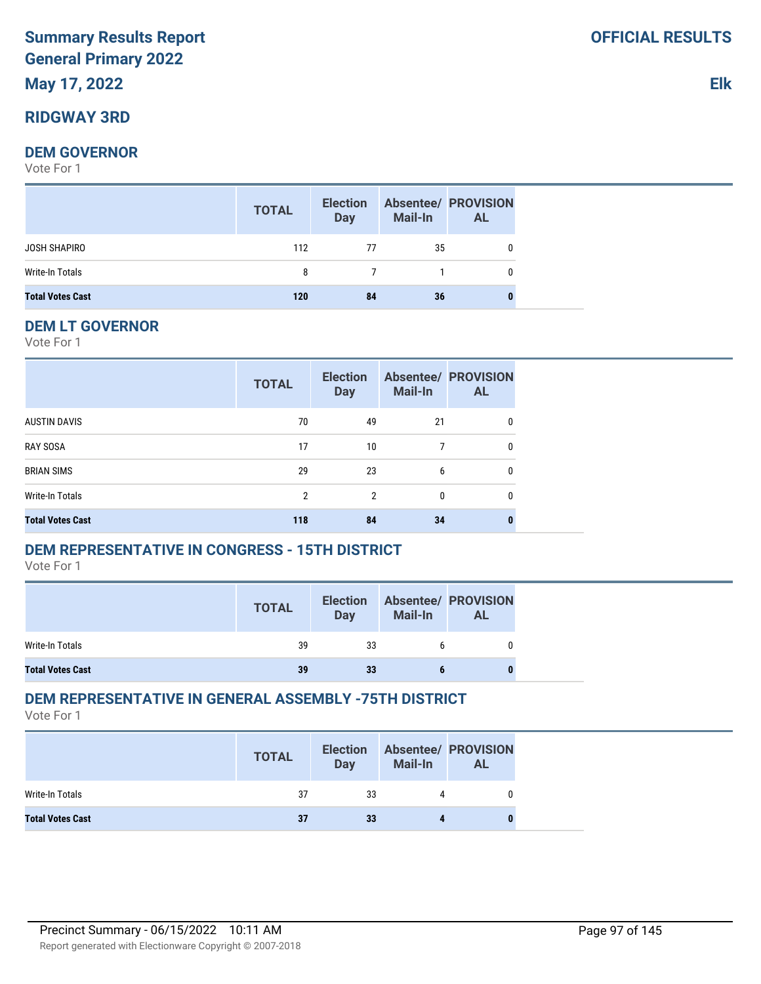# **Summary Results Report General Primary 2022**

# **May 17, 2022**

### **RIDGWAY 3RD**

#### **DEM GOVERNOR**

Vote For 1

|                         | <b>TOTAL</b> | <b>Election</b><br><b>Day</b> | <b>Mail-In</b> | <b>Absentee/ PROVISION</b><br><b>AL</b> |
|-------------------------|--------------|-------------------------------|----------------|-----------------------------------------|
| JOSH SHAPIRO            | 112          | 77                            | 35             | 0                                       |
| Write-In Totals         | 8            |                               | 7 1            | 0                                       |
| <b>Total Votes Cast</b> | 120          | 84                            | 36             | 0                                       |

### **DEM LT GOVERNOR**

Vote For 1

|                         | <b>TOTAL</b>   | <b>Election</b><br><b>Day</b> | <b>Mail-In</b> | <b>Absentee/ PROVISION</b><br><b>AL</b> |
|-------------------------|----------------|-------------------------------|----------------|-----------------------------------------|
| <b>AUSTIN DAVIS</b>     | 70             | 49                            | 21             | 0                                       |
| <b>RAY SOSA</b>         | 17             | 10                            | 7              | 0                                       |
| <b>BRIAN SIMS</b>       | 29             | 23                            | 6              | 0                                       |
| <b>Write-In Totals</b>  | $\overline{2}$ | $\overline{2}$                | 0              | 0                                       |
| <b>Total Votes Cast</b> | 118            | 84                            | 34             | 0                                       |

### **DEM REPRESENTATIVE IN CONGRESS - 15TH DISTRICT**

Vote For 1

|                         | <b>TOTAL</b> | <b>Election</b><br><b>Day</b> | Mail-In | <b>Absentee/ PROVISION</b><br><b>AL</b> |
|-------------------------|--------------|-------------------------------|---------|-----------------------------------------|
| Write-In Totals         | 39           | 33                            |         |                                         |
| <b>Total Votes Cast</b> | 39           | 33                            |         |                                         |

### **DEM REPRESENTATIVE IN GENERAL ASSEMBLY -75TH DISTRICT**

|                         | <b>TOTAL</b> | <b>Election</b><br>Day | <b>Mail-In</b> | <b>Absentee/ PROVISION</b><br><b>AL</b> |
|-------------------------|--------------|------------------------|----------------|-----------------------------------------|
| Write-In Totals         | 37           | 33                     | 4              |                                         |
| <b>Total Votes Cast</b> | 37           | 33                     |                | 0                                       |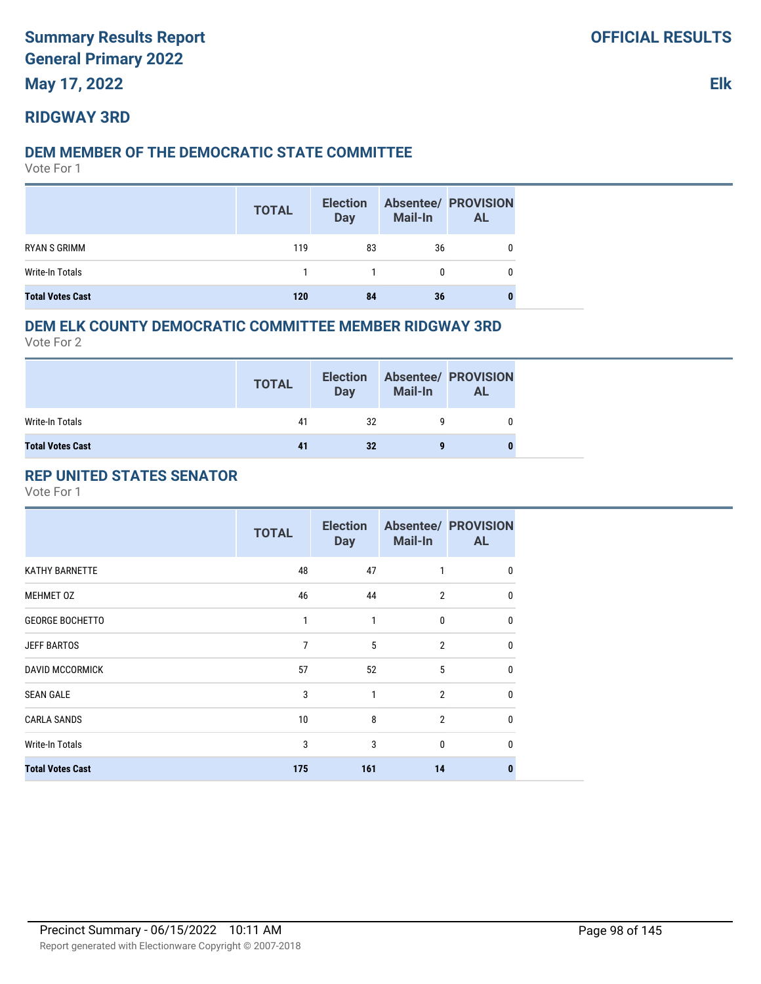# **RIDGWAY 3RD**

### **DEM MEMBER OF THE DEMOCRATIC STATE COMMITTEE**

Vote For 1

|                         | <b>TOTAL</b> | <b>Election</b><br><b>Day</b> | <b>Mail-In</b> | <b>Absentee/ PROVISION</b><br><b>AL</b> |
|-------------------------|--------------|-------------------------------|----------------|-----------------------------------------|
| RYAN S GRIMM            | 119          | 83                            | 36             |                                         |
| Write-In Totals         |              |                               | 0              |                                         |
| <b>Total Votes Cast</b> | 120          | 84                            | 36             |                                         |

### **DEM ELK COUNTY DEMOCRATIC COMMITTEE MEMBER RIDGWAY 3RD**

Vote For 2

|                         | <b>TOTAL</b> | <b>Election</b><br>Day | <b>Mail-In</b> | <b>Absentee/ PROVISION</b><br>AL |
|-------------------------|--------------|------------------------|----------------|----------------------------------|
| Write-In Totals         | 41           | 32                     |                |                                  |
| <b>Total Votes Cast</b> | 41           | 32                     |                |                                  |

### **REP UNITED STATES SENATOR**

|                         | <b>TOTAL</b> | <b>Election</b><br><b>Day</b> | <b>Mail-In</b> | <b>Absentee/ PROVISION</b><br><b>AL</b> |
|-------------------------|--------------|-------------------------------|----------------|-----------------------------------------|
| <b>KATHY BARNETTE</b>   | 48           | 47                            |                | 0                                       |
| MEHMET 0Z               | 46           | 44                            | 2              | 0                                       |
| <b>GEORGE BOCHETTO</b>  | 1            | 1                             | 0              | 0                                       |
| <b>JEFF BARTOS</b>      | 7            | 5                             | $\overline{2}$ | U                                       |
| <b>DAVID MCCORMICK</b>  | 57           | 52                            | 5              | 0                                       |
| <b>SEAN GALE</b>        | 3            | 1                             | $\overline{2}$ | 0                                       |
| <b>CARLA SANDS</b>      | 10           | 8                             | $\overline{2}$ | 0                                       |
| <b>Write-In Totals</b>  | 3            | 3                             | 0              | 0                                       |
| <b>Total Votes Cast</b> | 175          | 161                           | 14             |                                         |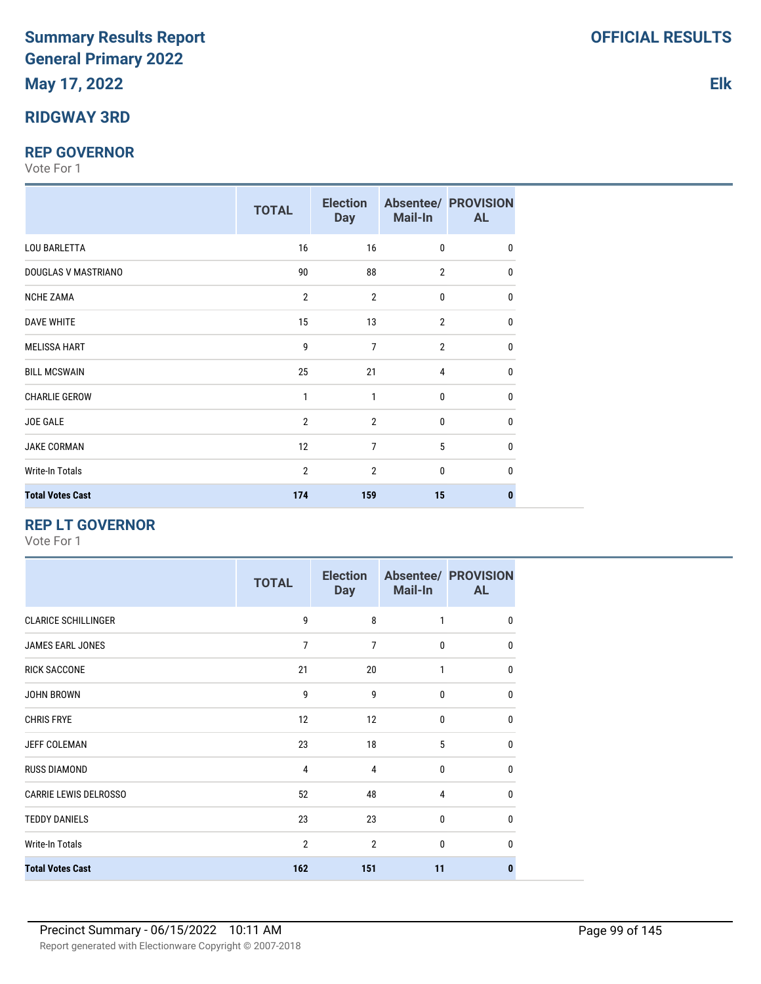# **RIDGWAY 3RD**

#### **REP GOVERNOR**

Vote For 1

|                         | <b>TOTAL</b>   | <b>Election</b><br><b>Day</b> | <b>Mail-In</b> | <b>Absentee/ PROVISION</b><br><b>AL</b> |
|-------------------------|----------------|-------------------------------|----------------|-----------------------------------------|
| <b>LOU BARLETTA</b>     | 16             | 16                            | 0              | 0                                       |
| DOUGLAS V MASTRIANO     | 90             | 88                            | $\overline{2}$ | 0                                       |
| <b>NCHE ZAMA</b>        | $\overline{2}$ | $\overline{2}$                | 0              | 0                                       |
| <b>DAVE WHITE</b>       | 15             | 13                            | $\overline{2}$ | 0                                       |
| <b>MELISSA HART</b>     | 9              | $\overline{7}$                | $\overline{2}$ | 0                                       |
| <b>BILL MCSWAIN</b>     | 25             | 21                            | 4              | 0                                       |
| <b>CHARLIE GEROW</b>    | 1              | 1                             | 0              | 0                                       |
| JOE GALE                | $\overline{2}$ | $\overline{2}$                | 0              | 0                                       |
| <b>JAKE CORMAN</b>      | 12             | $\overline{7}$                | 5              | 0                                       |
| Write-In Totals         | $\overline{2}$ | $\overline{2}$                | 0              | 0                                       |
| <b>Total Votes Cast</b> | 174            | 159                           | 15             | 0                                       |

### **REP LT GOVERNOR**

|                              | <b>TOTAL</b>   | <b>Election</b><br><b>Day</b> | Mail-In | <b>Absentee/ PROVISION</b><br><b>AL</b> |
|------------------------------|----------------|-------------------------------|---------|-----------------------------------------|
| <b>CLARICE SCHILLINGER</b>   | 9              | 8                             | 1       | 0                                       |
| <b>JAMES EARL JONES</b>      | $\overline{7}$ | $\overline{7}$                | 0       | 0                                       |
| <b>RICK SACCONE</b>          | 21             | 20                            | 1       | 0                                       |
| <b>JOHN BROWN</b>            | 9              | 9                             | 0       | 0                                       |
| <b>CHRIS FRYE</b>            | 12             | 12                            | 0       | 0                                       |
| <b>JEFF COLEMAN</b>          | 23             | 18                            | 5       | 0                                       |
| <b>RUSS DIAMOND</b>          | 4              | $\overline{4}$                | 0       | 0                                       |
| <b>CARRIE LEWIS DELROSSO</b> | 52             | 48                            | 4       | 0                                       |
| <b>TEDDY DANIELS</b>         | 23             | 23                            | 0       | 0                                       |
| <b>Write-In Totals</b>       | $\overline{2}$ | $\overline{2}$                | 0       | $\Omega$                                |
| <b>Total Votes Cast</b>      | 162            | 151                           | 11      | 0                                       |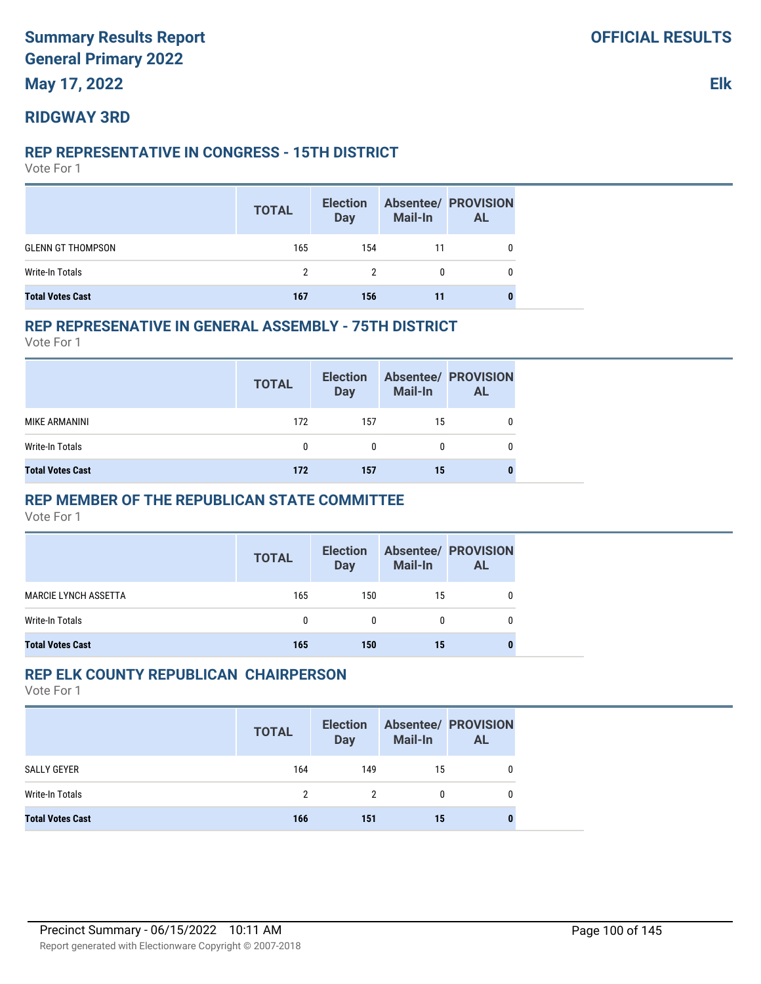# **RIDGWAY 3RD**

### **REP REPRESENTATIVE IN CONGRESS - 15TH DISTRICT**

Vote For 1

|                          | <b>TOTAL</b> | <b>Election</b><br><b>Day</b> | <b>Mail-In</b> | <b>Absentee/ PROVISION</b><br>AL |
|--------------------------|--------------|-------------------------------|----------------|----------------------------------|
| <b>GLENN GT THOMPSON</b> | 165          | 154                           | 11             |                                  |
| Write-In Totals          | 2            | $\mathcal{P}$                 | 0              | 0                                |
| <b>Total Votes Cast</b>  | 167          | 156                           | 11             | 0                                |

# **REP REPRESENATIVE IN GENERAL ASSEMBLY - 75TH DISTRICT**

Vote For 1

|                         | <b>TOTAL</b> | <b>Election</b><br><b>Day</b> | <b>Mail-In</b> | <b>Absentee/ PROVISION</b><br><b>AL</b> |
|-------------------------|--------------|-------------------------------|----------------|-----------------------------------------|
| MIKE ARMANINI           | 172          | 157                           | 15             |                                         |
| Write-In Totals         | 0            |                               |                |                                         |
| <b>Total Votes Cast</b> | 172          | 157                           | 15             |                                         |

# **REP MEMBER OF THE REPUBLICAN STATE COMMITTEE**

Vote For 1

|                             | <b>TOTAL</b> | <b>Election</b><br>Day | <b>Mail-In</b> | <b>Absentee/ PROVISION</b><br><b>AL</b> |
|-----------------------------|--------------|------------------------|----------------|-----------------------------------------|
| <b>MARCIE LYNCH ASSETTA</b> | 165          | 150                    | 15             |                                         |
| Write-In Totals             | $\mathbf{0}$ |                        | 0              |                                         |
| <b>Total Votes Cast</b>     | 165          | 150                    | 15             |                                         |

# **REP ELK COUNTY REPUBLICAN CHAIRPERSON**

|                         | <b>TOTAL</b> | <b>Election</b><br>Day | <b>Mail-In</b> | <b>Absentee/ PROVISION</b><br><b>AL</b> |
|-------------------------|--------------|------------------------|----------------|-----------------------------------------|
| SALLY GEYER             | 164          | 149                    | 15             |                                         |
| Write-In Totals         | 2            | 2                      | 0              | 0                                       |
| <b>Total Votes Cast</b> | 166          | 151                    | 15             | 0                                       |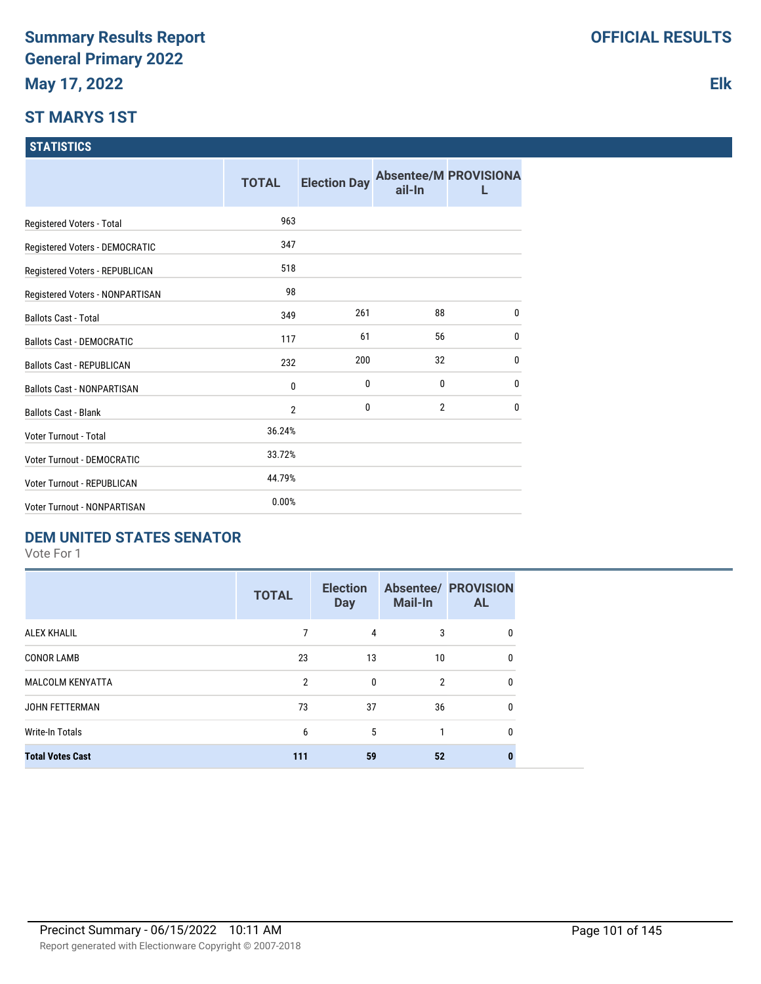### **ST MARYS 1ST**

#### **STATISTICS**

|                                   | <b>TOTAL</b>   | <b>Election Day</b> | ail-In         | <b>Absentee/M PROVISIONA</b> |
|-----------------------------------|----------------|---------------------|----------------|------------------------------|
| Registered Voters - Total         | 963            |                     |                |                              |
| Registered Voters - DEMOCRATIC    | 347            |                     |                |                              |
| Registered Voters - REPUBLICAN    | 518            |                     |                |                              |
| Registered Voters - NONPARTISAN   | 98             |                     |                |                              |
| <b>Ballots Cast - Total</b>       | 349            | 261                 | 88             | $\mathbf{0}$                 |
| <b>Ballots Cast - DEMOCRATIC</b>  | 117            | 61                  | 56             | $\mathbf 0$                  |
| <b>Ballots Cast - REPUBLICAN</b>  | 232            | 200                 | 32             | $\mathbf{0}$                 |
| <b>Ballots Cast - NONPARTISAN</b> | 0              | 0                   | 0              | $\mathbf 0$                  |
| <b>Ballots Cast - Blank</b>       | $\overline{2}$ | 0                   | $\overline{2}$ | $\mathbf{0}$                 |
| Voter Turnout - Total             | 36.24%         |                     |                |                              |
| Voter Turnout - DEMOCRATIC        | 33.72%         |                     |                |                              |
| Voter Turnout - REPUBLICAN        | 44.79%         |                     |                |                              |
| Voter Turnout - NONPARTISAN       | 0.00%          |                     |                |                              |

### **DEM UNITED STATES SENATOR**

Vote For 1

|                         | <b>TOTAL</b>   | <b>Election</b><br><b>Day</b> | <b>Mail-In</b> | <b>Absentee/ PROVISION</b><br><b>AL</b> |
|-------------------------|----------------|-------------------------------|----------------|-----------------------------------------|
| <b>ALEX KHALIL</b>      | 7              | 4                             | 3              | 0                                       |
| <b>CONOR LAMB</b>       | 23             | 13                            | 10             | 0                                       |
| <b>MALCOLM KENYATTA</b> | $\overline{2}$ | $\mathbf{0}$                  | 2              | 0                                       |
| <b>JOHN FETTERMAN</b>   | 73             | 37                            | 36             | 0                                       |
| Write-In Totals         | 6              | 5                             |                | 0                                       |
| <b>Total Votes Cast</b> | 111            | 59                            | 52             |                                         |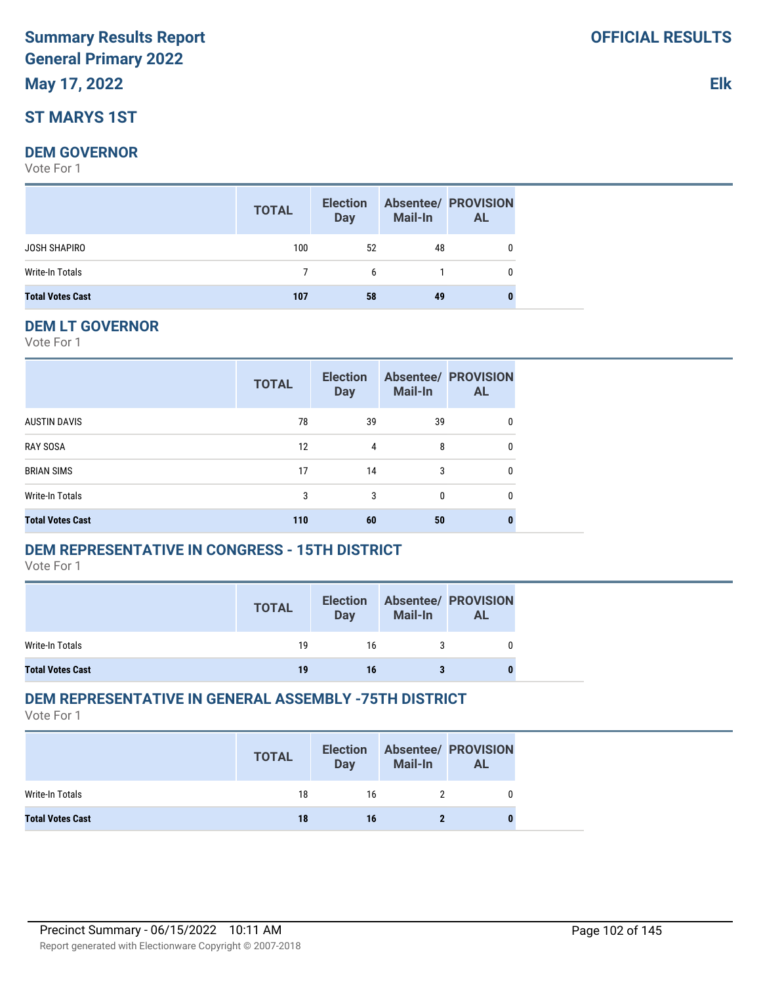# **Summary Results Report General Primary 2022**

# **May 17, 2022**

# **ST MARYS 1ST**

### **DEM GOVERNOR**

Vote For 1

|                         | <b>TOTAL</b> | <b>Election</b><br>Day | <b>Mail-In</b> | <b>Absentee/ PROVISION</b><br><b>AL</b> |
|-------------------------|--------------|------------------------|----------------|-----------------------------------------|
| JOSH SHAPIRO            | 100          | 52                     | 48             | 0                                       |
| Write-In Totals         |              | 6                      |                | $\mathbf{0}$                            |
| <b>Total Votes Cast</b> | 107          | 58                     | 49             | 0                                       |

#### **DEM LT GOVERNOR**

Vote For 1

|                         | <b>TOTAL</b> | <b>Election</b><br><b>Day</b> | <b>Mail-In</b> | <b>Absentee/ PROVISION</b><br><b>AL</b> |
|-------------------------|--------------|-------------------------------|----------------|-----------------------------------------|
| <b>AUSTIN DAVIS</b>     | 78           | 39                            | 39             | 0                                       |
| <b>RAY SOSA</b>         | 12           | 4                             | 8              | 0                                       |
| <b>BRIAN SIMS</b>       | 17           | 14                            | 3              | 0                                       |
| Write-In Totals         | 3            | 3                             | 0              | 0                                       |
| <b>Total Votes Cast</b> | 110          | 60                            | 50             |                                         |

### **DEM REPRESENTATIVE IN CONGRESS - 15TH DISTRICT**

Vote For 1

|                         | <b>TOTAL</b> | <b>Election</b><br><b>Day</b> | Mail-In | <b>Absentee/ PROVISION</b><br>AL |
|-------------------------|--------------|-------------------------------|---------|----------------------------------|
| Write-In Totals         | 19           | 16                            |         |                                  |
| <b>Total Votes Cast</b> | 19           | 16                            |         |                                  |

# **DEM REPRESENTATIVE IN GENERAL ASSEMBLY -75TH DISTRICT**

|                         | <b>TOTAL</b> | <b>Election</b><br>Day | <b>Mail-In</b> | <b>Absentee/ PROVISION</b><br><b>AL</b> |
|-------------------------|--------------|------------------------|----------------|-----------------------------------------|
| Write-In Totals         | 18           | 16                     |                |                                         |
| <b>Total Votes Cast</b> | 18           | 16                     |                |                                         |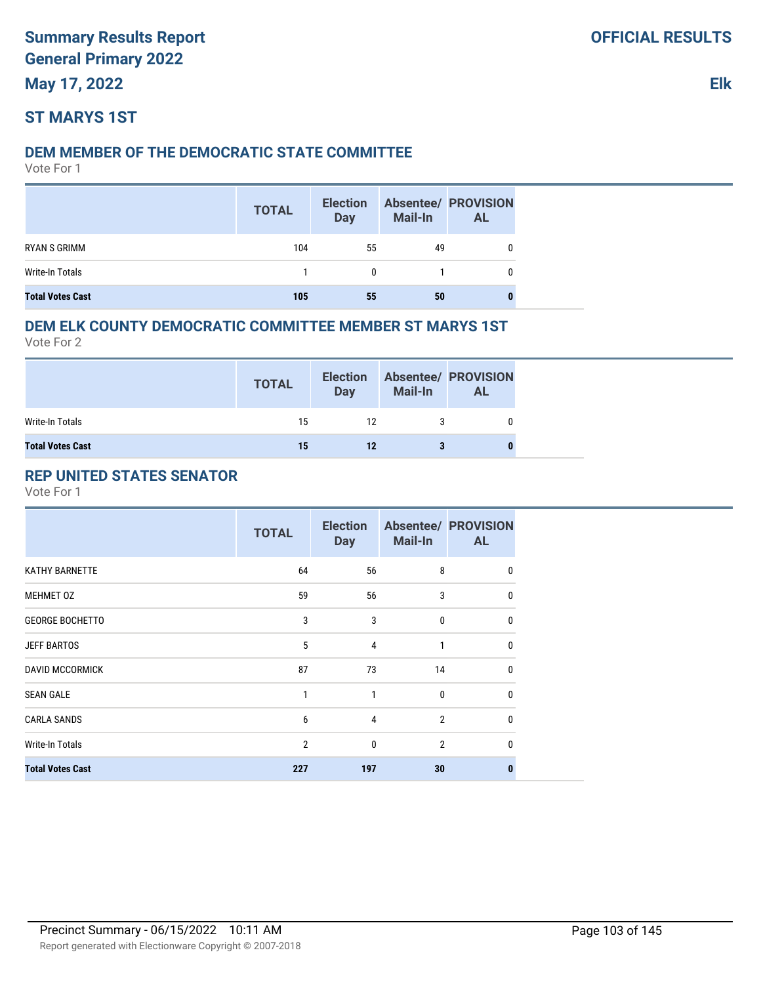# **ST MARYS 1ST**

### **DEM MEMBER OF THE DEMOCRATIC STATE COMMITTEE**

Vote For 1

|                         | <b>TOTAL</b> | <b>Election</b><br><b>Day</b> | <b>Mail-In</b> | <b>Absentee/ PROVISION</b><br><b>AL</b> |
|-------------------------|--------------|-------------------------------|----------------|-----------------------------------------|
| RYAN S GRIMM            | 104          | 55                            | 49             |                                         |
| Write-In Totals         |              | 0                             |                | 0                                       |
| <b>Total Votes Cast</b> | 105          | 55                            | 50             | 0                                       |

#### **DEM ELK COUNTY DEMOCRATIC COMMITTEE MEMBER ST MARYS 1ST**

Vote For 2

|                         | <b>TOTAL</b> | <b>Election</b><br><b>Day</b> | <b>Mail-In</b> | <b>Absentee/ PROVISION</b><br><b>AL</b> |
|-------------------------|--------------|-------------------------------|----------------|-----------------------------------------|
| Write-In Totals         | 15           | 12                            |                |                                         |
| <b>Total Votes Cast</b> | 15           | 12                            |                | O                                       |

### **REP UNITED STATES SENATOR**

|                         | <b>TOTAL</b>   | <b>Election</b><br><b>Day</b> | Mail-In        | <b>Absentee/ PROVISION</b><br><b>AL</b> |
|-------------------------|----------------|-------------------------------|----------------|-----------------------------------------|
| <b>KATHY BARNETTE</b>   | 64             | 56                            | 8              | 0                                       |
| MEHMET 0Z               | 59             | 56                            | 3              | 0                                       |
| <b>GEORGE BOCHETTO</b>  | 3              | 3                             | $\mathbf{0}$   | 0                                       |
| <b>JEFF BARTOS</b>      | 5              | 4                             | 1              | <sub>0</sub>                            |
| <b>DAVID MCCORMICK</b>  | 87             | 73                            | 14             | 0                                       |
| <b>SEAN GALE</b>        | 1              | 1                             | $\mathbf{0}$   | <sup>0</sup>                            |
| <b>CARLA SANDS</b>      | 6              | 4                             | $\overline{2}$ | $\mathbf{0}$                            |
| <b>Write-In Totals</b>  | $\overline{2}$ | $\mathbf{0}$                  | $\overline{2}$ | $\mathbf{0}$                            |
| <b>Total Votes Cast</b> | 227            | 197                           | 30             |                                         |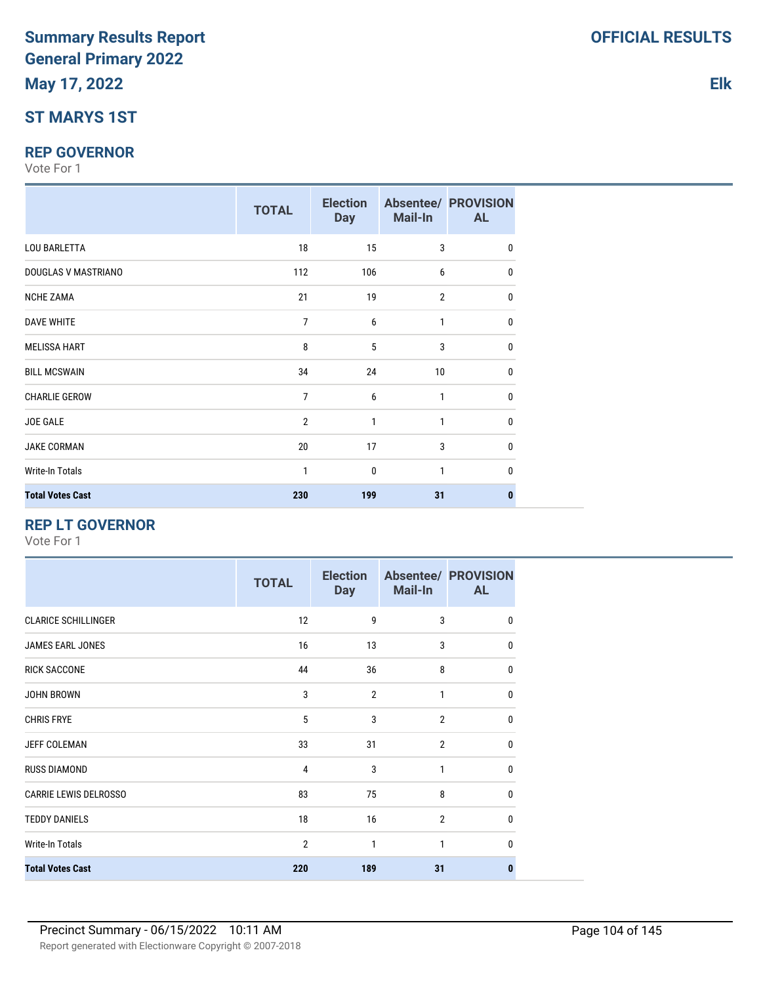# **ST MARYS 1ST**

#### **REP GOVERNOR**

Vote For 1

|                         | <b>TOTAL</b>   | <b>Election</b><br><b>Day</b> | Mail-In         | <b>Absentee/ PROVISION</b><br><b>AL</b> |
|-------------------------|----------------|-------------------------------|-----------------|-----------------------------------------|
| <b>LOU BARLETTA</b>     | 18             | 15                            | 3               | 0                                       |
| DOUGLAS V MASTRIANO     | 112            | 106                           | 6               | 0                                       |
| <b>NCHE ZAMA</b>        | 21             | 19                            | $\overline{2}$  | 0                                       |
| <b>DAVE WHITE</b>       | 7              | 6                             | 1               | 0                                       |
| <b>MELISSA HART</b>     | 8              | 5                             | 3               | 0                                       |
| <b>BILL MCSWAIN</b>     | 34             | 24                            | 10 <sup>°</sup> | 0                                       |
| <b>CHARLIE GEROW</b>    | 7              | 6                             | 1               | 0                                       |
| JOE GALE                | $\overline{2}$ | 1                             | 1               | 0                                       |
| <b>JAKE CORMAN</b>      | 20             | 17                            | 3               | 0                                       |
| Write-In Totals         | 1              | $\mathbf{0}$                  | $\mathbf{1}$    | $\Omega$                                |
| <b>Total Votes Cast</b> | 230            | 199                           | 31              | n                                       |

### **REP LT GOVERNOR**

|                              | <b>TOTAL</b>   | <b>Election</b><br><b>Day</b> | Mail-In        | <b>Absentee/ PROVISION</b><br><b>AL</b> |
|------------------------------|----------------|-------------------------------|----------------|-----------------------------------------|
| <b>CLARICE SCHILLINGER</b>   | 12             | 9                             | 3              | 0                                       |
| <b>JAMES EARL JONES</b>      | 16             | 13                            | 3              | 0                                       |
| <b>RICK SACCONE</b>          | 44             | 36                            | 8              | 0                                       |
| <b>JOHN BROWN</b>            | 3              | $\overline{2}$                | $\mathbf{1}$   | 0                                       |
| <b>CHRIS FRYE</b>            | 5              | 3                             | $\overline{2}$ | $\mathbf{0}$                            |
| JEFF COLEMAN                 | 33             | 31                            | $\overline{2}$ | $\mathbf{0}$                            |
| <b>RUSS DIAMOND</b>          | 4              | 3                             | $\mathbf{1}$   | $\mathbf{0}$                            |
| <b>CARRIE LEWIS DELROSSO</b> | 83             | 75                            | 8              | $\mathbf{0}$                            |
| <b>TEDDY DANIELS</b>         | 18             | 16                            | $\overline{2}$ | $\mathbf{0}$                            |
| <b>Write-In Totals</b>       | $\overline{2}$ | 1                             | $\mathbf{1}$   | $\mathbf{0}$                            |
| <b>Total Votes Cast</b>      | 220            | 189                           | 31             | $\bf{0}$                                |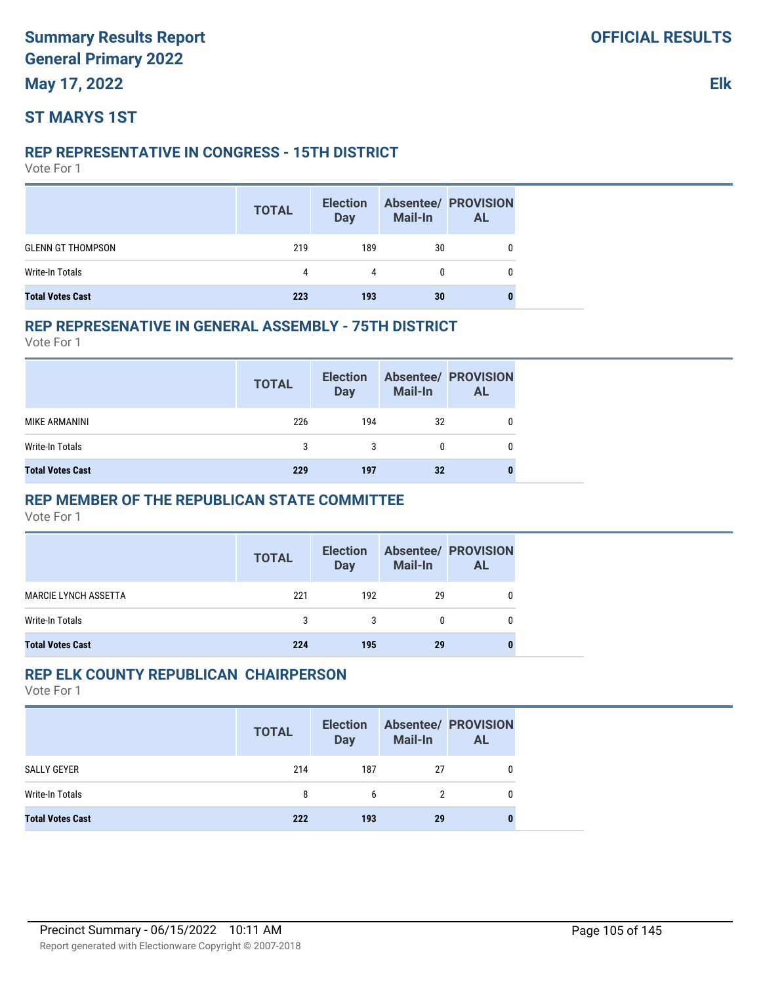# **ST MARYS 1ST**

#### **REP REPRESENTATIVE IN CONGRESS - 15TH DISTRICT**

Vote For 1

|                          | <b>TOTAL</b> | <b>Election</b><br>Day | <b>Mail-In</b> | <b>Absentee/ PROVISION</b><br><b>AL</b> |
|--------------------------|--------------|------------------------|----------------|-----------------------------------------|
| <b>GLENN GT THOMPSON</b> | 219          | 189                    | 30             |                                         |
| Write-In Totals          | 4            | 4                      | 0              | 0                                       |
| <b>Total Votes Cast</b>  | 223          | 193                    | 30             |                                         |

#### **REP REPRESENATIVE IN GENERAL ASSEMBLY - 75TH DISTRICT**

Vote For 1

|                         | <b>TOTAL</b> | <b>Election</b><br><b>Day</b> | Mail-In | <b>Absentee/ PROVISION</b><br><b>AL</b> |
|-------------------------|--------------|-------------------------------|---------|-----------------------------------------|
| MIKE ARMANINI           | 226          | 194                           | 32      |                                         |
| Write-In Totals         |              |                               |         |                                         |
| <b>Total Votes Cast</b> | 229          | 197                           | 32      |                                         |

### **REP MEMBER OF THE REPUBLICAN STATE COMMITTEE**

Vote For 1

|                             | <b>TOTAL</b> | <b>Election</b><br>Day | <b>Mail-In</b> | <b>Absentee/ PROVISION</b><br><b>AL</b> |
|-----------------------------|--------------|------------------------|----------------|-----------------------------------------|
| <b>MARCIE LYNCH ASSETTA</b> | 221          | 192                    | 29             | 0                                       |
| Write-In Totals             | 3            | 3                      | $\bf{0}$       | 0                                       |
| <b>Total Votes Cast</b>     | 224          | 195                    | 29             |                                         |

### **REP ELK COUNTY REPUBLICAN CHAIRPERSON**

|                         | <b>TOTAL</b> | <b>Election</b><br><b>Day</b> | <b>Mail-In</b> | <b>Absentee/ PROVISION</b><br><b>AL</b> |
|-------------------------|--------------|-------------------------------|----------------|-----------------------------------------|
| SALLY GEYER             | 214          | 187                           | 27             |                                         |
| Write-In Totals         | 8            | 6                             |                | 0                                       |
| <b>Total Votes Cast</b> | 222          | 193                           | 29             |                                         |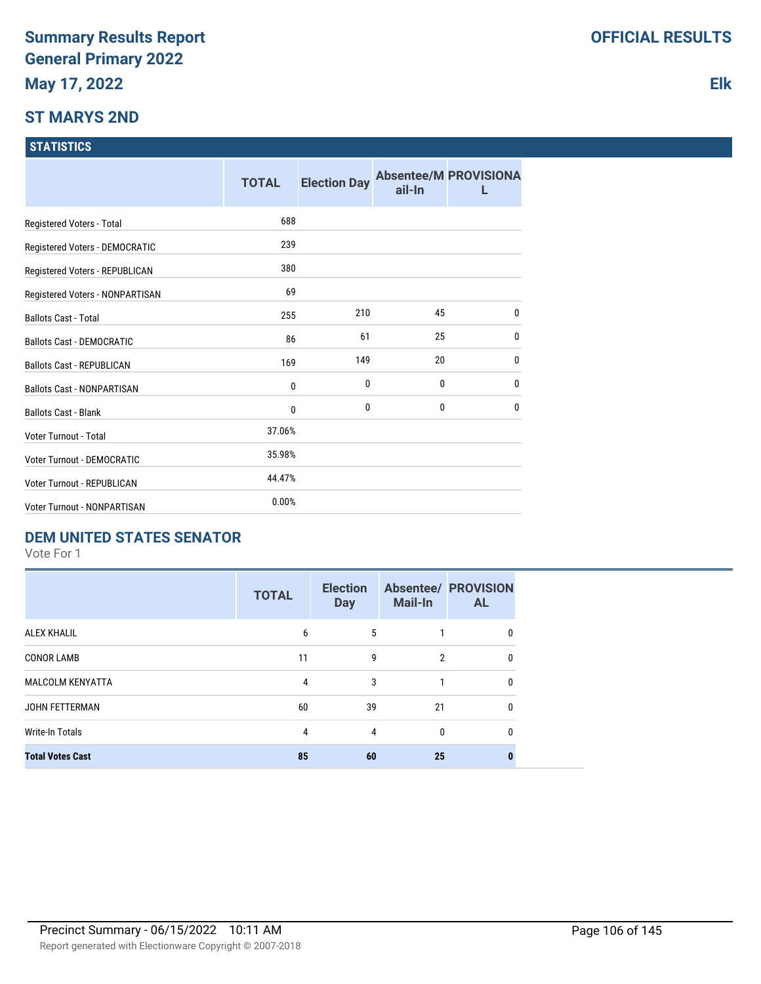### **ST MARYS 2ND**

### **STATISTICS**

|                                   | <b>TOTAL</b> | <b>Election Day</b> | ail-In | <b>Absentee/M PROVISIONA</b> |
|-----------------------------------|--------------|---------------------|--------|------------------------------|
| Registered Voters - Total         | 688          |                     |        |                              |
| Registered Voters - DEMOCRATIC    | 239          |                     |        |                              |
| Registered Voters - REPUBLICAN    | 380          |                     |        |                              |
| Registered Voters - NONPARTISAN   | 69           |                     |        |                              |
| <b>Ballots Cast - Total</b>       | 255          | 210                 | 45     | $\mathbf{0}$                 |
| <b>Ballots Cast - DEMOCRATIC</b>  | 86           | 61                  | 25     | $\mathbf{0}$                 |
| <b>Ballots Cast - REPUBLICAN</b>  | 169          | 149                 | 20     | $\mathbf{0}$                 |
| <b>Ballots Cast - NONPARTISAN</b> | 0            | 0                   | 0      | $\mathbf 0$                  |
| <b>Ballots Cast - Blank</b>       | 0            | 0                   | 0      | $\mathbf{0}$                 |
| Voter Turnout - Total             | 37.06%       |                     |        |                              |
| <b>Voter Turnout - DEMOCRATIC</b> | 35.98%       |                     |        |                              |
| Voter Turnout - REPUBLICAN        | 44.47%       |                     |        |                              |
| Voter Turnout - NONPARTISAN       | 0.00%        |                     |        |                              |

### **DEM UNITED STATES SENATOR**

Vote For 1

|                         | <b>TOTAL</b> | <b>Election</b><br><b>Day</b> | <b>Mail-In</b> | <b>Absentee/ PROVISION</b><br><b>AL</b> |
|-------------------------|--------------|-------------------------------|----------------|-----------------------------------------|
| <b>ALEX KHALIL</b>      | 6            | 5                             |                | 0                                       |
| <b>CONOR LAMB</b>       | 11           | 9                             | $\mathcal{P}$  | 0                                       |
| <b>MALCOLM KENYATTA</b> | 4            | 3                             |                | 0                                       |
| <b>JOHN FETTERMAN</b>   | 60           | 39                            | 21             | 0                                       |
| <b>Write-In Totals</b>  | 4            | 4                             | $\mathbf{0}$   | 0                                       |
| <b>Total Votes Cast</b> | 85           | 60                            | 25             | 0                                       |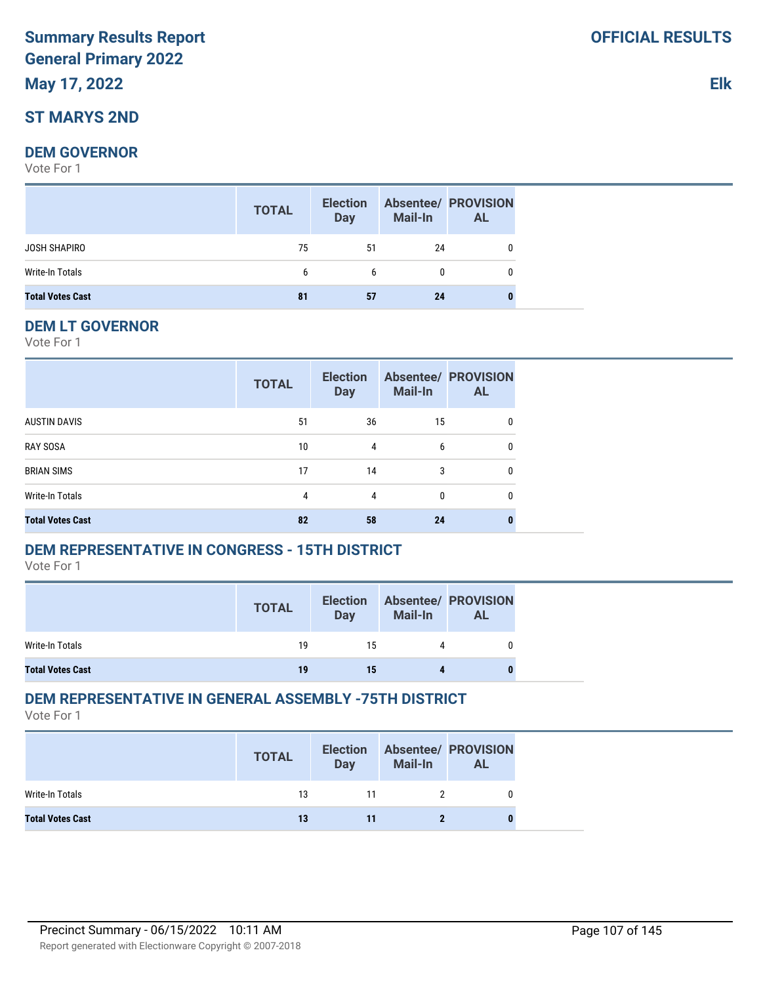# **Summary Results Report General Primary 2022**

# **May 17, 2022**

### **ST MARYS 2ND**

#### **DEM GOVERNOR**

Vote For 1

|                         | <b>TOTAL</b> | <b>Election</b><br><b>Day</b> | <b>Mail-In</b> | <b>Absentee/ PROVISION</b><br><b>AL</b> |
|-------------------------|--------------|-------------------------------|----------------|-----------------------------------------|
| JOSH SHAPIRO            | 75           | 51                            | 24             | 0                                       |
| Write-In Totals         | 6            | 6                             | 0              | 0                                       |
| <b>Total Votes Cast</b> | 81           | 57                            | 24             | 0                                       |

### **DEM LT GOVERNOR**

Vote For 1

|                         | <b>TOTAL</b> | <b>Election</b><br><b>Day</b> | <b>Mail-In</b> | <b>Absentee/ PROVISION</b><br><b>AL</b> |
|-------------------------|--------------|-------------------------------|----------------|-----------------------------------------|
| <b>AUSTIN DAVIS</b>     | 51           | 36                            | 15             | 0                                       |
| <b>RAY SOSA</b>         | 10           | 4                             | 6              | 0                                       |
| <b>BRIAN SIMS</b>       | 17           | 14                            | 3              | 0                                       |
| Write-In Totals         | 4            | 4                             | 0              | 0                                       |
| <b>Total Votes Cast</b> | 82           | 58                            | 24             |                                         |

### **DEM REPRESENTATIVE IN CONGRESS - 15TH DISTRICT**

Vote For 1

|                         | <b>TOTAL</b> | <b>Election</b><br>Day | <b>Mail-In</b> | <b>Absentee/ PROVISION</b><br>AL |
|-------------------------|--------------|------------------------|----------------|----------------------------------|
| Write-In Totals         | 19           | 15                     | 4              |                                  |
| <b>Total Votes Cast</b> | 19           | 15                     |                |                                  |

### **DEM REPRESENTATIVE IN GENERAL ASSEMBLY -75TH DISTRICT**

Vote For 1

|                         | <b>TOTAL</b> | <b>Election</b><br><b>Day</b> | <b>Mail-In</b> | <b>Absentee/ PROVISION</b><br><b>AL</b> |
|-------------------------|--------------|-------------------------------|----------------|-----------------------------------------|
| Write-In Totals         | 13           | 11                            |                |                                         |
| <b>Total Votes Cast</b> | 13           | 11                            |                |                                         |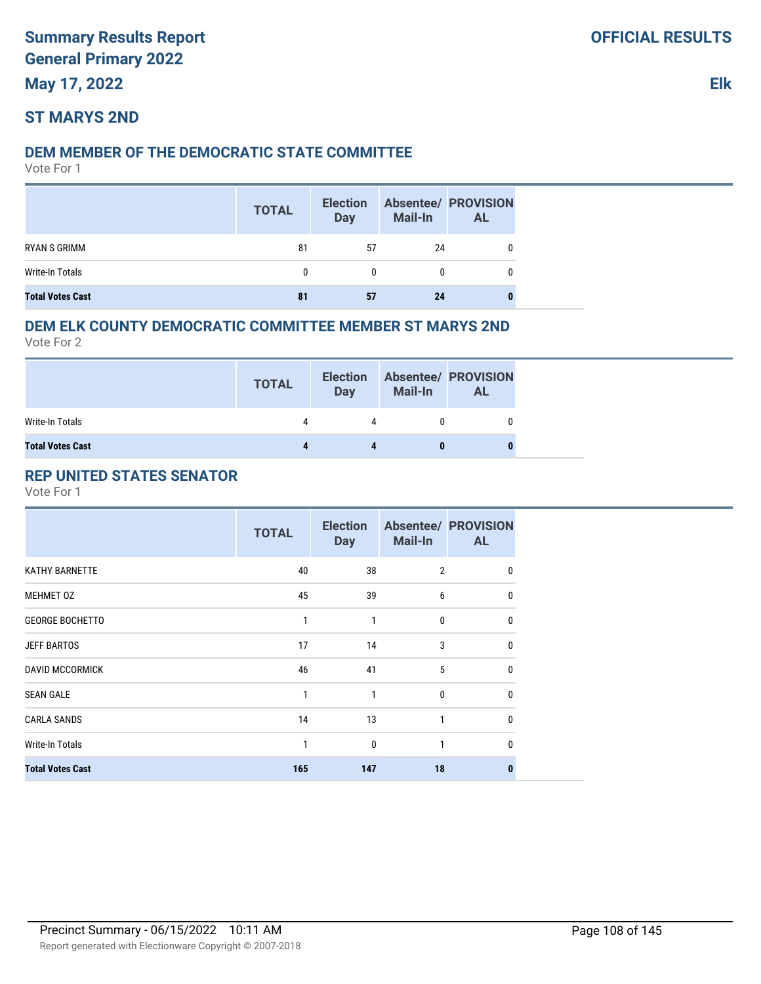# **ST MARYS 2ND**

### **DEM MEMBER OF THE DEMOCRATIC STATE COMMITTEE**

Vote For 1

|                         | <b>TOTAL</b> | <b>Election</b><br><b>Day</b> | <b>Mail-In</b> | <b>Absentee/ PROVISION</b><br>AL |
|-------------------------|--------------|-------------------------------|----------------|----------------------------------|
| RYAN S GRIMM            | 81           | 57                            | 24             |                                  |
| Write-In Totals         | 0            | 0                             |                |                                  |
| <b>Total Votes Cast</b> | 81           | 57                            | 24             |                                  |

### **DEM ELK COUNTY DEMOCRATIC COMMITTEE MEMBER ST MARYS 2ND**

Vote For 2

|                         | <b>TOTAL</b> | <b>Election</b><br><b>Day</b> | <b>Mail-In</b> | <b>Absentee/ PROVISION</b><br><b>AL</b> |
|-------------------------|--------------|-------------------------------|----------------|-----------------------------------------|
| Write-In Totals         | 4            | 4                             |                |                                         |
| <b>Total Votes Cast</b> |              |                               |                |                                         |

# **REP UNITED STATES SENATOR**

|                         | <b>TOTAL</b> | <b>Election</b><br><b>Day</b> | <b>Mail-In</b> | <b>Absentee/ PROVISION</b><br><b>AL</b> |
|-------------------------|--------------|-------------------------------|----------------|-----------------------------------------|
| <b>KATHY BARNETTE</b>   | 40           | 38                            | $\overline{2}$ | 0                                       |
| MEHMET 0Z               | 45           | 39                            | 6              | 0                                       |
| <b>GEORGE BOCHETTO</b>  | 1            | 1                             | $\mathbf{0}$   | 0                                       |
| <b>JEFF BARTOS</b>      | 17           | 14                            | 3              | $\Omega$                                |
| <b>DAVID MCCORMICK</b>  | 46           | 41                            | 5              | $\mathbf{0}$                            |
| <b>SEAN GALE</b>        | 1            | 1                             | $\mathbf{0}$   | $\Omega$                                |
| <b>CARLA SANDS</b>      | 14           | 13                            | 1              | $\Omega$                                |
| <b>Write-In Totals</b>  | 1            | $\mathbf{0}$                  | 1              | <sup>0</sup>                            |
| <b>Total Votes Cast</b> | 165          | 147                           | 18             |                                         |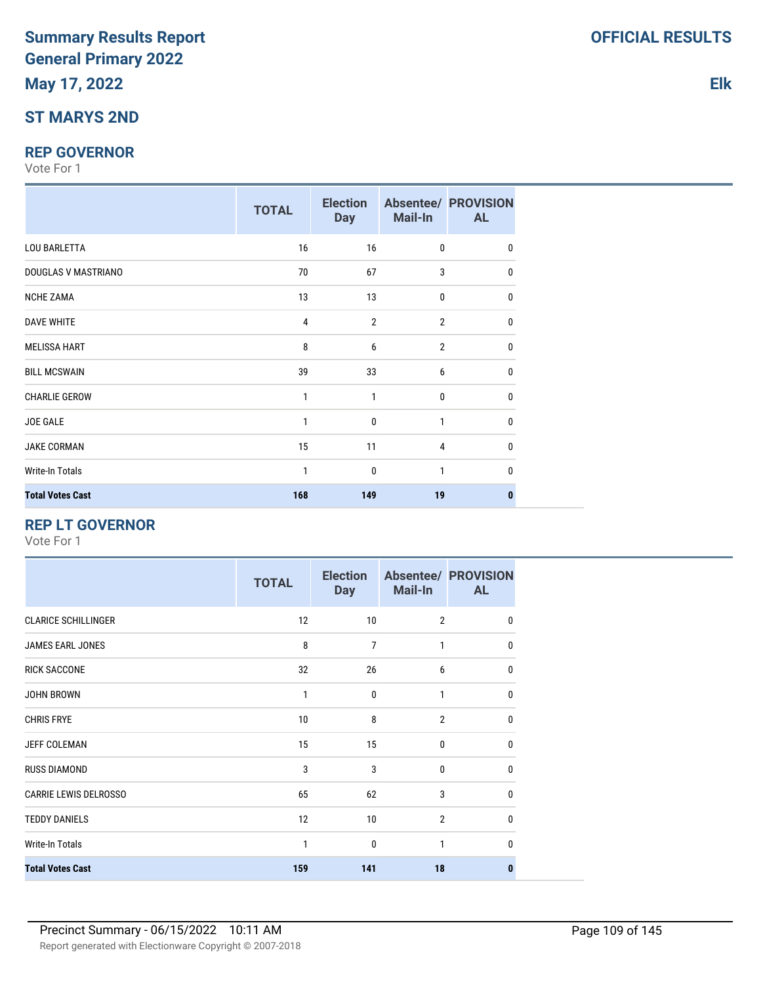## **ST MARYS 2ND**

#### **REP GOVERNOR**

Vote For 1

|                         | <b>TOTAL</b> | <b>Election</b><br><b>Day</b> | Mail-In        | <b>Absentee/ PROVISION</b><br><b>AL</b> |
|-------------------------|--------------|-------------------------------|----------------|-----------------------------------------|
| <b>LOU BARLETTA</b>     | 16           | 16                            | 0              | $\mathbf{0}$                            |
| DOUGLAS V MASTRIANO     | 70           | 67                            | 3              | $\mathbf{0}$                            |
| <b>NCHE ZAMA</b>        | 13           | 13                            | 0              | $\mathbf{0}$                            |
| <b>DAVE WHITE</b>       | 4            | $\overline{2}$                | $\overline{2}$ | $\mathbf{0}$                            |
| <b>MELISSA HART</b>     | 8            | 6                             | $\overline{2}$ | $\Omega$                                |
| <b>BILL MCSWAIN</b>     | 39           | 33                            | 6              | $\mathbf{0}$                            |
| <b>CHARLIE GEROW</b>    | 1            | 1                             | 0              | $\mathbf{0}$                            |
| JOE GALE                | 1            | $\mathbf 0$                   | 1              | $\mathbf{0}$                            |
| JAKE CORMAN             | 15           | 11                            | $\overline{4}$ | $\mathbf{0}$                            |
| <b>Write-In Totals</b>  | $\mathbf{1}$ | 0                             | 1              | $\Omega$                                |
| <b>Total Votes Cast</b> | 168          | 149                           | 19             | 0                                       |

## **REP LT GOVERNOR**

|                              | <b>TOTAL</b> | <b>Election</b><br><b>Day</b> | Mail-In        | <b>Absentee/ PROVISION</b><br><b>AL</b> |
|------------------------------|--------------|-------------------------------|----------------|-----------------------------------------|
| <b>CLARICE SCHILLINGER</b>   | 12           | 10                            | $\overline{2}$ | 0                                       |
| JAMES EARL JONES             | 8            | 7                             | 1              | $\mathbf{0}$                            |
| <b>RICK SACCONE</b>          | 32           | 26                            | 6              | $\mathbf{0}$                            |
| <b>JOHN BROWN</b>            | 1            | 0                             | 1              | $\mathbf{0}$                            |
| <b>CHRIS FRYE</b>            | 10           | 8                             | $\overline{2}$ | $\mathbf{0}$                            |
| JEFF COLEMAN                 | 15           | 15                            | 0              | $\mathbf{0}$                            |
| <b>RUSS DIAMOND</b>          | 3            | 3                             | $\mathbf{0}$   | $\mathbf{0}$                            |
| <b>CARRIE LEWIS DELROSSO</b> | 65           | 62                            | 3              | $\mathbf{0}$                            |
| <b>TEDDY DANIELS</b>         | 12           | 10                            | $\overline{2}$ | $\mathbf{0}$                            |
| <b>Write-In Totals</b>       | 1            | 0                             | 1              | $\mathbf{0}$                            |
| <b>Total Votes Cast</b>      | 159          | 141                           | 18             | 0                                       |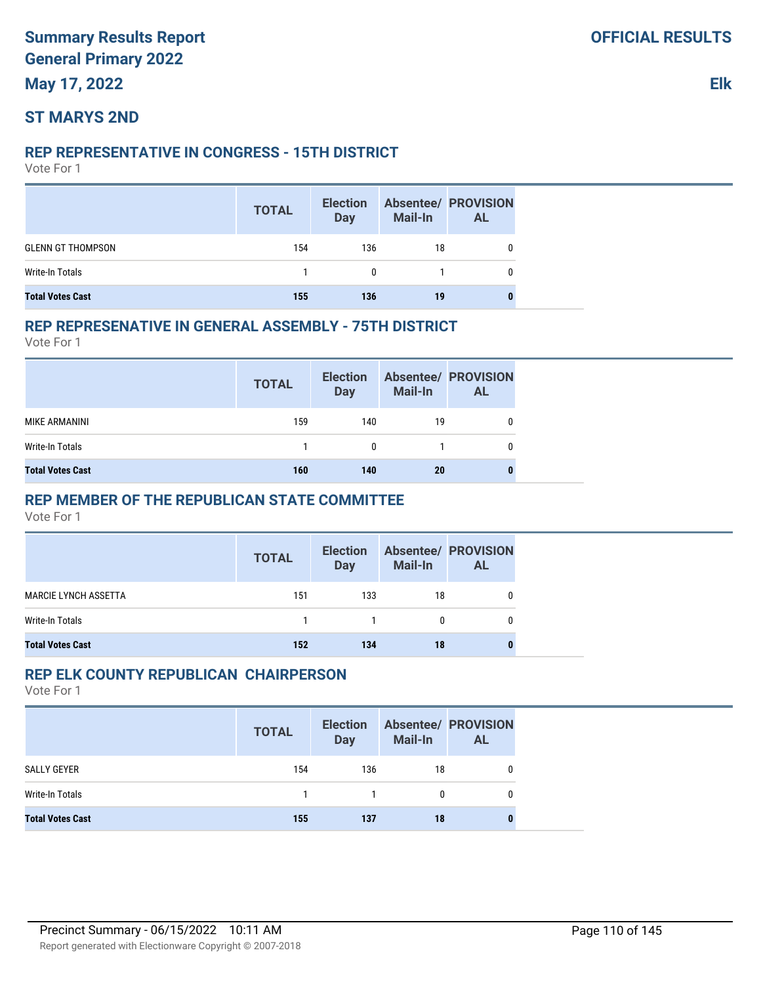## **ST MARYS 2ND**

## **REP REPRESENTATIVE IN CONGRESS - 15TH DISTRICT**

Vote For 1

|                          | <b>TOTAL</b> | <b>Election</b><br><b>Day</b> | Mail-In | <b>Absentee/ PROVISION</b><br><b>AL</b> |
|--------------------------|--------------|-------------------------------|---------|-----------------------------------------|
| <b>GLENN GT THOMPSON</b> | 154          | 136                           | 18      |                                         |
| Write-In Totals          |              | $\mathbf{0}$                  |         | 0                                       |
| <b>Total Votes Cast</b>  | 155          | 136                           | 19      |                                         |

## **REP REPRESENATIVE IN GENERAL ASSEMBLY - 75TH DISTRICT**

Vote For 1

|                         | <b>TOTAL</b> | <b>Election</b><br><b>Day</b> | <b>Mail-In</b> | <b>Absentee/ PROVISION</b><br><b>AL</b> |
|-------------------------|--------------|-------------------------------|----------------|-----------------------------------------|
| <b>MIKE ARMANINI</b>    | 159          | 140                           | 19             |                                         |
| Write-In Totals         |              | 0                             |                |                                         |
| <b>Total Votes Cast</b> | 160          | 140                           | 20             |                                         |

## **REP MEMBER OF THE REPUBLICAN STATE COMMITTEE**

Vote For 1

|                             | <b>TOTAL</b> | <b>Election</b><br>Day | <b>Mail-In</b> | <b>Absentee/ PROVISION</b><br><b>AL</b> |
|-----------------------------|--------------|------------------------|----------------|-----------------------------------------|
| <b>MARCIE LYNCH ASSETTA</b> | 151          | 133                    | 18             | 0                                       |
| Write-In Totals             |              |                        | 0              | 0                                       |
| <b>Total Votes Cast</b>     | 152          | 134                    | 18             | o                                       |

## **REP ELK COUNTY REPUBLICAN CHAIRPERSON**

|                         | <b>TOTAL</b> | <b>Election</b><br><b>Day</b> | <b>Mail-In</b> | <b>Absentee/ PROVISION</b><br><b>AL</b> |
|-------------------------|--------------|-------------------------------|----------------|-----------------------------------------|
| SALLY GEYER             | 154          | 136                           | 18             |                                         |
| Write-In Totals         | 1            | $\mathbf{1}$                  | 0              | 0                                       |
| <b>Total Votes Cast</b> | 155          | 137                           | 18             | 0                                       |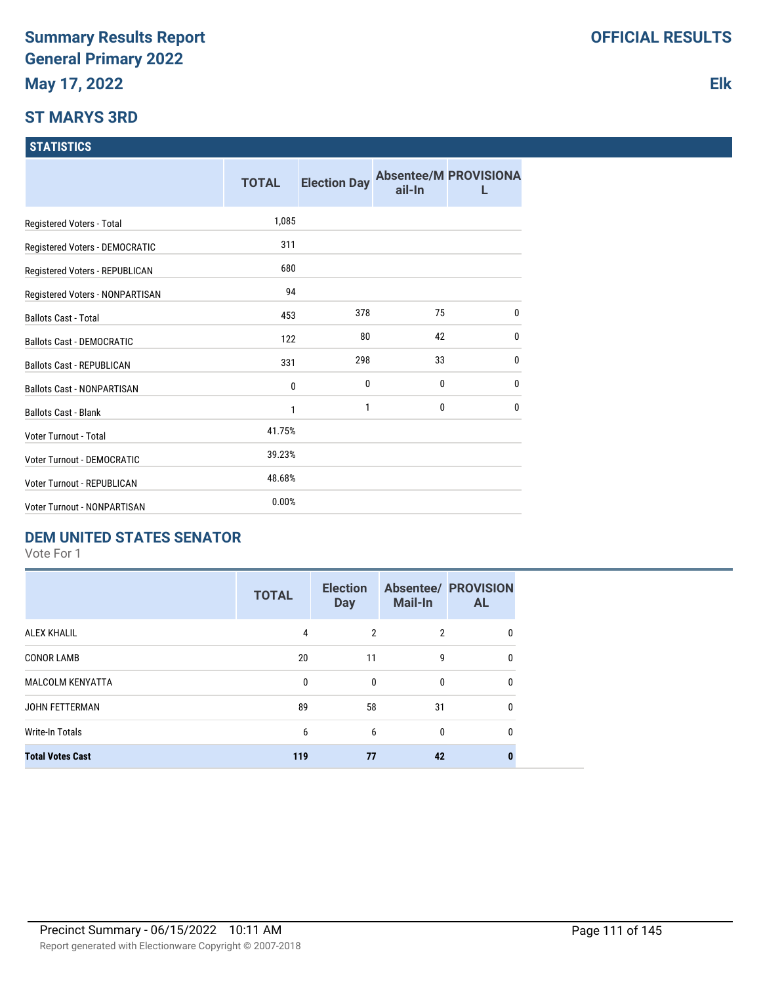## **ST MARYS 3RD**

#### **STATISTICS**

|                                   | <b>TOTAL</b> | <b>Election Day</b> | ail-In       | <b>Absentee/M PROVISIONA</b> |
|-----------------------------------|--------------|---------------------|--------------|------------------------------|
| Registered Voters - Total         | 1,085        |                     |              |                              |
| Registered Voters - DEMOCRATIC    | 311          |                     |              |                              |
| Registered Voters - REPUBLICAN    | 680          |                     |              |                              |
| Registered Voters - NONPARTISAN   | 94           |                     |              |                              |
| <b>Ballots Cast - Total</b>       | 453          | 378                 | 75           | $\mathbf{0}$                 |
| <b>Ballots Cast - DEMOCRATIC</b>  | 122          | 80                  | 42           | $\mathbf{0}$                 |
| <b>Ballots Cast - REPUBLICAN</b>  | 331          | 298                 | 33           | $\mathbf{0}$                 |
| <b>Ballots Cast - NONPARTISAN</b> | 0            | 0                   | 0            | $\bf{0}$                     |
| <b>Ballots Cast - Blank</b>       | 1            | 1                   | $\mathbf{0}$ | $\mathbf{0}$                 |
| Voter Turnout - Total             | 41.75%       |                     |              |                              |
| Voter Turnout - DEMOCRATIC        | 39.23%       |                     |              |                              |
| <b>Voter Turnout - REPUBLICAN</b> | 48.68%       |                     |              |                              |
| Voter Turnout - NONPARTISAN       | 0.00%        |                     |              |                              |

## **DEM UNITED STATES SENATOR**

Vote For 1

|                         | <b>TOTAL</b> | <b>Election</b><br><b>Day</b> | <b>Mail-In</b> | <b>Absentee/ PROVISION</b><br><b>AL</b> |
|-------------------------|--------------|-------------------------------|----------------|-----------------------------------------|
| <b>ALEX KHALIL</b>      | 4            | 2                             | 2              | 0                                       |
| <b>CONOR LAMB</b>       | 20           | 11                            | 9              | 0                                       |
| <b>MALCOLM KENYATTA</b> | 0            | $\mathbf{0}$                  | $\mathbf{0}$   | 0                                       |
| <b>JOHN FETTERMAN</b>   | 89           | 58                            | 31             | 0                                       |
| <b>Write-In Totals</b>  | 6            | 6                             | $\mathbf{0}$   | 0                                       |
| <b>Total Votes Cast</b> | 119          | 77                            | 42             |                                         |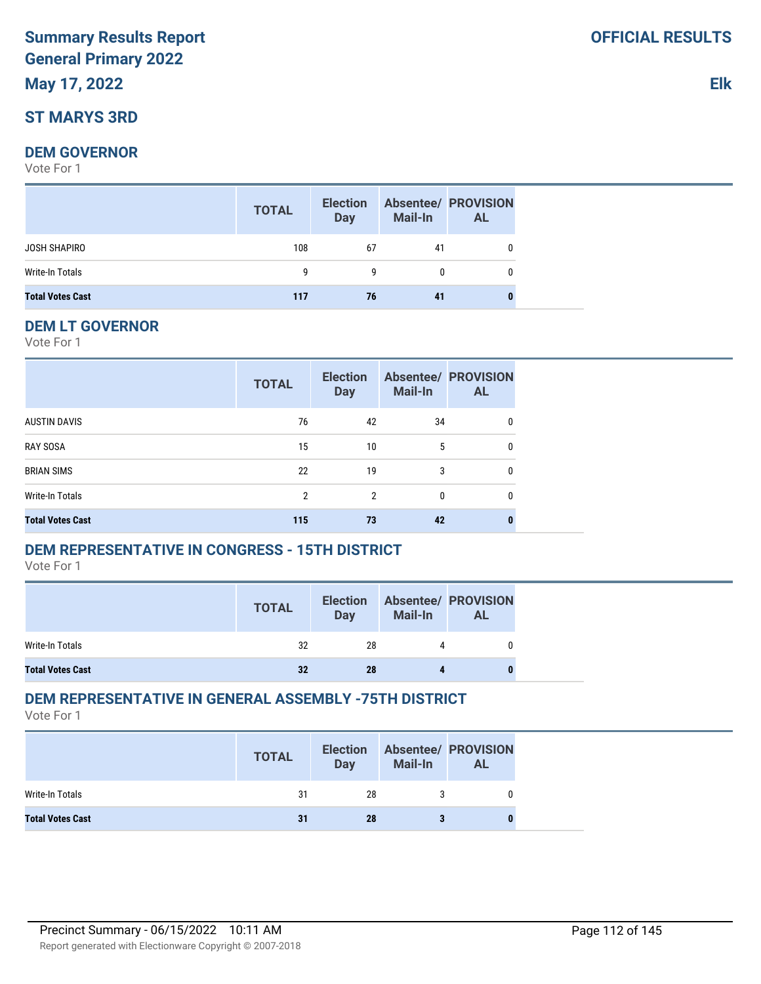# **Summary Results Report General Primary 2022**

## **May 17, 2022**

## **ST MARYS 3RD**

#### **DEM GOVERNOR**

Vote For 1

|                         | <b>TOTAL</b> | <b>Election</b><br><b>Day</b> | <b>Mail-In</b> | <b>Absentee/ PROVISION</b><br><b>AL</b> |
|-------------------------|--------------|-------------------------------|----------------|-----------------------------------------|
| JOSH SHAPIRO            | 108          | 67                            | 41             | 0                                       |
| Write-In Totals         | g            | g                             |                | $\mathbf{0}$                            |
| <b>Total Votes Cast</b> | 117          | 76                            | 41             |                                         |

#### **DEM LT GOVERNOR**

Vote For 1

|                         | <b>TOTAL</b> | <b>Election</b><br><b>Day</b> | <b>Mail-In</b> | <b>Absentee/ PROVISION</b><br><b>AL</b> |
|-------------------------|--------------|-------------------------------|----------------|-----------------------------------------|
| <b>AUSTIN DAVIS</b>     | 76           | 42                            | 34             | 0                                       |
| <b>RAY SOSA</b>         | 15           | 10                            | 5              | 0                                       |
| <b>BRIAN SIMS</b>       | 22           | 19                            | 3              | 0                                       |
| Write-In Totals         | 2            | $\overline{2}$                | 0              | 0                                       |
| <b>Total Votes Cast</b> | 115          | 73                            | 42             | O                                       |

## **DEM REPRESENTATIVE IN CONGRESS - 15TH DISTRICT**

Vote For 1

|                         | <b>TOTAL</b> | <b>Election</b><br><b>Day</b> | Mail-In | <b>Absentee/ PROVISION</b><br>AL |
|-------------------------|--------------|-------------------------------|---------|----------------------------------|
| Write-In Totals         | 32           | 28                            | 4       |                                  |
| <b>Total Votes Cast</b> | 32           | 28                            |         |                                  |

## **DEM REPRESENTATIVE IN GENERAL ASSEMBLY -75TH DISTRICT**

|                         | <b>TOTAL</b> | <b>Election</b><br>Day | <b>Mail-In</b> | <b>Absentee/ PROVISION</b><br><b>AL</b> |
|-------------------------|--------------|------------------------|----------------|-----------------------------------------|
| Write-In Totals         | 31           | 28                     |                |                                         |
| <b>Total Votes Cast</b> | 31           | 28                     |                | 0                                       |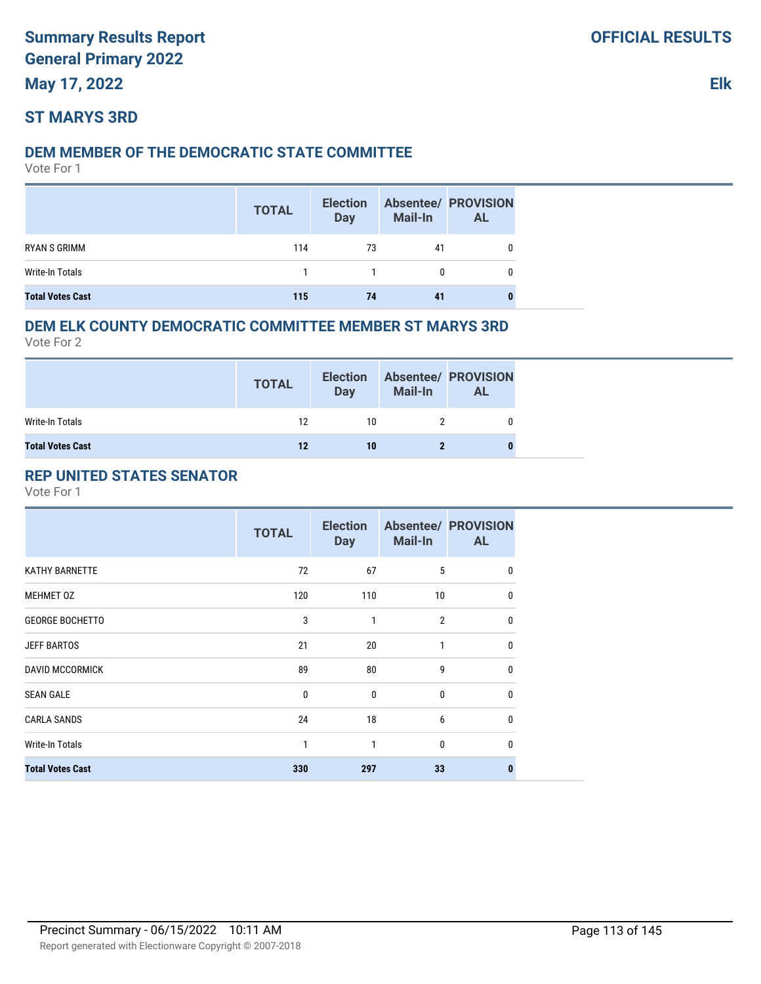## **ST MARYS 3RD**

## **DEM MEMBER OF THE DEMOCRATIC STATE COMMITTEE**

Vote For 1

|                         | <b>TOTAL</b> | <b>Election</b><br><b>Day</b> | <b>Mail-In</b> | <b>Absentee/ PROVISION</b><br><b>AL</b> |
|-------------------------|--------------|-------------------------------|----------------|-----------------------------------------|
| RYAN S GRIMM            | 114          | 73                            | 41             |                                         |
| Write-In Totals         |              |                               | 0              |                                         |
| <b>Total Votes Cast</b> | 115          | 74                            | 41             |                                         |

## **DEM ELK COUNTY DEMOCRATIC COMMITTEE MEMBER ST MARYS 3RD**

Vote For 2

|                         | <b>TOTAL</b>      | <b>Election</b><br><b>Day</b> | <b>Mail-In</b> | <b>Absentee/ PROVISION</b><br><b>AL</b> |
|-------------------------|-------------------|-------------------------------|----------------|-----------------------------------------|
| Write-In Totals         | $12 \overline{ }$ | 10                            |                |                                         |
| <b>Total Votes Cast</b> | 12                | 10                            |                |                                         |

## **REP UNITED STATES SENATOR**

|                         | <b>TOTAL</b> | <b>Election</b><br><b>Day</b> | <b>Mail-In</b> | <b>Absentee/ PROVISION</b><br><b>AL</b> |
|-------------------------|--------------|-------------------------------|----------------|-----------------------------------------|
| <b>KATHY BARNETTE</b>   | 72           | 67                            | 5              | 0                                       |
| <b>MEHMET OZ</b>        | 120          | 110                           | 10             | $\mathbf{0}$                            |
| <b>GEORGE BOCHETTO</b>  | 3            | 1                             | $\overline{2}$ | $\bf{0}$                                |
| <b>JEFF BARTOS</b>      | 21           | 20                            | 1              | $\mathbf{0}$                            |
| <b>DAVID MCCORMICK</b>  | 89           | 80                            | 9              | 0                                       |
| <b>SEAN GALE</b>        | $\mathbf{0}$ | $\mathbf{0}$                  | $\mathbf{0}$   | $\mathbf{0}$                            |
| <b>CARLA SANDS</b>      | 24           | 18                            | 6              | 0                                       |
| <b>Write-In Totals</b>  | 1            | 1                             | $\mathbf{0}$   | $\mathbf{0}$                            |
| <b>Total Votes Cast</b> | 330          | 297                           | 33             | 0                                       |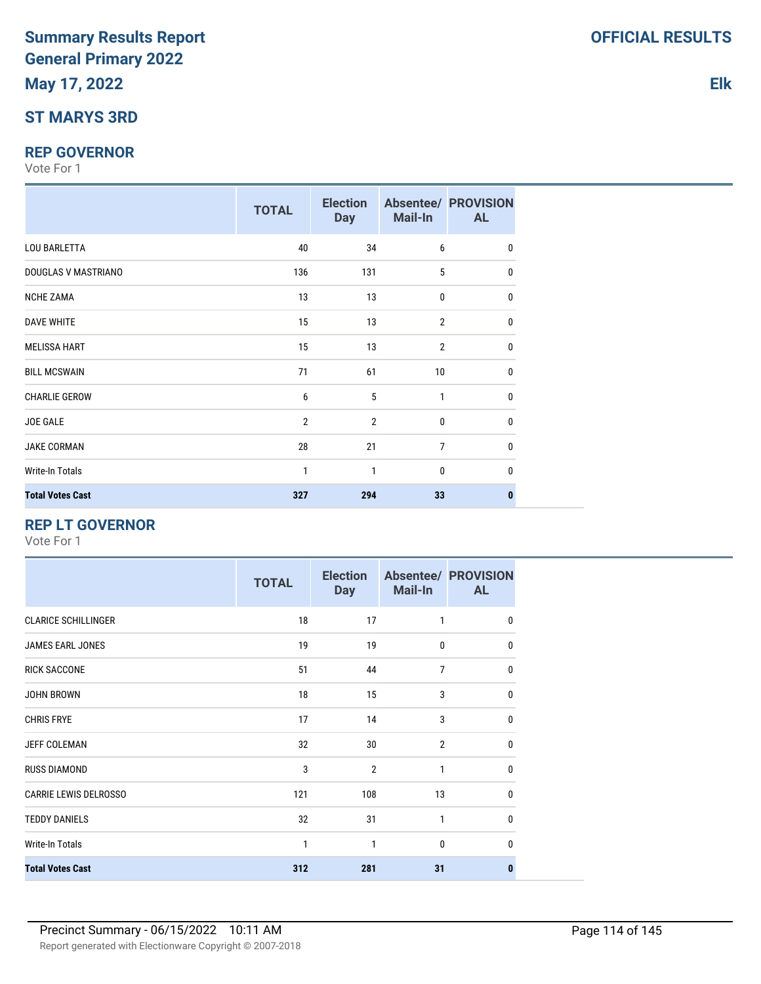## **ST MARYS 3RD**

#### **REP GOVERNOR**

Vote For 1

|                         | <b>TOTAL</b>   | <b>Election</b><br><b>Day</b> | <b>Mail-In</b> | <b>Absentee/ PROVISION</b><br><b>AL</b> |
|-------------------------|----------------|-------------------------------|----------------|-----------------------------------------|
| <b>LOU BARLETTA</b>     | 40             | 34                            | 6              | 0                                       |
| DOUGLAS V MASTRIANO     | 136            | 131                           | 5              | 0                                       |
| <b>NCHE ZAMA</b>        | 13             | 13                            | 0              | 0                                       |
| <b>DAVE WHITE</b>       | 15             | 13                            | $\overline{2}$ | 0                                       |
| <b>MELISSA HART</b>     | 15             | 13                            | $\overline{2}$ | 0                                       |
| <b>BILL MCSWAIN</b>     | 71             | 61                            | 10             | 0                                       |
| <b>CHARLIE GEROW</b>    | 6              | 5                             | 1              | 0                                       |
| <b>JOE GALE</b>         | $\overline{2}$ | $\overline{2}$                | 0              | 0                                       |
| <b>JAKE CORMAN</b>      | 28             | 21                            | 7              | 0                                       |
| <b>Write-In Totals</b>  | 1              | $\mathbf{1}$                  | 0              | 0                                       |
| <b>Total Votes Cast</b> | 327            | 294                           | 33             | n                                       |

## **REP LT GOVERNOR**

Vote For 1

|                              | <b>TOTAL</b> | <b>Election</b><br><b>Day</b> | Mail-In        | <b>Absentee/ PROVISION</b><br><b>AL</b> |
|------------------------------|--------------|-------------------------------|----------------|-----------------------------------------|
| <b>CLARICE SCHILLINGER</b>   | 18           | 17                            | 1              | $\mathbf{0}$                            |
| <b>JAMES EARL JONES</b>      | 19           | 19                            | $\mathbf{0}$   | $\mathbf{0}$                            |
| <b>RICK SACCONE</b>          | 51           | 44                            | 7              | $\mathbf{0}$                            |
| <b>JOHN BROWN</b>            | 18           | 15                            | 3              | $\mathbf{0}$                            |
| <b>CHRIS FRYE</b>            | 17           | 14                            | 3              | $\Omega$                                |
| <b>JEFF COLEMAN</b>          | 32           | 30                            | $\overline{2}$ | $\mathbf{0}$                            |
| <b>RUSS DIAMOND</b>          | 3            | $\overline{2}$                | 1              | $\mathbf{0}$                            |
| <b>CARRIE LEWIS DELROSSO</b> | 121          | 108                           | 13             | $\mathbf{0}$                            |
| <b>TEDDY DANIELS</b>         | 32           | 31                            | 1              | $\mathbf{0}$                            |
| <b>Write-In Totals</b>       | 1            | 1                             | $\mathbf{0}$   | $\mathbf{0}$                            |
| <b>Total Votes Cast</b>      | 312          | 281                           | 31             | $\bf{0}$                                |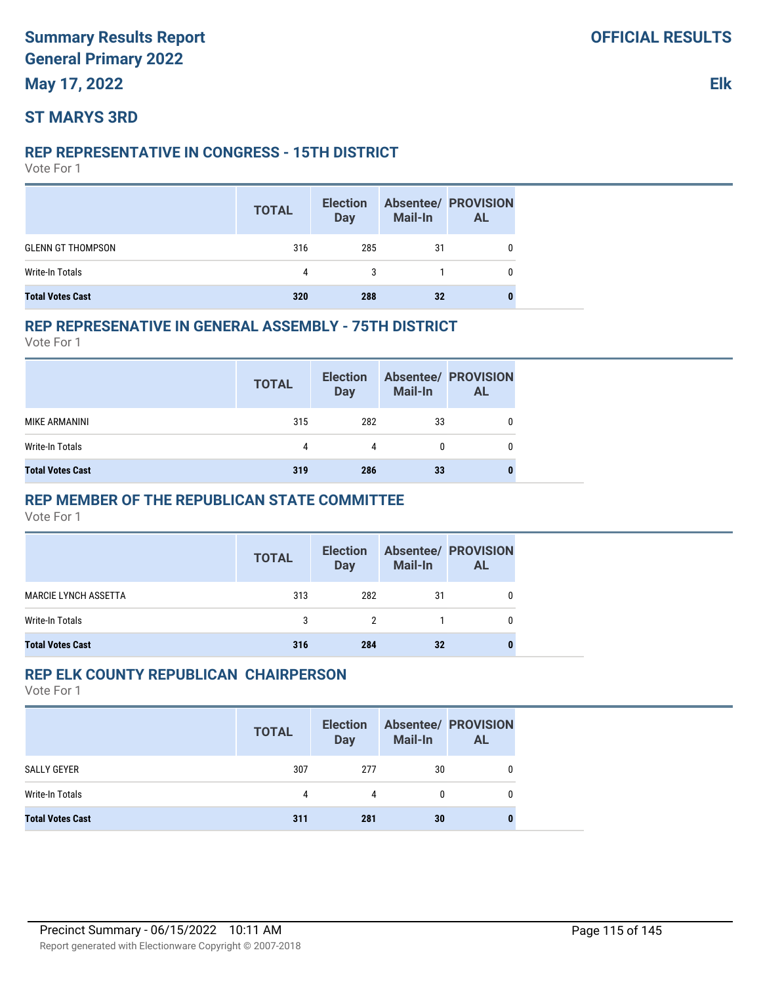## **ST MARYS 3RD**

#### **REP REPRESENTATIVE IN CONGRESS - 15TH DISTRICT**

Vote For 1

|                          | <b>TOTAL</b> | <b>Election</b><br><b>Day</b> | <b>Mail-In</b> | <b>Absentee/ PROVISION</b><br><b>AL</b> |
|--------------------------|--------------|-------------------------------|----------------|-----------------------------------------|
| <b>GLENN GT THOMPSON</b> | 316          | 285                           | 31             |                                         |
| Write-In Totals          | 4            | 3                             |                |                                         |
| <b>Total Votes Cast</b>  | 320          | 288                           | 32             |                                         |

### **REP REPRESENATIVE IN GENERAL ASSEMBLY - 75TH DISTRICT**

Vote For 1

|                         | <b>TOTAL</b> | <b>Election</b><br><b>Day</b> | Mail-In | <b>Absentee/ PROVISION</b><br><b>AL</b> |
|-------------------------|--------------|-------------------------------|---------|-----------------------------------------|
| MIKE ARMANINI           | 315          | 282                           | 33      |                                         |
| Write-In Totals         | Δ            | 4                             |         |                                         |
| <b>Total Votes Cast</b> | 319          | 286                           | 33      |                                         |

### **REP MEMBER OF THE REPUBLICAN STATE COMMITTEE**

Vote For 1

|                             | <b>TOTAL</b> | <b>Election</b><br>Day | <b>Mail-In</b> | <b>Absentee/ PROVISION</b><br><b>AL</b> |
|-----------------------------|--------------|------------------------|----------------|-----------------------------------------|
| <b>MARCIE LYNCH ASSETTA</b> | 313          | 282                    | 31             |                                         |
| Write-In Totals             |              | $\mathcal{P}$          |                |                                         |
| <b>Total Votes Cast</b>     | 316          | 284                    | 32             |                                         |

#### **REP ELK COUNTY REPUBLICAN CHAIRPERSON**

|                         | <b>TOTAL</b> | <b>Election</b><br>Day | <b>Mail-In</b> | <b>Absentee/ PROVISION</b><br><b>AL</b> |
|-------------------------|--------------|------------------------|----------------|-----------------------------------------|
| SALLY GEYER             | 307          | 277                    | 30             |                                         |
| Write-In Totals         | 4            | 4                      | 0              |                                         |
| <b>Total Votes Cast</b> | 311          | 281                    | 30             |                                         |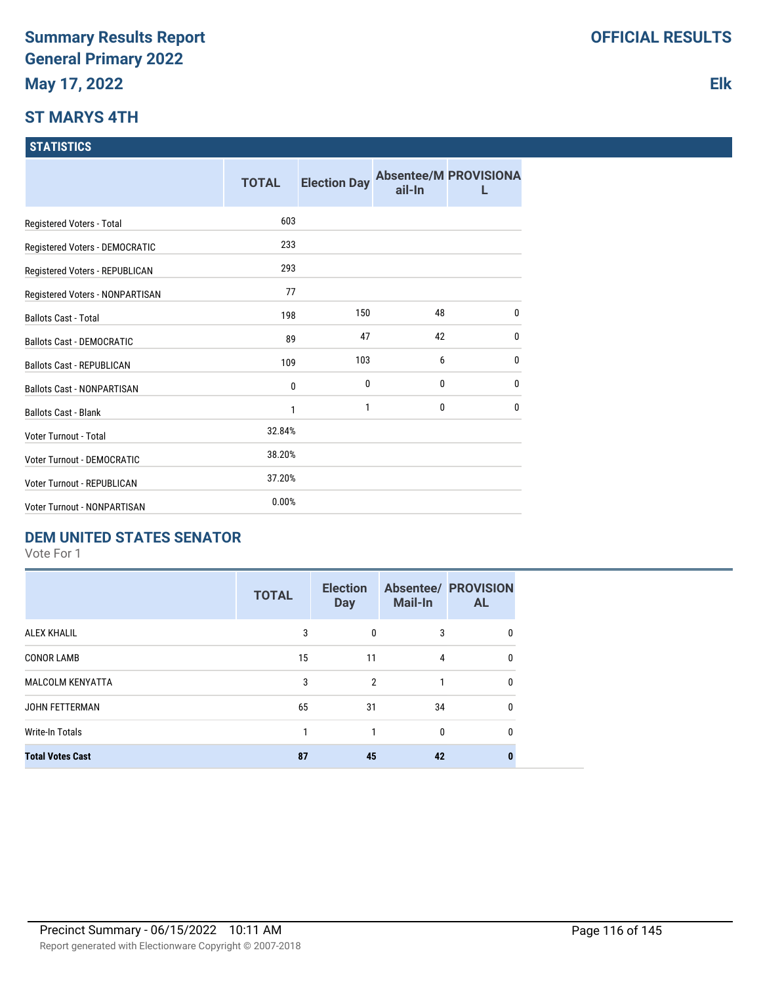## **ST MARYS 4TH**

#### **STATISTICS**

|                                   | <b>TOTAL</b> | <b>Election Day</b> | ail-In       | <b>Absentee/M PROVISIONA</b> |
|-----------------------------------|--------------|---------------------|--------------|------------------------------|
| Registered Voters - Total         | 603          |                     |              |                              |
| Registered Voters - DEMOCRATIC    | 233          |                     |              |                              |
| Registered Voters - REPUBLICAN    | 293          |                     |              |                              |
| Registered Voters - NONPARTISAN   | 77           |                     |              |                              |
| <b>Ballots Cast - Total</b>       | 198          | 150                 | 48           | $\mathbf{0}$                 |
| <b>Ballots Cast - DEMOCRATIC</b>  | 89           | 47                  | 42           | $\mathbf{0}$                 |
| <b>Ballots Cast - REPUBLICAN</b>  | 109          | 103                 | 6            | $\mathbf{0}$                 |
| <b>Ballots Cast - NONPARTISAN</b> | 0            | 0                   | 0            | $\mathbf 0$                  |
| <b>Ballots Cast - Blank</b>       | 1            | 1                   | $\mathbf{0}$ | $\mathbf{0}$                 |
| Voter Turnout - Total             | 32.84%       |                     |              |                              |
| Voter Turnout - DEMOCRATIC        | 38.20%       |                     |              |                              |
| <b>Voter Turnout - REPUBLICAN</b> | 37.20%       |                     |              |                              |
| Voter Turnout - NONPARTISAN       | 0.00%        |                     |              |                              |

## **DEM UNITED STATES SENATOR**

Vote For 1

|                         | <b>TOTAL</b> | <b>Election</b><br><b>Day</b> | <b>Mail-In</b> | <b>Absentee/ PROVISION</b><br><b>AL</b> |
|-------------------------|--------------|-------------------------------|----------------|-----------------------------------------|
| <b>ALEX KHALIL</b>      | 3            | 0                             | 3              | 0                                       |
| <b>CONOR LAMB</b>       | 15           | 11                            | 4              | 0                                       |
| <b>MALCOLM KENYATTA</b> | 3            | 2                             | 1              | $\Omega$                                |
| JOHN FETTERMAN          | 65           | 31                            | 34             | 0                                       |
| Write-In Totals         |              |                               | $\mathbf{0}$   | 0                                       |
| <b>Total Votes Cast</b> | 87           | 45                            | 42             | 0                                       |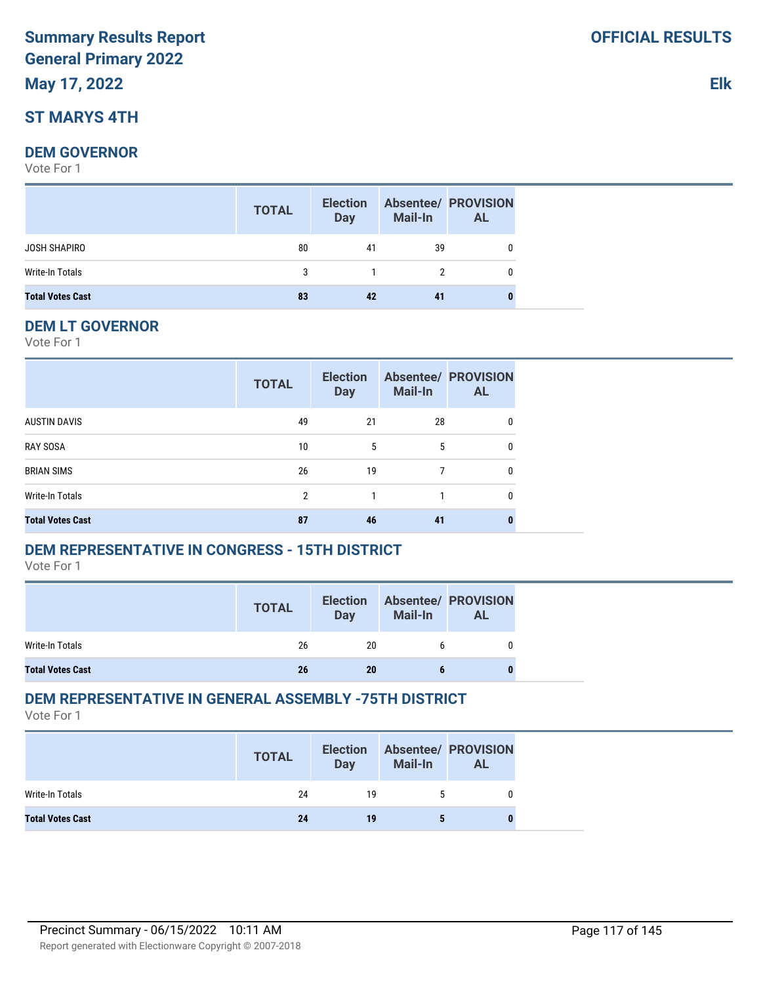# **Summary Results Report General Primary 2022**

**May 17, 2022**

## **ST MARYS 4TH**

#### **DEM GOVERNOR**

Vote For 1

|                         | <b>TOTAL</b> | <b>Election</b><br>Day | <b>Mail-In</b> | <b>Absentee/ PROVISION</b><br><b>AL</b> |
|-------------------------|--------------|------------------------|----------------|-----------------------------------------|
| JOSH SHAPIRO            | 80           | 41                     | 39             |                                         |
| Write-In Totals         | 3            |                        | 2              | 0                                       |
| <b>Total Votes Cast</b> | 83           | 42                     | 41             |                                         |

#### **DEM LT GOVERNOR**

Vote For 1

|                         | <b>TOTAL</b>  | <b>Election</b><br><b>Day</b> | <b>Mail-In</b> | <b>Absentee/ PROVISION</b><br><b>AL</b> |
|-------------------------|---------------|-------------------------------|----------------|-----------------------------------------|
| <b>AUSTIN DAVIS</b>     | 49            | 21                            | 28             | 0                                       |
| <b>RAY SOSA</b>         | 10            | 5                             | 5              | 0                                       |
| <b>BRIAN SIMS</b>       | 26            | 19                            | 7              | 0                                       |
| Write-In Totals         | $\mathcal{P}$ |                               |                | 0                                       |
| <b>Total Votes Cast</b> | 87            | 46                            | 41             |                                         |

## **DEM REPRESENTATIVE IN CONGRESS - 15TH DISTRICT**

Vote For 1

|                         | <b>TOTAL</b> | <b>Election</b><br><b>Day</b> | Mail-In | <b>Absentee/ PROVISION</b><br>AL |
|-------------------------|--------------|-------------------------------|---------|----------------------------------|
| Write-In Totals         | 26           | 20                            |         |                                  |
| <b>Total Votes Cast</b> | 26           | 20                            |         |                                  |

## **DEM REPRESENTATIVE IN GENERAL ASSEMBLY -75TH DISTRICT**

Vote For 1

|                         | <b>TOTAL</b> | <b>Election</b><br>Day | <b>Mail-In</b> | <b>Absentee/ PROVISION</b><br><b>AL</b> |
|-------------------------|--------------|------------------------|----------------|-----------------------------------------|
| Write-In Totals         | 24           | 19                     |                |                                         |
| <b>Total Votes Cast</b> | 24           | 19                     |                |                                         |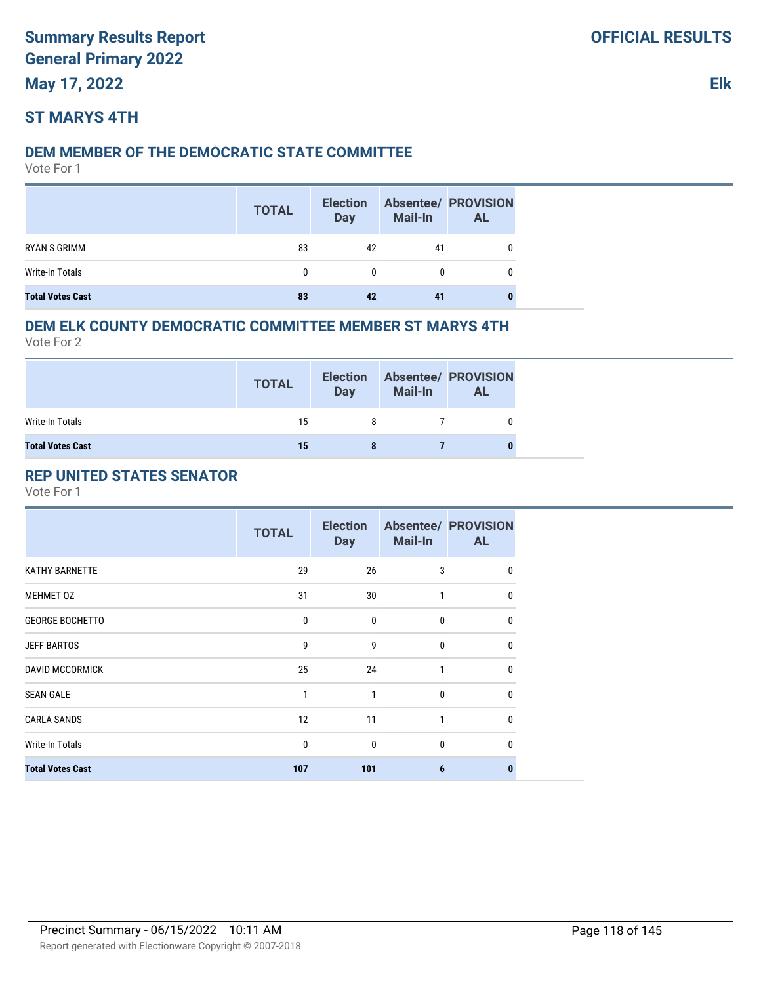## **ST MARYS 4TH**

## **DEM MEMBER OF THE DEMOCRATIC STATE COMMITTEE**

Vote For 1

|                         | <b>TOTAL</b> | <b>Election</b><br><b>Day</b> | <b>Mail-In</b> | <b>Absentee/ PROVISION</b><br><b>AL</b> |
|-------------------------|--------------|-------------------------------|----------------|-----------------------------------------|
| RYAN S GRIMM            | 83           | 42                            | 41             |                                         |
| Write-In Totals         | 0            | <sup>0</sup>                  |                |                                         |
| <b>Total Votes Cast</b> | 83           | 42                            | 41             |                                         |

## **DEM ELK COUNTY DEMOCRATIC COMMITTEE MEMBER ST MARYS 4TH**

Vote For 2

|                         | <b>TOTAL</b> | <b>Election</b><br>Day | Mail-In | <b>Absentee/ PROVISION</b><br>AL |
|-------------------------|--------------|------------------------|---------|----------------------------------|
| Write-In Totals         | 15           |                        |         |                                  |
| <b>Total Votes Cast</b> | 15           |                        |         |                                  |

## **REP UNITED STATES SENATOR**

|                         | <b>TOTAL</b> | <b>Election</b><br><b>Day</b> | Mail-In      | <b>Absentee/ PROVISION</b><br><b>AL</b> |
|-------------------------|--------------|-------------------------------|--------------|-----------------------------------------|
| <b>KATHY BARNETTE</b>   | 29           | 26                            | 3            | 0                                       |
| MEHMET 0Z               | 31           | 30                            | 1            | 0                                       |
| <b>GEORGE BOCHETTO</b>  | $\mathbf{0}$ | $\mathbf{0}$                  | 0            | $\mathbf{0}$                            |
| <b>JEFF BARTOS</b>      | 9            | 9                             | $\Omega$     | 0                                       |
| <b>DAVID MCCORMICK</b>  | 25           | 24                            | 1            | 0                                       |
| <b>SEAN GALE</b>        | $\mathbf{1}$ | 1                             | $\mathbf{0}$ | 0                                       |
| <b>CARLA SANDS</b>      | 12           | 11                            | 1            | $\mathbf{0}$                            |
| Write-In Totals         | 0            | $\mathbf{0}$                  | $\mathbf{0}$ | $\mathbf{0}$                            |
| <b>Total Votes Cast</b> | 107          | 101                           | 6            | 0                                       |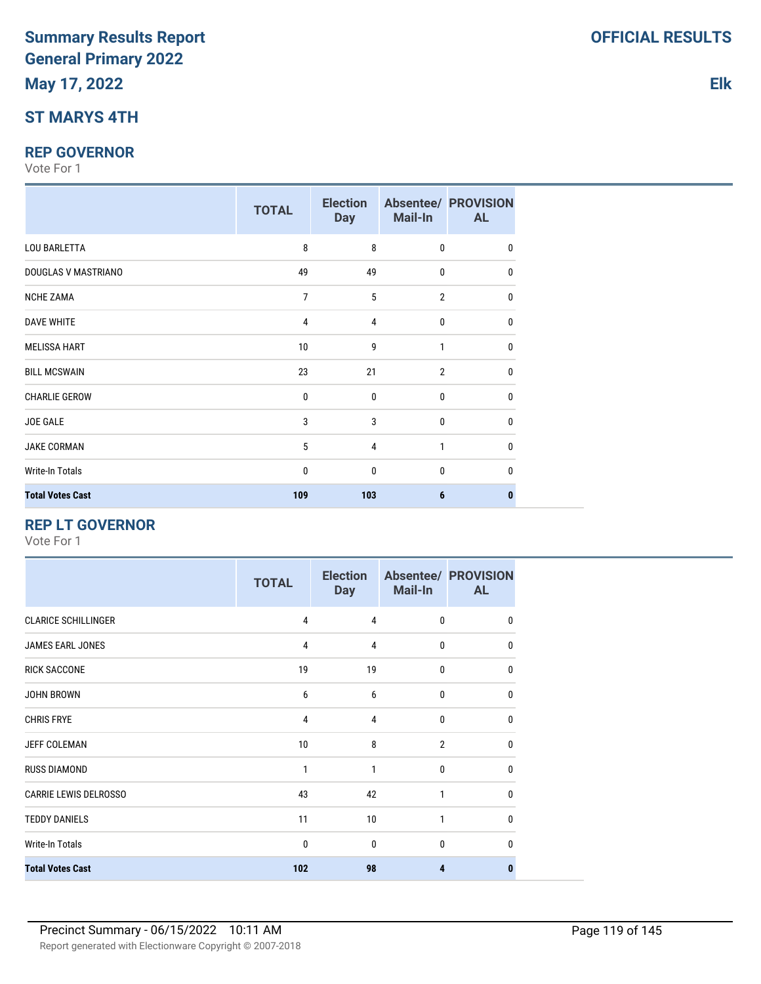## **ST MARYS 4TH**

#### **REP GOVERNOR**

Vote For 1

|                         | <b>TOTAL</b>   | <b>Election</b><br><b>Day</b> | Mail-In        | <b>Absentee/ PROVISION</b><br><b>AL</b> |
|-------------------------|----------------|-------------------------------|----------------|-----------------------------------------|
| <b>LOU BARLETTA</b>     | 8              | 8                             | 0              | 0                                       |
| DOUGLAS V MASTRIANO     | 49             | 49                            | 0              | 0                                       |
| <b>NCHE ZAMA</b>        | $\overline{7}$ | 5                             | $\overline{2}$ | 0                                       |
| <b>DAVE WHITE</b>       | 4              | 4                             | 0              | 0                                       |
| <b>MELISSA HART</b>     | 10             | 9                             | 1              | 0                                       |
| <b>BILL MCSWAIN</b>     | 23             | 21                            | $\overline{2}$ | 0                                       |
| <b>CHARLIE GEROW</b>    | $\mathbf{0}$   | 0                             | 0              | 0                                       |
| JOE GALE                | 3              | 3                             | 0              | 0                                       |
| <b>JAKE CORMAN</b>      | 5              | 4                             | 1              | 0                                       |
| Write-In Totals         | $\mathbf{0}$   | 0                             | 0              | 0                                       |
| <b>Total Votes Cast</b> | 109            | 103                           | 6              | n                                       |

## **REP LT GOVERNOR**

Vote For 1

|                              | <b>TOTAL</b> | <b>Election</b><br><b>Day</b> | Mail-In        | <b>Absentee/ PROVISION</b><br><b>AL</b> |
|------------------------------|--------------|-------------------------------|----------------|-----------------------------------------|
| <b>CLARICE SCHILLINGER</b>   | 4            | 4                             | $\bf{0}$       | 0                                       |
| JAMES EARL JONES             | 4            | 4                             | $\mathbf 0$    | 0                                       |
| <b>RICK SACCONE</b>          | 19           | 19                            | $\mathbf 0$    | 0                                       |
| <b>JOHN BROWN</b>            | 6            | 6                             | $\mathbf 0$    | <sup>0</sup>                            |
| <b>CHRIS FRYE</b>            | 4            | 4                             | $\mathbf 0$    | <sup>0</sup>                            |
| JEFF COLEMAN                 | 10           | 8                             | $\overline{2}$ | $\Omega$                                |
| <b>RUSS DIAMOND</b>          | 1            | 1                             | $\mathbf{0}$   | 0                                       |
| <b>CARRIE LEWIS DELROSSO</b> | 43           | 42                            | 1              | <sup>0</sup>                            |
| <b>TEDDY DANIELS</b>         | 11           | 10                            | 1              | $\Omega$                                |
| <b>Write-In Totals</b>       | $\mathbf{0}$ | $\mathbf{0}$                  | $\mathbf{0}$   | <sup>0</sup>                            |
| <b>Total Votes Cast</b>      | 102          | 98                            | 4              | n                                       |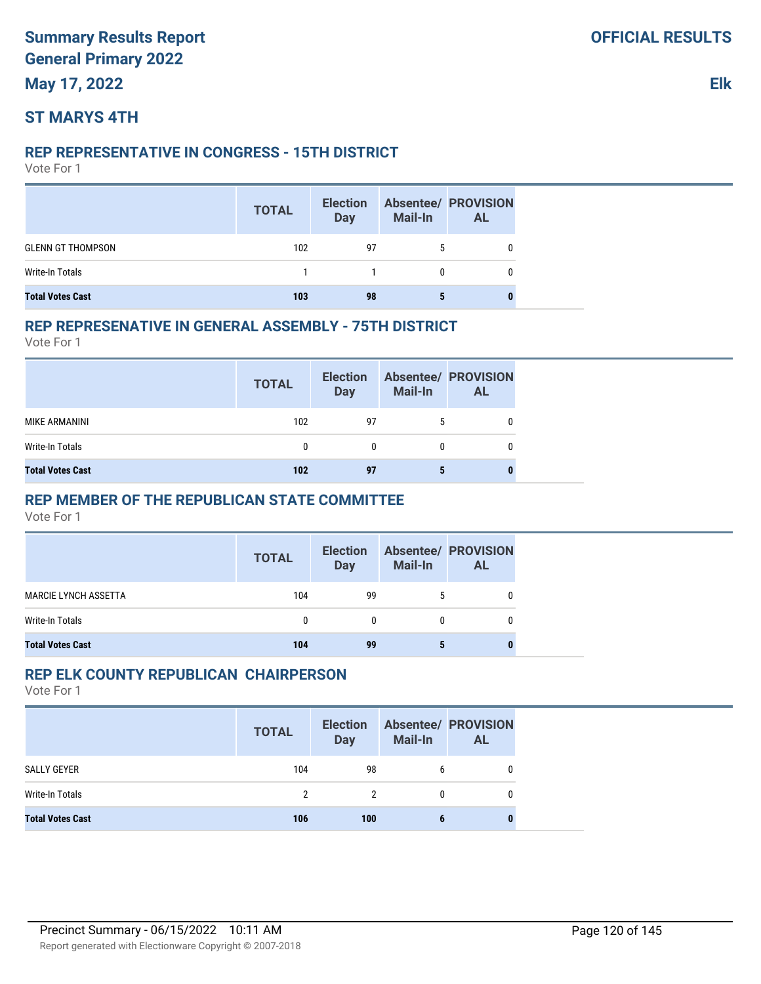## **ST MARYS 4TH**

#### **REP REPRESENTATIVE IN CONGRESS - 15TH DISTRICT**

Vote For 1

|                          | <b>TOTAL</b> | <b>Election</b><br><b>Day</b> | <b>Mail-In</b> | <b>Absentee/ PROVISION</b><br><b>AL</b> |
|--------------------------|--------------|-------------------------------|----------------|-----------------------------------------|
| <b>GLENN GT THOMPSON</b> | 102          | 97                            |                |                                         |
| Write-In Totals          |              | $\mathbf{1}$                  |                |                                         |
| <b>Total Votes Cast</b>  | 103          | 98                            |                |                                         |

#### **REP REPRESENATIVE IN GENERAL ASSEMBLY - 75TH DISTRICT**

Vote For 1

|                         | <b>TOTAL</b> | <b>Election</b><br><b>Day</b> | Mail-In | <b>Absentee/ PROVISION</b><br><b>AL</b> |
|-------------------------|--------------|-------------------------------|---------|-----------------------------------------|
| MIKE ARMANINI           | 102          | 97                            |         |                                         |
| Write-In Totals         |              |                               |         |                                         |
| <b>Total Votes Cast</b> | 102          | 97                            | э       |                                         |

### **REP MEMBER OF THE REPUBLICAN STATE COMMITTEE**

Vote For 1

|                             | <b>TOTAL</b> | <b>Election</b><br><b>Day</b> | Mail-In      | <b>Absentee/ PROVISION</b><br><b>AL</b> |  |
|-----------------------------|--------------|-------------------------------|--------------|-----------------------------------------|--|
| <b>MARCIE LYNCH ASSETTA</b> | 104          | 99                            |              |                                         |  |
| Write-In Totals             | 0            | $\Omega$                      | $\mathbf{0}$ |                                         |  |
| <b>Total Votes Cast</b>     | 104          | 99                            | 5            | o                                       |  |

### **REP ELK COUNTY REPUBLICAN CHAIRPERSON**

|                         | <b>TOTAL</b> | <b>Election</b><br><b>Day</b> | <b>Mail-In</b> | <b>Absentee/ PROVISION</b><br><b>AL</b> |
|-------------------------|--------------|-------------------------------|----------------|-----------------------------------------|
| SALLY GEYER             | 104          | 98                            | 6              |                                         |
| Write-In Totals         | 2            | 2                             |                | 0                                       |
| <b>Total Votes Cast</b> | 106          | 100                           |                |                                         |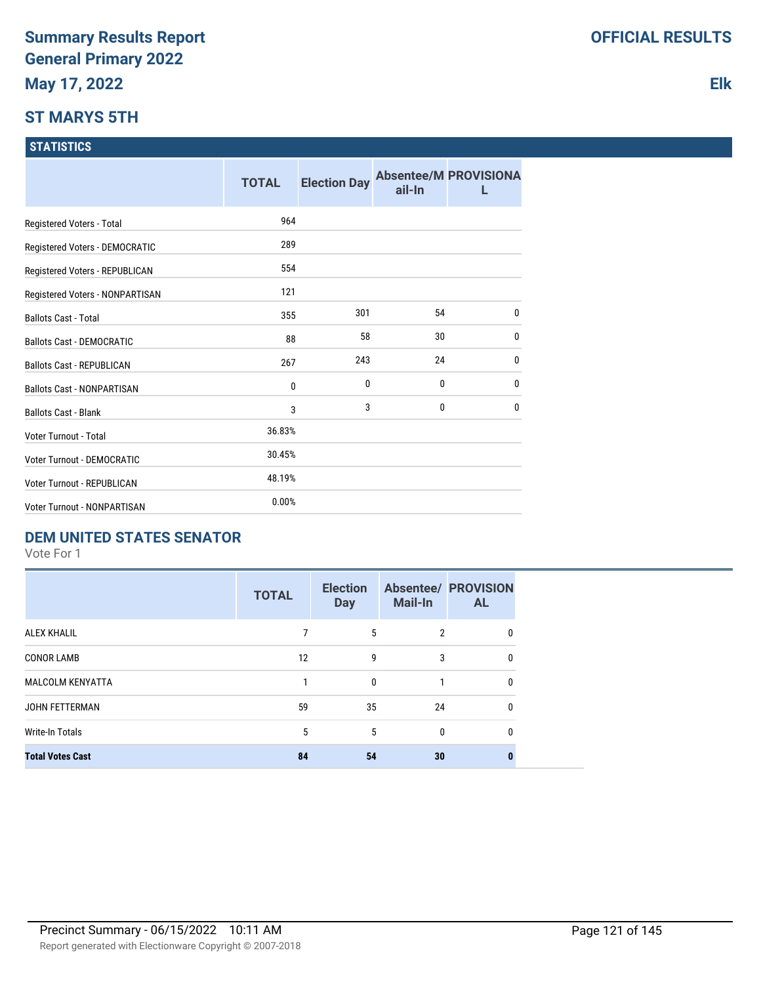## **ST MARYS 5TH**

#### **STATISTICS**

|                                   | <b>TOTAL</b> | <b>Election Day</b> | ail-In | <b>Absentee/M PROVISIONA</b> |
|-----------------------------------|--------------|---------------------|--------|------------------------------|
| Registered Voters - Total         | 964          |                     |        |                              |
| Registered Voters - DEMOCRATIC    | 289          |                     |        |                              |
| Registered Voters - REPUBLICAN    | 554          |                     |        |                              |
| Registered Voters - NONPARTISAN   | 121          |                     |        |                              |
| <b>Ballots Cast - Total</b>       | 355          | 301                 | 54     | $\mathbf{0}$                 |
| <b>Ballots Cast - DEMOCRATIC</b>  | 88           | 58                  | 30     | $\mathbf{0}$                 |
| <b>Ballots Cast - REPUBLICAN</b>  | 267          | 243                 | 24     | $\mathbf{0}$                 |
| <b>Ballots Cast - NONPARTISAN</b> | 0            | 0                   | 0      | $\bf{0}$                     |
| <b>Ballots Cast - Blank</b>       | 3            | 3                   | 0      | $\mathbf{0}$                 |
| Voter Turnout - Total             | 36.83%       |                     |        |                              |
| Voter Turnout - DEMOCRATIC        | 30.45%       |                     |        |                              |
| <b>Voter Turnout - REPUBLICAN</b> | 48.19%       |                     |        |                              |
| Voter Turnout - NONPARTISAN       | 0.00%        |                     |        |                              |

## **DEM UNITED STATES SENATOR**

Vote For 1

|                         | <b>TOTAL</b> | <b>Election</b><br><b>Day</b> | <b>Mail-In</b> | <b>Absentee/ PROVISION</b><br><b>AL</b> |
|-------------------------|--------------|-------------------------------|----------------|-----------------------------------------|
| <b>ALEX KHALIL</b>      |              | 5                             | $\overline{2}$ | 0                                       |
| <b>CONOR LAMB</b>       | 12           | 9                             | 3              | 0                                       |
| <b>MALCOLM KENYATTA</b> | 1            | 0                             | 1              | 0                                       |
| JOHN FETTERMAN          | 59           | 35                            | 24             | 0                                       |
| Write-In Totals         | 5            | 5                             | $\mathbf{0}$   | 0                                       |
| <b>Total Votes Cast</b> | 84           | 54                            | 30             | 0                                       |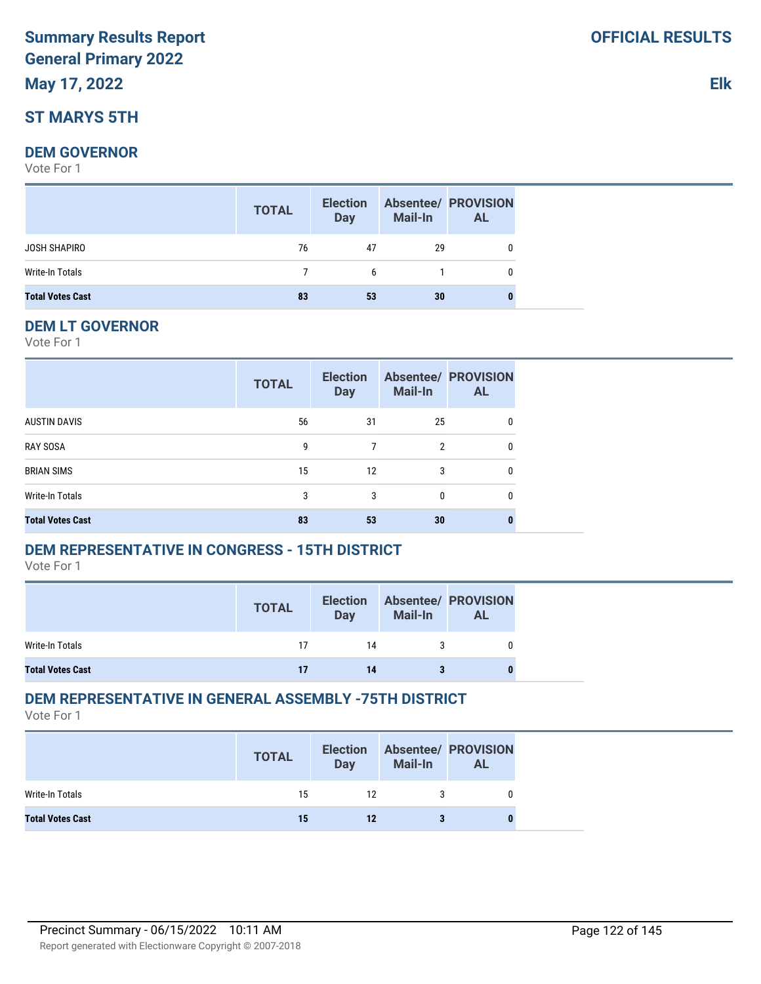# **Summary Results Report General Primary 2022**

## **May 17, 2022**

## **ST MARYS 5TH**

#### **DEM GOVERNOR**

Vote For 1

|                         | <b>TOTAL</b> | <b>Election</b><br>Day | <b>Mail-In</b> | <b>Absentee/ PROVISION</b><br><b>AL</b> |
|-------------------------|--------------|------------------------|----------------|-----------------------------------------|
| JOSH SHAPIRO            | 76           | 47                     | 29             |                                         |
| Write-In Totals         | $7^{\circ}$  | 6                      |                | 0                                       |
| <b>Total Votes Cast</b> | 83           | 53                     | 30             |                                         |

#### **DEM LT GOVERNOR**

Vote For 1

|                         | <b>TOTAL</b> | <b>Election</b><br><b>Day</b> | <b>Mail-In</b> | <b>Absentee/ PROVISION</b><br><b>AL</b> |
|-------------------------|--------------|-------------------------------|----------------|-----------------------------------------|
| <b>AUSTIN DAVIS</b>     | 56           | 31                            | 25             | 0                                       |
| <b>RAY SOSA</b>         | g            | 7                             | $\overline{2}$ | 0                                       |
| <b>BRIAN SIMS</b>       | 15           | 12                            | 3              | 0                                       |
| Write-In Totals         | 3            | 3                             | 0              | 0                                       |
| <b>Total Votes Cast</b> | 83           | 53                            | 30             | 0                                       |

## **DEM REPRESENTATIVE IN CONGRESS - 15TH DISTRICT**

Vote For 1

|                         | <b>TOTAL</b> | <b>Election</b><br><b>Day</b> | Mail-In | <b>Absentee/ PROVISION</b><br>AL |
|-------------------------|--------------|-------------------------------|---------|----------------------------------|
| Write-In Totals         | 17           | 14                            |         |                                  |
| <b>Total Votes Cast</b> |              |                               |         |                                  |

## **DEM REPRESENTATIVE IN GENERAL ASSEMBLY -75TH DISTRICT**

|                         | <b>TOTAL</b> | <b>Election</b><br><b>Day</b> | <b>Mail-In</b> | <b>Absentee/ PROVISION</b><br><b>AL</b> |
|-------------------------|--------------|-------------------------------|----------------|-----------------------------------------|
| Write-In Totals         | 15           | 12                            |                |                                         |
| <b>Total Votes Cast</b> | 15           | 12                            |                |                                         |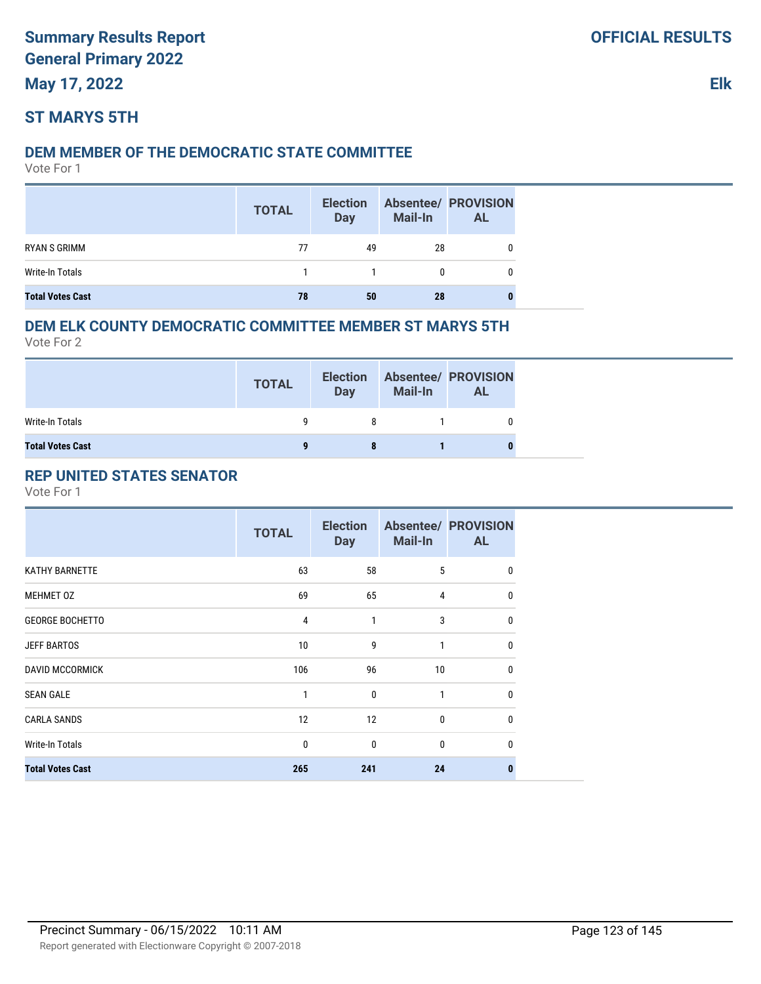## **ST MARYS 5TH**

#### **DEM MEMBER OF THE DEMOCRATIC STATE COMMITTEE**

Vote For 1

|                         | <b>TOTAL</b> | <b>Election</b><br><b>Day</b> | Mail-In | <b>Absentee/ PROVISION</b><br><b>AL</b> |
|-------------------------|--------------|-------------------------------|---------|-----------------------------------------|
| RYAN S GRIMM            | 77           | 49                            | 28      |                                         |
| Write-In Totals         |              |                               | n       |                                         |
| <b>Total Votes Cast</b> | 78           | 50                            | 28      |                                         |

## **DEM ELK COUNTY DEMOCRATIC COMMITTEE MEMBER ST MARYS 5TH**

Vote For 2

|                         | <b>TOTAL</b> | <b>Election</b><br>Day | <b>Mail-In</b> | <b>Absentee/ PROVISION</b><br><b>AL</b> |
|-------------------------|--------------|------------------------|----------------|-----------------------------------------|
| Write-In Totals         | Q            | 8                      |                |                                         |
| <b>Total Votes Cast</b> | $\bf{a}$     |                        |                |                                         |

## **REP UNITED STATES SENATOR**

|                         | <b>TOTAL</b> | <b>Election</b><br><b>Day</b> | <b>Mail-In</b>  | <b>Absentee/ PROVISION</b><br><b>AL</b> |
|-------------------------|--------------|-------------------------------|-----------------|-----------------------------------------|
| <b>KATHY BARNETTE</b>   | 63           | 58                            | 5               | 0                                       |
| MEHMET 0Z               | 69           | 65                            | 4               | 0                                       |
| <b>GEORGE BOCHETTO</b>  | 4            | 1                             | 3               | 0                                       |
| <b>JEFF BARTOS</b>      | 10           | 9                             | $\mathbf{1}$    | $\mathbf{0}$                            |
| <b>DAVID MCCORMICK</b>  | 106          | 96                            | 10 <sup>°</sup> | 0                                       |
| <b>SEAN GALE</b>        | 1            | $\mathbf{0}$                  | 1               | 0                                       |
| <b>CARLA SANDS</b>      | 12           | 12                            | $\mathbf 0$     | $\mathbf{0}$                            |
| <b>Write-In Totals</b>  | $\mathbf 0$  | 0                             | $\mathbf{0}$    | $\Omega$                                |
| <b>Total Votes Cast</b> | 265          | 241                           | 24              | 0                                       |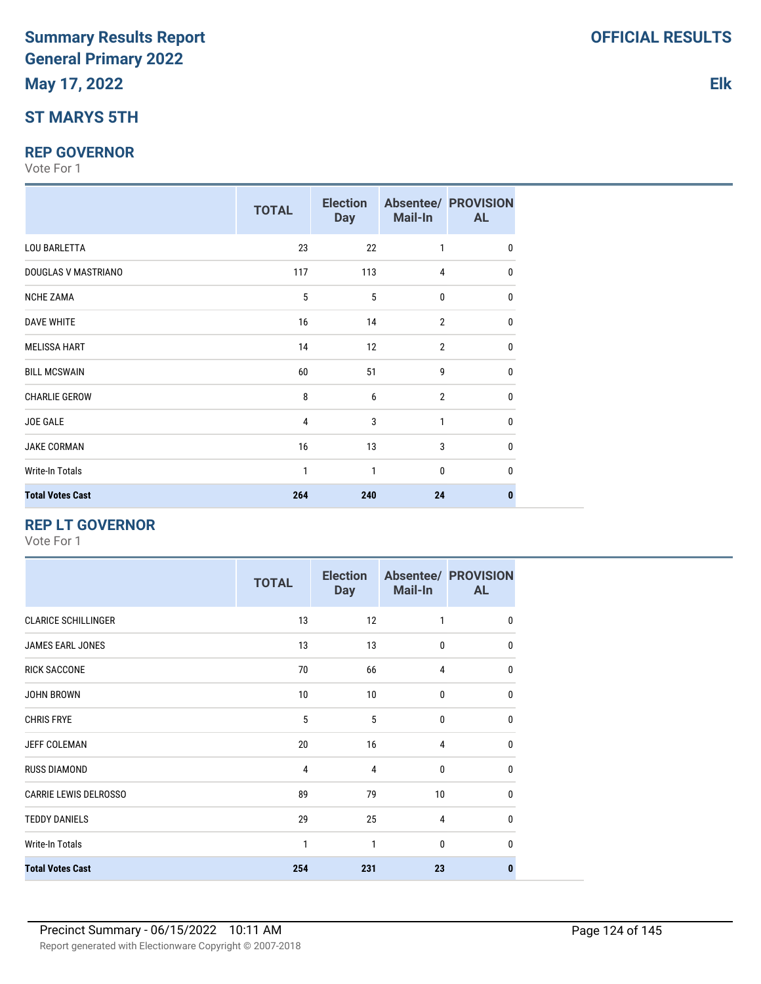## **ST MARYS 5TH**

#### **REP GOVERNOR**

Vote For 1

|                         | <b>TOTAL</b>   | <b>Election</b><br><b>Day</b> | Mail-In        | <b>Absentee/ PROVISION</b><br><b>AL</b> |
|-------------------------|----------------|-------------------------------|----------------|-----------------------------------------|
| <b>LOU BARLETTA</b>     | 23             | 22                            | 1              | 0                                       |
| DOUGLAS V MASTRIANO     | 117            | 113                           | $\overline{4}$ | 0                                       |
| <b>NCHE ZAMA</b>        | 5              | 5                             | $\bf{0}$       | $\mathbf{0}$                            |
| <b>DAVE WHITE</b>       | 16             | 14                            | $\overline{2}$ | 0                                       |
| <b>MELISSA HART</b>     | 14             | 12                            | $\overline{2}$ | $\mathbf{0}$                            |
| <b>BILL MCSWAIN</b>     | 60             | 51                            | 9              | $\mathbf{0}$                            |
| <b>CHARLIE GEROW</b>    | 8              | 6                             | $\overline{2}$ | 0                                       |
| JOE GALE                | $\overline{4}$ | 3                             | 1              | $\mathbf{0}$                            |
| <b>JAKE CORMAN</b>      | 16             | 13                            | 3              | $\Omega$                                |
| <b>Write-In Totals</b>  | 1              | 1                             | $\mathbf{0}$   | $\mathbf{0}$                            |
| <b>Total Votes Cast</b> | 264            | 240                           | 24             | 0                                       |

## **REP LT GOVERNOR**

Vote For 1

|                              | <b>TOTAL</b> | <b>Election</b><br><b>Day</b> | Mail-In      | <b>Absentee/ PROVISION</b><br><b>AL</b> |
|------------------------------|--------------|-------------------------------|--------------|-----------------------------------------|
| <b>CLARICE SCHILLINGER</b>   | 13           | 12                            | 1            | 0                                       |
| JAMES EARL JONES             | 13           | 13                            | $\mathbf{0}$ | 0                                       |
| <b>RICK SACCONE</b>          | 70           | 66                            | 4            | 0                                       |
| <b>JOHN BROWN</b>            | 10           | 10                            | 0            | 0                                       |
| <b>CHRIS FRYE</b>            | 5            | 5                             | $\mathbf{0}$ | $\mathbf{0}$                            |
| <b>JEFF COLEMAN</b>          | 20           | 16                            | 4            | $\mathbf{0}$                            |
| <b>RUSS DIAMOND</b>          | 4            | 4                             | 0            | $\mathbf{0}$                            |
| <b>CARRIE LEWIS DELROSSO</b> | 89           | 79                            | 10           | $\mathbf{0}$                            |
| <b>TEDDY DANIELS</b>         | 29           | 25                            | 4            | $\mathbf{0}$                            |
| <b>Write-In Totals</b>       | 1            | $\mathbf{1}$                  | $\mathbf{0}$ | $\mathbf{0}$                            |
| <b>Total Votes Cast</b>      | 254          | 231                           | 23           | $\bf{0}$                                |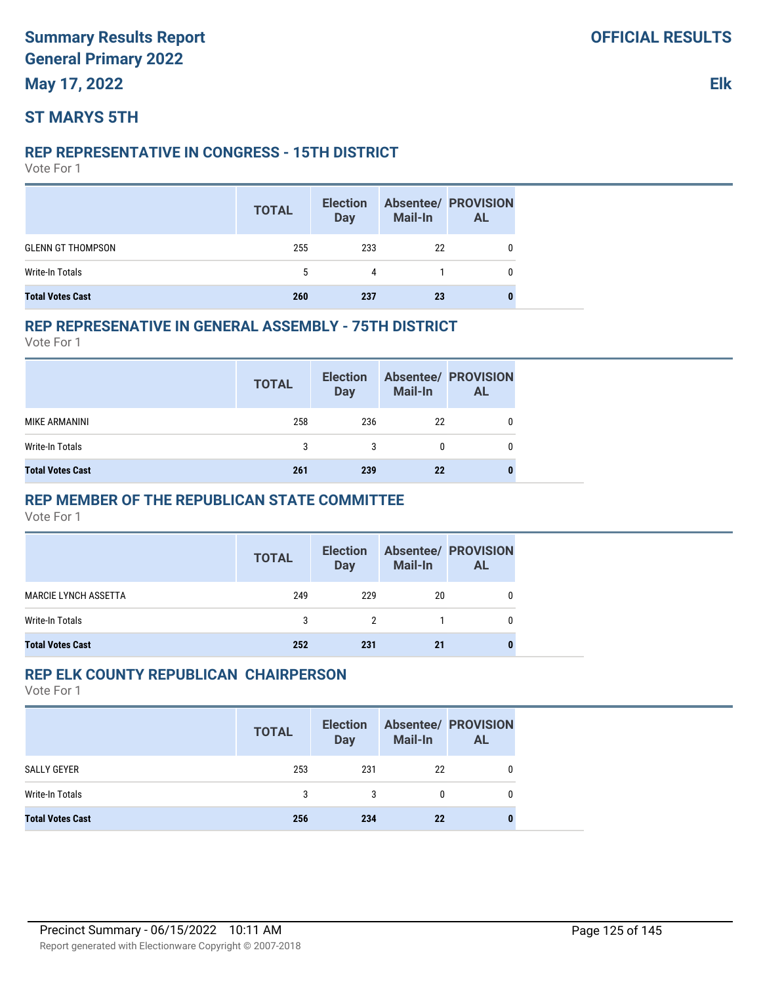## **ST MARYS 5TH**

#### **REP REPRESENTATIVE IN CONGRESS - 15TH DISTRICT**

Vote For 1

|                          | <b>TOTAL</b> | <b>Election</b><br><b>Day</b> | <b>Mail-In</b> | <b>Absentee/ PROVISION</b><br><b>AL</b> |
|--------------------------|--------------|-------------------------------|----------------|-----------------------------------------|
| <b>GLENN GT THOMPSON</b> | 255          | 233                           | 22             |                                         |
| Write-In Totals          | 5            | 4                             |                |                                         |
| <b>Total Votes Cast</b>  | 260          | 237                           | 23             |                                         |

#### **REP REPRESENATIVE IN GENERAL ASSEMBLY - 75TH DISTRICT**

Vote For 1

|                         | <b>TOTAL</b> | <b>Election</b><br><b>Day</b> | Mail-In | <b>Absentee/ PROVISION</b><br><b>AL</b> |
|-------------------------|--------------|-------------------------------|---------|-----------------------------------------|
| MIKE ARMANINI           | 258          | 236                           | 22      |                                         |
| Write-In Totals         |              |                               |         |                                         |
| <b>Total Votes Cast</b> | 261          | 239                           | 22      |                                         |

### **REP MEMBER OF THE REPUBLICAN STATE COMMITTEE**

Vote For 1

|                             | <b>TOTAL</b> | <b>Day</b>    | <b>Mail-In</b> | Election Absentee/ PROVISION<br><b>AL</b> |
|-----------------------------|--------------|---------------|----------------|-------------------------------------------|
| <b>MARCIE LYNCH ASSETTA</b> | 249          | 229           | 20             |                                           |
| Write-In Totals             | 3            | $\mathcal{P}$ |                |                                           |
| <b>Total Votes Cast</b>     | 252          | 231           | 21             |                                           |

### **REP ELK COUNTY REPUBLICAN CHAIRPERSON**

|                         | <b>TOTAL</b> | <b>Election</b><br><b>Day</b> | <b>Mail-In</b> | <b>Absentee/ PROVISION</b><br><b>AL</b> |
|-------------------------|--------------|-------------------------------|----------------|-----------------------------------------|
| SALLY GEYER             | 253          | 231                           | 22             |                                         |
| Write-In Totals         | 3            | 3                             | 0              |                                         |
| <b>Total Votes Cast</b> | 256          | 234                           | -22            |                                         |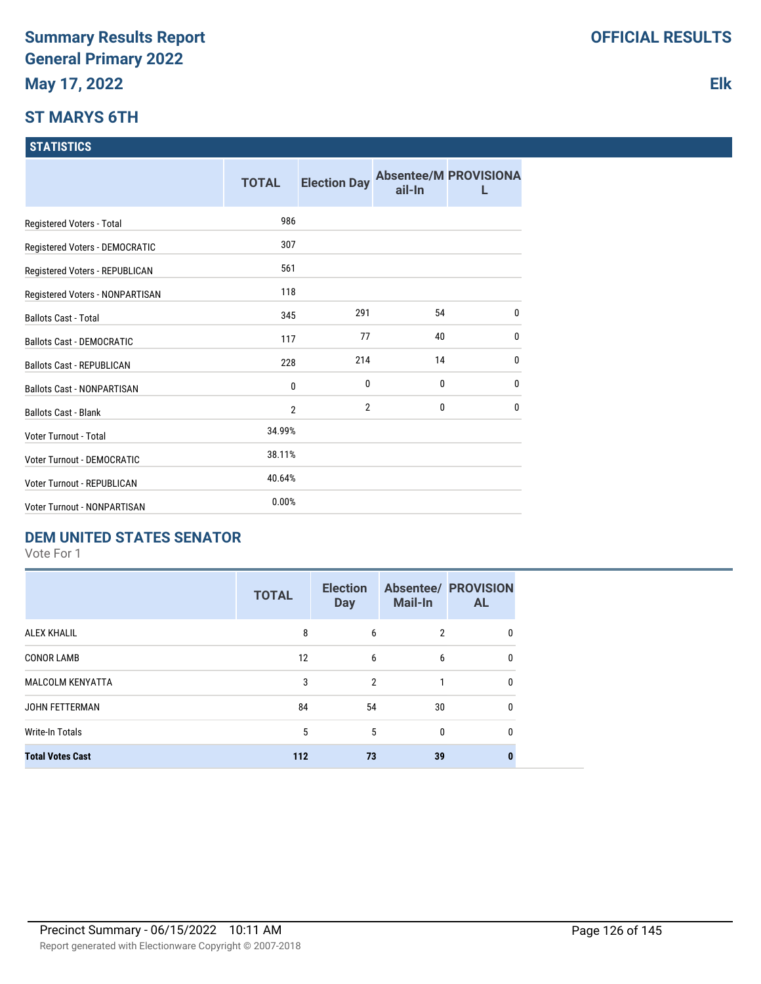## **ST MARYS 6TH**

#### **STATISTICS**

|                                   | <b>TOTAL</b>   | <b>Election Day</b> | ail-In | <b>Absentee/M PROVISIONA</b> |
|-----------------------------------|----------------|---------------------|--------|------------------------------|
| Registered Voters - Total         | 986            |                     |        |                              |
| Registered Voters - DEMOCRATIC    | 307            |                     |        |                              |
| Registered Voters - REPUBLICAN    | 561            |                     |        |                              |
| Registered Voters - NONPARTISAN   | 118            |                     |        |                              |
| <b>Ballots Cast - Total</b>       | 345            | 291                 | 54     | $\mathbf{0}$                 |
| <b>Ballots Cast - DEMOCRATIC</b>  | 117            | 77                  | 40     | $\mathbf{0}$                 |
| <b>Ballots Cast - REPUBLICAN</b>  | 228            | 214                 | 14     | $\mathbf{0}$                 |
| <b>Ballots Cast - NONPARTISAN</b> | $\bf{0}$       | 0                   | 0      | $\mathbf{0}$                 |
| <b>Ballots Cast - Blank</b>       | $\overline{2}$ | $\overline{2}$      | 0      | $\mathbf{0}$                 |
| Voter Turnout - Total             | 34.99%         |                     |        |                              |
| Voter Turnout - DEMOCRATIC        | 38.11%         |                     |        |                              |
| <b>Voter Turnout - REPUBLICAN</b> | 40.64%         |                     |        |                              |
| Voter Turnout - NONPARTISAN       | 0.00%          |                     |        |                              |

## **DEM UNITED STATES SENATOR**

Vote For 1

|                         | <b>TOTAL</b> | <b>Election</b><br><b>Day</b> | <b>Mail-In</b> | <b>Absentee/ PROVISION</b><br><b>AL</b> |
|-------------------------|--------------|-------------------------------|----------------|-----------------------------------------|
| <b>ALEX KHALIL</b>      | 8            | 6                             | 2              | 0                                       |
| <b>CONOR LAMB</b>       | 12           | 6                             | 6              | 0                                       |
| <b>MALCOLM KENYATTA</b> | 3            | $\overline{2}$                |                | $\Omega$                                |
| <b>JOHN FETTERMAN</b>   | 84           | 54                            | 30             | $\Omega$                                |
| <b>Write-In Totals</b>  | 5            | 5                             | 0              | $\Omega$                                |
| <b>Total Votes Cast</b> | 112          | 73                            | 39             |                                         |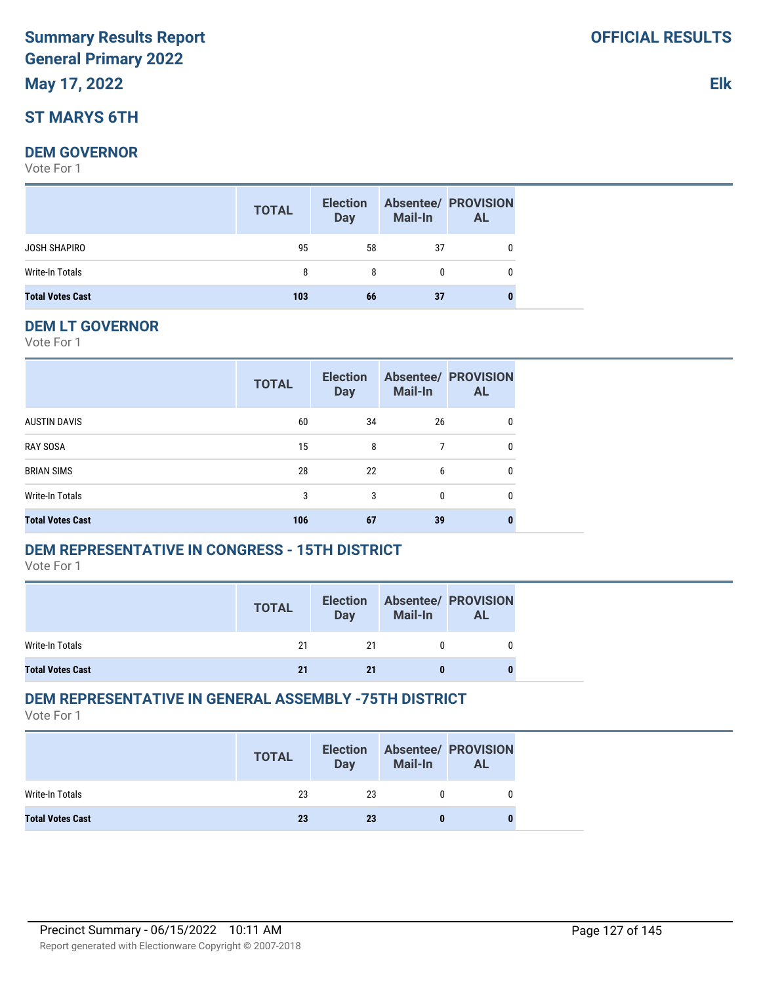# **Summary Results Report General Primary 2022**

**May 17, 2022**

## **ST MARYS 6TH**

#### **DEM GOVERNOR**

Vote For 1

|                         | <b>TOTAL</b> | <b>Election</b><br>Day | <b>Mail-In</b> | <b>Absentee/ PROVISION</b><br><b>AL</b> |
|-------------------------|--------------|------------------------|----------------|-----------------------------------------|
| JOSH SHAPIRO            | 95           | 58                     | 37             | 0                                       |
| Write-In Totals         | 8            | 8                      | 0              | 0                                       |
| <b>Total Votes Cast</b> | 103          | 66                     | 37             |                                         |

#### **DEM LT GOVERNOR**

Vote For 1

|                         | <b>TOTAL</b> | <b>Election</b><br><b>Day</b> | <b>Mail-In</b> | <b>Absentee/ PROVISION</b><br><b>AL</b> |
|-------------------------|--------------|-------------------------------|----------------|-----------------------------------------|
| <b>AUSTIN DAVIS</b>     | 60           | 34                            | 26             | 0                                       |
| <b>RAY SOSA</b>         | 15           | 8                             | 7              | 0                                       |
| <b>BRIAN SIMS</b>       | 28           | 22                            | 6              | 0                                       |
| Write-In Totals         | 3            | 3                             | 0              | 0                                       |
| <b>Total Votes Cast</b> | 106          | 67                            | 39             | 0                                       |

## **DEM REPRESENTATIVE IN CONGRESS - 15TH DISTRICT**

Vote For 1

|                         | <b>TOTAL</b> | <b>Election</b><br><b>Day</b> | Mail-In | <b>Absentee/ PROVISION</b><br>AL |
|-------------------------|--------------|-------------------------------|---------|----------------------------------|
| Write-In Totals         | 21           | 21                            |         |                                  |
| <b>Total Votes Cast</b> | 21           | 21                            |         |                                  |

## **DEM REPRESENTATIVE IN GENERAL ASSEMBLY -75TH DISTRICT**

|                         | <b>TOTAL</b> | <b>Election</b><br><b>Day</b> | <b>Mail-In</b> | <b>Absentee/ PROVISION</b><br><b>AL</b> |
|-------------------------|--------------|-------------------------------|----------------|-----------------------------------------|
| Write-In Totals         | 23           | 23                            |                |                                         |
| <b>Total Votes Cast</b> | 23           | 23                            |                |                                         |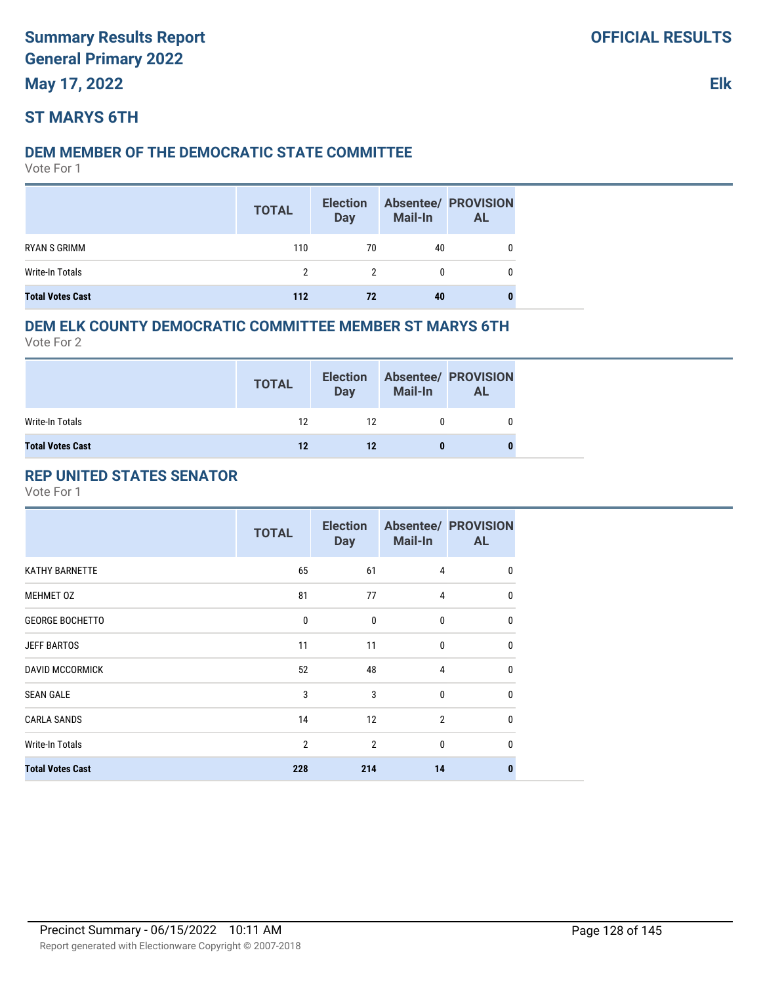## **ST MARYS 6TH**

#### **DEM MEMBER OF THE DEMOCRATIC STATE COMMITTEE**

Vote For 1

|                         | <b>TOTAL</b> | <b>Election</b><br><b>Day</b> | <b>Mail-In</b> | <b>Absentee/ PROVISION</b><br>AL |
|-------------------------|--------------|-------------------------------|----------------|----------------------------------|
| RYAN S GRIMM            | 110          | 70                            | 40             |                                  |
| Write-In Totals         | 2            | 2                             | 0              |                                  |
| <b>Total Votes Cast</b> | 112          | 72                            | 40             |                                  |

#### **DEM ELK COUNTY DEMOCRATIC COMMITTEE MEMBER ST MARYS 6TH**

Vote For 2

|                         | <b>TOTAL</b> | <b>Election</b><br>Day | <b>Mail-In</b> | <b>Absentee/ PROVISION</b><br><b>AL</b> |
|-------------------------|--------------|------------------------|----------------|-----------------------------------------|
| Write-In Totals         | 12           | 12                     |                |                                         |
| <b>Total Votes Cast</b> | 12           | 12                     |                |                                         |

## **REP UNITED STATES SENATOR**

|                         | <b>TOTAL</b>   | <b>Election</b><br><b>Day</b> | <b>Mail-In</b> | <b>Absentee/ PROVISION</b><br><b>AL</b> |
|-------------------------|----------------|-------------------------------|----------------|-----------------------------------------|
| <b>KATHY BARNETTE</b>   | 65             | 61                            | 4              | 0                                       |
| MEHMET 0Z               | 81             | 77                            | $\overline{4}$ | 0                                       |
| <b>GEORGE BOCHETTO</b>  | $\mathbf 0$    | $\mathbf 0$                   | 0              | 0                                       |
| <b>JEFF BARTOS</b>      | 11             | 11                            | $\mathbf{0}$   | $\mathbf{0}$                            |
| <b>DAVID MCCORMICK</b>  | 52             | 48                            | $\overline{4}$ | 0                                       |
| <b>SEAN GALE</b>        | 3              | 3                             | 0              | 0                                       |
| <b>CARLA SANDS</b>      | 14             | 12                            | $\overline{2}$ | $\mathbf 0$                             |
| <b>Write-In Totals</b>  | $\overline{2}$ | $\overline{2}$                | $\mathbf{0}$   | $\Omega$                                |
| <b>Total Votes Cast</b> | 228            | 214                           | 14             | 0                                       |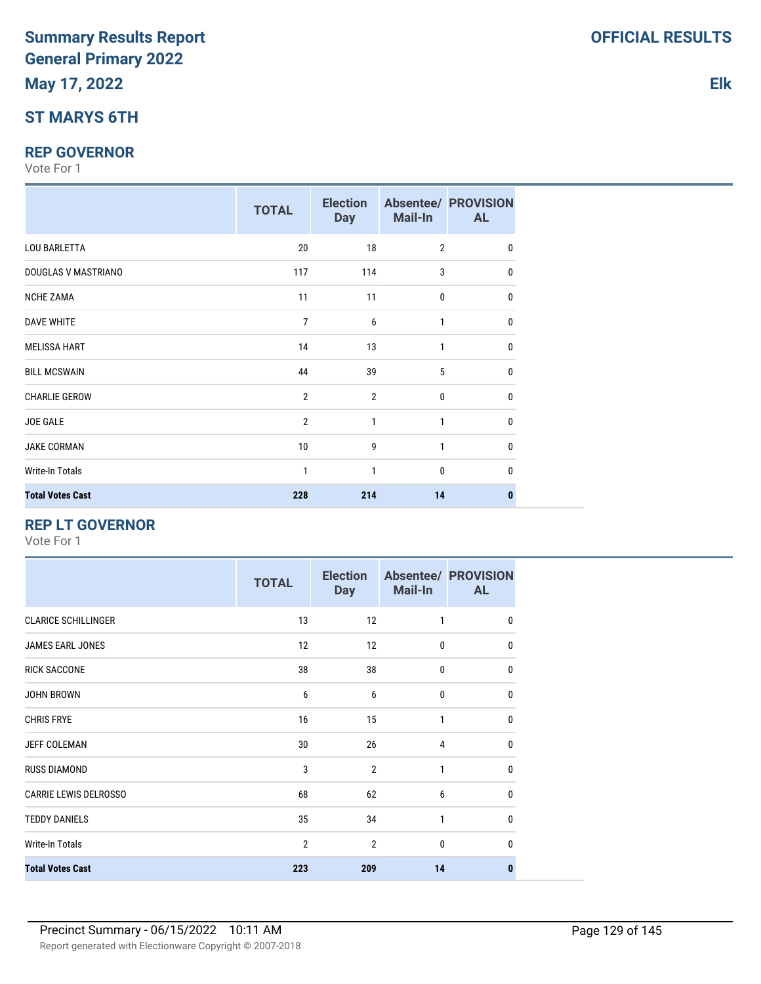## **ST MARYS 6TH**

#### **REP GOVERNOR**

Vote For 1

|                         | <b>TOTAL</b>   | <b>Election</b><br><b>Day</b> | <b>Mail-In</b> | <b>Absentee/ PROVISION</b><br><b>AL</b> |
|-------------------------|----------------|-------------------------------|----------------|-----------------------------------------|
| <b>LOU BARLETTA</b>     | 20             | 18                            | $\overline{2}$ | $\mathbf{0}$                            |
| DOUGLAS V MASTRIANO     | 117            | 114                           | 3              | $\Omega$                                |
| <b>NCHE ZAMA</b>        | 11             | 11                            | 0              | $\Omega$                                |
| <b>DAVE WHITE</b>       | 7              | 6                             | 1              | $\Omega$                                |
| <b>MELISSA HART</b>     | 14             | 13                            | 1              | 0                                       |
| <b>BILL MCSWAIN</b>     | 44             | 39                            | 5              | 0                                       |
| <b>CHARLIE GEROW</b>    | $\overline{2}$ | $\overline{2}$                | 0              | 0                                       |
| JOE GALE                | $\overline{2}$ | 1                             | 1              | 0                                       |
| <b>JAKE CORMAN</b>      | 10             | 9                             | 1              | <sup>0</sup>                            |
| <b>Write-In Totals</b>  | 1              | $\mathbf{1}$                  | 0              | U                                       |
| <b>Total Votes Cast</b> | 228            | 214                           | 14             |                                         |

## **REP LT GOVERNOR**

Vote For 1

|                              | <b>TOTAL</b>   | <b>Election</b><br><b>Day</b> | Mail-In      | <b>Absentee/ PROVISION</b><br><b>AL</b> |
|------------------------------|----------------|-------------------------------|--------------|-----------------------------------------|
| <b>CLARICE SCHILLINGER</b>   | 13             | 12                            | 1            | $\mathbf{0}$                            |
| JAMES EARL JONES             | 12             | 12                            | $\mathbf{0}$ | $\Omega$                                |
| <b>RICK SACCONE</b>          | 38             | 38                            | 0            | $\Omega$                                |
| JOHN BROWN                   | 6              | 6                             | $\Omega$     | $\Omega$                                |
| <b>CHRIS FRYE</b>            | 16             | 15                            | 1            | $\Omega$                                |
| <b>JEFF COLEMAN</b>          | 30             | 26                            | 4            | $\Omega$                                |
| <b>RUSS DIAMOND</b>          | 3              | $\overline{2}$                | 1            | $\mathbf{0}$                            |
| <b>CARRIE LEWIS DELROSSO</b> | 68             | 62                            | 6            | $\mathbf{0}$                            |
| <b>TEDDY DANIELS</b>         | 35             | 34                            | 1            | $\Omega$                                |
| <b>Write-In Totals</b>       | $\overline{2}$ | $\overline{2}$                | $\mathbf{0}$ | $\Omega$                                |
| <b>Total Votes Cast</b>      | 223            | 209                           | 14           | $\mathbf{0}$                            |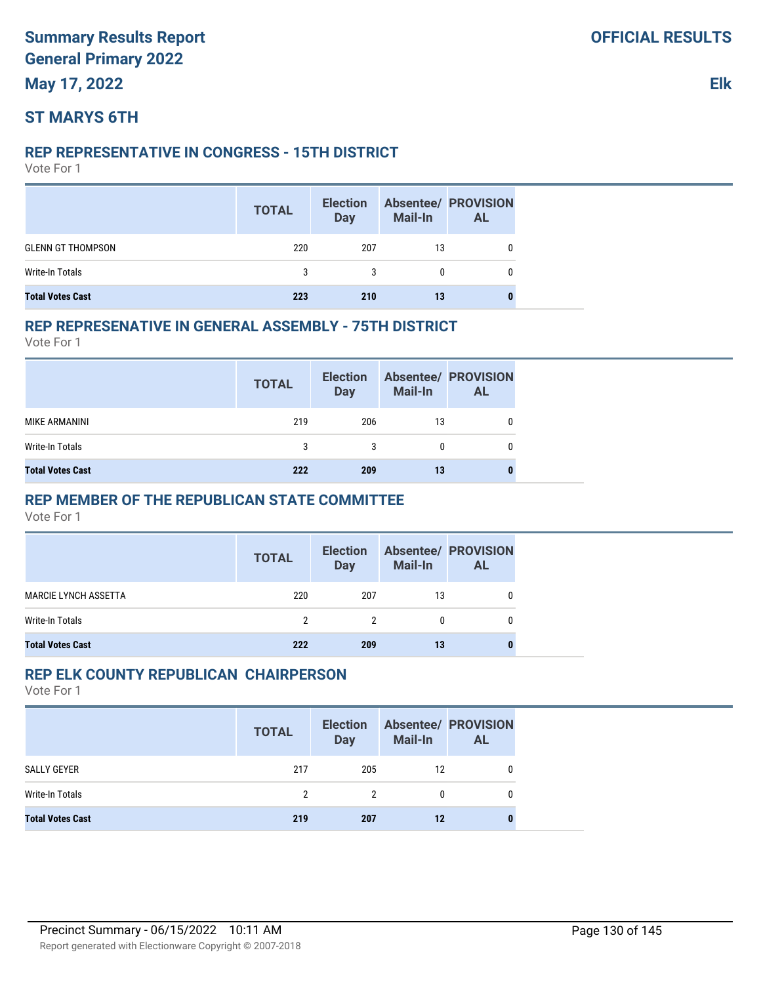## **ST MARYS 6TH**

#### **REP REPRESENTATIVE IN CONGRESS - 15TH DISTRICT**

Vote For 1

|                          | <b>TOTAL</b> | <b>Election</b><br><b>Day</b> | Mail-In | <b>Absentee/ PROVISION</b><br>AL |
|--------------------------|--------------|-------------------------------|---------|----------------------------------|
| <b>GLENN GT THOMPSON</b> | 220          | 207                           | 13      |                                  |
| Write-In Totals          | 3            | 3                             | 0       |                                  |
| <b>Total Votes Cast</b>  | 223          | 210                           | 13      |                                  |

#### **REP REPRESENATIVE IN GENERAL ASSEMBLY - 75TH DISTRICT**

Vote For 1

|                         | <b>TOTAL</b> | <b>Election</b><br><b>Day</b> | <b>Mail-In</b> | <b>Absentee/ PROVISION</b><br>AL |
|-------------------------|--------------|-------------------------------|----------------|----------------------------------|
| <b>MIKE ARMANINI</b>    | 219          | 206                           | 13             |                                  |
| Write-In Totals         | 3            | 3                             | 0              |                                  |
| <b>Total Votes Cast</b> | 222          | 209                           | 13             |                                  |

### **REP MEMBER OF THE REPUBLICAN STATE COMMITTEE**

Vote For 1

|                             | <b>TOTAL</b> | <b>Election</b><br><b>Day</b> | <b>Mail-In</b> | <b>Absentee/ PROVISION</b><br><b>AL</b> |
|-----------------------------|--------------|-------------------------------|----------------|-----------------------------------------|
| <b>MARCIE LYNCH ASSETTA</b> | 220          | 207                           | 13             |                                         |
| Write-In Totals             | 2            | 2                             | $\mathbf{0}$   |                                         |
| <b>Total Votes Cast</b>     | 222          | 209                           | 13             |                                         |

#### **REP ELK COUNTY REPUBLICAN CHAIRPERSON**

|                         | <b>TOTAL</b> | <b>Election</b><br><b>Day</b> | <b>Mail-In</b> | <b>Absentee/ PROVISION</b><br><b>AL</b> |
|-------------------------|--------------|-------------------------------|----------------|-----------------------------------------|
| SALLY GEYER             | 217          | 205                           | 12             |                                         |
| Write-In Totals         | 2            | $\mathcal{P}$                 | 0              |                                         |
| <b>Total Votes Cast</b> | 219          | 207                           | 12             | O                                       |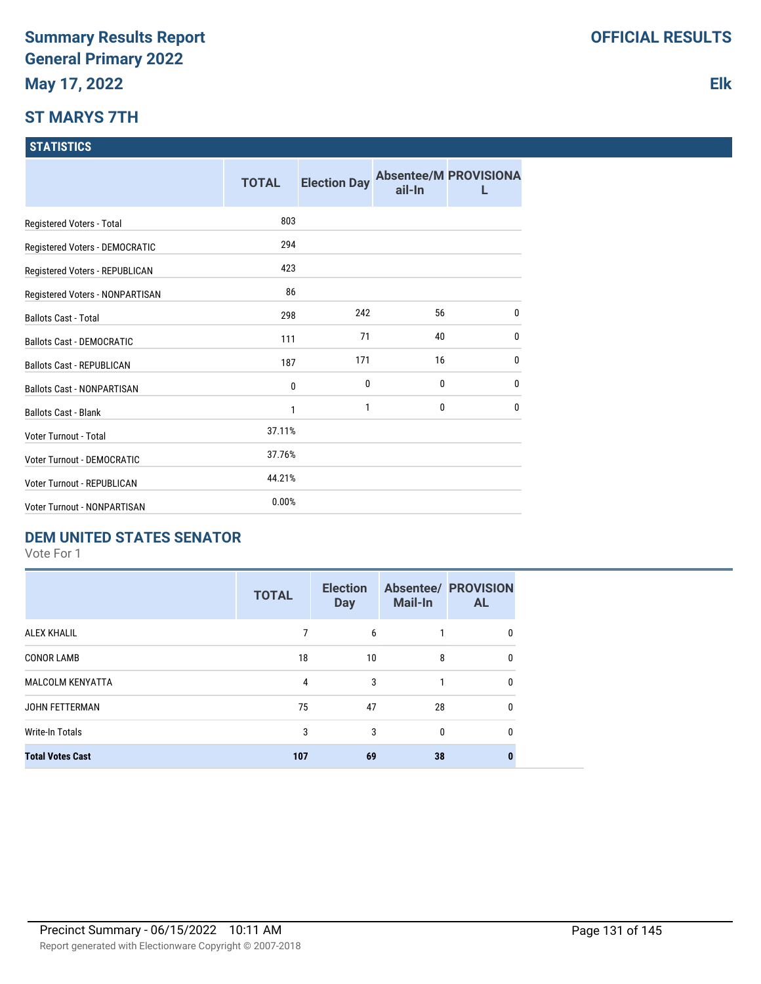## **ST MARYS 7TH**

#### **STATISTICS**

|                                    | <b>TOTAL</b> | <b>Election Day</b> | ail-In       | <b>Absentee/M PROVISIONA</b> |
|------------------------------------|--------------|---------------------|--------------|------------------------------|
| Registered Voters - Total          | 803          |                     |              |                              |
| Registered Voters - DEMOCRATIC     | 294          |                     |              |                              |
| Registered Voters - REPUBLICAN     | 423          |                     |              |                              |
| Registered Voters - NONPARTISAN    | 86           |                     |              |                              |
| <b>Ballots Cast - Total</b>        | 298          | 242                 | 56           | $\mathbf{0}$                 |
| <b>Ballots Cast - DEMOCRATIC</b>   | 111          | 71                  | 40           | $\mathbf{0}$                 |
| <b>Ballots Cast - REPUBLICAN</b>   | 187          | 171                 | 16           | $\mathbf{0}$                 |
| <b>Ballots Cast - NONPARTISAN</b>  | 0            | 0                   | 0            | $\bf{0}$                     |
| <b>Ballots Cast - Blank</b>        | 1            | 1                   | $\mathbf{0}$ | $\mathbf{0}$                 |
| Voter Turnout - Total              | 37.11%       |                     |              |                              |
| <b>Voter Turnout - DEMOCRATIC</b>  | 37.76%       |                     |              |                              |
| Voter Turnout - REPUBLICAN         | 44.21%       |                     |              |                              |
| <b>Voter Turnout - NONPARTISAN</b> | 0.00%        |                     |              |                              |

## **DEM UNITED STATES SENATOR**

Vote For 1

|                         | <b>TOTAL</b> | <b>Election</b><br><b>Day</b> | <b>Mail-In</b> | <b>Absentee/ PROVISION</b><br><b>AL</b> |
|-------------------------|--------------|-------------------------------|----------------|-----------------------------------------|
| <b>ALEX KHALIL</b>      |              | 6                             |                | 0                                       |
| <b>CONOR LAMB</b>       | 18           | 10                            | 8              | 0                                       |
| <b>MALCOLM KENYATTA</b> | 4            | 3                             |                | 0                                       |
| <b>JOHN FETTERMAN</b>   | 75           | 47                            | 28             | 0                                       |
| <b>Write-In Totals</b>  | 3            | 3                             | $\mathbf{0}$   | 0                                       |
| <b>Total Votes Cast</b> | 107          | 69                            | 38             |                                         |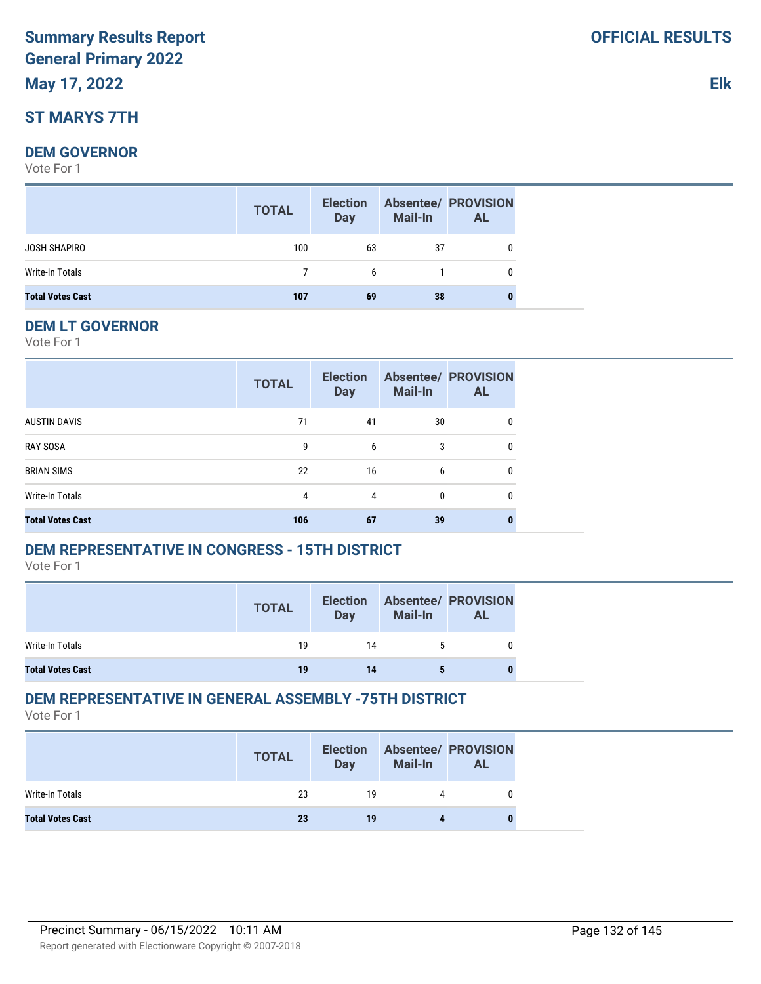## **ST MARYS 7TH**

#### **DEM GOVERNOR**

Vote For 1

|                         | <b>TOTAL</b> | <b>Election</b><br>Day | <b>Mail-In</b> | <b>Absentee/ PROVISION</b><br><b>AL</b> |
|-------------------------|--------------|------------------------|----------------|-----------------------------------------|
| JOSH SHAPIRO            | 100          | 63                     | 37             | 0                                       |
| Write-In Totals         |              | 6                      |                | 0                                       |
| <b>Total Votes Cast</b> | 107          | 69                     | 38             |                                         |

#### **DEM LT GOVERNOR**

Vote For 1

|                         | <b>TOTAL</b> | <b>Election</b><br><b>Day</b> | <b>Mail-In</b> | <b>Absentee/ PROVISION</b><br><b>AL</b> |
|-------------------------|--------------|-------------------------------|----------------|-----------------------------------------|
| <b>AUSTIN DAVIS</b>     | 71           | 41                            | 30             | 0                                       |
| <b>RAY SOSA</b>         | 9            | 6                             | 3              | 0                                       |
| <b>BRIAN SIMS</b>       | 22           | 16                            | 6              | 0                                       |
| <b>Write-In Totals</b>  | 4            | 4                             | 0              | 0                                       |
| <b>Total Votes Cast</b> | 106          | 67                            | 39             |                                         |

## **DEM REPRESENTATIVE IN CONGRESS - 15TH DISTRICT**

Vote For 1

|                         | <b>TOTAL</b> | <b>Election</b><br><b>Day</b> | Mail-In | <b>Absentee/ PROVISION</b><br>AL |
|-------------------------|--------------|-------------------------------|---------|----------------------------------|
| Write-In Totals         | 19           | 14                            |         |                                  |
| <b>Total Votes Cast</b> | 19           |                               |         |                                  |

## **DEM REPRESENTATIVE IN GENERAL ASSEMBLY -75TH DISTRICT**

|                         | <b>TOTAL</b> | <b>Election</b><br>Day | <b>Mail-In</b> | <b>Absentee/ PROVISION</b><br><b>AL</b> |
|-------------------------|--------------|------------------------|----------------|-----------------------------------------|
| Write-In Totals         | 23           | 19                     | 4              |                                         |
| <b>Total Votes Cast</b> | 23           | 19                     |                |                                         |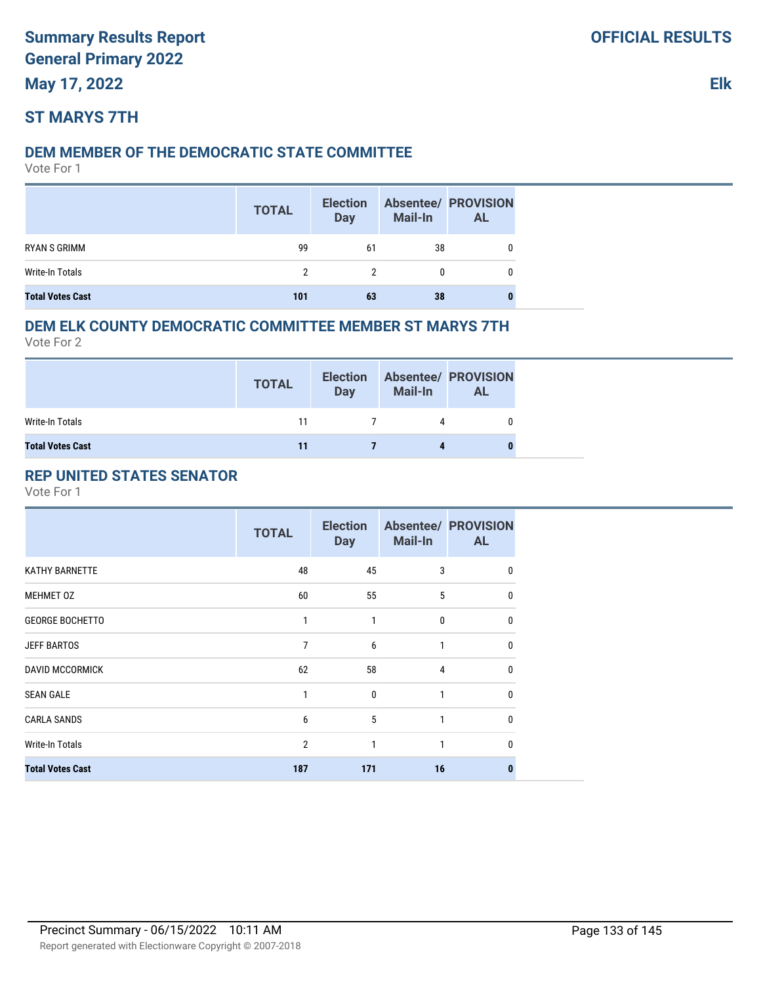## **ST MARYS 7TH**

## **DEM MEMBER OF THE DEMOCRATIC STATE COMMITTEE**

Vote For 1

|                         | <b>TOTAL</b> | <b>Election</b><br><b>Day</b> | <b>Mail-In</b> | <b>Absentee/ PROVISION</b><br>AL |
|-------------------------|--------------|-------------------------------|----------------|----------------------------------|
| RYAN S GRIMM            | 99           | 61                            | 38             |                                  |
| Write-In Totals         | 2            |                               |                |                                  |
| <b>Total Votes Cast</b> | 101          | 63                            | 38             |                                  |

## **DEM ELK COUNTY DEMOCRATIC COMMITTEE MEMBER ST MARYS 7TH**

Vote For 2

|                         | <b>TOTAL</b> | <b>Election</b><br><b>Day</b> | <b>Mail-In</b> | <b>Absentee/ PROVISION</b><br><b>AL</b> |
|-------------------------|--------------|-------------------------------|----------------|-----------------------------------------|
| Write-In Totals         | 11           |                               | 4              |                                         |
| <b>Total Votes Cast</b> | 11           |                               |                |                                         |

## **REP UNITED STATES SENATOR**

|                         | <b>TOTAL</b>   | <b>Election</b><br><b>Day</b> | <b>Mail-In</b> | <b>Absentee/ PROVISION</b><br><b>AL</b> |
|-------------------------|----------------|-------------------------------|----------------|-----------------------------------------|
| <b>KATHY BARNETTE</b>   | 48             | 45                            | 3              | 0                                       |
| MEHMET 0Z               | 60             | 55                            | 5              | $\mathbf{0}$                            |
| <b>GEORGE BOCHETTO</b>  | 1              | 1                             | 0              | $\mathbf{0}$                            |
| <b>JEFF BARTOS</b>      | 7              | 6                             | 1              | $\mathbf{0}$                            |
| <b>DAVID MCCORMICK</b>  | 62             | 58                            | 4              | 0                                       |
| <b>SEAN GALE</b>        | 1              | $\mathbf{0}$                  | 1              | $\Omega$                                |
| <b>CARLA SANDS</b>      | 6              | 5                             | 1              | $\mathbf{0}$                            |
| Write-In Totals         | $\overline{2}$ | $\mathbf{1}$                  | 1              | $\Omega$                                |
| <b>Total Votes Cast</b> | 187            | 171                           | 16             | n                                       |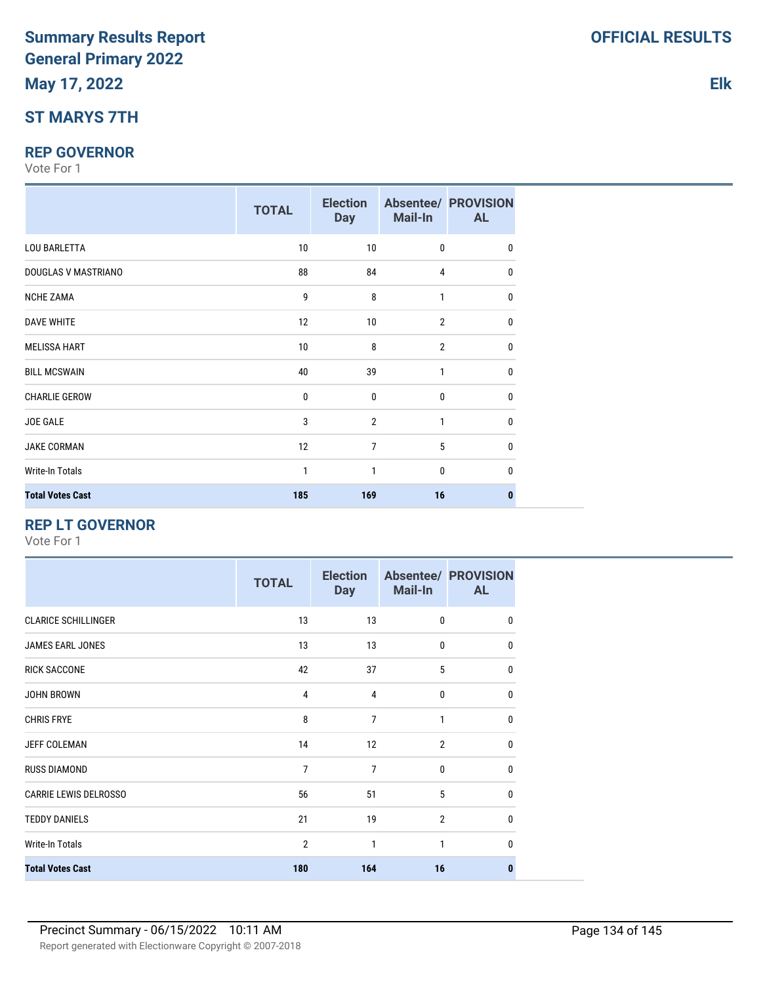## **ST MARYS 7TH**

#### **REP GOVERNOR**

Vote For 1

|                         | <b>TOTAL</b> | <b>Election</b><br><b>Day</b> | Mail-In        | <b>Absentee/ PROVISION</b><br><b>AL</b> |
|-------------------------|--------------|-------------------------------|----------------|-----------------------------------------|
| <b>LOU BARLETTA</b>     | 10           | 10                            | 0              | 0                                       |
| DOUGLAS V MASTRIANO     | 88           | 84                            | 4              | 0                                       |
| <b>NCHE ZAMA</b>        | 9            | 8                             | $\mathbf{1}$   | 0                                       |
| <b>DAVE WHITE</b>       | 12           | 10                            | $\overline{2}$ | 0                                       |
| <b>MELISSA HART</b>     | 10           | 8                             | $\overline{2}$ | $\mathbf{0}$                            |
| <b>BILL MCSWAIN</b>     | 40           | 39                            | 1              | $\mathbf{0}$                            |
| <b>CHARLIE GEROW</b>    | 0            | $\mathbf{0}$                  | $\mathbf{0}$   | $\mathbf{0}$                            |
| JOE GALE                | 3            | $\overline{2}$                | $\mathbf{1}$   | $\mathbf{0}$                            |
| <b>JAKE CORMAN</b>      | 12           | $\overline{7}$                | 5              | $\mathbf{0}$                            |
| <b>Write-In Totals</b>  | $\mathbf{1}$ | 1                             | $\bf{0}$       | 0                                       |
| <b>Total Votes Cast</b> | 185          | 169                           | 16             | 0                                       |

## **REP LT GOVERNOR**

|                              | <b>TOTAL</b>   | <b>Election</b><br><b>Day</b> | <b>Mail-In</b> | <b>Absentee/ PROVISION</b><br><b>AL</b> |
|------------------------------|----------------|-------------------------------|----------------|-----------------------------------------|
| <b>CLARICE SCHILLINGER</b>   | 13             | 13                            | 0              | $\mathbf{0}$                            |
| JAMES EARL JONES             | 13             | 13                            | 0              | 0                                       |
| <b>RICK SACCONE</b>          | 42             | 37                            | 5              | $\mathbf{0}$                            |
| <b>JOHN BROWN</b>            | $\overline{4}$ | 4                             | $\mathbf{0}$   | $\mathbf{0}$                            |
| <b>CHRIS FRYE</b>            | 8              | $\overline{7}$                | 1              | 0                                       |
| <b>JEFF COLEMAN</b>          | 14             | 12                            | $\overline{2}$ | $\mathbf{0}$                            |
| <b>RUSS DIAMOND</b>          | 7              | $\overline{7}$                | $\bf{0}$       | $\mathbf{0}$                            |
| <b>CARRIE LEWIS DELROSSO</b> | 56             | 51                            | 5              | $\mathbf{0}$                            |
| <b>TEDDY DANIELS</b>         | 21             | 19                            | $\overline{2}$ | $\mathbf{0}$                            |
| <b>Write-In Totals</b>       | $\overline{2}$ | 1                             | 1              | $\mathbf{0}$                            |
| <b>Total Votes Cast</b>      | 180            | 164                           | 16             | 0                                       |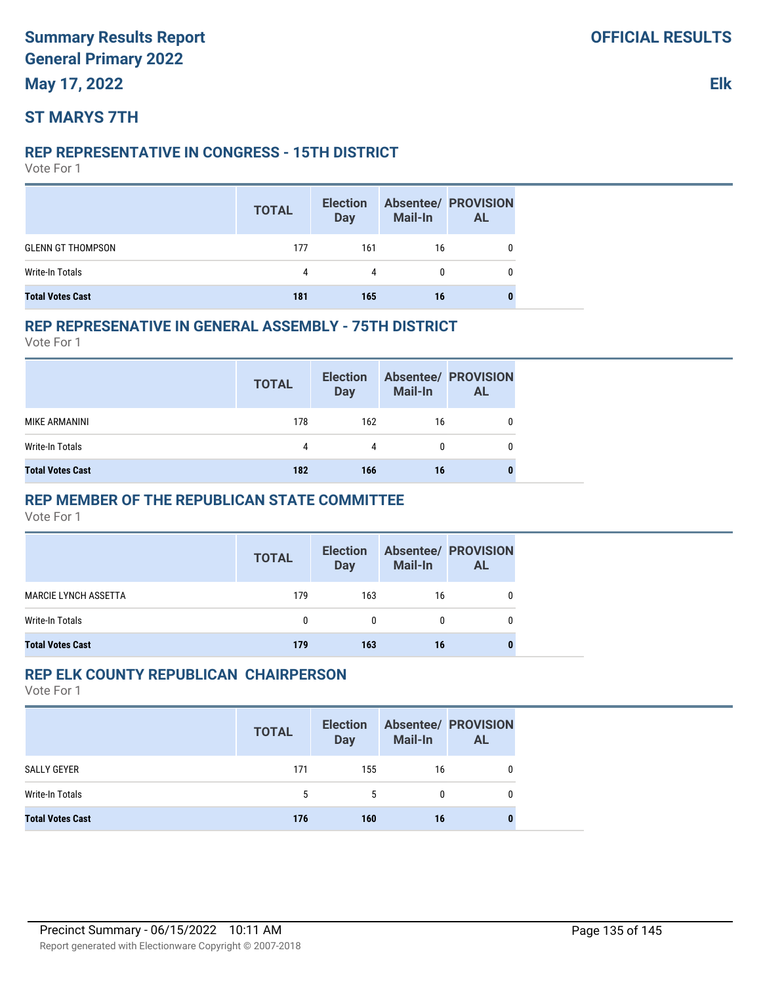## **ST MARYS 7TH**

#### **REP REPRESENTATIVE IN CONGRESS - 15TH DISTRICT**

Vote For 1

|                          | <b>TOTAL</b> | <b>Election</b><br><b>Day</b> | <b>Mail-In</b> | <b>Absentee/ PROVISION</b><br><b>AL</b> |
|--------------------------|--------------|-------------------------------|----------------|-----------------------------------------|
| <b>GLENN GT THOMPSON</b> | 177          | 161                           | 16             |                                         |
| Write-In Totals          | 4            | 4                             | 0              |                                         |
| <b>Total Votes Cast</b>  | 181          | 165                           | 16             |                                         |

#### **REP REPRESENATIVE IN GENERAL ASSEMBLY - 75TH DISTRICT**

Vote For 1

|                         | <b>TOTAL</b> | <b>Election</b><br><b>Day</b> | Mail-In | <b>Absentee/ PROVISION</b><br><b>AL</b> |
|-------------------------|--------------|-------------------------------|---------|-----------------------------------------|
| <b>MIKE ARMANINI</b>    | 178          | 162                           | 16      |                                         |
| Write-In Totals         | 4            | 4                             | 0       |                                         |
| <b>Total Votes Cast</b> | 182          | 166                           | 16      |                                         |

### **REP MEMBER OF THE REPUBLICAN STATE COMMITTEE**

Vote For 1

|                             | <b>TOTAL</b>                 | <b>Election</b><br>Day | <b>Mail-In</b> | <b>Absentee/ PROVISION</b><br><b>AL</b> |
|-----------------------------|------------------------------|------------------------|----------------|-----------------------------------------|
| <b>MARCIE LYNCH ASSETTA</b> | 179                          | 163                    | 16             |                                         |
| Write-In Totals             | $\mathbf{0}$<br>$\mathbf{0}$ |                        | 0              |                                         |
| <b>Total Votes Cast</b>     | 179                          | 163                    | 16             |                                         |

### **REP ELK COUNTY REPUBLICAN CHAIRPERSON**

|                         | <b>TOTAL</b> | <b>Election</b><br><b>Day</b> | <b>Mail-In</b> | <b>Absentee/ PROVISION</b><br><b>AL</b> |
|-------------------------|--------------|-------------------------------|----------------|-----------------------------------------|
| SALLY GEYER             | 171          | 155                           | 16             |                                         |
| Write-In Totals         | 5            | 5.                            | 0              |                                         |
| <b>Total Votes Cast</b> | 176          | 160                           | 16             | 0                                       |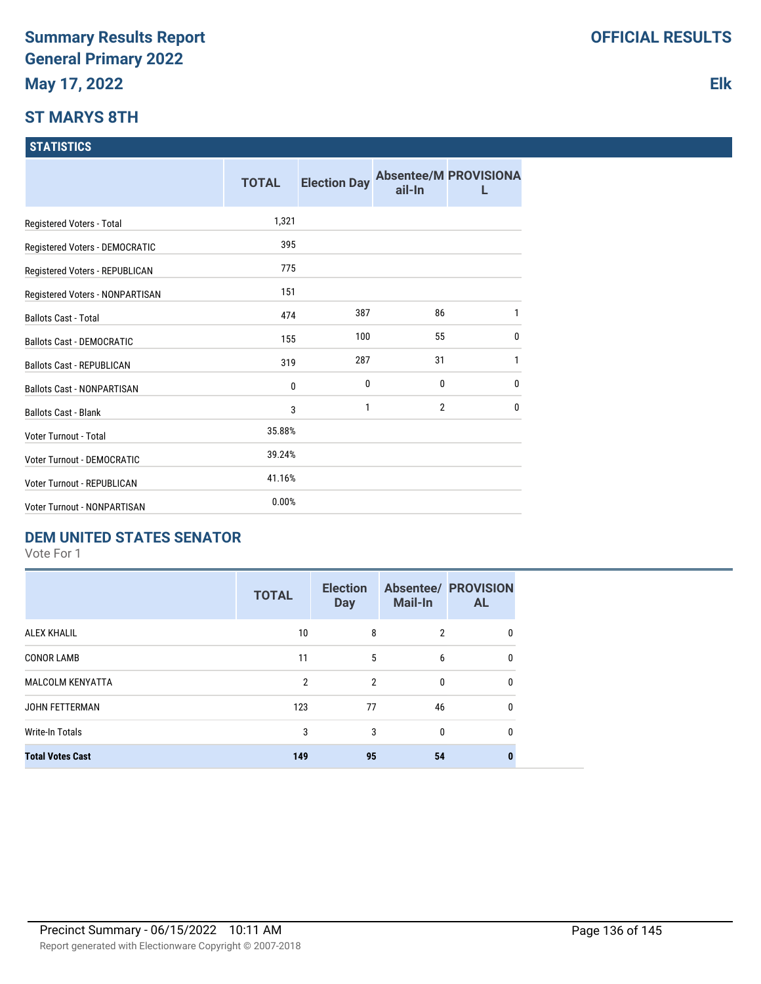## **ST MARYS 8TH**

#### **STATISTICS**

|                                    | <b>TOTAL</b> | <b>Election Day</b> | ail-In         | <b>Absentee/M PROVISIONA</b> |
|------------------------------------|--------------|---------------------|----------------|------------------------------|
| Registered Voters - Total          | 1,321        |                     |                |                              |
| Registered Voters - DEMOCRATIC     | 395          |                     |                |                              |
| Registered Voters - REPUBLICAN     | 775          |                     |                |                              |
| Registered Voters - NONPARTISAN    | 151          |                     |                |                              |
| <b>Ballots Cast - Total</b>        | 474          | 387                 | 86             | $\mathbf{1}$                 |
| <b>Ballots Cast - DEMOCRATIC</b>   | 155          | 100                 | 55             | 0                            |
| <b>Ballots Cast - REPUBLICAN</b>   | 319          | 287                 | 31             | 1                            |
| <b>Ballots Cast - NONPARTISAN</b>  | $\bf{0}$     | 0                   | 0              | $\bf{0}$                     |
| <b>Ballots Cast - Blank</b>        | 3            | 1                   | $\overline{2}$ | $\mathbf{0}$                 |
| Voter Turnout - Total              | 35.88%       |                     |                |                              |
| Voter Turnout - DEMOCRATIC         | 39.24%       |                     |                |                              |
| Voter Turnout - REPUBLICAN         | 41.16%       |                     |                |                              |
| <b>Voter Turnout - NONPARTISAN</b> | 0.00%        |                     |                |                              |

## **DEM UNITED STATES SENATOR**

Vote For 1

|                         | <b>TOTAL</b>   | <b>Election</b><br><b>Day</b> | <b>Mail-In</b> | <b>Absentee/ PROVISION</b><br><b>AL</b> |
|-------------------------|----------------|-------------------------------|----------------|-----------------------------------------|
| <b>ALEX KHALIL</b>      | 10             | 8                             | 2              | 0                                       |
| <b>CONOR LAMB</b>       | 11             | 5                             | 6              | 0                                       |
| <b>MALCOLM KENYATTA</b> | $\overline{2}$ | $\mathfrak{p}$                | $\Omega$       | 0                                       |
| <b>JOHN FETTERMAN</b>   | 123            | 77                            | 46             | 0                                       |
| Write-In Totals         | 3              | 3                             | $\Omega$       | 0                                       |
| <b>Total Votes Cast</b> | 149            | 95                            | 54             | 0                                       |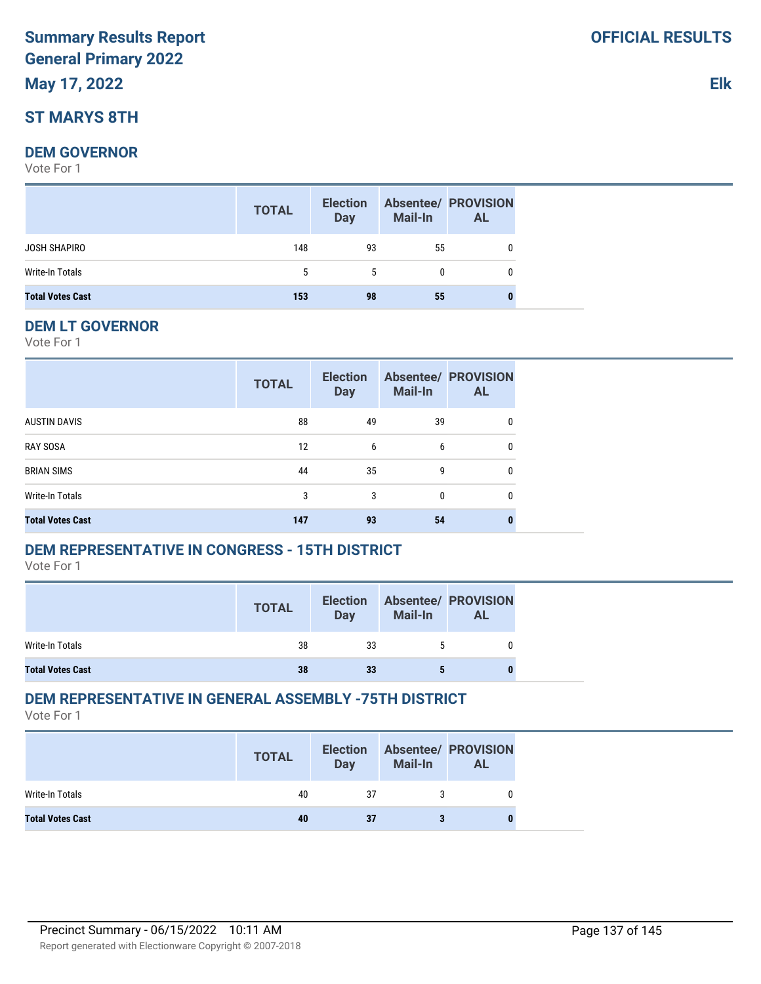# **Summary Results Report General Primary 2022**

**May 17, 2022**

## **ST MARYS 8TH**

#### **DEM GOVERNOR**

Vote For 1

|                         | <b>TOTAL</b> | <b>Election</b><br>Day | <b>Mail-In</b> | <b>Absentee/ PROVISION</b><br><b>AL</b> |
|-------------------------|--------------|------------------------|----------------|-----------------------------------------|
| JOSH SHAPIRO            | 148          | 93                     | 55             | 0                                       |
| Write-In Totals         |              | 5                      | 0              | 0                                       |
| <b>Total Votes Cast</b> | 153          | 98                     | 55             | 0                                       |

#### **DEM LT GOVERNOR**

Vote For 1

|                         | <b>TOTAL</b> | <b>Election</b><br><b>Day</b> | <b>Mail-In</b> | <b>Absentee/ PROVISION</b><br><b>AL</b> |
|-------------------------|--------------|-------------------------------|----------------|-----------------------------------------|
| <b>AUSTIN DAVIS</b>     | 88           | 49                            | 39             | 0                                       |
| <b>RAY SOSA</b>         | 12           | 6                             | 6              | 0                                       |
| <b>BRIAN SIMS</b>       | 44           | 35                            | 9              | 0                                       |
| <b>Write-In Totals</b>  | 3            | 3                             | 0              | 0                                       |
| <b>Total Votes Cast</b> | 147          | 93                            | 54             |                                         |

## **DEM REPRESENTATIVE IN CONGRESS - 15TH DISTRICT**

Vote For 1

|                         | <b>TOTAL</b> | <b>Election</b><br>Day | <b>Mail-In</b> | <b>Absentee/ PROVISION</b><br>AL |
|-------------------------|--------------|------------------------|----------------|----------------------------------|
| Write-In Totals         | 38           | 33                     |                |                                  |
| <b>Total Votes Cast</b> | 38           | 33                     |                |                                  |

## **DEM REPRESENTATIVE IN GENERAL ASSEMBLY -75TH DISTRICT**

Vote For 1

|                         | <b>TOTAL</b> | <b>Election</b><br>Day | <b>Mail-In</b> | <b>Absentee/ PROVISION</b><br><b>AL</b> |
|-------------------------|--------------|------------------------|----------------|-----------------------------------------|
| Write-In Totals         | 40           | 37                     |                |                                         |
| <b>Total Votes Cast</b> | 40           | 37                     |                |                                         |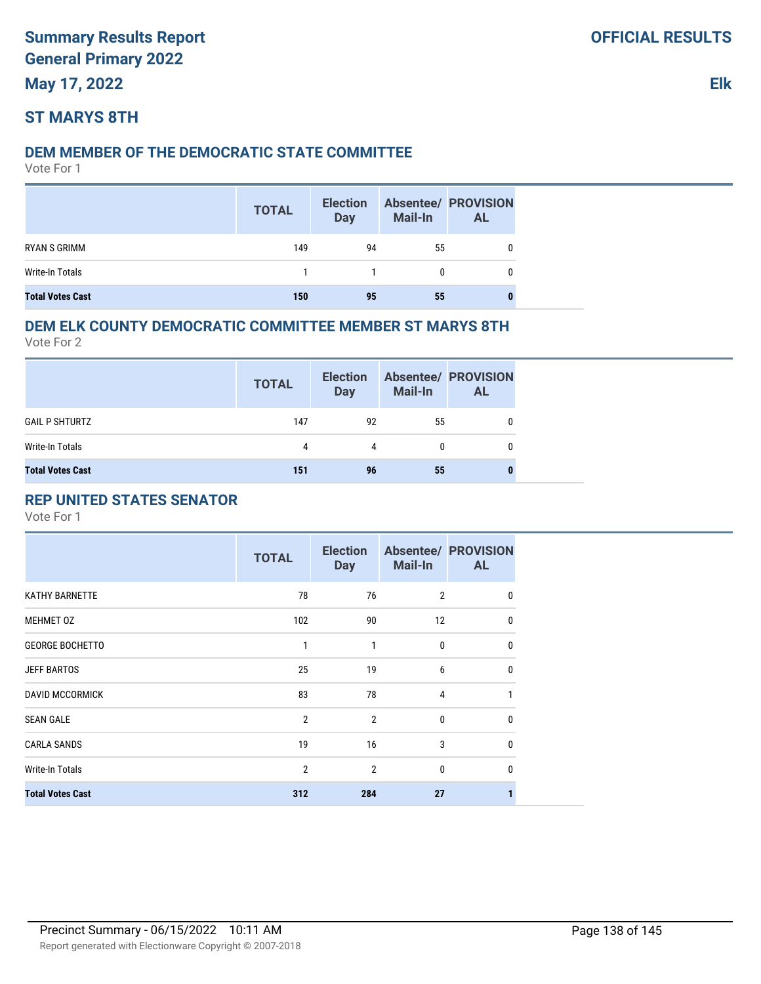## **ST MARYS 8TH**

## **DEM MEMBER OF THE DEMOCRATIC STATE COMMITTEE**

Vote For 1

|                         | <b>TOTAL</b> | <b>Election</b><br><b>Day</b> | <b>Mail-In</b> | <b>Absentee/ PROVISION</b><br>AL |
|-------------------------|--------------|-------------------------------|----------------|----------------------------------|
| RYAN S GRIMM            | 149          | 94                            | 55             |                                  |
| Write-In Totals         |              |                               | 0              |                                  |
| <b>Total Votes Cast</b> | 150          | 95                            | 55             | 0                                |

## **DEM ELK COUNTY DEMOCRATIC COMMITTEE MEMBER ST MARYS 8TH**

Vote For 2

|                         | <b>TOTAL</b> | <b>Election</b><br><b>Day</b> | <b>Mail-In</b> | <b>Absentee/ PROVISION</b><br>AL |
|-------------------------|--------------|-------------------------------|----------------|----------------------------------|
| <b>GAIL P SHTURTZ</b>   | 147          | 92                            | 55             |                                  |
| Write-In Totals         | 4            | 4                             | n.             |                                  |
| <b>Total Votes Cast</b> | 151          | 96                            | 55             |                                  |

## **REP UNITED STATES SENATOR**

|                         | <b>TOTAL</b>   | <b>Election</b><br><b>Day</b> | <b>Mail-In</b> | <b>Absentee/ PROVISION</b><br><b>AL</b> |
|-------------------------|----------------|-------------------------------|----------------|-----------------------------------------|
| <b>KATHY BARNETTE</b>   | 78             | 76                            | $\overline{2}$ | 0                                       |
| MEHMET 0Z               | 102            | 90                            | 12             | 0                                       |
| <b>GEORGE BOCHETTO</b>  | 1              | 1                             | 0              | $\mathbf{0}$                            |
| <b>JEFF BARTOS</b>      | 25             | 19                            | 6              | 0                                       |
| <b>DAVID MCCORMICK</b>  | 83             | 78                            | 4              |                                         |
| <b>SEAN GALE</b>        | $\overline{2}$ | $\overline{2}$                | 0              | 0                                       |
| <b>CARLA SANDS</b>      | 19             | 16                            | 3              | $\mathbf{0}$                            |
| Write-In Totals         | $\overline{2}$ | $\overline{2}$                | 0              | $\mathbf{0}$                            |
| <b>Total Votes Cast</b> | 312            | 284                           | 27             |                                         |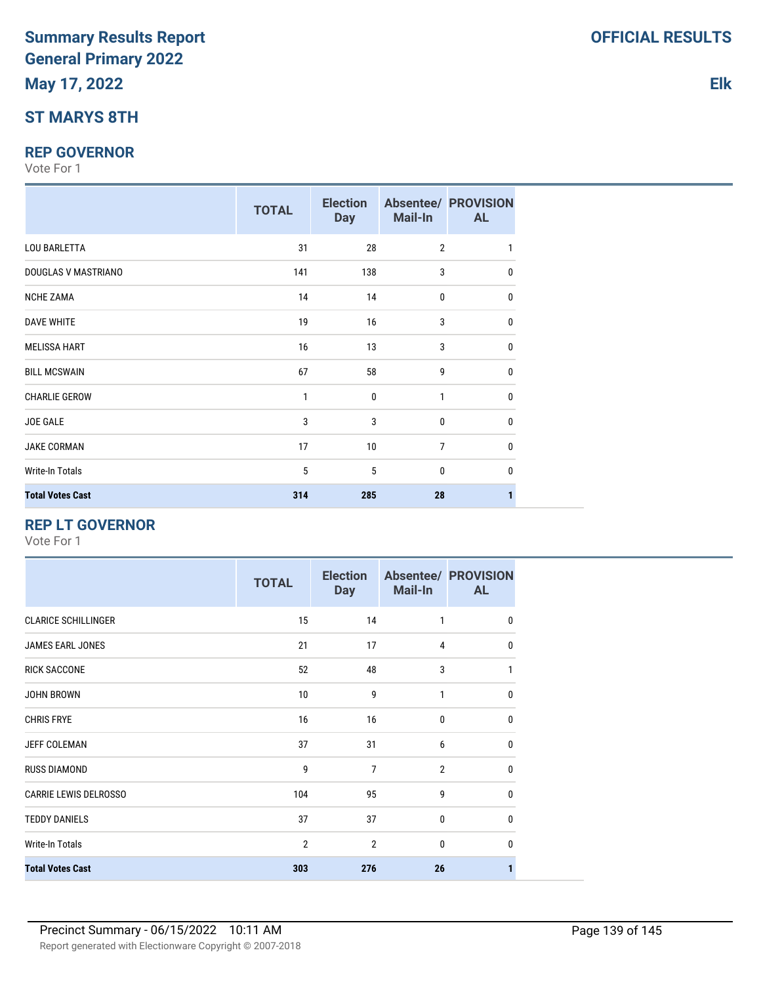## **ST MARYS 8TH**

#### **REP GOVERNOR**

Vote For 1

|                         | <b>TOTAL</b> | <b>Election</b><br><b>Day</b> | Mail-In        | <b>Absentee/ PROVISION</b><br><b>AL</b> |
|-------------------------|--------------|-------------------------------|----------------|-----------------------------------------|
| <b>LOU BARLETTA</b>     | 31           | 28                            | $\overline{2}$ | 1                                       |
| DOUGLAS V MASTRIANO     | 141          | 138                           | 3              | 0                                       |
| <b>NCHE ZAMA</b>        | 14           | 14                            | 0              | 0                                       |
| <b>DAVE WHITE</b>       | 19           | 16                            | 3              | 0                                       |
| <b>MELISSA HART</b>     | 16           | 13                            | 3              | 0                                       |
| <b>BILL MCSWAIN</b>     | 67           | 58                            | 9              | 0                                       |
| <b>CHARLIE GEROW</b>    | 1            | 0                             | 1              | 0                                       |
| <b>JOE GALE</b>         | 3            | 3                             | 0              | 0                                       |
| <b>JAKE CORMAN</b>      | 17           | 10                            | 7              | 0                                       |
| <b>Write-In Totals</b>  | 5            | 5                             | 0              | $\Omega$                                |
| <b>Total Votes Cast</b> | 314          | 285                           | 28             | 1                                       |

## **REP LT GOVERNOR**

Vote For 1

|                              | <b>TOTAL</b>   | <b>Election</b><br><b>Day</b> | Mail-In        | <b>Absentee/ PROVISION</b><br><b>AL</b> |
|------------------------------|----------------|-------------------------------|----------------|-----------------------------------------|
| <b>CLARICE SCHILLINGER</b>   | 15             | 14                            | 1              | 0                                       |
| <b>JAMES EARL JONES</b>      | 21             | 17                            | 4              | 0                                       |
| <b>RICK SACCONE</b>          | 52             | 48                            | 3              | 1                                       |
| <b>JOHN BROWN</b>            | 10             | 9                             | $\mathbf{1}$   | $\theta$                                |
| <b>CHRIS FRYE</b>            | 16             | 16                            | 0              | 0                                       |
| <b>JEFF COLEMAN</b>          | 37             | 31                            | 6              | 0                                       |
| <b>RUSS DIAMOND</b>          | 9              | $\overline{7}$                | $\overline{2}$ | 0                                       |
| <b>CARRIE LEWIS DELROSSO</b> | 104            | 95                            | 9              | 0                                       |
| <b>TEDDY DANIELS</b>         | 37             | 37                            | $\mathbf{0}$   | 0                                       |
| <b>Write-In Totals</b>       | $\overline{2}$ | $\overline{2}$                | $\mathbf{0}$   | 0                                       |
| <b>Total Votes Cast</b>      | 303            | 276                           | 26             | 1                                       |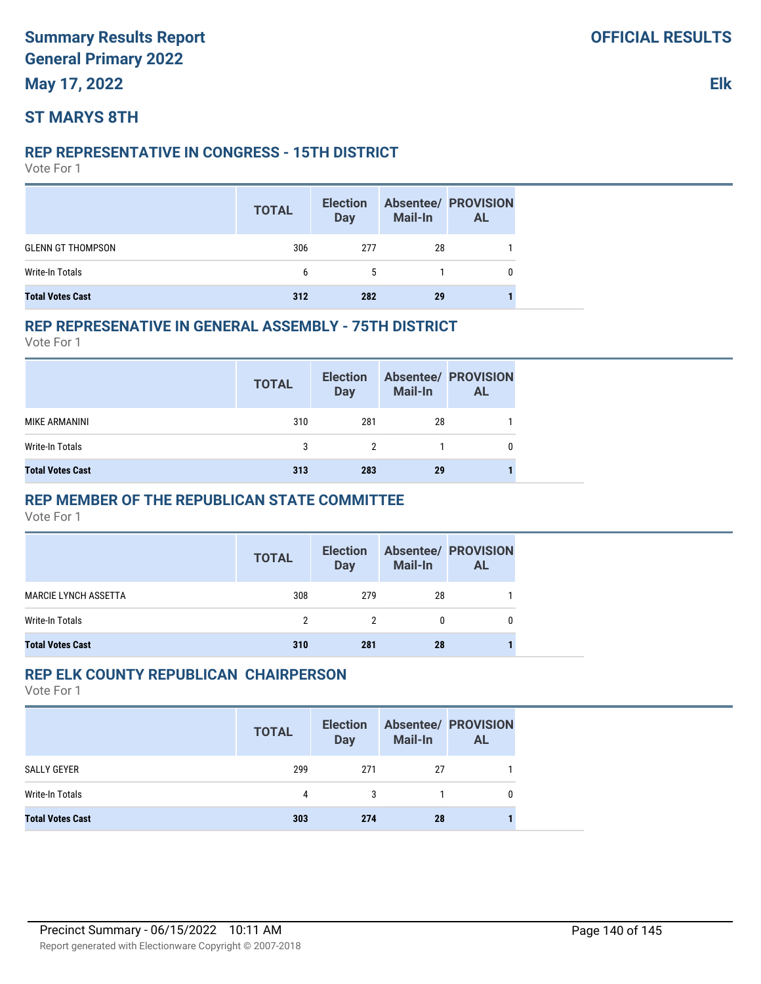## **ST MARYS 8TH**

#### **REP REPRESENTATIVE IN CONGRESS - 15TH DISTRICT**

Vote For 1

|                          | <b>TOTAL</b> | <b>Election</b><br><b>Day</b> | <b>Mail-In</b> | <b>Absentee/ PROVISION</b><br><b>AL</b> |
|--------------------------|--------------|-------------------------------|----------------|-----------------------------------------|
| <b>GLENN GT THOMPSON</b> | 306          | 277                           | 28             |                                         |
| Write-In Totals          | 6            | 5                             |                |                                         |
| <b>Total Votes Cast</b>  | 312          | 282                           | 29             |                                         |

#### **REP REPRESENATIVE IN GENERAL ASSEMBLY - 75TH DISTRICT**

Vote For 1

|                         | <b>TOTAL</b> | <b>Election</b><br><b>Day</b> | <b>Mail-In</b> | <b>Absentee/ PROVISION</b><br><b>AL</b> |
|-------------------------|--------------|-------------------------------|----------------|-----------------------------------------|
| <b>MIKE ARMANINI</b>    | 310          | 281                           | 28             |                                         |
| Write-In Totals         | 3            | 2                             |                |                                         |
| <b>Total Votes Cast</b> | 313          | 283                           | 29             |                                         |

### **REP MEMBER OF THE REPUBLICAN STATE COMMITTEE**

Vote For 1

|                             | <b>TOTAL</b> | <b>Election</b><br><b>Day</b> | <b>Mail-In</b> | <b>Absentee/ PROVISION</b><br><b>AL</b> |
|-----------------------------|--------------|-------------------------------|----------------|-----------------------------------------|
| <b>MARCIE LYNCH ASSETTA</b> | 308          | 279                           | 28             |                                         |
| Write-In Totals             | 2            | 2                             | $\mathbf{0}$   | 0                                       |
| <b>Total Votes Cast</b>     | 310          | 281                           | 28             |                                         |

### **REP ELK COUNTY REPUBLICAN CHAIRPERSON**

|                         | <b>TOTAL</b> | <b>Election</b><br><b>Day</b> | <b>Mail-In</b> | <b>Absentee/ PROVISION</b><br><b>AL</b> |
|-------------------------|--------------|-------------------------------|----------------|-----------------------------------------|
| SALLY GEYER             | 299          | 271                           | 27             |                                         |
| Write-In Totals         | 4            | 3                             |                |                                         |
| <b>Total Votes Cast</b> | 303          | 274                           | 28             |                                         |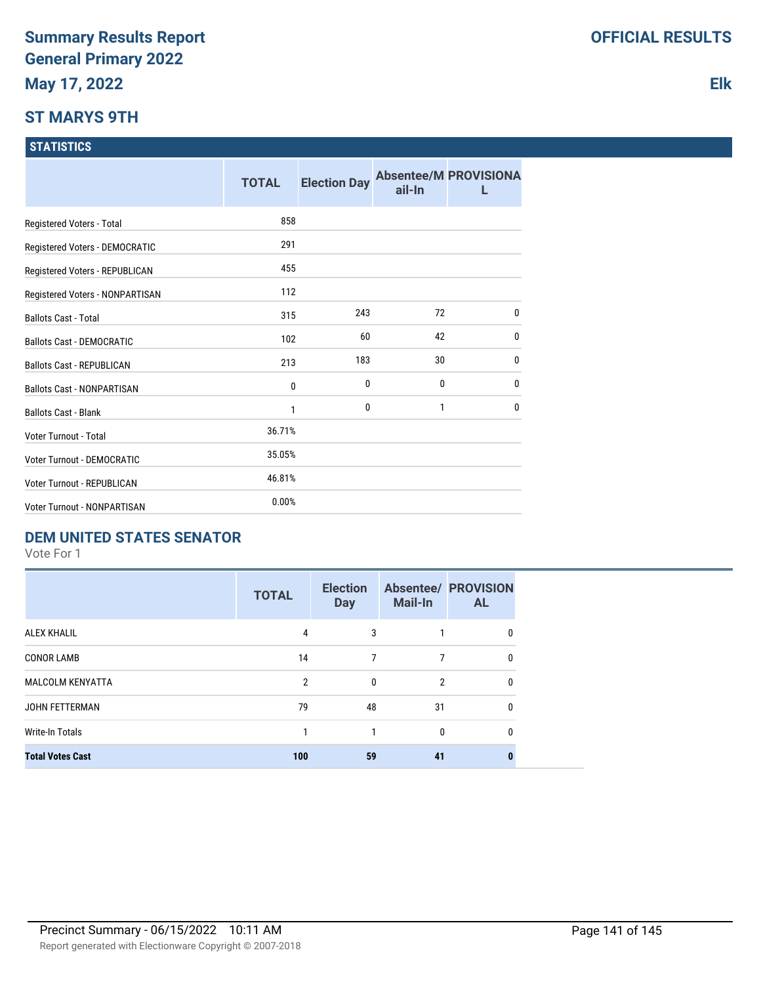## **ST MARYS 9TH**

#### **STATISTICS**

|                                   | <b>TOTAL</b> | <b>Election Day</b> | ail-In | <b>Absentee/M PROVISIONA</b> |
|-----------------------------------|--------------|---------------------|--------|------------------------------|
| Registered Voters - Total         | 858          |                     |        |                              |
| Registered Voters - DEMOCRATIC    | 291          |                     |        |                              |
| Registered Voters - REPUBLICAN    | 455          |                     |        |                              |
| Registered Voters - NONPARTISAN   | 112          |                     |        |                              |
| <b>Ballots Cast - Total</b>       | 315          | 243                 | 72     | $\mathbf{0}$                 |
| <b>Ballots Cast - DEMOCRATIC</b>  | 102          | 60                  | 42     | 0                            |
| <b>Ballots Cast - REPUBLICAN</b>  | 213          | 183                 | 30     | $\mathbf{0}$                 |
| <b>Ballots Cast - NONPARTISAN</b> | 0            | 0                   | 0      | $\mathbf{0}$                 |
| <b>Ballots Cast - Blank</b>       | 1            | 0                   | 1      | $\mathbf{0}$                 |
| Voter Turnout - Total             | 36.71%       |                     |        |                              |
| <b>Voter Turnout - DEMOCRATIC</b> | 35.05%       |                     |        |                              |
| Voter Turnout - REPUBLICAN        | 46.81%       |                     |        |                              |
| Voter Turnout - NONPARTISAN       | 0.00%        |                     |        |                              |

## **DEM UNITED STATES SENATOR**

Vote For 1

|                         | <b>TOTAL</b>   | <b>Election</b><br><b>Day</b> | <b>Mail-In</b> | <b>Absentee/ PROVISION</b><br><b>AL</b> |
|-------------------------|----------------|-------------------------------|----------------|-----------------------------------------|
| <b>ALEX KHALIL</b>      | 4              | 3                             |                | 0                                       |
| <b>CONOR LAMB</b>       | 14             | 7                             | 7              | 0                                       |
| <b>MALCOLM KENYATTA</b> | $\mathfrak{p}$ | $\mathbf{0}$                  | $\overline{2}$ | 0                                       |
| JOHN FETTERMAN          | 79             | 48                            | 31             | 0                                       |
| <b>Write-In Totals</b>  |                |                               | $\mathbf{0}$   | 0                                       |
| <b>Total Votes Cast</b> | 100            | 59                            | 41             | 0                                       |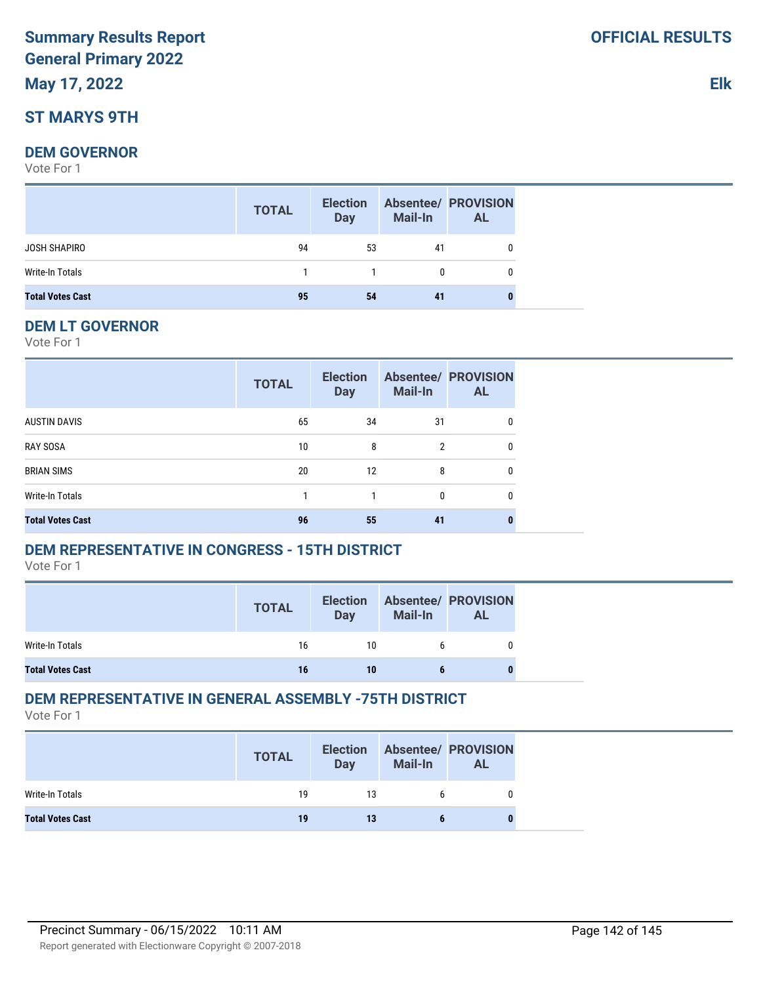# **Summary Results Report General Primary 2022**

**May 17, 2022**

## **ST MARYS 9TH**

#### **DEM GOVERNOR**

Vote For 1

|                         | <b>TOTAL</b> | <b>Election</b><br>Day | <b>Mail-In</b> | <b>Absentee/ PROVISION</b><br><b>AL</b> |
|-------------------------|--------------|------------------------|----------------|-----------------------------------------|
| <b>JOSH SHAPIRO</b>     | 94           | 53                     | 41             | 0                                       |
| Write-In Totals         |              |                        | 0              | 0                                       |
| <b>Total Votes Cast</b> | 95           | 54                     | 41             | 0                                       |

#### **DEM LT GOVERNOR**

Vote For 1

|                         | <b>TOTAL</b> | <b>Election</b><br><b>Day</b> | <b>Mail-In</b> | <b>Absentee/ PROVISION</b><br><b>AL</b> |
|-------------------------|--------------|-------------------------------|----------------|-----------------------------------------|
| <b>AUSTIN DAVIS</b>     | 65           | 34                            | 31             | 0                                       |
| <b>RAY SOSA</b>         | 10           | 8                             | $\overline{2}$ | 0                                       |
| <b>BRIAN SIMS</b>       | 20           | 12                            | 8              | 0                                       |
| <b>Write-In Totals</b>  |              |                               | 0              | 0                                       |
| <b>Total Votes Cast</b> | 96           | 55                            | 41             |                                         |

## **DEM REPRESENTATIVE IN CONGRESS - 15TH DISTRICT**

Vote For 1

|                         | <b>TOTAL</b> | <b>Election</b><br><b>Day</b> | Mail-In | <b>Absentee/ PROVISION</b><br>AL |
|-------------------------|--------------|-------------------------------|---------|----------------------------------|
| Write-In Totals         | 16           | 10                            |         |                                  |
| <b>Total Votes Cast</b> | 16           | 10                            |         |                                  |

## **DEM REPRESENTATIVE IN GENERAL ASSEMBLY -75TH DISTRICT**

|                         | <b>TOTAL</b> | <b>Election</b><br>Day | <b>Mail-In</b> | <b>Absentee/ PROVISION</b><br><b>AL</b> |
|-------------------------|--------------|------------------------|----------------|-----------------------------------------|
| Write-In Totals         | 19           | 13                     | h              |                                         |
| <b>Total Votes Cast</b> | 19           | 13                     |                |                                         |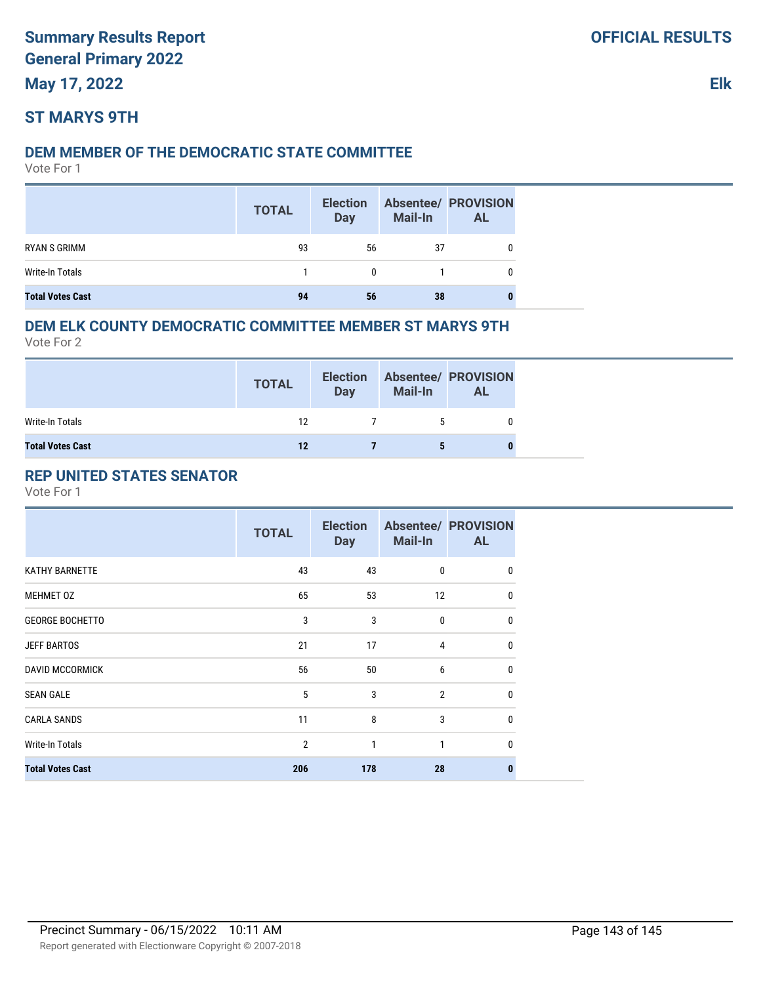## **ST MARYS 9TH**

## **DEM MEMBER OF THE DEMOCRATIC STATE COMMITTEE**

Vote For 1

|                         | <b>TOTAL</b> | <b>Election</b><br><b>Day</b> | <b>Mail-In</b> | <b>Absentee/ PROVISION</b><br><b>AL</b> |
|-------------------------|--------------|-------------------------------|----------------|-----------------------------------------|
| RYAN S GRIMM            | 93           | 56                            | 37             |                                         |
| Write-In Totals         |              | <sup>0</sup>                  |                |                                         |
| <b>Total Votes Cast</b> | 94           | 56                            | 38             |                                         |

### **DEM ELK COUNTY DEMOCRATIC COMMITTEE MEMBER ST MARYS 9TH**

Vote For 2

|                         | <b>TOTAL</b> | <b>Election</b><br><b>Day</b> | <b>Mail-In</b> | <b>Absentee/ PROVISION</b><br><b>AL</b> |
|-------------------------|--------------|-------------------------------|----------------|-----------------------------------------|
| Write-In Totals         | 12           | $7\overline{)}$               | .5             |                                         |
| <b>Total Votes Cast</b> | 12           |                               | 5              |                                         |

## **REP UNITED STATES SENATOR**

|                         | <b>TOTAL</b>   | <b>Election</b><br><b>Day</b> | <b>Mail-In</b> | <b>Absentee/ PROVISION</b><br><b>AL</b> |
|-------------------------|----------------|-------------------------------|----------------|-----------------------------------------|
| <b>KATHY BARNETTE</b>   | 43             | 43                            | $\mathbf 0$    | 0                                       |
| <b>MEHMET 0Z</b>        | 65             | 53                            | 12             | 0                                       |
| <b>GEORGE BOCHETTO</b>  | 3              | 3                             | $\mathbf 0$    | $\mathbf{0}$                            |
| <b>JEFF BARTOS</b>      | 21             | 17                            | 4              | 0                                       |
| <b>DAVID MCCORMICK</b>  | 56             | 50                            | 6              | $\mathbf{0}$                            |
| <b>SEAN GALE</b>        | 5              | 3                             | $\overline{2}$ | $\Omega$                                |
| <b>CARLA SANDS</b>      | 11             | 8                             | 3              | $\mathbf{0}$                            |
| <b>Write-In Totals</b>  | $\overline{2}$ | 1                             | 1              | $\mathbf{0}$                            |
| <b>Total Votes Cast</b> | 206            | 178                           | 28             |                                         |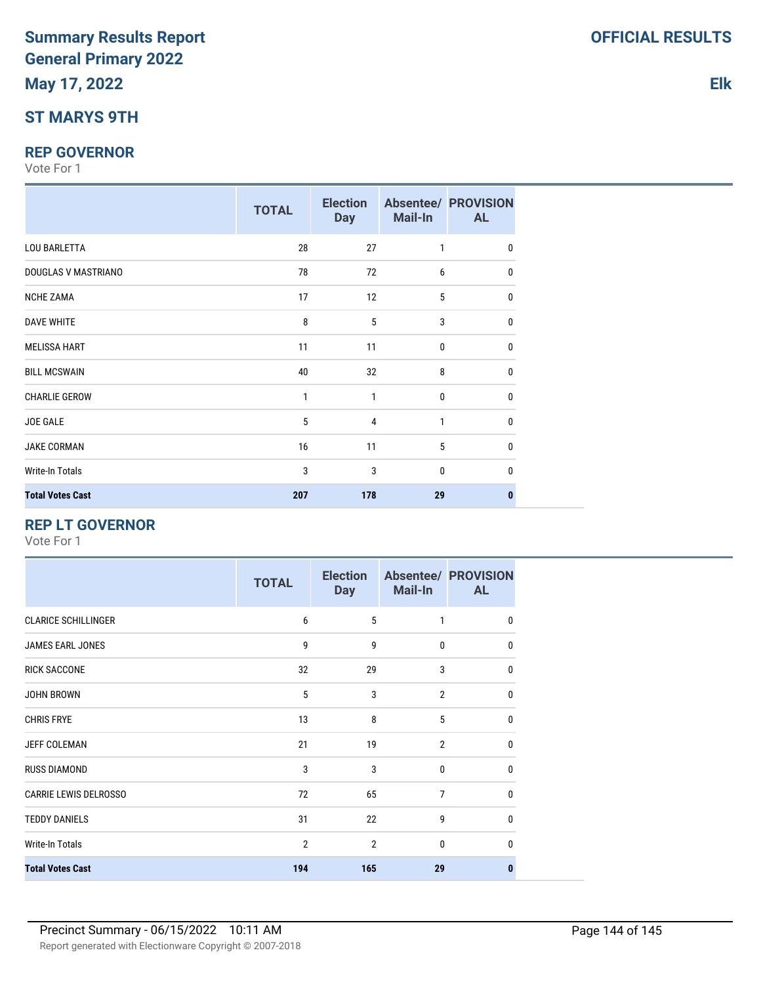## **ST MARYS 9TH**

#### **REP GOVERNOR**

Vote For 1

|                         | <b>TOTAL</b> | <b>Election</b><br><b>Day</b> | Mail-In      | <b>Absentee/ PROVISION</b><br><b>AL</b> |
|-------------------------|--------------|-------------------------------|--------------|-----------------------------------------|
| <b>LOU BARLETTA</b>     | 28           | 27                            | 1            | 0                                       |
| DOUGLAS V MASTRIANO     | 78           | 72                            | 6            | 0                                       |
| <b>NCHE ZAMA</b>        | 17           | 12                            | 5            | 0                                       |
| <b>DAVE WHITE</b>       | 8            | 5                             | 3            | 0                                       |
| <b>MELISSA HART</b>     | 11           | 11                            | 0            | 0                                       |
| <b>BILL MCSWAIN</b>     | 40           | 32                            | 8            | 0                                       |
| <b>CHARLIE GEROW</b>    | 1            | 1                             | 0            | 0                                       |
| JOE GALE                | 5            | $\overline{4}$                | 1            | 0                                       |
| <b>JAKE CORMAN</b>      | 16           | 11                            | 5            | 0                                       |
| <b>Write-In Totals</b>  | 3            | 3                             | $\mathbf{0}$ | <sup>0</sup>                            |
| <b>Total Votes Cast</b> | 207          | 178                           | 29           | 0                                       |

## **REP LT GOVERNOR**

Vote For 1

|                              | <b>TOTAL</b>   | <b>Election</b><br><b>Day</b> | Mail-In        | <b>Absentee/ PROVISION</b><br><b>AL</b> |
|------------------------------|----------------|-------------------------------|----------------|-----------------------------------------|
| <b>CLARICE SCHILLINGER</b>   | 6              | 5                             | 1              | $\mathbf{0}$                            |
| JAMES EARL JONES             | 9              | 9                             | $\mathbf{0}$   | 0                                       |
| <b>RICK SACCONE</b>          | 32             | 29                            | 3              | $\Omega$                                |
| <b>JOHN BROWN</b>            | 5              | 3                             | $\overline{2}$ | $\mathbf{0}$                            |
| <b>CHRIS FRYE</b>            | 13             | 8                             | 5              | $\mathbf{0}$                            |
| <b>JEFF COLEMAN</b>          | 21             | 19                            | $\overline{2}$ | $\mathbf{0}$                            |
| <b>RUSS DIAMOND</b>          | 3              | 3                             | $\mathbf{0}$   | $\mathbf{0}$                            |
| <b>CARRIE LEWIS DELROSSO</b> | 72             | 65                            | 7              | $\mathbf{0}$                            |
| <b>TEDDY DANIELS</b>         | 31             | 22                            | 9              | $\mathbf{0}$                            |
| <b>Write-In Totals</b>       | $\overline{2}$ | $\overline{2}$                | $\mathbf{0}$   | $\mathbf{0}$                            |
| <b>Total Votes Cast</b>      | 194            | 165                           | 29             | 0                                       |